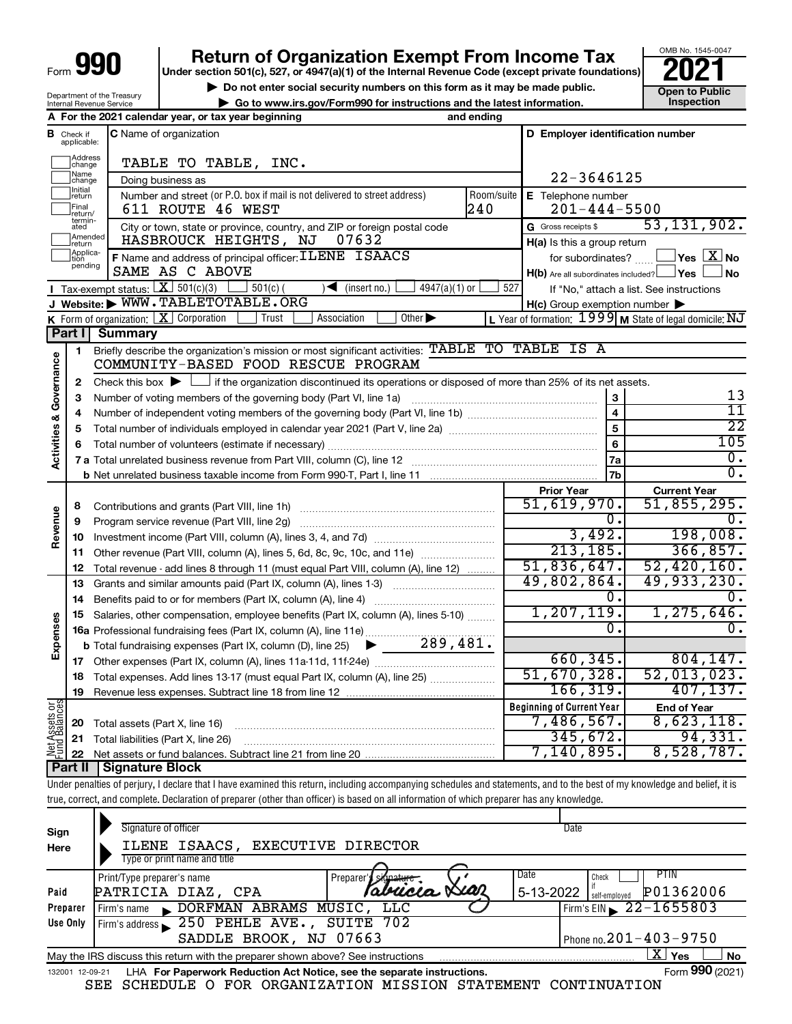# **990 Return of Organization Exempt From Income Tax Punce 1845-004 2021**

▶ Do not enter social security numbers on this form as it may be made public. <br>● Go to www.irs.gov/Form990 for instructions and the latest information. Inspection **| Go to www.irs.gov/Form990 for instructions and the latest information. Inspection**

OMB No. 1545-0047

| Department of the Treasury<br><b>Internal Revenue Service</b> |  |  |      |  |
|---------------------------------------------------------------|--|--|------|--|
|                                                               |  |  | ---- |  |

|                         |                               | A For the 2021 calendar year, or tax year beginning                                                                                                                        | and ending |                                                     |                                                             |
|-------------------------|-------------------------------|----------------------------------------------------------------------------------------------------------------------------------------------------------------------------|------------|-----------------------------------------------------|-------------------------------------------------------------|
|                         | <b>B</b> Check if applicable: | C Name of organization                                                                                                                                                     |            | D Employer identification number                    |                                                             |
|                         | Address<br> change            | TABLE TO TABLE, INC.                                                                                                                                                       |            |                                                     |                                                             |
|                         | ]Name<br>]change              | Doing business as                                                                                                                                                          |            | 22-3646125                                          |                                                             |
|                         | Initial<br>return             | Number and street (or P.O. box if mail is not delivered to street address)                                                                                                 | Room/suite | E Telephone number                                  |                                                             |
|                         | Final<br> return/             | 611 ROUTE 46 WEST                                                                                                                                                          | 240        | $201 - 444 - 5500$                                  |                                                             |
|                         | termin-<br>ated               | City or town, state or province, country, and ZIP or foreign postal code                                                                                                   |            | G Gross receipts \$                                 | 53, 131, 902.                                               |
|                         | Amended<br>Ireturn            | HASBROUCK HEIGHTS, NJ<br>07632                                                                                                                                             |            | H(a) Is this a group return                         |                                                             |
|                         | Applica-<br>Ition<br>pending  | F Name and address of principal officer: ILENE ISAACS                                                                                                                      |            | for subordinates?                                   | $\sqrt{}$ Yes $\sqrt{X}$ No                                 |
|                         |                               | SAME AS C ABOVE                                                                                                                                                            |            | $H(b)$ Are all subordinates included? $\Box$ Yes    | ∫ No                                                        |
|                         |                               | Tax-exempt status: $X \over 301(c)(3)$<br>$501(c)$ (<br>$4947(a)(1)$ or<br>$\sqrt{\frac{1}{1}}$ (insert no.)                                                               | 527        |                                                     | If "No," attach a list. See instructions                    |
|                         |                               | J Website: WWW.TABLETOTABLE.ORG                                                                                                                                            |            | $H(c)$ Group exemption number $\blacktriangleright$ |                                                             |
|                         |                               | K Form of organization: $X$ Corporation<br>Association<br>Other $\blacktriangleright$<br>Trust                                                                             |            |                                                     | L Year of formation: $1999$ M State of legal domicile: $NJ$ |
|                         | Part I                        | <b>Summary</b>                                                                                                                                                             |            |                                                     |                                                             |
| Activities & Governance | 1                             | Briefly describe the organization's mission or most significant activities: TABLE TO TABLE IS A<br>COMMUNITY-BASED FOOD RESCUE PROGRAM                                     |            |                                                     |                                                             |
|                         | 2                             | Check this box $\blacktriangleright$ $\Box$ if the organization discontinued its operations or disposed of more than 25% of its net assets.                                |            |                                                     |                                                             |
|                         | з                             |                                                                                                                                                                            |            | 3                                                   | 13                                                          |
|                         | 4                             |                                                                                                                                                                            |            | $\overline{4}$                                      | $\overline{11}$                                             |
|                         | 5                             |                                                                                                                                                                            |            | $\overline{5}$                                      | $\overline{22}$                                             |
|                         | 6                             |                                                                                                                                                                            |            | 6                                                   | 105                                                         |
|                         |                               |                                                                                                                                                                            |            | 7a                                                  | $0$ .                                                       |
|                         |                               |                                                                                                                                                                            |            | 7b                                                  | $\overline{0}$ .                                            |
|                         |                               |                                                                                                                                                                            |            | <b>Prior Year</b>                                   | <b>Current Year</b>                                         |
|                         | 8                             |                                                                                                                                                                            |            | 51,619,970.                                         | 51,855,295.                                                 |
|                         | 9                             | Program service revenue (Part VIII, line 2g)                                                                                                                               |            | 0.                                                  | υ.                                                          |
| Revenue                 | 10                            |                                                                                                                                                                            |            | 3,492.                                              | 198,008.                                                    |
|                         | 11                            | Other revenue (Part VIII, column (A), lines 5, 6d, 8c, 9c, 10c, and 11e)                                                                                                   |            | 213, 185.                                           | 366,857.                                                    |
|                         | 12                            | Total revenue - add lines 8 through 11 (must equal Part VIII, column (A), line 12)                                                                                         |            | 51,836,647.                                         | 52,420,160.                                                 |
|                         | 13                            | Grants and similar amounts paid (Part IX, column (A), lines 1-3)                                                                                                           |            | 49,802,864.                                         | 49,933,230.                                                 |
|                         | 14                            |                                                                                                                                                                            |            | 0.                                                  |                                                             |
|                         | 15                            | Salaries, other compensation, employee benefits (Part IX, column (A), lines 5-10)                                                                                          |            | 1, 207, 119.                                        | 1, 275, 646.                                                |
|                         |                               | 16a Professional fundraising fees (Part IX, column (A), line 11e)                                                                                                          |            | $\overline{0}$ .                                    | $\overline{0}$ .                                            |
| Expenses                |                               | 289,481.<br>$\blacktriangleright$<br><b>b</b> Total fundraising expenses (Part IX, column (D), line 25)                                                                    |            |                                                     |                                                             |
|                         |                               |                                                                                                                                                                            |            | 660, 345.                                           | 804, 147.                                                   |
|                         |                               | 18 Total expenses. Add lines 13-17 (must equal Part IX, column (A), line 25)                                                                                               |            | 51,670,328.                                         | 52,013,023.                                                 |
|                         | 19                            | Revenue less expenses. Subtract line 18 from line 12                                                                                                                       |            | 166, 319.                                           | 407, 137.                                                   |
|                         |                               |                                                                                                                                                                            |            | <b>Beginning of Current Year</b>                    | <b>End of Year</b>                                          |
| Net Assets or           | 20                            | Total assets (Part X, line 16)                                                                                                                                             |            | $7,486,567$ .<br>345,672.                           | 8,623,118.<br>94,331.                                       |
|                         | 21                            | Total liabilities (Part X, line 26)                                                                                                                                        |            | 7,140,895.                                          | 8,528,787.                                                  |
|                         | 22<br>  Part II               | <b>Signature Block</b>                                                                                                                                                     |            |                                                     |                                                             |
|                         |                               | Under penalties of perjury, I declare that I have examined this return, including accompanying schedules and statements, and to the best of my knowledge and belief, it is |            |                                                     |                                                             |
|                         |                               | true, correct, and complete. Declaration of preparer (other than officer) is based on all information of which preparer has any knowledge.                                 |            |                                                     |                                                             |
|                         |                               |                                                                                                                                                                            |            |                                                     |                                                             |

| Sign<br>Here | Signature of officer<br>ILENE ISAACS, EXECUTIVE DIRECTOR                                                        | Date                                    |  |  |  |  |  |  |  |
|--------------|-----------------------------------------------------------------------------------------------------------------|-----------------------------------------|--|--|--|--|--|--|--|
|              | Type or print name and title                                                                                    |                                         |  |  |  |  |  |  |  |
|              | Print/Type preparer's name<br>Preparer's signature                                                              | Date<br><b>PTIN</b><br>Check            |  |  |  |  |  |  |  |
| Paid         | PATRICIA DIAZ, CPA                                                                                              | P01362006<br>5-13-2022<br>self-emploved |  |  |  |  |  |  |  |
| Preparer     | DORFMAN ABRAMS MUSIC, LLC<br>Firm's name                                                                        | Firm's EIN $\geq 22 - 1655803$          |  |  |  |  |  |  |  |
| Use Only     | Firm's address $\geq 250$ PEHLE AVE.,<br>SUITE 702                                                              |                                         |  |  |  |  |  |  |  |
|              | SADDLE BROOK, NJ 07663                                                                                          | Phone no. $201 - 403 - 9750$            |  |  |  |  |  |  |  |
|              | $X \mid$<br><b>No</b><br>Yes<br>May the IRS discuss this return with the preparer shown above? See instructions |                                         |  |  |  |  |  |  |  |
|              | Form 990 (2021)<br>LHA For Paperwork Reduction Act Notice, see the separate instructions.<br>132001 12-09-21    |                                         |  |  |  |  |  |  |  |

SEE SCHEDULE O FOR ORGANIZATION MISSION STATEMENT CONTINUATION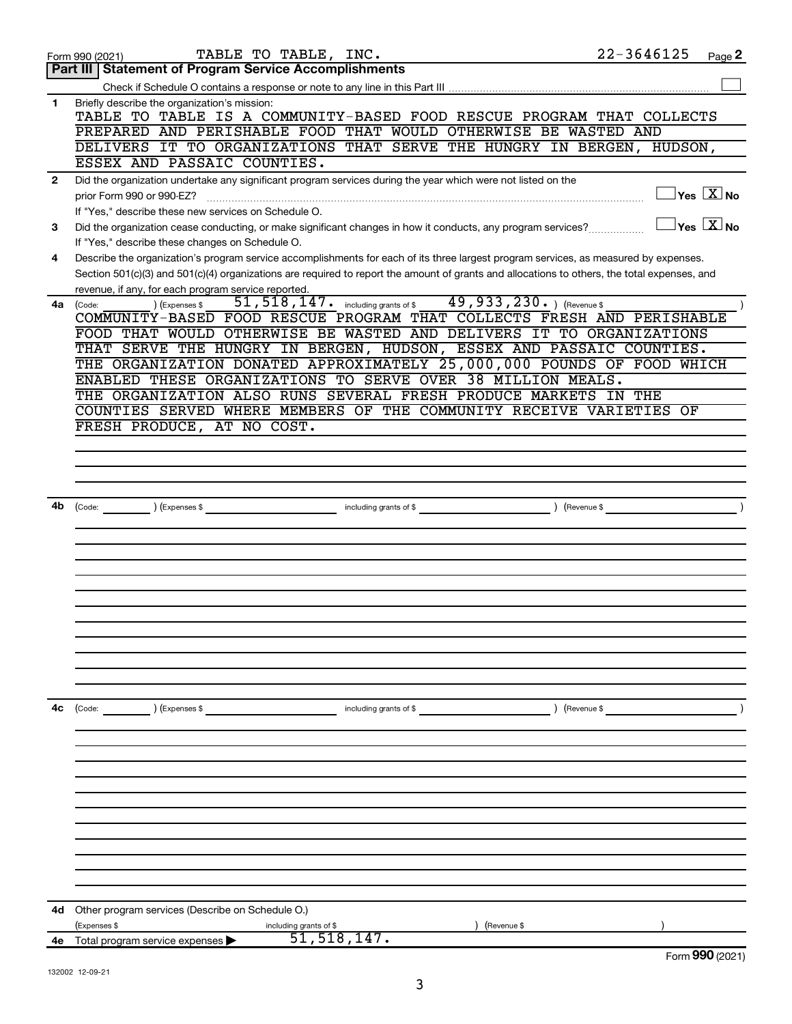|              | TABLE TO TABLE, INC.<br>Form 990 (2021)                                                                                                      | $22 - 3646125$ | Page 2                                            |
|--------------|----------------------------------------------------------------------------------------------------------------------------------------------|----------------|---------------------------------------------------|
|              | <b>Part III   Statement of Program Service Accomplishments</b>                                                                               |                |                                                   |
|              |                                                                                                                                              |                |                                                   |
| $\mathbf 1$  | Briefly describe the organization's mission:<br>TABLE TO TABLE IS A COMMUNITY-BASED FOOD RESCUE PROGRAM THAT COLLECTS                        |                |                                                   |
|              | PREPARED AND PERISHABLE FOOD THAT WOULD OTHERWISE BE WASTED AND                                                                              |                |                                                   |
|              | DELIVERS IT TO ORGANIZATIONS THAT SERVE THE HUNGRY IN BERGEN, HUDSON,                                                                        |                |                                                   |
|              | ESSEX AND PASSAIC COUNTIES.                                                                                                                  |                |                                                   |
| $\mathbf{2}$ | Did the organization undertake any significant program services during the year which were not listed on the                                 |                |                                                   |
|              | prior Form 990 or 990-EZ?                                                                                                                    |                | $\sqrt{\mathsf{Yes}\ \mathbb{X}}$ No              |
|              | If "Yes," describe these new services on Schedule O.                                                                                         |                |                                                   |
| 3            | Did the organization cease conducting, or make significant changes in how it conducts, any program services?                                 |                | $\gamma_{\mathsf{es}}$ $\overline{\mathrm{X}}$ No |
|              | If "Yes," describe these changes on Schedule O.                                                                                              |                |                                                   |
| 4            | Describe the organization's program service accomplishments for each of its three largest program services, as measured by expenses.         |                |                                                   |
|              | Section 501(c)(3) and 501(c)(4) organizations are required to report the amount of grants and allocations to others, the total expenses, and |                |                                                   |
|              | revenue, if any, for each program service reported.                                                                                          |                |                                                   |
| 4a           | 51, 518, 147. including grants of \$49, 933, 230. ) (Revenue \$<br>) (Expenses \$<br>(Code:                                                  |                |                                                   |
|              | COMMUNITY-BASED FOOD RESCUE PROGRAM THAT COLLECTS FRESH AND PERISHABLE                                                                       |                |                                                   |
|              | FOOD THAT WOULD OTHERWISE BE WASTED AND DELIVERS IT TO ORGANIZATIONS                                                                         |                |                                                   |
|              | THAT SERVE THE HUNGRY IN BERGEN, HUDSON, ESSEX AND PASSAIC COUNTIES.                                                                         |                |                                                   |
|              | THE ORGANIZATION DONATED APPROXIMATELY 25,000,000 POUNDS OF FOOD WHICH                                                                       |                |                                                   |
|              | ENABLED THESE ORGANIZATIONS TO SERVE OVER 38 MILLION MEALS.<br>THE ORGANIZATION ALSO RUNS SEVERAL FRESH PRODUCE MARKETS IN THE               |                |                                                   |
|              | COUNTIES SERVED WHERE MEMBERS OF THE COMMUNITY RECEIVE VARIETIES OF                                                                          |                |                                                   |
|              | FRESH PRODUCE, AT NO COST.                                                                                                                   |                |                                                   |
|              |                                                                                                                                              |                |                                                   |
|              |                                                                                                                                              |                |                                                   |
|              |                                                                                                                                              |                |                                                   |
|              |                                                                                                                                              |                |                                                   |
| 4b           | (Expenses \$<br>including grants of \$<br>(Code:                                                                                             | (Revenue \$    |                                                   |
|              |                                                                                                                                              |                |                                                   |
|              |                                                                                                                                              |                |                                                   |
|              |                                                                                                                                              |                |                                                   |
|              |                                                                                                                                              |                |                                                   |
|              |                                                                                                                                              |                |                                                   |
|              |                                                                                                                                              |                |                                                   |
|              |                                                                                                                                              |                |                                                   |
|              |                                                                                                                                              |                |                                                   |
|              |                                                                                                                                              |                |                                                   |
|              |                                                                                                                                              |                |                                                   |
|              |                                                                                                                                              |                |                                                   |
| 4с           | $\left(\text{Code:}\right)$<br>) (Expenses \$<br>including grants of \$                                                                      | ) (Revenue \$  |                                                   |
|              |                                                                                                                                              |                |                                                   |
|              |                                                                                                                                              |                |                                                   |
|              |                                                                                                                                              |                |                                                   |
|              |                                                                                                                                              |                |                                                   |
|              |                                                                                                                                              |                |                                                   |
|              |                                                                                                                                              |                |                                                   |
|              |                                                                                                                                              |                |                                                   |
|              |                                                                                                                                              |                |                                                   |
|              |                                                                                                                                              |                |                                                   |
|              |                                                                                                                                              |                |                                                   |
|              |                                                                                                                                              |                |                                                   |
| 4d           | Other program services (Describe on Schedule O.)                                                                                             |                |                                                   |
|              | (Expenses \$<br>including grants of \$<br>(Revenue \$                                                                                        |                |                                                   |
| 4е           | 51, 518, 147.<br>Total program service expenses                                                                                              |                |                                                   |
|              |                                                                                                                                              |                | Form 990 (2021)                                   |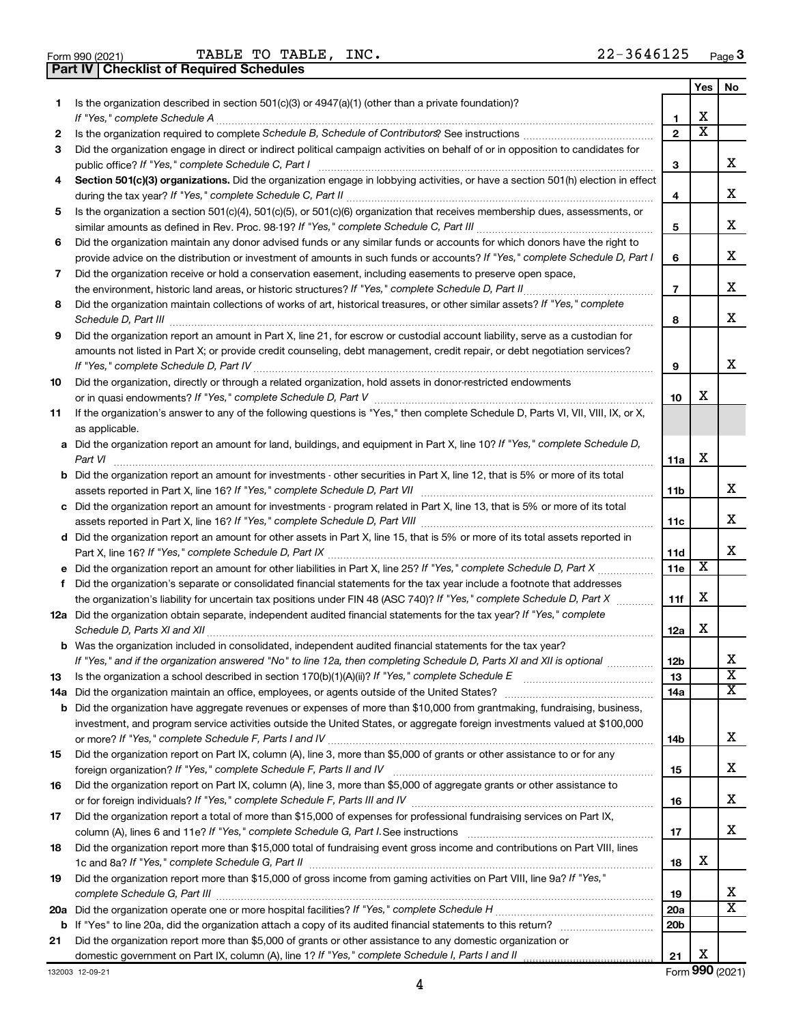|  | Form 990 (2021 |
|--|----------------|

Form 990 (2021) Page TABLE TO TABLE,  $INC.$  22-3646125

**Part IV Checklist of Required Schedules**

|        |                                                                                                                                       |                   | Yes | No.                     |
|--------|---------------------------------------------------------------------------------------------------------------------------------------|-------------------|-----|-------------------------|
| 1.     | Is the organization described in section $501(c)(3)$ or $4947(a)(1)$ (other than a private foundation)?                               |                   | х   |                         |
|        |                                                                                                                                       | 1<br>$\mathbf{2}$ | х   |                         |
| 2<br>3 | Did the organization engage in direct or indirect political campaign activities on behalf of or in opposition to candidates for       |                   |     |                         |
|        | public office? If "Yes," complete Schedule C, Part I                                                                                  | з                 |     | х                       |
| 4      | Section 501(c)(3) organizations. Did the organization engage in lobbying activities, or have a section 501(h) election in effect      |                   |     |                         |
|        |                                                                                                                                       | 4                 |     | х                       |
| 5      | Is the organization a section 501(c)(4), 501(c)(5), or 501(c)(6) organization that receives membership dues, assessments, or          |                   |     |                         |
|        |                                                                                                                                       | 5                 |     | х                       |
| 6      | Did the organization maintain any donor advised funds or any similar funds or accounts for which donors have the right to             |                   |     |                         |
|        | provide advice on the distribution or investment of amounts in such funds or accounts? If "Yes," complete Schedule D, Part I          | 6                 |     | х                       |
| 7      | Did the organization receive or hold a conservation easement, including easements to preserve open space,                             |                   |     |                         |
|        | the environment, historic land areas, or historic structures? If "Yes," complete Schedule D, Part II                                  | $\overline{7}$    |     | х                       |
| 8      | Did the organization maintain collections of works of art, historical treasures, or other similar assets? If "Yes," complete          |                   |     |                         |
|        |                                                                                                                                       | 8                 |     | x                       |
| 9      | Did the organization report an amount in Part X, line 21, for escrow or custodial account liability, serve as a custodian for         |                   |     |                         |
|        | amounts not listed in Part X; or provide credit counseling, debt management, credit repair, or debt negotiation services?             |                   |     |                         |
|        |                                                                                                                                       | 9                 |     | x                       |
| 10     | Did the organization, directly or through a related organization, hold assets in donor-restricted endowments                          |                   |     |                         |
|        |                                                                                                                                       | 10                | х   |                         |
| 11     | If the organization's answer to any of the following questions is "Yes," then complete Schedule D, Parts VI, VII, VIII, IX, or X,     |                   |     |                         |
|        | as applicable.                                                                                                                        |                   |     |                         |
|        | a Did the organization report an amount for land, buildings, and equipment in Part X, line 10? If "Yes," complete Schedule D,         | 11a               | х   |                         |
|        | <b>b</b> Did the organization report an amount for investments - other securities in Part X, line 12, that is 5% or more of its total |                   |     |                         |
|        |                                                                                                                                       | 11b               |     | х                       |
|        | c Did the organization report an amount for investments - program related in Part X, line 13, that is 5% or more of its total         |                   |     |                         |
|        |                                                                                                                                       | 11c               |     | х                       |
|        | d Did the organization report an amount for other assets in Part X, line 15, that is 5% or more of its total assets reported in       |                   |     |                         |
|        |                                                                                                                                       | 11d               |     | x                       |
|        |                                                                                                                                       | 11e               | х   |                         |
| f      | Did the organization's separate or consolidated financial statements for the tax year include a footnote that addresses               |                   |     |                         |
|        | the organization's liability for uncertain tax positions under FIN 48 (ASC 740)? If "Yes," complete Schedule D, Part X                | 11f               | х   |                         |
|        | 12a Did the organization obtain separate, independent audited financial statements for the tax year? If "Yes," complete               |                   |     |                         |
|        |                                                                                                                                       | 12a               | х   |                         |
|        | b Was the organization included in consolidated, independent audited financial statements for the tax year?                           |                   |     | х                       |
|        | If "Yes," and if the organization answered "No" to line 12a, then completing Schedule D, Parts XI and XII is optional                 | 12 <sub>b</sub>   |     | $\overline{\mathbf{X}}$ |
| 13     |                                                                                                                                       | 13<br>14a         |     | х                       |
|        | <b>b</b> Did the organization have aggregate revenues or expenses of more than \$10,000 from grantmaking, fundraising, business,      |                   |     |                         |
|        | investment, and program service activities outside the United States, or aggregate foreign investments valued at \$100,000            |                   |     |                         |
|        |                                                                                                                                       | 14b               |     | х                       |
| 15     | Did the organization report on Part IX, column (A), line 3, more than \$5,000 of grants or other assistance to or for any             |                   |     |                         |
|        |                                                                                                                                       | 15                |     | х                       |
| 16     | Did the organization report on Part IX, column (A), line 3, more than \$5,000 of aggregate grants or other assistance to              |                   |     |                         |
|        |                                                                                                                                       | 16                |     | х                       |
| 17     | Did the organization report a total of more than \$15,000 of expenses for professional fundraising services on Part IX,               |                   |     |                         |
|        |                                                                                                                                       | 17                |     | x                       |
| 18     | Did the organization report more than \$15,000 total of fundraising event gross income and contributions on Part VIII, lines          |                   |     |                         |
|        |                                                                                                                                       | 18                | х   |                         |
| 19     | Did the organization report more than \$15,000 of gross income from gaming activities on Part VIII, line 9a? If "Yes,"                |                   |     | X                       |
|        |                                                                                                                                       | 19<br>20a         |     | X                       |
|        |                                                                                                                                       | 20 <sub>b</sub>   |     |                         |
| 21     | Did the organization report more than \$5,000 of grants or other assistance to any domestic organization or                           |                   |     |                         |
|        |                                                                                                                                       | 21                | х   |                         |
|        |                                                                                                                                       |                   |     |                         |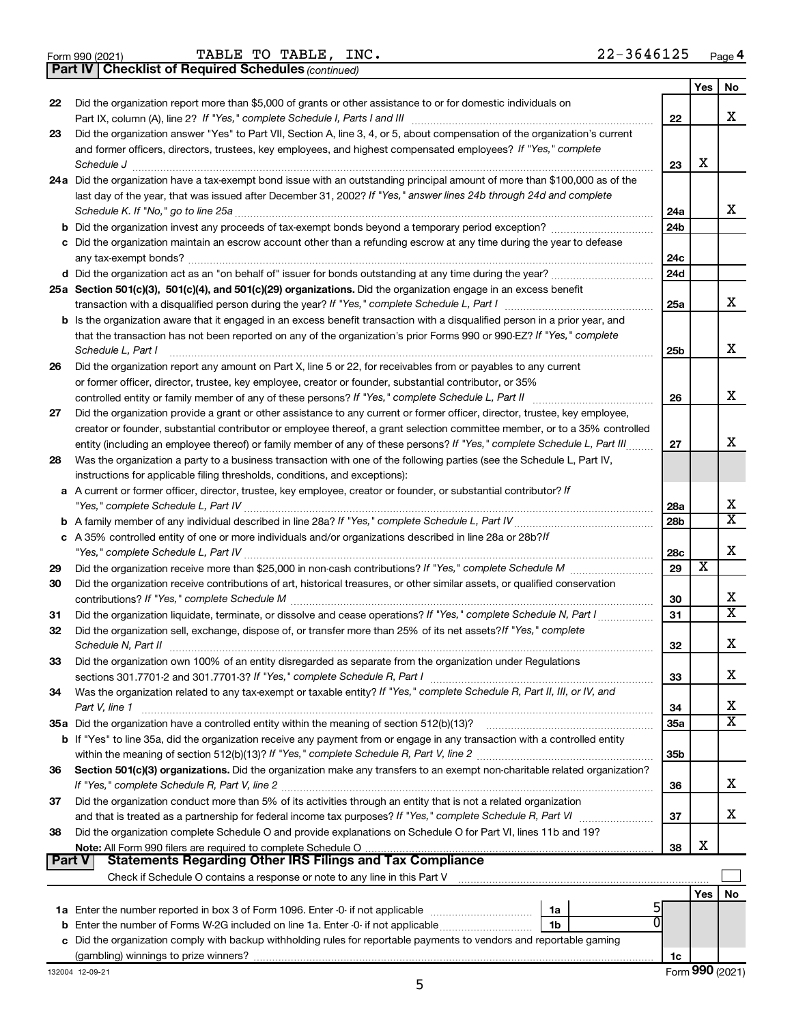|  | Form 990 (2021) |  |
|--|-----------------|--|
|  |                 |  |

Form 990 (2021) **TABLE TO TABLE, INC.**  $22-3646125$  Page

*(continued)* **Part IV Checklist of Required Schedules**

|    |                                                                                                                                     |                 | Yes | No                      |
|----|-------------------------------------------------------------------------------------------------------------------------------------|-----------------|-----|-------------------------|
| 22 | Did the organization report more than \$5,000 of grants or other assistance to or for domestic individuals on                       |                 |     |                         |
|    | Part IX, column (A), line 2? If "Yes," complete Schedule I, Parts I and III                                                         | 22              |     | x                       |
| 23 | Did the organization answer "Yes" to Part VII, Section A, line 3, 4, or 5, about compensation of the organization's current         |                 |     |                         |
|    | and former officers, directors, trustees, key employees, and highest compensated employees? If "Yes," complete                      |                 |     |                         |
|    | Schedule J                                                                                                                          | 23              | х   |                         |
|    | 24a Did the organization have a tax-exempt bond issue with an outstanding principal amount of more than \$100,000 as of the         |                 |     |                         |
|    | last day of the year, that was issued after December 31, 2002? If "Yes," answer lines 24b through 24d and complete                  |                 |     | x                       |
|    | Schedule K. If "No," go to line 25a                                                                                                 | 24a             |     |                         |
|    |                                                                                                                                     | 24 <sub>b</sub> |     |                         |
|    | c Did the organization maintain an escrow account other than a refunding escrow at any time during the year to defease              |                 |     |                         |
|    |                                                                                                                                     | 24c             |     |                         |
|    |                                                                                                                                     | 24d             |     |                         |
|    | 25a Section 501(c)(3), 501(c)(4), and 501(c)(29) organizations. Did the organization engage in an excess benefit                    |                 |     | x                       |
|    |                                                                                                                                     | 25a             |     |                         |
|    | <b>b</b> Is the organization aware that it engaged in an excess benefit transaction with a disqualified person in a prior year, and |                 |     |                         |
|    | that the transaction has not been reported on any of the organization's prior Forms 990 or 990-EZ? If "Yes," complete               |                 |     | х                       |
|    | Schedule L, Part I                                                                                                                  | 25b             |     |                         |
| 26 | Did the organization report any amount on Part X, line 5 or 22, for receivables from or payables to any current                     |                 |     |                         |
|    | or former officer, director, trustee, key employee, creator or founder, substantial contributor, or 35%                             | 26              |     | х                       |
| 27 | Did the organization provide a grant or other assistance to any current or former officer, director, trustee, key employee,         |                 |     |                         |
|    | creator or founder, substantial contributor or employee thereof, a grant selection committee member, or to a 35% controlled         |                 |     |                         |
|    | entity (including an employee thereof) or family member of any of these persons? If "Yes," complete Schedule L, Part III            | 27              |     | х                       |
| 28 | Was the organization a party to a business transaction with one of the following parties (see the Schedule L, Part IV,              |                 |     |                         |
|    | instructions for applicable filing thresholds, conditions, and exceptions):                                                         |                 |     |                         |
|    | a A current or former officer, director, trustee, key employee, creator or founder, or substantial contributor? If                  |                 |     |                         |
|    |                                                                                                                                     | 28a             |     | х                       |
|    |                                                                                                                                     | 28 <sub>b</sub> |     | $\overline{\texttt{x}}$ |
|    | c A 35% controlled entity of one or more individuals and/or organizations described in line 28a or 28b?If                           |                 |     |                         |
|    |                                                                                                                                     | 28c             |     | х                       |
| 29 |                                                                                                                                     | 29              | х   |                         |
| 30 | Did the organization receive contributions of art, historical treasures, or other similar assets, or qualified conservation         |                 |     |                         |
|    |                                                                                                                                     | 30              |     | x                       |
| 31 | Did the organization liquidate, terminate, or dissolve and cease operations? If "Yes," complete Schedule N, Part I                  | 31              |     | $\overline{\texttt{x}}$ |
| 32 | Did the organization sell, exchange, dispose of, or transfer more than 25% of its net assets? If "Yes," complete                    |                 |     |                         |
|    | Schedule N, Part II                                                                                                                 | 32              |     | х                       |
| 33 | Did the organization own 100% of an entity disregarded as separate from the organization under Regulations                          |                 |     |                         |
|    |                                                                                                                                     | 33              |     | х                       |
| 34 | Was the organization related to any tax-exempt or taxable entity? If "Yes," complete Schedule R, Part II, III, or IV, and           |                 |     |                         |
|    | Part V, line 1                                                                                                                      | 34              |     | х                       |
|    |                                                                                                                                     | 35a             |     | $\overline{\text{X}}$   |
|    | b If "Yes" to line 35a, did the organization receive any payment from or engage in any transaction with a controlled entity         |                 |     |                         |
|    |                                                                                                                                     | 35b             |     |                         |
| 36 | Section 501(c)(3) organizations. Did the organization make any transfers to an exempt non-charitable related organization?          |                 |     |                         |
|    |                                                                                                                                     | 36              |     | x                       |
| 37 | Did the organization conduct more than 5% of its activities through an entity that is not a related organization                    |                 |     |                         |
|    |                                                                                                                                     | 37              |     | x                       |
| 38 | Did the organization complete Schedule O and provide explanations on Schedule O for Part VI, lines 11b and 19?                      |                 |     |                         |
|    |                                                                                                                                     | 38              | х   |                         |
|    | <b>Part V</b><br><b>Statements Regarding Other IRS Filings and Tax Compliance</b>                                                   |                 |     |                         |
|    |                                                                                                                                     |                 |     |                         |
|    |                                                                                                                                     |                 | Yes | No                      |
|    | 1a<br>0                                                                                                                             |                 |     |                         |
|    | 1b                                                                                                                                  |                 |     |                         |
|    | c Did the organization comply with backup withholding rules for reportable payments to vendors and reportable gaming                |                 |     |                         |
|    |                                                                                                                                     | 1c              |     |                         |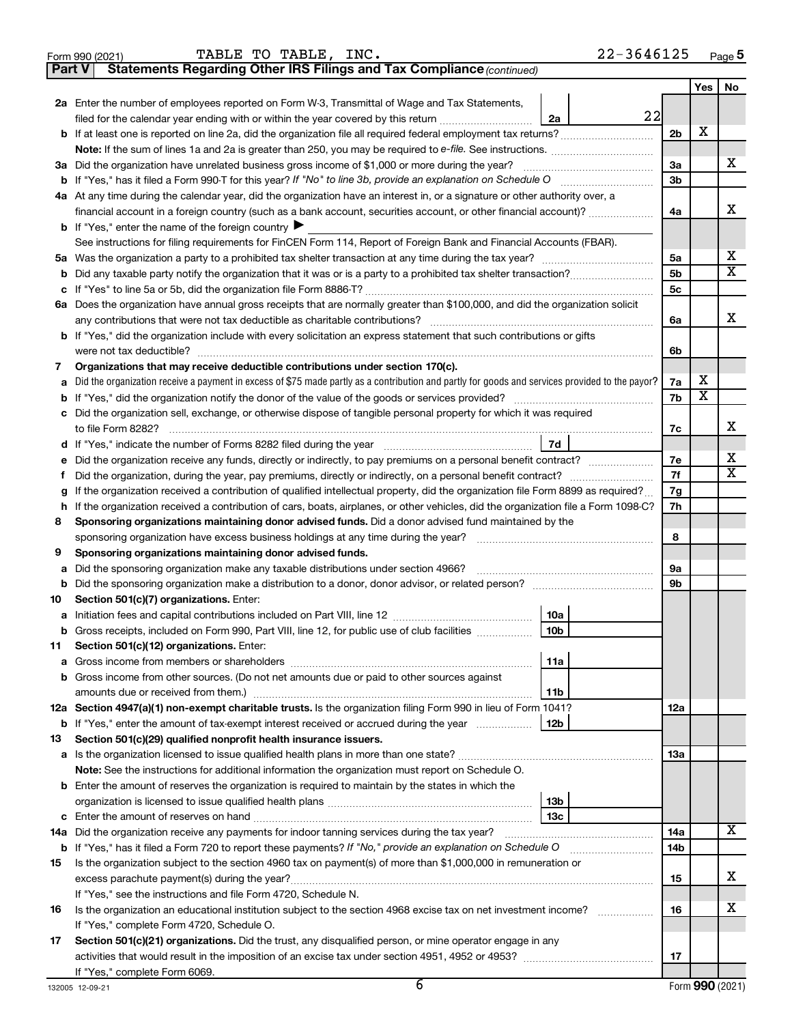|               | 22-3646125<br>TABLE TO TABLE, INC.<br>Form 990 (2021)                                                                                                                                                                               |                |            |    |
|---------------|-------------------------------------------------------------------------------------------------------------------------------------------------------------------------------------------------------------------------------------|----------------|------------|----|
| <b>Part V</b> | Statements Regarding Other IRS Filings and Tax Compliance (continued)                                                                                                                                                               |                |            |    |
|               |                                                                                                                                                                                                                                     |                | <b>Yes</b> | No |
|               | 2a Enter the number of employees reported on Form W-3, Transmittal of Wage and Tax Statements,                                                                                                                                      |                |            |    |
|               | 22<br>filed for the calendar year ending with or within the year covered by this return <i>[[[[[[[[[[[[[[[]]]]</i> ]]<br>2a                                                                                                         |                |            |    |
|               |                                                                                                                                                                                                                                     | 2 <sub>b</sub> | х          |    |
|               |                                                                                                                                                                                                                                     |                |            |    |
|               | 3a Did the organization have unrelated business gross income of \$1,000 or more during the year?                                                                                                                                    | 3a             |            | x  |
|               |                                                                                                                                                                                                                                     | 3 <sub>b</sub> |            |    |
|               | 4a At any time during the calendar year, did the organization have an interest in, or a signature or other authority over, a                                                                                                        |                |            |    |
|               | financial account in a foreign country (such as a bank account, securities account, or other financial account)?                                                                                                                    | 4a             |            | x  |
|               | <b>b</b> If "Yes," enter the name of the foreign country $\blacktriangleright$                                                                                                                                                      |                |            |    |
|               | See instructions for filing requirements for FinCEN Form 114, Report of Foreign Bank and Financial Accounts (FBAR).                                                                                                                 |                |            |    |
|               |                                                                                                                                                                                                                                     | 5а             |            | х  |
| b             |                                                                                                                                                                                                                                     | 5b             |            | х  |
| с             |                                                                                                                                                                                                                                     | 5 <sub>c</sub> |            |    |
|               | 6a Does the organization have annual gross receipts that are normally greater than \$100,000, and did the organization solicit                                                                                                      |                |            |    |
|               | any contributions that were not tax deductible as charitable contributions?                                                                                                                                                         | 6a             |            | x  |
|               | <b>b</b> If "Yes," did the organization include with every solicitation an express statement that such contributions or gifts                                                                                                       |                |            |    |
|               | were not tax deductible?                                                                                                                                                                                                            | 6b             |            |    |
| 7             | Organizations that may receive deductible contributions under section 170(c).                                                                                                                                                       |                |            |    |
| а             | Did the organization receive a payment in excess of \$75 made partly as a contribution and partly for goods and services provided to the payor?                                                                                     | 7a             | х          |    |
| b             |                                                                                                                                                                                                                                     | 7b             | X          |    |
|               | c Did the organization sell, exchange, or otherwise dispose of tangible personal property for which it was required                                                                                                                 |                |            | x  |
|               | to file Form 8282?                                                                                                                                                                                                                  | 7c             |            |    |
|               | 7d<br>d If "Yes," indicate the number of Forms 8282 filed during the year [11] [11] The Sear [11] The Sear [11] The Sear [11] The Sear [11] The Sear [11] The Sear [11] The Sear [11] The Sear [11] The Sear [11] The Sear [11] The |                |            | х  |
| е             | Did the organization receive any funds, directly or indirectly, to pay premiums on a personal benefit contract?                                                                                                                     | 7e             |            | х  |
| f.            | Did the organization, during the year, pay premiums, directly or indirectly, on a personal benefit contract?                                                                                                                        | 7f             |            |    |
| g             | If the organization received a contribution of qualified intellectual property, did the organization file Form 8899 as required?                                                                                                    | 7g<br>7h       |            |    |
|               | h If the organization received a contribution of cars, boats, airplanes, or other vehicles, did the organization file a Form 1098-C?                                                                                                |                |            |    |
| 8             | Sponsoring organizations maintaining donor advised funds. Did a donor advised fund maintained by the                                                                                                                                |                |            |    |
|               | sponsoring organization have excess business holdings at any time during the year?                                                                                                                                                  | 8              |            |    |
| 9             | Sponsoring organizations maintaining donor advised funds.                                                                                                                                                                           |                |            |    |
| а             |                                                                                                                                                                                                                                     | 9а<br>9b       |            |    |
| b<br>10       | Section 501(c)(7) organizations. Enter:                                                                                                                                                                                             |                |            |    |
|               | 10a                                                                                                                                                                                                                                 |                |            |    |
| b             | Gross receipts, included on Form 990, Part VIII, line 12, for public use of club facilities<br>10 <sub>b</sub>                                                                                                                      |                |            |    |
| 11            | Section 501(c)(12) organizations. Enter:                                                                                                                                                                                            |                |            |    |
| а             | 11a                                                                                                                                                                                                                                 |                |            |    |
| b             | Gross income from other sources. (Do not net amounts due or paid to other sources against                                                                                                                                           |                |            |    |
|               | 11 <sub>b</sub>                                                                                                                                                                                                                     |                |            |    |
|               | 12a Section 4947(a)(1) non-exempt charitable trusts. Is the organization filing Form 990 in lieu of Form 1041?                                                                                                                      | 12a            |            |    |
| b             | 12 <sub>b</sub><br>If "Yes," enter the amount of tax-exempt interest received or accrued during the year                                                                                                                            |                |            |    |
| 13            | Section 501(c)(29) qualified nonprofit health insurance issuers.                                                                                                                                                                    |                |            |    |
| а             |                                                                                                                                                                                                                                     | 13a            |            |    |
|               | Note: See the instructions for additional information the organization must report on Schedule O.                                                                                                                                   |                |            |    |
|               | <b>b</b> Enter the amount of reserves the organization is required to maintain by the states in which the                                                                                                                           |                |            |    |
|               | 13 <sub>b</sub>                                                                                                                                                                                                                     |                |            |    |
| c             | 13с                                                                                                                                                                                                                                 |                |            |    |
| 14a           | Did the organization receive any payments for indoor tanning services during the tax year?                                                                                                                                          | 14a            |            | х  |
| b             |                                                                                                                                                                                                                                     | 14b            |            |    |
| 15            | Is the organization subject to the section 4960 tax on payment(s) of more than \$1,000,000 in remuneration or                                                                                                                       |                |            |    |
|               |                                                                                                                                                                                                                                     | 15             |            | х  |
|               | If "Yes," see the instructions and file Form 4720, Schedule N.                                                                                                                                                                      |                |            |    |
| 16            | Is the organization an educational institution subject to the section 4968 excise tax on net investment income?                                                                                                                     | 16             |            | х  |
|               | If "Yes," complete Form 4720, Schedule O.                                                                                                                                                                                           |                |            |    |
| 17            | Section 501(c)(21) organizations. Did the trust, any disqualified person, or mine operator engage in any                                                                                                                            |                |            |    |
|               |                                                                                                                                                                                                                                     | 17             |            |    |
|               | If "Yes," complete Form 6069.                                                                                                                                                                                                       |                |            |    |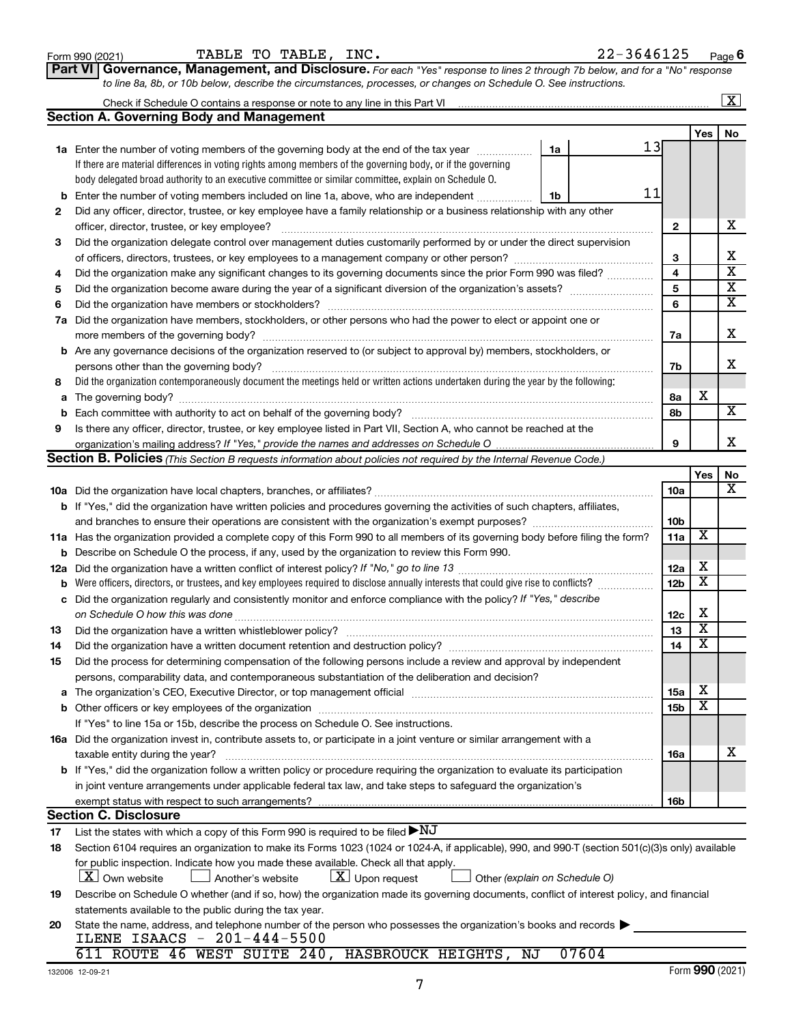**20**

## **1a** Enter the number of voting members of the governing body at the end of the tax year *www.fronoming* **b** Enter the number of voting members included on line 1a, above, who are independent *controllering* If there are material differences in voting rights among members of the governing body, or if the governing body delegated broad authority to an executive committee or similar committee, explain on Schedule O. Did any officer, director, trustee, or key employee have a family relationship or a business relationship with any other officer, director, trustee, or key employee? ~~~~~~~~~~~~~~~~~~~~~~~~~~~~~~~~~~~~~~~~ Did the organization delegate control over management duties customarily performed by or under the direct supervision of officers, directors, trustees, or key employees to a management company or other person? ~~~~~~~~~~~~~~~ Did the organization make any significant changes to its governing documents since the prior Form 990 was filed? ............... Did the organization become aware during the year of a significant diversion of the organization's assets? \_\_\_\_\_\_\_\_\_\_\_\_\_\_\_\_\_\_\_\_\_\_\_\_\_\_\_\_ Did the organization have members or stockholders? ~~~~~~~~~~~~~~~~~~~~~~~~~~~~~~~~~~~ Did the organization have members, stockholders, or other persons who had the power to elect or appoint one or **Section A. Governing Body and Management**

Check if Schedule O contains a response or note to any line in this Part VI

|   | 7a Did the organization have members, stockholders, or other persons who had the power to elect or appoint one or                 |    |   |  |
|---|-----------------------------------------------------------------------------------------------------------------------------------|----|---|--|
|   | more members of the governing body?                                                                                               | 7a |   |  |
|   | <b>b</b> Are any governance decisions of the organization reserved to (or subject to approval by) members, stockholders, or       |    |   |  |
|   | persons other than the governing body?                                                                                            | 7b |   |  |
| 8 | Did the organization contemporaneously document the meetings held or written actions undertaken during the year by the following: |    |   |  |
|   | <b>a</b> The governing body?                                                                                                      | 8а | X |  |
|   | <b>b</b> Each committee with authority to act on behalf of the governing body?                                                    | 8b |   |  |
| 9 | Is there any officer, director, trustee, or key employee listed in Part VII, Section A, who cannot be reached at the              |    |   |  |
|   |                                                                                                                                   |    |   |  |

|     | <b>Section B. Policies</b> (This Section B requests information about policies not required by the Internal Revenue Code.)                                                                                                     |                 |                         |             |
|-----|--------------------------------------------------------------------------------------------------------------------------------------------------------------------------------------------------------------------------------|-----------------|-------------------------|-------------|
|     |                                                                                                                                                                                                                                |                 | <b>Yes</b>              | No          |
|     |                                                                                                                                                                                                                                | 10a             |                         | $\mathbf x$ |
|     | b If "Yes," did the organization have written policies and procedures governing the activities of such chapters, affiliates,                                                                                                   |                 |                         |             |
|     |                                                                                                                                                                                                                                | 10 <sub>b</sub> |                         |             |
|     | 11a Has the organization provided a complete copy of this Form 990 to all members of its governing body before filing the form?                                                                                                | 11a             | х                       |             |
|     | <b>b</b> Describe on Schedule O the process, if any, used by the organization to review this Form 990.                                                                                                                         |                 |                         |             |
| 12a |                                                                                                                                                                                                                                | 12a             | X                       |             |
| b   |                                                                                                                                                                                                                                | 12 <sub>b</sub> | $\overline{\textbf{x}}$ |             |
| с   | Did the organization regularly and consistently monitor and enforce compliance with the policy? If "Yes," describe                                                                                                             |                 |                         |             |
|     |                                                                                                                                                                                                                                | 12c             | х                       |             |
| 13  |                                                                                                                                                                                                                                | 13              | $\overline{\textbf{x}}$ |             |
| 14  | Did the organization have a written document retention and destruction policy? [11] manufaction in the organization have a written document retention and destruction policy?                                                  | 14              | x                       |             |
| 15  | Did the process for determining compensation of the following persons include a review and approval by independent                                                                                                             |                 |                         |             |
|     | persons, comparability data, and contemporaneous substantiation of the deliberation and decision?                                                                                                                              |                 |                         |             |
| a   | The organization's CEO, Executive Director, or top management official manufactured content of the organization's CEO, Executive Director, or top management official manufactured content of the state of the state of the st | 15a             | х                       |             |
| b   |                                                                                                                                                                                                                                | 15 <sub>b</sub> | х                       |             |
|     | If "Yes" to line 15a or 15b, describe the process on Schedule O. See instructions.                                                                                                                                             |                 |                         |             |
| 16a | Did the organization invest in, contribute assets to, or participate in a joint venture or similar arrangement with a                                                                                                          |                 |                         |             |
|     | taxable entity during the year?                                                                                                                                                                                                | <b>16a</b>      |                         | х           |
|     | b If "Yes," did the organization follow a written policy or procedure requiring the organization to evaluate its participation                                                                                                 |                 |                         |             |
|     | in joint venture arrangements under applicable federal tax law, and take steps to safeguard the organization's                                                                                                                 |                 |                         |             |
|     |                                                                                                                                                                                                                                | 16 <sub>b</sub> |                         |             |
|     | <b>Section C. Disclosure</b>                                                                                                                                                                                                   |                 |                         |             |
| 17  | List the states with which a copy of this Form 990 is required to be filed $\blacktriangleright\text{NJ}$                                                                                                                      |                 |                         |             |
| 18  | Section 6104 requires an organization to make its Forms 1023 (1024 or 1024-A, if applicable), 990, and 990-T (section 501(c)(3)s only) available                                                                               |                 |                         |             |
|     | for public inspection. Indicate how you made these available. Check all that apply.                                                                                                                                            |                 |                         |             |
|     | $\lfloor x \rfloor$ Upon request<br>$ X $ Own website<br>$\perp$ Another's website<br>Other (explain on Schedule O)                                                                                                            |                 |                         |             |
| 19  | Describe on Schedule O whether (and if so, how) the organization made its governing documents, conflict of interest policy, and financial                                                                                      |                 |                         |             |
|     | statements available to the public during the tax year.                                                                                                                                                                        |                 |                         |             |

| <b>b</b> If "Yes," did the organization follow a written policy or procedure requiring the organization to evaluate its participation |  |
|---------------------------------------------------------------------------------------------------------------------------------------|--|
| in ight user was arrangements under applicable foderal toy low, and take stape to esteguerd the examization's                         |  |

| for public inspection. Indicate flow you made these available. Grieck all that apply.                                         |
|-------------------------------------------------------------------------------------------------------------------------------|
| $\overline{X}$ Own website<br>$\boxed{\mathbf{X}}$ Upon request<br>Other (explain on Schedule O)<br>$\perp$ Another's website |
| Describe on Schedule O whether (and if so, how) the organization made its governing documents, conflict of interest police    |
| statements available to the public during the tax year.                                                                       |
| State the name, address, and telephone number of the person who possesses the organization's books and records                |
| ILENE ISAACS - 201-444-5500                                                                                                   |
| 611 ROUTE 46 WEST SUITE 240, HASBROUCK HEIGHTS, NJ<br>07604                                                                   |

13

11

**2**

**1a**

**1b**

|  | Part VI   Governance, Management, and Disclosure. For each "Yes" response to lines 2 through 7b below, and for a "No" response |  |  |  |  |  |
|--|--------------------------------------------------------------------------------------------------------------------------------|--|--|--|--|--|
|  | to line 8a, 8b, or 10b below, describe the circumstances, processes, or changes on Schedule O. See instructions.               |  |  |  |  |  |

 $\boxed{\text{X}}$ 

X

X  $\overline{\mathtt{x}}$  $\overline{\texttt{x}}$  $\overline{\mathtt{x}}$ 

**Yes No**

**2**

**3**

**4 5 6**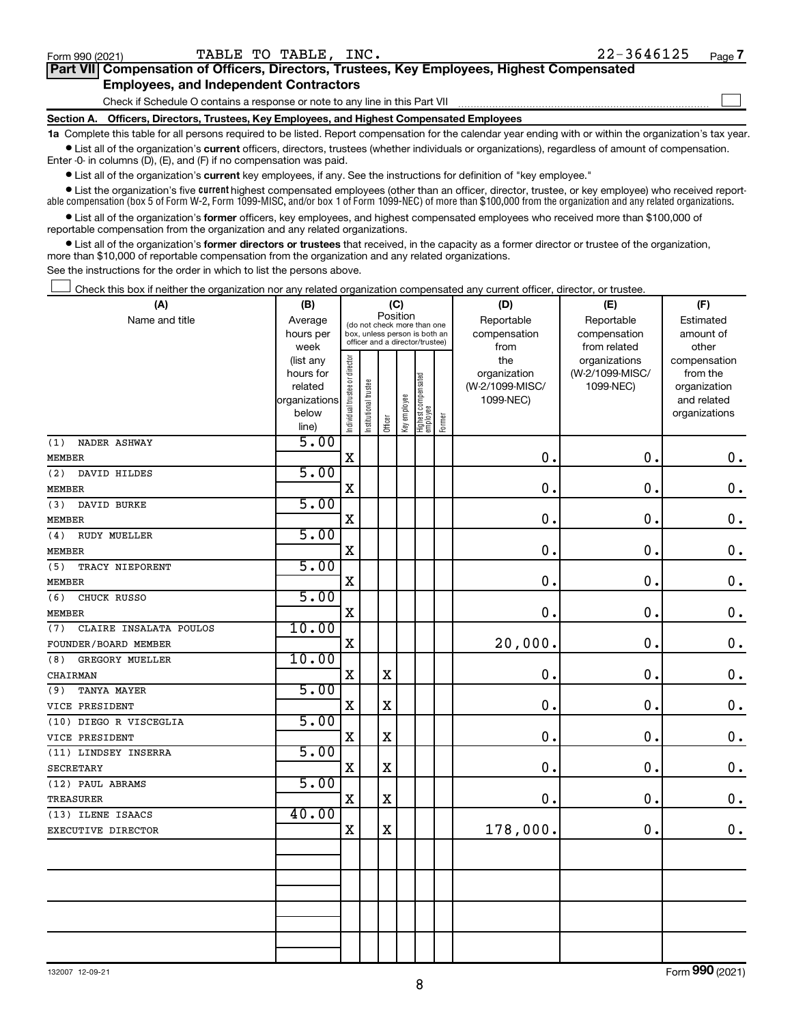Form (2021) **990**

| Form 990 (2021) | TABLE TO TABLE, INC.                                                                       | ZZ-30401Z5 | Page |
|-----------------|--------------------------------------------------------------------------------------------|------------|------|
|                 | Part VII Compensation of Officers, Directors, Trustees, Key Employees, Highest Compensated |            |      |
|                 | <b>Employees, and Independent Contractors</b>                                              |            |      |
|                 | Check if Schedule O contains a response or note to any line in this Part VII               |            |      |

**Section A. Officers, Directors, Trustees, Key Employees, and Highest Compensated Employees**

**1a**  Complete this table for all persons required to be listed. Report compensation for the calendar year ending with or within the organization's tax year.  $\bullet$  List all of the organization's current officers, directors, trustees (whether individuals or organizations), regardless of amount of compensation.

Enter -0- in columns (D), (E), and (F) if no compensation was paid.

**•** List all of the organization's **current** key employees, if any. See the instructions for definition of "key employee."

• List the organization's five *current* highest compensated employees (other than an officer, director, trustee, or key employee) who received reportable compensation (box 5 of Form W-2, Form 1099-MISC, and/or box 1 of Form 1099-NEC) of more than \$100,000 from the organization and any related organizations.

 $\bullet$  List all of the organization's former officers, key employees, and highest compensated employees who received more than \$100,000 of reportable compensation from the organization and any related organizations.

**•** List all of the organization's former directors or trustees that received, in the capacity as a former director or trustee of the organization, more than \$10,000 of reportable compensation from the organization and any related organizations.

See the instructions for the order in which to list the persons above.

Check this box if neither the organization nor any related organization compensated any current officer, director, or trustee.  $\Box$ 

| (A)                           | (B)                    |                                |                                 |             | (C)          |                                 |        | (D)             | (E)             | (F)                          |
|-------------------------------|------------------------|--------------------------------|---------------------------------|-------------|--------------|---------------------------------|--------|-----------------|-----------------|------------------------------|
| Name and title                | Average                |                                | (do not check more than one     | Position    |              |                                 |        | Reportable      | Reportable      | Estimated                    |
|                               | hours per              |                                | box, unless person is both an   |             |              |                                 |        | compensation    | compensation    | amount of                    |
|                               | week                   |                                | officer and a director/trustee) |             |              |                                 |        | from            | from related    | other                        |
|                               | (list any              |                                |                                 |             |              |                                 |        | the             | organizations   | compensation                 |
|                               | hours for              |                                |                                 |             |              |                                 |        | organization    | (W-2/1099-MISC/ | from the                     |
|                               | related                |                                |                                 |             |              |                                 |        | (W-2/1099-MISC/ | 1099-NEC)       | organization                 |
|                               | organizations<br>below |                                |                                 |             |              |                                 |        | 1099-NEC)       |                 | and related<br>organizations |
|                               | line)                  | Individual trustee or director | Institutional trustee           | Officer     | Key employee | Highest compensated<br>employee | Former |                 |                 |                              |
| (1)<br>NADER ASHWAY           | 5.00                   |                                |                                 |             |              |                                 |        |                 |                 |                              |
| <b>MEMBER</b>                 |                        | X                              |                                 |             |              |                                 |        | 0.              | $\mathbf 0$     | $\mathbf 0$ .                |
| (2)<br>DAVID HILDES           | 5.00                   |                                |                                 |             |              |                                 |        |                 |                 |                              |
| <b>MEMBER</b>                 |                        | Χ                              |                                 |             |              |                                 |        | 0.              | $\mathbf 0$     | $\mathbf 0$ .                |
| (3)<br>DAVID BURKE            | 5.00                   |                                |                                 |             |              |                                 |        |                 |                 |                              |
| <b>MEMBER</b>                 |                        | Χ                              |                                 |             |              |                                 |        | $\mathbf 0$ .   | 0.              | $\mathbf 0$ .                |
| (4)<br>RUDY MUELLER           | 5.00                   |                                |                                 |             |              |                                 |        |                 |                 |                              |
| <b>MEMBER</b>                 |                        | Χ                              |                                 |             |              |                                 |        | 0.              | $\mathbf 0$     | $\mathbf 0$ .                |
| (5)<br>TRACY NIEPORENT        | 5.00                   |                                |                                 |             |              |                                 |        |                 |                 |                              |
| <b>MEMBER</b>                 |                        | X                              |                                 |             |              |                                 |        | $\mathbf 0$ .   | $\mathbf 0$     | $\mathbf 0$ .                |
| (6)<br>CHUCK RUSSO            | 5.00                   |                                |                                 |             |              |                                 |        |                 |                 |                              |
| <b>MEMBER</b>                 |                        | X                              |                                 |             |              |                                 |        | 0.              | 0.              | $\mathbf 0$ .                |
| (7)<br>CLAIRE INSALATA POULOS | 10.00                  |                                |                                 |             |              |                                 |        |                 |                 |                              |
| FOUNDER/BOARD MEMBER          |                        | $\mathbf X$                    |                                 |             |              |                                 |        | 20,000.         | 0.              | $\mathbf 0$ .                |
| (8)<br>GREGORY MUELLER        | 10.00                  |                                |                                 |             |              |                                 |        |                 |                 |                              |
| CHAIRMAN                      |                        | X                              |                                 | X           |              |                                 |        | 0.              | 0.              | $\mathbf 0$ .                |
| <b>TANYA MAYER</b><br>(9)     | 5.00                   |                                |                                 |             |              |                                 |        |                 |                 |                              |
| VICE PRESIDENT                |                        | Χ                              |                                 | х           |              |                                 |        | 0.              | $\mathbf 0$ .   | $\mathbf 0$ .                |
| (10) DIEGO R VISCEGLIA        | 5.00                   |                                |                                 |             |              |                                 |        |                 |                 |                              |
| VICE PRESIDENT                |                        | X                              |                                 | $\mathbf X$ |              |                                 |        | $\mathbf 0$ .   | 0.              | $\mathbf 0$ .                |
| (11) LINDSEY INSERRA          | 5.00                   |                                |                                 |             |              |                                 |        |                 |                 |                              |
| <b>SECRETARY</b>              |                        | X                              |                                 | $\mathbf X$ |              |                                 |        | $\mathbf 0$ .   | 0.              | $\mathbf 0$ .                |
| (12) PAUL ABRAMS              | 5.00                   |                                |                                 |             |              |                                 |        |                 |                 |                              |
| <b>TREASURER</b>              |                        | X                              |                                 | X           |              |                                 |        | 0.              | $\mathbf 0$ .   | $\mathbf 0$ .                |
| (13) ILENE ISAACS             | 40.00                  |                                |                                 |             |              |                                 |        |                 |                 |                              |
| EXECUTIVE DIRECTOR            |                        | X                              |                                 | $\mathbf X$ |              |                                 |        | 178,000.        | $\mathbf 0$ .   | $\mathbf 0$ .                |
|                               |                        |                                |                                 |             |              |                                 |        |                 |                 |                              |
|                               |                        |                                |                                 |             |              |                                 |        |                 |                 |                              |
|                               |                        |                                |                                 |             |              |                                 |        |                 |                 |                              |
|                               |                        |                                |                                 |             |              |                                 |        |                 |                 |                              |
|                               |                        |                                |                                 |             |              |                                 |        |                 |                 |                              |
|                               |                        |                                |                                 |             |              |                                 |        |                 |                 |                              |
|                               |                        |                                |                                 |             |              |                                 |        |                 |                 |                              |
|                               |                        |                                |                                 |             |              |                                 |        |                 |                 |                              |

**7** TABLE TO TABLE, INC. 22-3646125

 $\Box$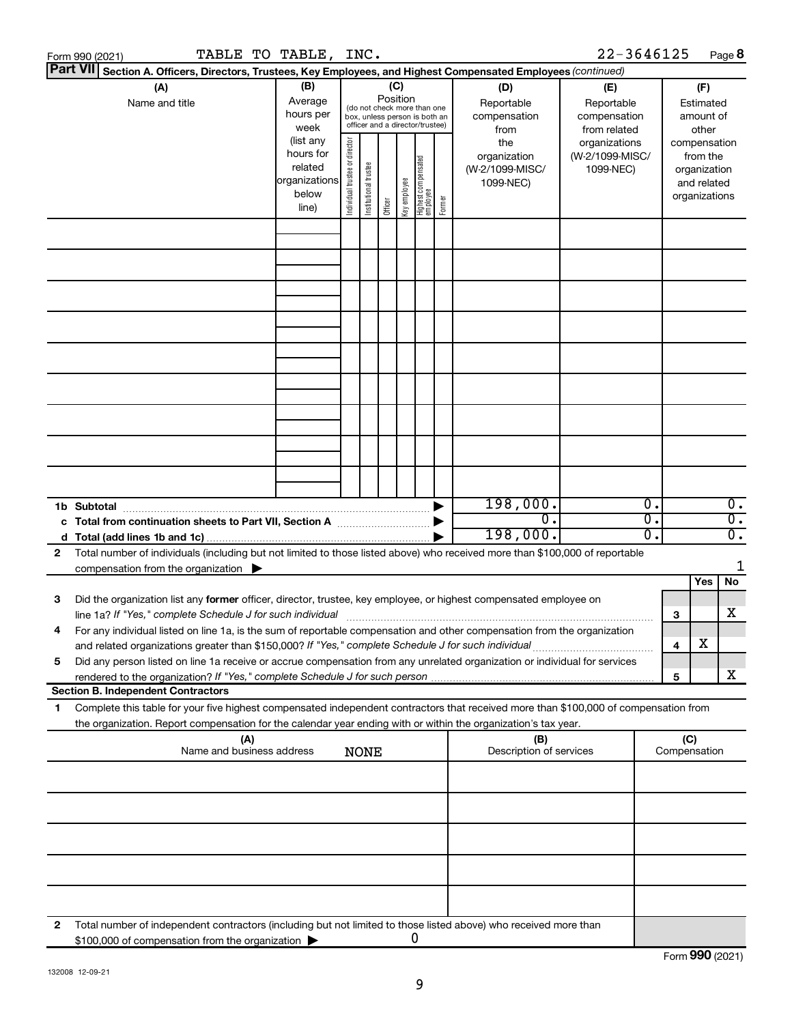|    | Form 990 (2021) |                                           |                                                          |     | TABLE TO TABLE, INC.                                                    |                                |                       |                 |              |                                                                                                 |        |                                                                                                                                                                                                                                                        | 22-3646125                                        |          |                               |                                         | Page 8                               |
|----|-----------------|-------------------------------------------|----------------------------------------------------------|-----|-------------------------------------------------------------------------|--------------------------------|-----------------------|-----------------|--------------|-------------------------------------------------------------------------------------------------|--------|--------------------------------------------------------------------------------------------------------------------------------------------------------------------------------------------------------------------------------------------------------|---------------------------------------------------|----------|-------------------------------|-----------------------------------------|--------------------------------------|
|    | <b>Part VII</b> |                                           |                                                          |     |                                                                         |                                |                       |                 |              |                                                                                                 |        | Section A. Officers, Directors, Trustees, Key Employees, and Highest Compensated Employees (continued)                                                                                                                                                 |                                                   |          |                               |                                         |                                      |
|    |                 | (A)<br>Name and title                     |                                                          |     | (B)<br>Average<br>hours per<br>week                                     |                                |                       | (C)<br>Position |              | (do not check more than one<br>box, unless person is both an<br>officer and a director/trustee) |        | (D)<br>Reportable<br>compensation<br>from                                                                                                                                                                                                              | (E)<br>Reportable<br>compensation<br>from related |          |                               | (F)<br>Estimated<br>amount of<br>other  |                                      |
|    |                 |                                           |                                                          |     | (list any<br>hours for<br>related<br>organizations<br>below<br>line)    | Individual trustee or director | Institutional trustee | Officer         | Key employee | Highest compensated<br>  employee                                                               | Former | the<br>organization<br>(W-2/1099-MISC/<br>1099-NEC)                                                                                                                                                                                                    | organizations<br>(W-2/1099-MISC/<br>1099-NEC)     |          | compensation<br>organizations | from the<br>organization<br>and related |                                      |
|    |                 |                                           |                                                          |     |                                                                         |                                |                       |                 |              |                                                                                                 |        |                                                                                                                                                                                                                                                        |                                                   |          |                               |                                         |                                      |
|    |                 |                                           |                                                          |     |                                                                         |                                |                       |                 |              |                                                                                                 |        |                                                                                                                                                                                                                                                        |                                                   |          |                               |                                         |                                      |
|    |                 |                                           |                                                          |     |                                                                         |                                |                       |                 |              |                                                                                                 |        |                                                                                                                                                                                                                                                        |                                                   |          |                               |                                         |                                      |
|    |                 |                                           |                                                          |     |                                                                         |                                |                       |                 |              |                                                                                                 |        |                                                                                                                                                                                                                                                        |                                                   |          |                               |                                         |                                      |
|    |                 |                                           |                                                          |     |                                                                         |                                |                       |                 |              |                                                                                                 |        |                                                                                                                                                                                                                                                        |                                                   |          |                               |                                         |                                      |
|    |                 |                                           |                                                          |     |                                                                         |                                |                       |                 |              |                                                                                                 |        |                                                                                                                                                                                                                                                        |                                                   |          |                               |                                         |                                      |
|    |                 |                                           |                                                          |     |                                                                         |                                |                       |                 |              |                                                                                                 |        |                                                                                                                                                                                                                                                        |                                                   |          |                               |                                         |                                      |
|    |                 |                                           |                                                          |     |                                                                         |                                |                       |                 |              |                                                                                                 |        |                                                                                                                                                                                                                                                        |                                                   |          |                               |                                         |                                      |
|    |                 |                                           |                                                          |     |                                                                         |                                |                       |                 |              |                                                                                                 |        | 198,000.                                                                                                                                                                                                                                               |                                                   | Ο.       |                               |                                         | $\overline{0}$ .                     |
|    |                 |                                           |                                                          |     | c Total from continuation sheets to Part VII, Section A manufactured by |                                |                       |                 |              |                                                                                                 |        | σ.<br>198,000.                                                                                                                                                                                                                                         |                                                   | σ.<br>Ο. |                               |                                         | $\overline{0}$ .<br>$\overline{0}$ . |
| 2  |                 |                                           |                                                          |     |                                                                         |                                |                       |                 |              |                                                                                                 |        | Total number of individuals (including but not limited to those listed above) who received more than \$100,000 of reportable                                                                                                                           |                                                   |          |                               |                                         |                                      |
|    |                 |                                           | compensation from the organization $\blacktriangleright$ |     |                                                                         |                                |                       |                 |              |                                                                                                 |        |                                                                                                                                                                                                                                                        |                                                   |          |                               |                                         | 1                                    |
|    |                 |                                           |                                                          |     |                                                                         |                                |                       |                 |              |                                                                                                 |        |                                                                                                                                                                                                                                                        |                                                   |          |                               | Yes                                     | No                                   |
| 3  |                 |                                           |                                                          |     |                                                                         |                                |                       |                 |              |                                                                                                 |        | Did the organization list any former officer, director, trustee, key employee, or highest compensated employee on                                                                                                                                      |                                                   |          | З                             |                                         | x                                    |
|    |                 |                                           |                                                          |     |                                                                         |                                |                       |                 |              |                                                                                                 |        | For any individual listed on line 1a, is the sum of reportable compensation and other compensation from the organization<br>and related organizations greater than \$150,000? If "Yes," complete Schedule J for such individual                        |                                                   |          | 4                             | х                                       |                                      |
| 5  |                 |                                           |                                                          |     |                                                                         |                                |                       |                 |              |                                                                                                 |        | Did any person listed on line 1a receive or accrue compensation from any unrelated organization or individual for services                                                                                                                             |                                                   |          | 5                             |                                         | X.                                   |
|    |                 | <b>Section B. Independent Contractors</b> |                                                          |     |                                                                         |                                |                       |                 |              |                                                                                                 |        |                                                                                                                                                                                                                                                        |                                                   |          |                               |                                         |                                      |
| 1. |                 |                                           |                                                          |     |                                                                         |                                |                       |                 |              |                                                                                                 |        | Complete this table for your five highest compensated independent contractors that received more than \$100,000 of compensation from<br>the organization. Report compensation for the calendar year ending with or within the organization's tax year. |                                                   |          |                               |                                         |                                      |
|    |                 |                                           | Name and business address                                | (A) |                                                                         |                                | <b>NONE</b>           |                 |              |                                                                                                 |        | (B)<br>Description of services                                                                                                                                                                                                                         |                                                   |          | (C)<br>Compensation           |                                         |                                      |
|    |                 |                                           |                                                          |     |                                                                         |                                |                       |                 |              |                                                                                                 |        |                                                                                                                                                                                                                                                        |                                                   |          |                               |                                         |                                      |
|    |                 |                                           |                                                          |     |                                                                         |                                |                       |                 |              |                                                                                                 |        |                                                                                                                                                                                                                                                        |                                                   |          |                               |                                         |                                      |
|    |                 |                                           |                                                          |     |                                                                         |                                |                       |                 |              |                                                                                                 |        |                                                                                                                                                                                                                                                        |                                                   |          |                               |                                         |                                      |
|    |                 |                                           |                                                          |     |                                                                         |                                |                       |                 |              |                                                                                                 |        |                                                                                                                                                                                                                                                        |                                                   |          |                               |                                         |                                      |
| 2  |                 |                                           | \$100,000 of compensation from the organization          |     |                                                                         |                                |                       |                 |              | 0                                                                                               |        | Total number of independent contractors (including but not limited to those listed above) who received more than                                                                                                                                       |                                                   |          |                               |                                         |                                      |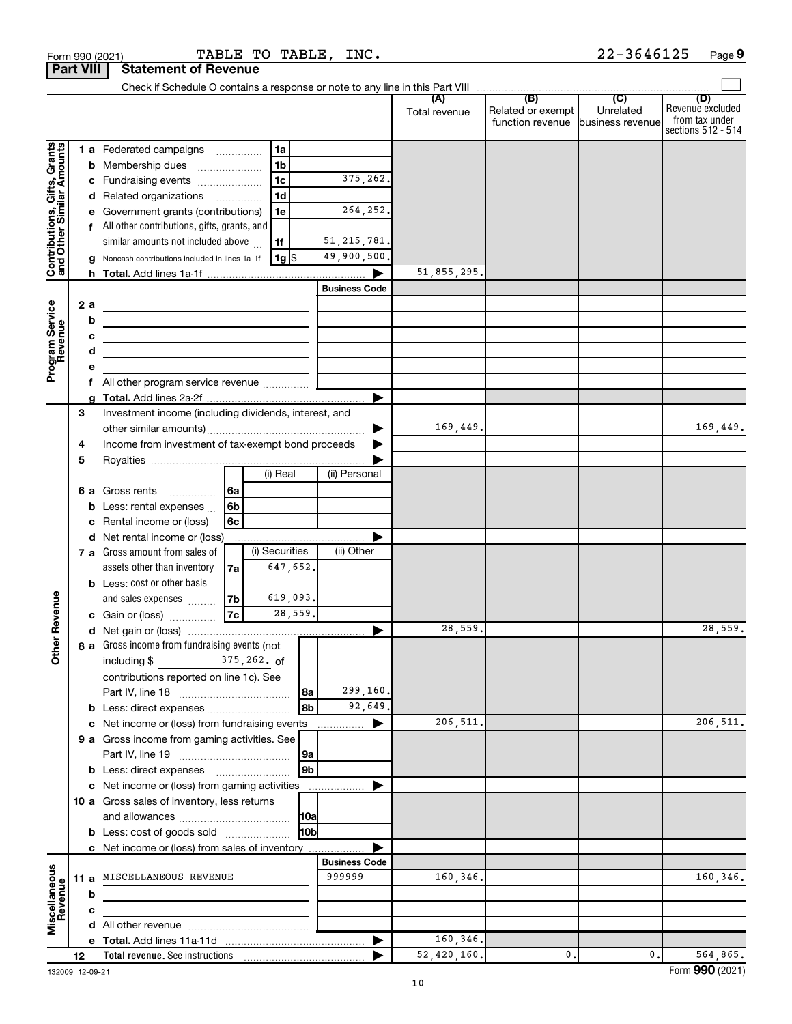|                                                                                         | <b>Part VIII</b> |                             | <b>Statement of Revenue</b>                                                                                                                                                                                                                                                                                                                                                                                                                                                             |                            |                                                                             |                    |                                                                              |               |                                                        |                |                                                                 |
|-----------------------------------------------------------------------------------------|------------------|-----------------------------|-----------------------------------------------------------------------------------------------------------------------------------------------------------------------------------------------------------------------------------------------------------------------------------------------------------------------------------------------------------------------------------------------------------------------------------------------------------------------------------------|----------------------------|-----------------------------------------------------------------------------|--------------------|------------------------------------------------------------------------------|---------------|--------------------------------------------------------|----------------|-----------------------------------------------------------------|
|                                                                                         |                  |                             |                                                                                                                                                                                                                                                                                                                                                                                                                                                                                         |                            |                                                                             |                    |                                                                              |               |                                                        |                |                                                                 |
|                                                                                         |                  |                             |                                                                                                                                                                                                                                                                                                                                                                                                                                                                                         |                            |                                                                             |                    |                                                                              | Total revenue | Related or exempt<br>function revenue business revenue | Unrelated      | (D)<br>Revenue excluded<br>from tax under<br>sections 512 - 514 |
| Contributions, Gifts, Grants<br>and Other Similar Amounts<br>Program Service<br>Revenue |                  | b<br>2a<br>b<br>с<br>d<br>f | 1 a Federated campaigns<br>Membership dues<br>c Fundraising events<br>d Related organizations<br>Government grants (contributions)<br>All other contributions, gifts, grants, and<br>similar amounts not included above<br>Noncash contributions included in lines 1a-1f<br>the control of the control of the control of the control of the control of<br>the control of the control of the control of the control of the control of<br>the contract of the contract of the contract of |                            | 1a<br>1 <sub>b</sub><br>1 <sub>c</sub><br>1 <sub>d</sub><br>1e<br>1f<br> 1g |                    | 375,262.<br>264,252.<br>51, 215, 781.<br>49,900,500.<br><b>Business Code</b> | 51,855,295.   |                                                        |                |                                                                 |
|                                                                                         | 3<br>4           |                             | Investment income (including dividends, interest, and<br>Income from investment of tax-exempt bond proceeds                                                                                                                                                                                                                                                                                                                                                                             |                            |                                                                             |                    | ▶                                                                            | 169,449.      |                                                        |                | 169,449.                                                        |
|                                                                                         | 5                | b                           | 6 a Gross rents<br>.<br>Less: rental expenses<br>Rental income or (loss)                                                                                                                                                                                                                                                                                                                                                                                                                | 6a<br>6 <sub>b</sub><br>6с | (i) Real                                                                    |                    | (ii) Personal                                                                |               |                                                        |                |                                                                 |
|                                                                                         |                  |                             | d Net rental income or (loss)<br>7 a Gross amount from sales of<br>assets other than inventory<br><b>b</b> Less: cost or other basis                                                                                                                                                                                                                                                                                                                                                    | 7a                         | (i) Securities<br>647,652.                                                  |                    | (ii) Other                                                                   |               |                                                        |                |                                                                 |
| Revenue<br>৯<br>Ĕ                                                                       |                  |                             | and sales expenses<br>c Gain or (loss)<br><b>8 a</b> Gross income from fundraising events (not $\sqrt{\phantom{a}}$                                                                                                                                                                                                                                                                                                                                                                     | 7b <br> 7c                 | 619,093.<br>28,559.                                                         |                    | ▶                                                                            | 28,559.       |                                                        |                | 28,559.                                                         |
|                                                                                         |                  |                             | including \$<br>contributions reported on line 1c). See                                                                                                                                                                                                                                                                                                                                                                                                                                 |                            | 375,262. of                                                                 | l 8a<br>8b         | 299,160.<br>92,649.                                                          |               |                                                        |                |                                                                 |
|                                                                                         |                  |                             | c Net income or (loss) from fundraising events<br>9 a Gross income from gaming activities. See<br><b>b</b> Less: direct expenses <b>manually</b>                                                                                                                                                                                                                                                                                                                                        |                            |                                                                             | 9a<br>9b           | ▶<br>.                                                                       | 206,511.      |                                                        |                | 206,511.                                                        |
|                                                                                         |                  |                             | c Net income or (loss) from gaming activities<br>10 a Gross sales of inventory, less returns<br><b>b</b> Less: cost of goods sold                                                                                                                                                                                                                                                                                                                                                       |                            |                                                                             | 10a <br><b>HOb</b> |                                                                              |               |                                                        |                |                                                                 |
|                                                                                         |                  |                             | c Net income or (loss) from sales of inventory<br>11 a MISCELLANEOUS REVENUE                                                                                                                                                                                                                                                                                                                                                                                                            |                            |                                                                             |                    | <b>Business Code</b><br>999999                                               | 160,346.      |                                                        |                | 160,346.                                                        |
| Miscellaneous<br>Revenue                                                                |                  | b<br>с                      | the control of the control of the control of the                                                                                                                                                                                                                                                                                                                                                                                                                                        |                            |                                                                             |                    | $\blacktriangleright$                                                        | 160,346.      |                                                        |                |                                                                 |
|                                                                                         | 12               |                             |                                                                                                                                                                                                                                                                                                                                                                                                                                                                                         |                            |                                                                             |                    |                                                                              | 52,420,160.   | 0.                                                     | $\mathbf{0}$ . | 564,865.                                                        |

132009 12-09-21

| orm 990 (2021) |              |
|----------------|--------------|
| \ \ /III       | $\mathbf{a}$ |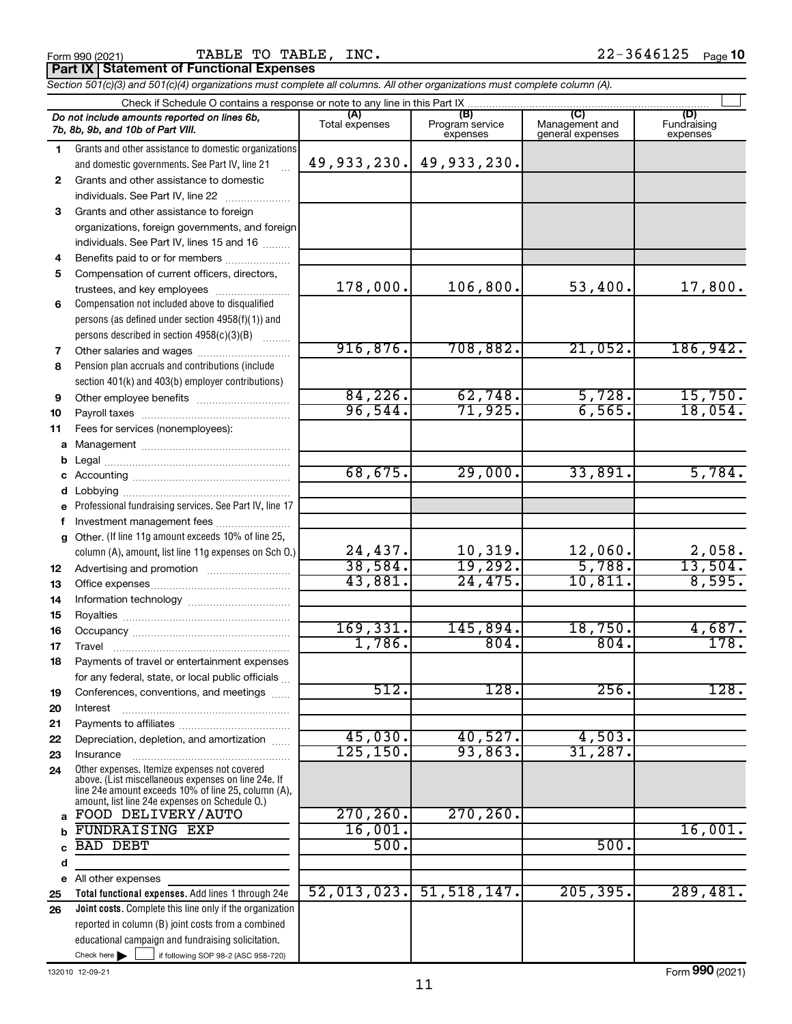|              | Check if Schedule O contains a response or note to any line in this Part IX                                                                                |                       |                                    |                                           |                                |
|--------------|------------------------------------------------------------------------------------------------------------------------------------------------------------|-----------------------|------------------------------------|-------------------------------------------|--------------------------------|
|              | Do not include amounts reported on lines 6b,<br>7b, 8b, 9b, and 10b of Part VIII.                                                                          | (A)<br>Total expenses | (B)<br>Program service<br>expenses | (C)<br>Management and<br>general expenses | (D)<br>Fundraising<br>expenses |
| 1.           | Grants and other assistance to domestic organizations                                                                                                      |                       |                                    |                                           |                                |
|              | and domestic governments. See Part IV, line 21                                                                                                             | 49,933,230.           | 49,933,230.                        |                                           |                                |
| $\mathbf{2}$ | Grants and other assistance to domestic                                                                                                                    |                       |                                    |                                           |                                |
|              | individuals. See Part IV, line 22                                                                                                                          |                       |                                    |                                           |                                |
| 3            | Grants and other assistance to foreign                                                                                                                     |                       |                                    |                                           |                                |
|              | organizations, foreign governments, and foreign                                                                                                            |                       |                                    |                                           |                                |
|              | individuals. See Part IV, lines 15 and 16                                                                                                                  |                       |                                    |                                           |                                |
| 4            | Benefits paid to or for members                                                                                                                            |                       |                                    |                                           |                                |
| 5            | Compensation of current officers, directors,                                                                                                               |                       |                                    |                                           |                                |
|              | trustees, and key employees                                                                                                                                | 178,000.              | 106,800.                           | 53,400.                                   | 17,800.                        |
| 6            | Compensation not included above to disqualified                                                                                                            |                       |                                    |                                           |                                |
|              | persons (as defined under section 4958(f)(1)) and                                                                                                          |                       |                                    |                                           |                                |
|              | persons described in section 4958(c)(3)(B)                                                                                                                 |                       |                                    |                                           |                                |
| 7            |                                                                                                                                                            | 916,876.              | 708,882.                           | 21,052.                                   | 186,942.                       |
| 8            | Pension plan accruals and contributions (include                                                                                                           |                       |                                    |                                           |                                |
|              | section 401(k) and 403(b) employer contributions)                                                                                                          |                       |                                    |                                           |                                |
| 9            | Other employee benefits                                                                                                                                    | 84,226.               | 62,748.                            | 5,728.                                    | 15,750.                        |
| 10           |                                                                                                                                                            | 96,544.               | 71,925.                            | 6,565.                                    | 18,054.                        |
| 11           | Fees for services (nonemployees):                                                                                                                          |                       |                                    |                                           |                                |
| a            |                                                                                                                                                            |                       |                                    |                                           |                                |
| b            |                                                                                                                                                            |                       |                                    |                                           |                                |
| c            |                                                                                                                                                            | 68,675.               | 29,000.                            | 33,891.                                   | 5,784.                         |
| d            |                                                                                                                                                            |                       |                                    |                                           |                                |
| e            | Professional fundraising services. See Part IV, line 17                                                                                                    |                       |                                    |                                           |                                |
| f            | Investment management fees                                                                                                                                 |                       |                                    |                                           |                                |
| $\mathbf{q}$ | Other. (If line 11g amount exceeds 10% of line 25,                                                                                                         |                       |                                    |                                           |                                |
|              | column (A), amount, list line 11g expenses on Sch O.)                                                                                                      | 24,437.               | 10,319.                            | 12,060.                                   | 2,058.                         |
| 12           |                                                                                                                                                            | 38,584.               | 19,292.                            | 5,788.                                    | 13,504.                        |
| 13           |                                                                                                                                                            | 43,881.               | 24, 475.                           | 10, 811.                                  | 8,595.                         |
| 14           |                                                                                                                                                            |                       |                                    |                                           |                                |
| 15           |                                                                                                                                                            |                       |                                    |                                           |                                |
| 16           |                                                                                                                                                            | 169, 331.             | 145,894.                           | 18,750.                                   | 4,687.                         |
| 17           | Travel                                                                                                                                                     | 1,786.                | 804.                               | 804.                                      | 178.                           |
| 18           | Payments of travel or entertainment expenses                                                                                                               |                       |                                    |                                           |                                |
|              | for any federal, state, or local public officials                                                                                                          |                       |                                    |                                           |                                |
| 19           | Conferences, conventions, and meetings                                                                                                                     | 512.                  | 128.                               | 256.                                      | 128.                           |
| 20           | Interest                                                                                                                                                   |                       |                                    |                                           |                                |
| 21           |                                                                                                                                                            |                       |                                    |                                           |                                |
| 22           | Depreciation, depletion, and amortization                                                                                                                  | 45,030.               | 40,527.                            | 4,503.                                    |                                |
| 23           | Insurance                                                                                                                                                  | 125, 150.             | 93,863.                            | 31,287.                                   |                                |
| 24           | Other expenses. Itemize expenses not covered<br>above. (List miscellaneous expenses on line 24e. If<br>line 24e amount exceeds 10% of line 25, column (A), |                       |                                    |                                           |                                |
|              | amount, list line 24e expenses on Schedule O.)                                                                                                             |                       |                                    |                                           |                                |
| a            | FOOD DELIVERY/AUTO                                                                                                                                         | 270, 260.             | 270, 260.                          |                                           |                                |
| b            | <b>FUNDRAISING EXP</b>                                                                                                                                     | 16,001.               |                                    |                                           | 16,001.                        |
| C            | <b>BAD DEBT</b>                                                                                                                                            | 500.                  |                                    | 500.                                      |                                |
| d            |                                                                                                                                                            |                       |                                    |                                           |                                |
| e            | All other expenses                                                                                                                                         | 52,013,023.           |                                    | 205, 395.                                 |                                |
| 25           | Total functional expenses. Add lines 1 through 24e                                                                                                         |                       | 51, 518, 147.                      |                                           | 289,481.                       |
| 26           | <b>Joint costs.</b> Complete this line only if the organization                                                                                            |                       |                                    |                                           |                                |
|              | reported in column (B) joint costs from a combined                                                                                                         |                       |                                    |                                           |                                |
|              | educational campaign and fundraising solicitation.                                                                                                         |                       |                                    |                                           |                                |
|              | Check here $\blacktriangleright$<br>if following SOP 98-2 (ASC 958-720)                                                                                    |                       |                                    |                                           |                                |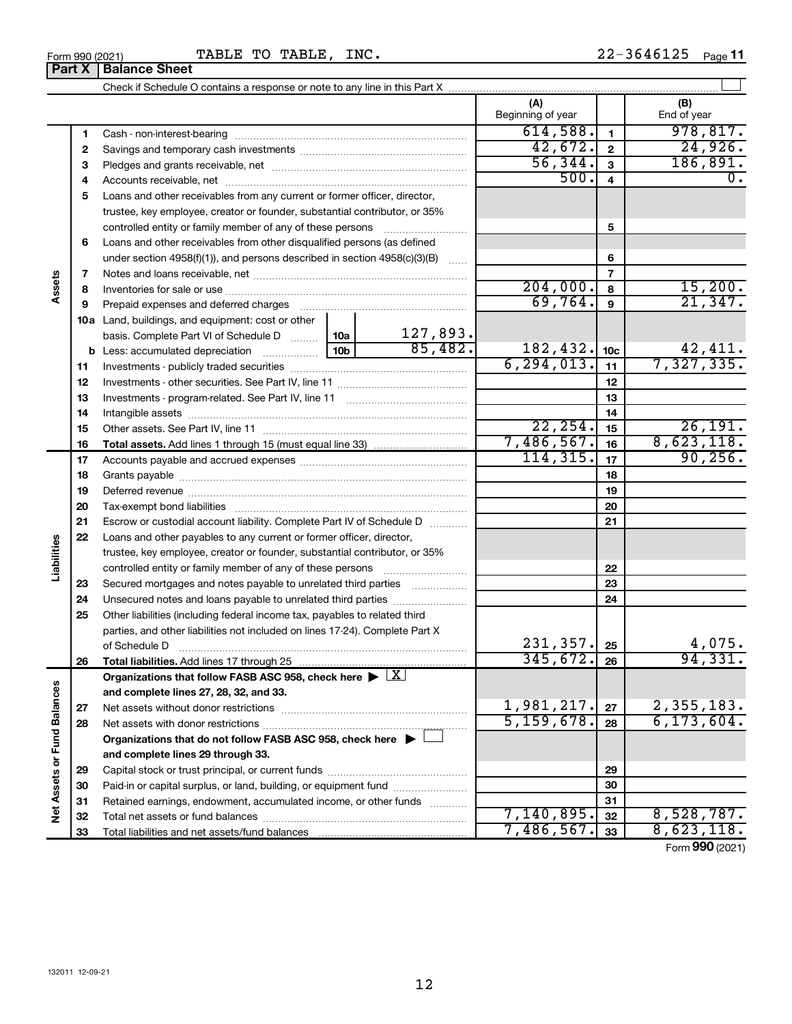Form 990 (2021) **TABLE TO TABLE, INC.**  $22-3646125$  Page

|                             |    |                                                                                                        |                 |               | (A)<br>Beginning of year |                 | (B)<br>End of year         |
|-----------------------------|----|--------------------------------------------------------------------------------------------------------|-----------------|---------------|--------------------------|-----------------|----------------------------|
|                             | 1  |                                                                                                        |                 |               | 614,588.                 | $\blacksquare$  | 978, 817.                  |
|                             | 2  |                                                                                                        |                 |               | 42,672.                  | $\mathbf 2$     | 24,926.                    |
|                             | 3  |                                                                                                        |                 |               | 56, 344.                 | 3               | 186, 891.                  |
|                             | 4  |                                                                                                        |                 |               | 500.                     | 4               | 0.                         |
|                             | 5  | Loans and other receivables from any current or former officer, director,                              |                 |               |                          |                 |                            |
|                             |    | trustee, key employee, creator or founder, substantial contributor, or 35%                             |                 |               |                          |                 |                            |
|                             |    | controlled entity or family member of any of these persons                                             |                 |               |                          | 5               |                            |
|                             | 6  | Loans and other receivables from other disqualified persons (as defined                                |                 |               |                          |                 |                            |
|                             |    | under section $4958(f)(1)$ , and persons described in section $4958(c)(3)(B)$                          |                 | <b>Carlos</b> |                          | 6               |                            |
|                             | 7  |                                                                                                        |                 |               |                          | 7               |                            |
| Assets                      | 8  |                                                                                                        |                 |               | 204,000.                 | 8               | 15,200.                    |
|                             | 9  | Prepaid expenses and deferred charges                                                                  |                 |               | 69,764.                  | 9               | 21,347.                    |
|                             |    | 10a Land, buildings, and equipment: cost or other                                                      |                 |               |                          |                 |                            |
|                             |    | basis. Complete Part VI of Schedule D  10a                                                             |                 | 127,893.      |                          |                 |                            |
|                             |    | <b>b</b> Less: accumulated depreciation <i>mimimum</i>                                                 | 10 <sub>b</sub> | 85,482.       | 182, 432.                | 10 <sub>c</sub> | $\frac{42,411}{7,327,335}$ |
|                             | 11 |                                                                                                        |                 |               | 6, 294, 013.             | 11              |                            |
|                             | 12 |                                                                                                        |                 |               |                          | 12              |                            |
|                             | 13 |                                                                                                        |                 |               |                          | 13              |                            |
|                             | 14 |                                                                                                        |                 |               |                          | 14              |                            |
|                             | 15 |                                                                                                        |                 |               | 22, 254.                 | 15              | 26, 191.                   |
|                             | 16 |                                                                                                        |                 |               | 7,486,567.               | 16              | 8,623,118.                 |
|                             | 17 |                                                                                                        |                 |               | 114, 315.                | 17              | 90, 256.                   |
|                             | 18 |                                                                                                        |                 |               |                          | 18              |                            |
|                             | 19 |                                                                                                        |                 |               |                          | 19              |                            |
|                             | 20 |                                                                                                        |                 |               |                          | 20              |                            |
|                             | 21 | Escrow or custodial account liability. Complete Part IV of Schedule D                                  |                 |               |                          | 21              |                            |
|                             | 22 | Loans and other payables to any current or former officer, director,                                   |                 |               |                          |                 |                            |
| Liabilities                 |    | trustee, key employee, creator or founder, substantial contributor, or 35%                             |                 |               |                          |                 |                            |
|                             |    | controlled entity or family member of any of these persons                                             |                 |               |                          | 22              |                            |
|                             | 23 | Secured mortgages and notes payable to unrelated third parties                                         |                 |               |                          | 23              |                            |
|                             | 24 | Unsecured notes and loans payable to unrelated third parties                                           |                 |               |                          | 24              |                            |
|                             | 25 | Other liabilities (including federal income tax, payables to related third                             |                 |               |                          |                 |                            |
|                             |    | parties, and other liabilities not included on lines 17-24). Complete Part X                           |                 |               |                          |                 |                            |
|                             |    | of Schedule D                                                                                          |                 |               | 231, 357.                | 25              | 4,075.                     |
|                             | 26 | Total liabilities. Add lines 17 through 25                                                             |                 |               | 345,672.                 | 26              | 94,331.                    |
|                             |    | Organizations that follow FASB ASC 958, check here $\blacktriangleright \lfloor \underline{X} \rfloor$ |                 |               |                          |                 |                            |
|                             |    | and complete lines 27, 28, 32, and 33.                                                                 |                 |               |                          |                 |                            |
|                             | 27 |                                                                                                        |                 |               | 1,981,217.               | 27              | 2,355,183.                 |
|                             | 28 |                                                                                                        |                 |               | 5,159,678.               | 28              | 6, 173, 604.               |
|                             |    | Organizations that do not follow FASB ASC 958, check here $\blacktriangleright \bot$                   |                 |               |                          |                 |                            |
|                             |    | and complete lines 29 through 33.                                                                      |                 |               |                          |                 |                            |
| Net Assets or Fund Balances | 29 |                                                                                                        |                 |               |                          | 29              |                            |
|                             | 30 | Paid-in or capital surplus, or land, building, or equipment fund                                       |                 |               |                          | 30              |                            |
|                             | 31 | Retained earnings, endowment, accumulated income, or other funds                                       |                 |               |                          | 31              |                            |
|                             | 32 |                                                                                                        |                 |               | 7,140,895.               | 32              | 8,528,787.                 |
|                             | 33 |                                                                                                        |                 |               | 7,486,567.               | 33              | 8,623,118.                 |

Form (2021) **990**

**Part X Balance Sheet**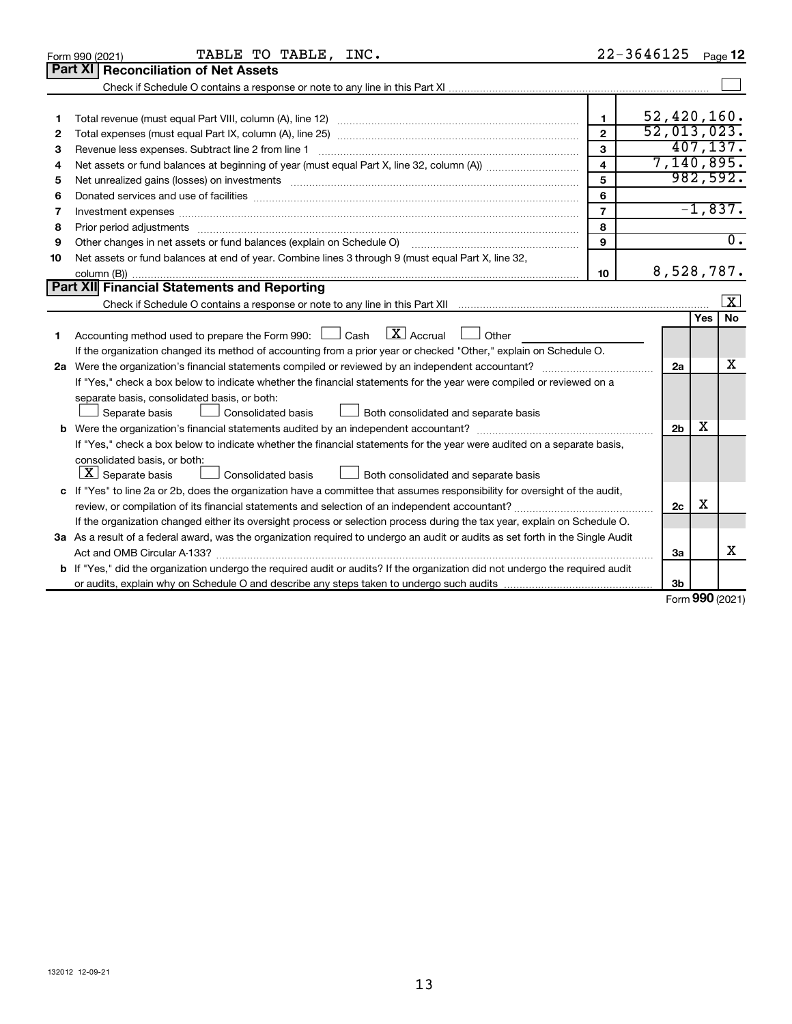|              | TABLE TO TABLE, INC.<br>Form 990 (2021)                                                                                                                                                                                        |                         | 22-3646125     |        | Page 12          |
|--------------|--------------------------------------------------------------------------------------------------------------------------------------------------------------------------------------------------------------------------------|-------------------------|----------------|--------|------------------|
|              | Part XI Reconciliation of Net Assets                                                                                                                                                                                           |                         |                |        |                  |
|              |                                                                                                                                                                                                                                |                         |                |        |                  |
|              |                                                                                                                                                                                                                                |                         |                |        |                  |
| 1            |                                                                                                                                                                                                                                | 1                       | 52,420,160.    |        |                  |
| $\mathbf{2}$ |                                                                                                                                                                                                                                | $\mathbf{2}$            | 52,013,023.    |        |                  |
| 3            | Revenue less expenses. Subtract line 2 from line 1                                                                                                                                                                             | 3                       |                |        | 407, 137.        |
| 4            |                                                                                                                                                                                                                                | $\overline{\mathbf{4}}$ |                |        | 7,140,895.       |
| 5            |                                                                                                                                                                                                                                | 5                       |                |        | 982,592.         |
| 6            | Donated services and use of facilities [[111] matter contracts and all the services and use of facilities [[11                                                                                                                 | 6                       |                |        |                  |
| 7            | Investment expenses www.communication.com/www.communication.com/www.communication.com/www.com                                                                                                                                  | $\overline{7}$          |                |        | $-1,837.$        |
| 8            | Prior period adjustments material contents and content and content and content and content and content and content and content and content and content and content and content and content and content and content and content | 8                       |                |        |                  |
| 9            | Other changes in net assets or fund balances (explain on Schedule O)                                                                                                                                                           | 9                       |                |        | $\overline{0}$ . |
| 10           | Net assets or fund balances at end of year. Combine lines 3 through 9 (must equal Part X, line 32,                                                                                                                             |                         |                |        |                  |
|              |                                                                                                                                                                                                                                | 10                      |                |        | 8,528,787.       |
|              | Part XII Financial Statements and Reporting                                                                                                                                                                                    |                         |                |        |                  |
|              |                                                                                                                                                                                                                                |                         |                |        | $\mathbf{X}$     |
|              |                                                                                                                                                                                                                                |                         |                | Yes    | No               |
| 1            | $\lfloor x \rfloor$ Accrual $\lfloor x \rfloor$<br>Accounting method used to prepare the Form 990: [130] Cash<br>Other                                                                                                         |                         |                |        |                  |
|              | If the organization changed its method of accounting from a prior year or checked "Other," explain on Schedule O.                                                                                                              |                         |                |        |                  |
|              |                                                                                                                                                                                                                                |                         | 2a             |        | х                |
|              | If "Yes," check a box below to indicate whether the financial statements for the year were compiled or reviewed on a                                                                                                           |                         |                |        |                  |
|              | separate basis, consolidated basis, or both:                                                                                                                                                                                   |                         |                |        |                  |
|              | Both consolidated and separate basis<br>Separate basis<br>Consolidated basis                                                                                                                                                   |                         |                |        |                  |
|              |                                                                                                                                                                                                                                |                         | 2 <sub>b</sub> | х      |                  |
|              | If "Yes," check a box below to indicate whether the financial statements for the year were audited on a separate basis,                                                                                                        |                         |                |        |                  |
|              | consolidated basis, or both:                                                                                                                                                                                                   |                         |                |        |                  |
|              | $\lfloor \underline{X} \rfloor$ Separate basis<br>Consolidated basis<br>Both consolidated and separate basis                                                                                                                   |                         |                |        |                  |
|              | c If "Yes" to line 2a or 2b, does the organization have a committee that assumes responsibility for oversight of the audit,                                                                                                    |                         |                |        |                  |
|              |                                                                                                                                                                                                                                |                         | 2c             | x      |                  |
|              | If the organization changed either its oversight process or selection process during the tax year, explain on Schedule O.                                                                                                      |                         |                |        |                  |
|              | 3a As a result of a federal award, was the organization required to undergo an audit or audits as set forth in the Single Audit                                                                                                |                         |                |        |                  |
|              | Act and OMB Circular A-133?                                                                                                                                                                                                    |                         | 3a             |        | x                |
|              | b If "Yes," did the organization undergo the required audit or audits? If the organization did not undergo the required audit                                                                                                  |                         |                |        |                  |
|              |                                                                                                                                                                                                                                |                         | 3b             | $\sim$ |                  |

Form (2021) **990**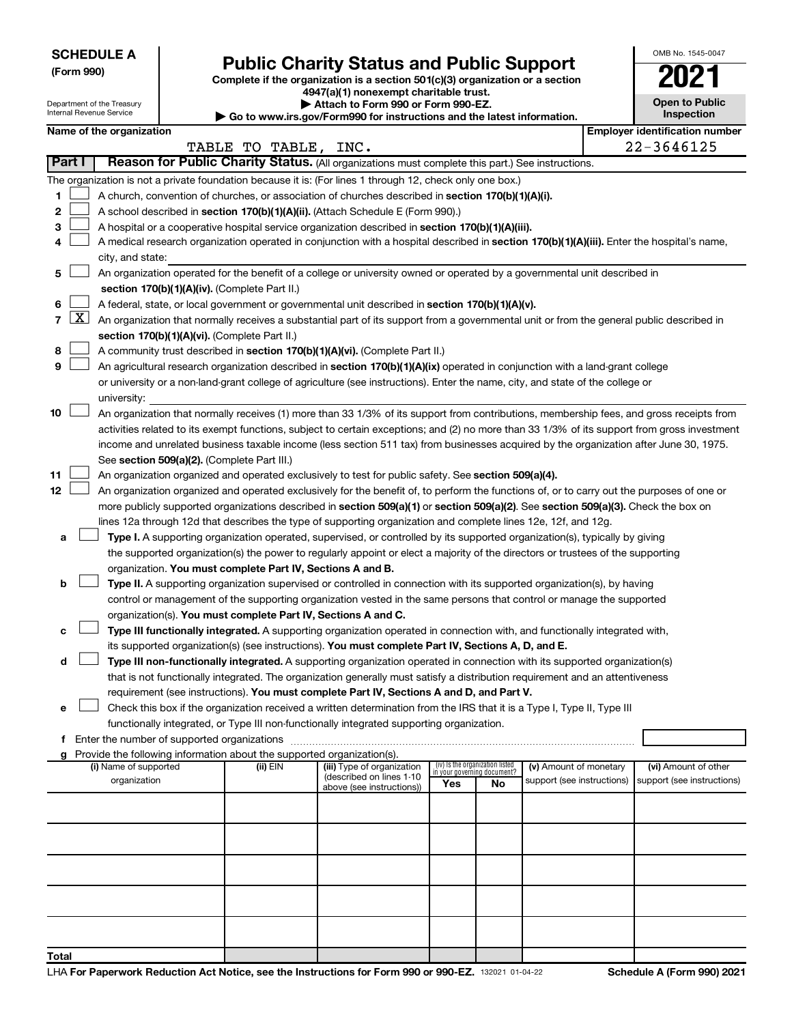| <b>SCHEDULE A</b> |
|-------------------|
|-------------------|

Department of the Treasury Internal Revenue Service

# Form 990)<br>
Complete if the organization is a section 501(c)(3) organization or a section<br> **Public Charity Status and Public Support**

**4947(a)(1) nonexempt charitable trust. | Attach to Form 990 or Form 990-EZ.** 

**| Go to www.irs.gov/Form990 for instructions and the latest information.**

| <b>Open to Public</b><br>Inspection |
|-------------------------------------|
|                                     |

OMB No. 1545-0047

|        | Name of the organization                                                                                                                          |                      |                            |                                    |    |                            | <b>Employer identification number</b> |
|--------|---------------------------------------------------------------------------------------------------------------------------------------------------|----------------------|----------------------------|------------------------------------|----|----------------------------|---------------------------------------|
| Part I | Reason for Public Charity Status. (All organizations must complete this part.) See instructions.                                                  | TABLE TO TABLE, INC. |                            |                                    |    |                            | 22-3646125                            |
|        |                                                                                                                                                   |                      |                            |                                    |    |                            |                                       |
|        | The organization is not a private foundation because it is: (For lines 1 through 12, check only one box.)                                         |                      |                            |                                    |    |                            |                                       |
| 1.     | A church, convention of churches, or association of churches described in section 170(b)(1)(A)(i).                                                |                      |                            |                                    |    |                            |                                       |
| 2      | A school described in section 170(b)(1)(A)(ii). (Attach Schedule E (Form 990).)                                                                   |                      |                            |                                    |    |                            |                                       |
| з      | A hospital or a cooperative hospital service organization described in section 170(b)(1)(A)(iii).                                                 |                      |                            |                                    |    |                            |                                       |
| 4      | A medical research organization operated in conjunction with a hospital described in section 170(b)(1)(A)(iii). Enter the hospital's name,        |                      |                            |                                    |    |                            |                                       |
|        | city, and state:                                                                                                                                  |                      |                            |                                    |    |                            |                                       |
| 5.     | An organization operated for the benefit of a college or university owned or operated by a governmental unit described in                         |                      |                            |                                    |    |                            |                                       |
|        | section 170(b)(1)(A)(iv). (Complete Part II.)                                                                                                     |                      |                            |                                    |    |                            |                                       |
| 6.     | A federal, state, or local government or governmental unit described in section 170(b)(1)(A)(v).                                                  |                      |                            |                                    |    |                            |                                       |
|        | 7 $ X $ An organization that normally receives a substantial part of its support from a governmental unit or from the general public described in |                      |                            |                                    |    |                            |                                       |
|        | section 170(b)(1)(A)(vi). (Complete Part II.)                                                                                                     |                      |                            |                                    |    |                            |                                       |
| 8      | A community trust described in section 170(b)(1)(A)(vi). (Complete Part II.)                                                                      |                      |                            |                                    |    |                            |                                       |
| 9      | An agricultural research organization described in section 170(b)(1)(A)(ix) operated in conjunction with a land-grant college                     |                      |                            |                                    |    |                            |                                       |
|        | or university or a non-land-grant college of agriculture (see instructions). Enter the name, city, and state of the college or                    |                      |                            |                                    |    |                            |                                       |
|        | university:                                                                                                                                       |                      |                            |                                    |    |                            |                                       |
| 10     | An organization that normally receives (1) more than 33 1/3% of its support from contributions, membership fees, and gross receipts from          |                      |                            |                                    |    |                            |                                       |
|        | activities related to its exempt functions, subject to certain exceptions; and (2) no more than 33 1/3% of its support from gross investment      |                      |                            |                                    |    |                            |                                       |
|        | income and unrelated business taxable income (less section 511 tax) from businesses acquired by the organization after June 30, 1975.             |                      |                            |                                    |    |                            |                                       |
|        | See section 509(a)(2). (Complete Part III.)                                                                                                       |                      |                            |                                    |    |                            |                                       |
| 11     | An organization organized and operated exclusively to test for public safety. See section 509(a)(4).                                              |                      |                            |                                    |    |                            |                                       |
| 12     | An organization organized and operated exclusively for the benefit of, to perform the functions of, or to carry out the purposes of one or        |                      |                            |                                    |    |                            |                                       |
|        | more publicly supported organizations described in section 509(a)(1) or section 509(a)(2). See section 509(a)(3). Check the box on                |                      |                            |                                    |    |                            |                                       |
|        | lines 12a through 12d that describes the type of supporting organization and complete lines 12e, 12f, and 12g.                                    |                      |                            |                                    |    |                            |                                       |
| а      | Type I. A supporting organization operated, supervised, or controlled by its supported organization(s), typically by giving                       |                      |                            |                                    |    |                            |                                       |
|        | the supported organization(s) the power to regularly appoint or elect a majority of the directors or trustees of the supporting                   |                      |                            |                                    |    |                            |                                       |
|        | organization. You must complete Part IV, Sections A and B.                                                                                        |                      |                            |                                    |    |                            |                                       |
| b      | Type II. A supporting organization supervised or controlled in connection with its supported organization(s), by having                           |                      |                            |                                    |    |                            |                                       |
|        | control or management of the supporting organization vested in the same persons that control or manage the supported                              |                      |                            |                                    |    |                            |                                       |
|        | organization(s). You must complete Part IV, Sections A and C.                                                                                     |                      |                            |                                    |    |                            |                                       |
| с      | Type III functionally integrated. A supporting organization operated in connection with, and functionally integrated with,                        |                      |                            |                                    |    |                            |                                       |
|        | its supported organization(s) (see instructions). You must complete Part IV, Sections A, D, and E.                                                |                      |                            |                                    |    |                            |                                       |
| d      | Type III non-functionally integrated. A supporting organization operated in connection with its supported organization(s)                         |                      |                            |                                    |    |                            |                                       |
|        | that is not functionally integrated. The organization generally must satisfy a distribution requirement and an attentiveness                      |                      |                            |                                    |    |                            |                                       |
|        | requirement (see instructions). You must complete Part IV, Sections A and D, and Part V.                                                          |                      |                            |                                    |    |                            |                                       |
|        | Check this box if the organization received a written determination from the IRS that it is a Type I, Type II, Type III                           |                      |                            |                                    |    |                            |                                       |
|        | functionally integrated, or Type III non-functionally integrated supporting organization.                                                         |                      |                            |                                    |    |                            |                                       |
|        | f Enter the number of supported organizations                                                                                                     |                      |                            |                                    |    |                            |                                       |
|        | g Provide the following information about the supported organization(s).<br>(i) Name of supported                                                 | (ii) EIN             | (iii) Type of organization | (iv) Is the organization listed    |    | (v) Amount of monetary     | (vi) Amount of other                  |
|        | organization                                                                                                                                      |                      | (described on lines 1-10   | in your governing document?<br>Yes | No | support (see instructions) | support (see instructions)            |
|        |                                                                                                                                                   |                      | above (see instructions))  |                                    |    |                            |                                       |
|        |                                                                                                                                                   |                      |                            |                                    |    |                            |                                       |
|        |                                                                                                                                                   |                      |                            |                                    |    |                            |                                       |
|        |                                                                                                                                                   |                      |                            |                                    |    |                            |                                       |
|        |                                                                                                                                                   |                      |                            |                                    |    |                            |                                       |
|        |                                                                                                                                                   |                      |                            |                                    |    |                            |                                       |
|        |                                                                                                                                                   |                      |                            |                                    |    |                            |                                       |
|        |                                                                                                                                                   |                      |                            |                                    |    |                            |                                       |
|        |                                                                                                                                                   |                      |                            |                                    |    |                            |                                       |
|        |                                                                                                                                                   |                      |                            |                                    |    |                            |                                       |
| Total  |                                                                                                                                                   |                      |                            |                                    |    |                            |                                       |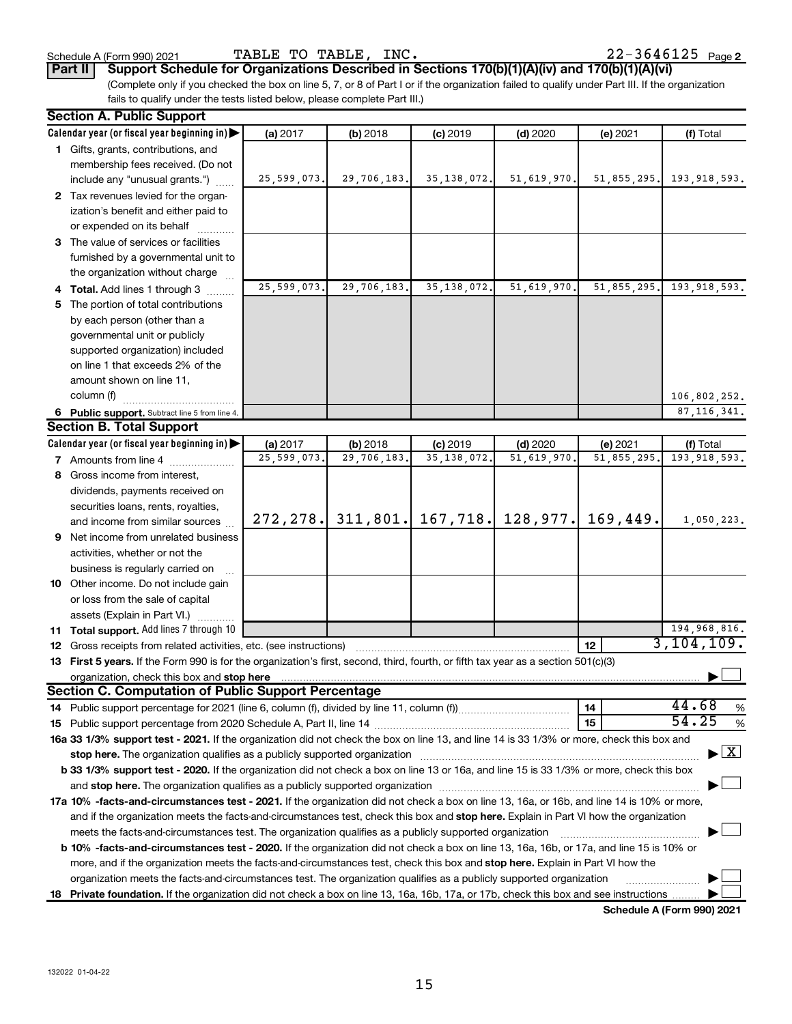**Part II Support Schedule for Organizations Described in Sections 170(b)(1)(A)(iv) and 170(b)(1)(A)(vi)**

(Complete only if you checked the box on line 5, 7, or 8 of Part I or if the organization failed to qualify under Part III. If the organization fails to qualify under the tests listed below, please complete Part III.)

| <b>Section A. Public Support</b>                                                                                                                                                                                                    |             |             |                      |             |             |                                          |
|-------------------------------------------------------------------------------------------------------------------------------------------------------------------------------------------------------------------------------------|-------------|-------------|----------------------|-------------|-------------|------------------------------------------|
| Calendar year (or fiscal year beginning in)                                                                                                                                                                                         | (a) 2017    | (b) 2018    | $(c)$ 2019           | $(d)$ 2020  | (e) 2021    | (f) Total                                |
| 1 Gifts, grants, contributions, and                                                                                                                                                                                                 |             |             |                      |             |             |                                          |
| membership fees received. (Do not                                                                                                                                                                                                   |             |             |                      |             |             |                                          |
| include any "unusual grants.")                                                                                                                                                                                                      | 25,599,073. | 29,706,183. | 35, 138, 072.        | 51,619,970. | 51,855,295. | 193, 918, 593.                           |
| 2 Tax revenues levied for the organ-                                                                                                                                                                                                |             |             |                      |             |             |                                          |
| ization's benefit and either paid to                                                                                                                                                                                                |             |             |                      |             |             |                                          |
| or expended on its behalf                                                                                                                                                                                                           |             |             |                      |             |             |                                          |
| 3 The value of services or facilities                                                                                                                                                                                               |             |             |                      |             |             |                                          |
| furnished by a governmental unit to                                                                                                                                                                                                 |             |             |                      |             |             |                                          |
| the organization without charge                                                                                                                                                                                                     |             |             |                      |             |             |                                          |
| 4 Total. Add lines 1 through 3                                                                                                                                                                                                      | 25,599,073. | 29,706,183. | 35, 138, 072.        | 51,619,970  | 51,855,295. | 193,918,593.                             |
| 5 The portion of total contributions                                                                                                                                                                                                |             |             |                      |             |             |                                          |
| by each person (other than a                                                                                                                                                                                                        |             |             |                      |             |             |                                          |
| governmental unit or publicly                                                                                                                                                                                                       |             |             |                      |             |             |                                          |
| supported organization) included                                                                                                                                                                                                    |             |             |                      |             |             |                                          |
| on line 1 that exceeds 2% of the                                                                                                                                                                                                    |             |             |                      |             |             |                                          |
| amount shown on line 11,                                                                                                                                                                                                            |             |             |                      |             |             |                                          |
| column (f)                                                                                                                                                                                                                          |             |             |                      |             |             | 106,802,252.                             |
| 6 Public support. Subtract line 5 from line 4.                                                                                                                                                                                      |             |             |                      |             |             | 87, 116, 341.                            |
| <b>Section B. Total Support</b>                                                                                                                                                                                                     |             |             |                      |             |             |                                          |
| Calendar year (or fiscal year beginning in)                                                                                                                                                                                         | (a) 2017    | (b) 2018    | $(c)$ 2019           | $(d)$ 2020  | (e) 2021    | (f) Total                                |
| <b>7</b> Amounts from line 4                                                                                                                                                                                                        | 25,599,073  | 29,706,183. | 35, 138, 072         | 51,619,970  | 51,855,295  | 193, 918, 593.                           |
| 8 Gross income from interest,                                                                                                                                                                                                       |             |             |                      |             |             |                                          |
| dividends, payments received on                                                                                                                                                                                                     |             |             |                      |             |             |                                          |
| securities loans, rents, royalties,                                                                                                                                                                                                 |             |             |                      |             |             |                                          |
| and income from similar sources                                                                                                                                                                                                     | 272, 278.   |             | $311,801.$ 167, 718. | 128,977.    | 169,449.    | 1,050,223.                               |
| 9 Net income from unrelated business                                                                                                                                                                                                |             |             |                      |             |             |                                          |
| activities, whether or not the                                                                                                                                                                                                      |             |             |                      |             |             |                                          |
| business is regularly carried on                                                                                                                                                                                                    |             |             |                      |             |             |                                          |
| 10 Other income. Do not include gain                                                                                                                                                                                                |             |             |                      |             |             |                                          |
| or loss from the sale of capital                                                                                                                                                                                                    |             |             |                      |             |             |                                          |
| assets (Explain in Part VI.)                                                                                                                                                                                                        |             |             |                      |             |             |                                          |
| 11 Total support. Add lines 7 through 10                                                                                                                                                                                            |             |             |                      |             |             | 194,968,816.                             |
| <b>12</b> Gross receipts from related activities, etc. (see instructions)                                                                                                                                                           |             |             |                      |             | 12          | 3,104,109.                               |
| 13 First 5 years. If the Form 990 is for the organization's first, second, third, fourth, or fifth tax year as a section 501(c)(3)                                                                                                  |             |             |                      |             |             |                                          |
| organization, check this box and stop here <b>construction and construction</b> construction of the state of the state of the state of the state of the state of the state of the state of the state of the state of the state of t |             |             |                      |             |             |                                          |
| <b>Section C. Computation of Public Support Percentage</b>                                                                                                                                                                          |             |             |                      |             |             |                                          |
|                                                                                                                                                                                                                                     |             |             |                      |             | 14          | 44.68<br>$\%$                            |
|                                                                                                                                                                                                                                     |             |             |                      |             | 15          | 54.25<br>$\%$                            |
| 16a 33 1/3% support test - 2021. If the organization did not check the box on line 13, and line 14 is 33 1/3% or more, check this box and                                                                                           |             |             |                      |             |             |                                          |
| stop here. The organization qualifies as a publicly supported organization manufactured content and the content of the state of the state of the state of the state of the state of the state of the state of the state of the      |             |             |                      |             |             | $\blacktriangleright$ $\boxed{\text{X}}$ |
| b 33 1/3% support test - 2020. If the organization did not check a box on line 13 or 16a, and line 15 is 33 1/3% or more, check this box                                                                                            |             |             |                      |             |             |                                          |
|                                                                                                                                                                                                                                     |             |             |                      |             |             |                                          |
| 17a 10% -facts-and-circumstances test - 2021. If the organization did not check a box on line 13, 16a, or 16b, and line 14 is 10% or more,                                                                                          |             |             |                      |             |             |                                          |
| and if the organization meets the facts-and-circumstances test, check this box and stop here. Explain in Part VI how the organization                                                                                               |             |             |                      |             |             |                                          |
| meets the facts-and-circumstances test. The organization qualifies as a publicly supported organization                                                                                                                             |             |             |                      |             |             |                                          |
| <b>b 10%</b> -facts-and-circumstances test - 2020. If the organization did not check a box on line 13, 16a, 16b, or 17a, and line 15 is 10% or                                                                                      |             |             |                      |             |             |                                          |
| more, and if the organization meets the facts-and-circumstances test, check this box and <b>stop here.</b> Explain in Part VI how the                                                                                               |             |             |                      |             |             |                                          |
| organization meets the facts-and-circumstances test. The organization qualifies as a publicly supported organization                                                                                                                |             |             |                      |             |             |                                          |
| 18 Private foundation. If the organization did not check a box on line 13, 16a, 16b, 17a, or 17b, check this box and see instructions                                                                                               |             |             |                      |             |             |                                          |
|                                                                                                                                                                                                                                     |             |             |                      |             |             | Schedule A (Form 990) 2021               |

132022 01-04-22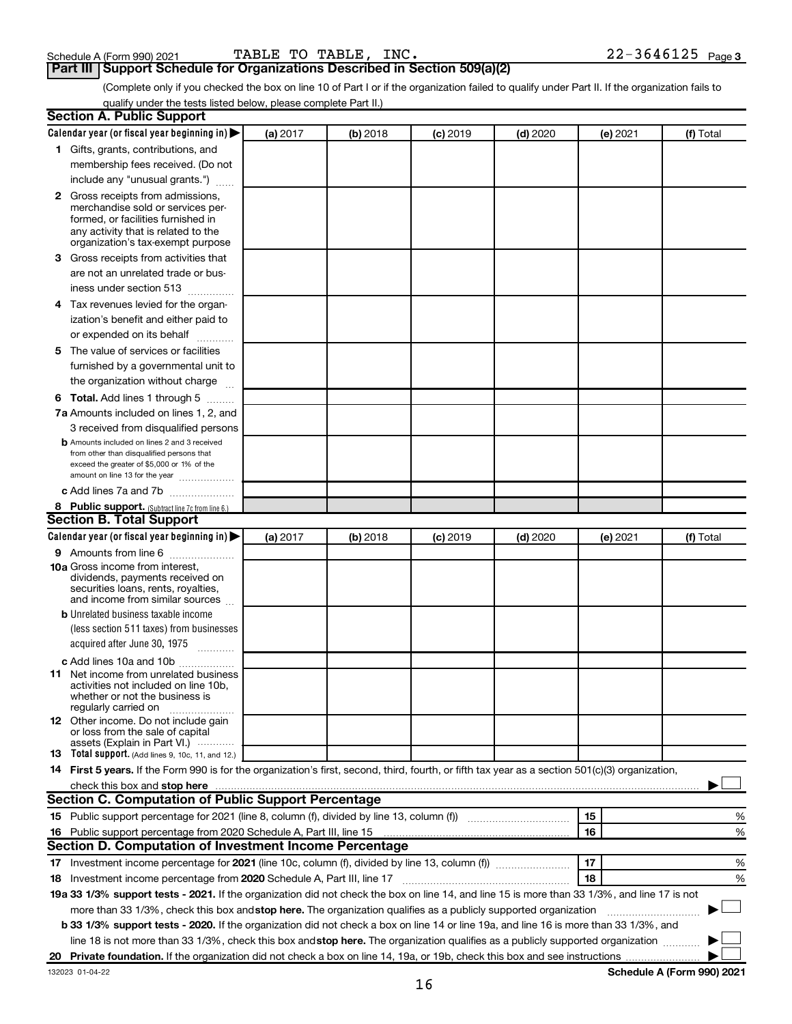## **Part III** | Schedule A (Form 990) 2021 **TABLE TO TABLE, INC.**<br>**Part III** | Support Schedule for Organizations Described in Section 509(a)(2)

(Complete only if you checked the box on line 10 of Part I or if the organization failed to qualify under Part II. If the organization fails to qualify under the tests listed below, please complete Part II.)

| <b>Section A. Public Support</b>                                                                                                                 |          |            |            |            |          |           |
|--------------------------------------------------------------------------------------------------------------------------------------------------|----------|------------|------------|------------|----------|-----------|
| Calendar year (or fiscal year beginning in)                                                                                                      | (a) 2017 | (b) 2018   | $(c)$ 2019 | $(d)$ 2020 | (e) 2021 | (f) Total |
| 1 Gifts, grants, contributions, and                                                                                                              |          |            |            |            |          |           |
| membership fees received. (Do not                                                                                                                |          |            |            |            |          |           |
| include any "unusual grants.")                                                                                                                   |          |            |            |            |          |           |
| <b>2</b> Gross receipts from admissions,                                                                                                         |          |            |            |            |          |           |
| merchandise sold or services per-                                                                                                                |          |            |            |            |          |           |
| formed, or facilities furnished in                                                                                                               |          |            |            |            |          |           |
| any activity that is related to the<br>organization's tax-exempt purpose                                                                         |          |            |            |            |          |           |
|                                                                                                                                                  |          |            |            |            |          |           |
| 3 Gross receipts from activities that                                                                                                            |          |            |            |            |          |           |
| are not an unrelated trade or bus-                                                                                                               |          |            |            |            |          |           |
| iness under section 513                                                                                                                          |          |            |            |            |          |           |
| 4 Tax revenues levied for the organ-                                                                                                             |          |            |            |            |          |           |
| ization's benefit and either paid to                                                                                                             |          |            |            |            |          |           |
| or expended on its behalf                                                                                                                        |          |            |            |            |          |           |
| 5 The value of services or facilities                                                                                                            |          |            |            |            |          |           |
| furnished by a governmental unit to                                                                                                              |          |            |            |            |          |           |
| the organization without charge                                                                                                                  |          |            |            |            |          |           |
| 6 Total. Add lines 1 through 5                                                                                                                   |          |            |            |            |          |           |
| 7a Amounts included on lines 1, 2, and                                                                                                           |          |            |            |            |          |           |
| 3 received from disqualified persons                                                                                                             |          |            |            |            |          |           |
| <b>b</b> Amounts included on lines 2 and 3 received                                                                                              |          |            |            |            |          |           |
| from other than disqualified persons that                                                                                                        |          |            |            |            |          |           |
| exceed the greater of \$5,000 or 1% of the<br>amount on line 13 for the year                                                                     |          |            |            |            |          |           |
| c Add lines 7a and 7b                                                                                                                            |          |            |            |            |          |           |
| 8 Public support. (Subtract line 7c from line 6.)                                                                                                |          |            |            |            |          |           |
| <b>Section B. Total Support</b>                                                                                                                  |          |            |            |            |          |           |
| Calendar year (or fiscal year beginning in)                                                                                                      | (a) 2017 | $(b)$ 2018 | $(c)$ 2019 | $(d)$ 2020 | (e) 2021 | (f) Total |
|                                                                                                                                                  |          |            |            |            |          |           |
| 9 Amounts from line 6<br><b>10a</b> Gross income from interest,                                                                                  |          |            |            |            |          |           |
| dividends, payments received on                                                                                                                  |          |            |            |            |          |           |
| securities loans, rents, royalties,                                                                                                              |          |            |            |            |          |           |
| and income from similar sources                                                                                                                  |          |            |            |            |          |           |
| <b>b</b> Unrelated business taxable income                                                                                                       |          |            |            |            |          |           |
| (less section 511 taxes) from businesses                                                                                                         |          |            |            |            |          |           |
| acquired after June 30, 1975                                                                                                                     |          |            |            |            |          |           |
| c Add lines 10a and 10b                                                                                                                          |          |            |            |            |          |           |
| <b>11</b> Net income from unrelated business                                                                                                     |          |            |            |            |          |           |
| activities not included on line 10b.<br>whether or not the business is                                                                           |          |            |            |            |          |           |
| regularly carried on                                                                                                                             |          |            |            |            |          |           |
| 12 Other income. Do not include gain                                                                                                             |          |            |            |            |          |           |
| or loss from the sale of capital<br>assets (Explain in Part VI.)                                                                                 |          |            |            |            |          |           |
| <b>13</b> Total support. (Add lines 9, 10c, 11, and 12.)                                                                                         |          |            |            |            |          |           |
| 14 First 5 years. If the Form 990 is for the organization's first, second, third, fourth, or fifth tax year as a section 501(c)(3) organization, |          |            |            |            |          |           |
| check this box and stop here                                                                                                                     |          |            |            |            |          |           |
| Section C. Computation of Public Support Percentage                                                                                              |          |            |            |            |          |           |
| 15 Public support percentage for 2021 (line 8, column (f), divided by line 13, column (f) <i></i>                                                |          |            |            |            | 15       | %         |
| 16 Public support percentage from 2020 Schedule A, Part III, line 15                                                                             |          |            |            |            | 16       | %         |
| Section D. Computation of Investment Income Percentage                                                                                           |          |            |            |            |          |           |
|                                                                                                                                                  |          |            |            |            | 17       |           |
| 17 Investment income percentage for 2021 (line 10c, column (f), divided by line 13, column (f))                                                  |          |            |            |            | 18       | %         |
| 18 Investment income percentage from 2020 Schedule A, Part III, line 17                                                                          |          |            |            |            |          | %         |
| 19a 33 1/3% support tests - 2021. If the organization did not check the box on line 14, and line 15 is more than 33 1/3%, and line 17 is not     |          |            |            |            |          |           |
| more than 33 1/3%, check this box and stop here. The organization qualifies as a publicly supported organization                                 |          |            |            |            |          |           |
| b 33 1/3% support tests - 2020. If the organization did not check a box on line 14 or line 19a, and line 16 is more than 33 1/3%, and            |          |            |            |            |          |           |
| line 18 is not more than 33 1/3%, check this box and stop here. The organization qualifies as a publicly supported organization                  |          |            |            |            |          |           |
|                                                                                                                                                  |          |            |            |            |          |           |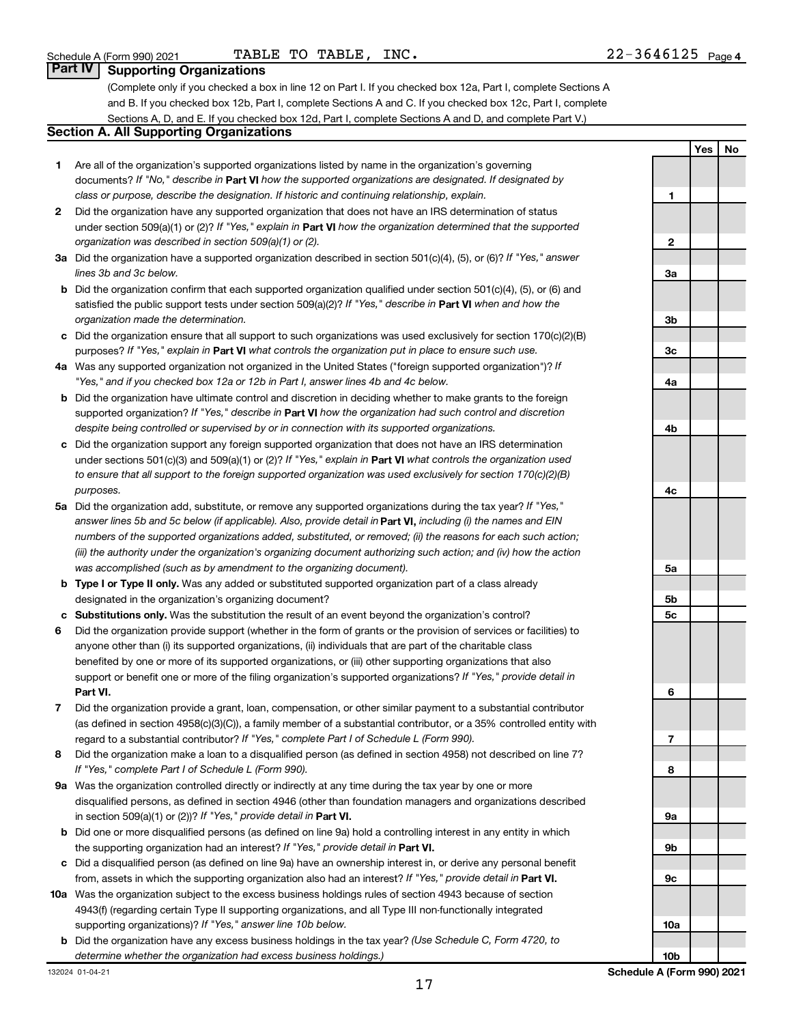## **Part IV Supporting Organizations**

(Complete only if you checked a box in line 12 on Part I. If you checked box 12a, Part I, complete Sections A and B. If you checked box 12b, Part I, complete Sections A and C. If you checked box 12c, Part I, complete Sections A, D, and E. If you checked box 12d, Part I, complete Sections A and D, and complete Part V.)

## **Section A. All Supporting Organizations**

- **1** Are all of the organization's supported organizations listed by name in the organization's governing documents? If "No," describe in Part VI how the supported organizations are designated. If designated by *class or purpose, describe the designation. If historic and continuing relationship, explain.*
- **2** Did the organization have any supported organization that does not have an IRS determination of status under section 509(a)(1) or (2)? If "Yes," explain in Part **VI** how the organization determined that the supported *organization was described in section 509(a)(1) or (2).*
- **3a** Did the organization have a supported organization described in section 501(c)(4), (5), or (6)? If "Yes," answer *lines 3b and 3c below.*
- **b** Did the organization confirm that each supported organization qualified under section 501(c)(4), (5), or (6) and satisfied the public support tests under section 509(a)(2)? If "Yes," describe in Part VI when and how the *organization made the determination.*
- **c** Did the organization ensure that all support to such organizations was used exclusively for section 170(c)(2)(B) purposes? If "Yes," explain in Part VI what controls the organization put in place to ensure such use.
- **4 a** *If* Was any supported organization not organized in the United States ("foreign supported organization")? *"Yes," and if you checked box 12a or 12b in Part I, answer lines 4b and 4c below.*
- **b** Did the organization have ultimate control and discretion in deciding whether to make grants to the foreign supported organization? If "Yes," describe in Part VI how the organization had such control and discretion *despite being controlled or supervised by or in connection with its supported organizations.*
- **c** Did the organization support any foreign supported organization that does not have an IRS determination under sections 501(c)(3) and 509(a)(1) or (2)? If "Yes," explain in Part VI what controls the organization used *to ensure that all support to the foreign supported organization was used exclusively for section 170(c)(2)(B) purposes.*
- **5a** Did the organization add, substitute, or remove any supported organizations during the tax year? If "Yes," answer lines 5b and 5c below (if applicable). Also, provide detail in **Part VI,** including (i) the names and EIN *numbers of the supported organizations added, substituted, or removed; (ii) the reasons for each such action; (iii) the authority under the organization's organizing document authorizing such action; and (iv) how the action was accomplished (such as by amendment to the organizing document).*
- **b** Type I or Type II only. Was any added or substituted supported organization part of a class already designated in the organization's organizing document?
- **c Substitutions only.**  Was the substitution the result of an event beyond the organization's control?
- **6** Did the organization provide support (whether in the form of grants or the provision of services or facilities) to **Part VI.** support or benefit one or more of the filing organization's supported organizations? If "Yes," provide detail in anyone other than (i) its supported organizations, (ii) individuals that are part of the charitable class benefited by one or more of its supported organizations, or (iii) other supporting organizations that also
- **7** Did the organization provide a grant, loan, compensation, or other similar payment to a substantial contributor regard to a substantial contributor? If "Yes," complete Part I of Schedule L (Form 990). (as defined in section 4958(c)(3)(C)), a family member of a substantial contributor, or a 35% controlled entity with
- **8** Did the organization make a loan to a disqualified person (as defined in section 4958) not described on line 7? *If "Yes," complete Part I of Schedule L (Form 990).*
- **9 a** Was the organization controlled directly or indirectly at any time during the tax year by one or more in section 509(a)(1) or (2))? If "Yes," provide detail in **Part VI.** disqualified persons, as defined in section 4946 (other than foundation managers and organizations described
- **b** Did one or more disqualified persons (as defined on line 9a) hold a controlling interest in any entity in which the supporting organization had an interest? If "Yes," provide detail in Part VI.
- **c** Did a disqualified person (as defined on line 9a) have an ownership interest in, or derive any personal benefit from, assets in which the supporting organization also had an interest? If "Yes," provide detail in Part VI.
- **10 a** Was the organization subject to the excess business holdings rules of section 4943 because of section supporting organizations)? If "Yes," answer line 10b below. 4943(f) (regarding certain Type II supporting organizations, and all Type III non-functionally integrated
- **b** Did the organization have any excess business holdings in the tax year? (Use Schedule C, Form 4720, to *determine whether the organization had excess business holdings.)*

**Yes No 1 2 3a 3b 3c 4a 4b 4c 5a 5b 5c 6 7 8 9a 9b 9c 10a 10b**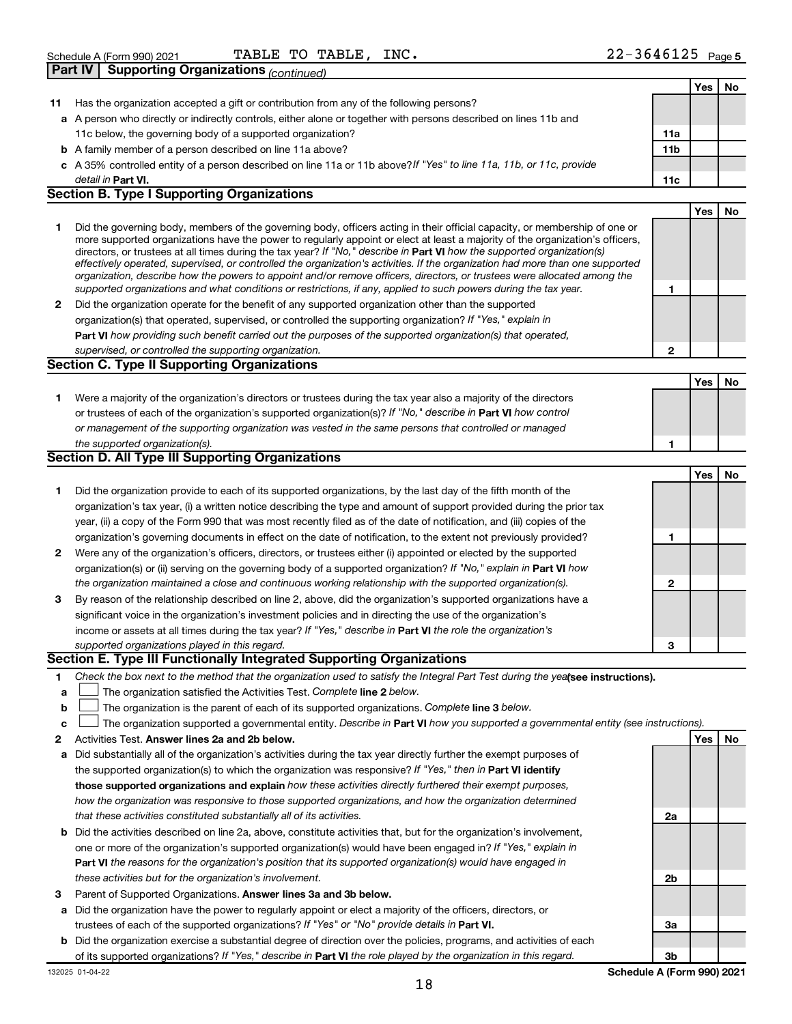|    | <b>Supporting Organizations (continued)</b><br>Part IV                                                                                                                                                                                                                                                                                                                                                                                                                                                                                                                                                                                               |                 |     |    |
|----|------------------------------------------------------------------------------------------------------------------------------------------------------------------------------------------------------------------------------------------------------------------------------------------------------------------------------------------------------------------------------------------------------------------------------------------------------------------------------------------------------------------------------------------------------------------------------------------------------------------------------------------------------|-----------------|-----|----|
|    |                                                                                                                                                                                                                                                                                                                                                                                                                                                                                                                                                                                                                                                      |                 | Yes | No |
| 11 | Has the organization accepted a gift or contribution from any of the following persons?                                                                                                                                                                                                                                                                                                                                                                                                                                                                                                                                                              |                 |     |    |
|    | a A person who directly or indirectly controls, either alone or together with persons described on lines 11b and                                                                                                                                                                                                                                                                                                                                                                                                                                                                                                                                     |                 |     |    |
|    | 11c below, the governing body of a supported organization?                                                                                                                                                                                                                                                                                                                                                                                                                                                                                                                                                                                           | 11a             |     |    |
|    | <b>b</b> A family member of a person described on line 11a above?                                                                                                                                                                                                                                                                                                                                                                                                                                                                                                                                                                                    | 11 <sub>b</sub> |     |    |
|    | c A 35% controlled entity of a person described on line 11a or 11b above?If "Yes" to line 11a, 11b, or 11c, provide                                                                                                                                                                                                                                                                                                                                                                                                                                                                                                                                  |                 |     |    |
|    | detail in Part VI.                                                                                                                                                                                                                                                                                                                                                                                                                                                                                                                                                                                                                                   | 11c             |     |    |
|    | <b>Section B. Type I Supporting Organizations</b>                                                                                                                                                                                                                                                                                                                                                                                                                                                                                                                                                                                                    |                 |     |    |
|    |                                                                                                                                                                                                                                                                                                                                                                                                                                                                                                                                                                                                                                                      |                 | Yes | No |
| 1  | Did the governing body, members of the governing body, officers acting in their official capacity, or membership of one or<br>more supported organizations have the power to regularly appoint or elect at least a majority of the organization's officers,<br>directors, or trustees at all times during the tax year? If "No," describe in Part VI how the supported organization(s)<br>effectively operated, supervised, or controlled the organization's activities. If the organization had more than one supported<br>organization, describe how the powers to appoint and/or remove officers, directors, or trustees were allocated among the |                 |     |    |
|    | supported organizations and what conditions or restrictions, if any, applied to such powers during the tax year.<br>Did the organization operate for the benefit of any supported organization other than the supported                                                                                                                                                                                                                                                                                                                                                                                                                              | 1               |     |    |
| 2  |                                                                                                                                                                                                                                                                                                                                                                                                                                                                                                                                                                                                                                                      |                 |     |    |
|    | organization(s) that operated, supervised, or controlled the supporting organization? If "Yes," explain in<br>Part VI how providing such benefit carried out the purposes of the supported organization(s) that operated,                                                                                                                                                                                                                                                                                                                                                                                                                            |                 |     |    |
|    | supervised, or controlled the supporting organization.                                                                                                                                                                                                                                                                                                                                                                                                                                                                                                                                                                                               | $\mathbf{2}$    |     |    |
|    | <b>Section C. Type II Supporting Organizations</b>                                                                                                                                                                                                                                                                                                                                                                                                                                                                                                                                                                                                   |                 |     |    |
|    |                                                                                                                                                                                                                                                                                                                                                                                                                                                                                                                                                                                                                                                      |                 | Yes | No |
| 1  | Were a majority of the organization's directors or trustees during the tax year also a majority of the directors                                                                                                                                                                                                                                                                                                                                                                                                                                                                                                                                     |                 |     |    |
|    | or trustees of each of the organization's supported organization(s)? If "No," describe in Part VI how control                                                                                                                                                                                                                                                                                                                                                                                                                                                                                                                                        |                 |     |    |
|    | or management of the supporting organization was vested in the same persons that controlled or managed                                                                                                                                                                                                                                                                                                                                                                                                                                                                                                                                               |                 |     |    |
|    | the supported organization(s).                                                                                                                                                                                                                                                                                                                                                                                                                                                                                                                                                                                                                       | 1               |     |    |
|    | <b>Section D. All Type III Supporting Organizations</b>                                                                                                                                                                                                                                                                                                                                                                                                                                                                                                                                                                                              |                 |     |    |
|    |                                                                                                                                                                                                                                                                                                                                                                                                                                                                                                                                                                                                                                                      |                 | Yes | No |
| 1  | Did the organization provide to each of its supported organizations, by the last day of the fifth month of the                                                                                                                                                                                                                                                                                                                                                                                                                                                                                                                                       |                 |     |    |
|    | organization's tax year, (i) a written notice describing the type and amount of support provided during the prior tax                                                                                                                                                                                                                                                                                                                                                                                                                                                                                                                                |                 |     |    |
|    | year, (ii) a copy of the Form 990 that was most recently filed as of the date of notification, and (iii) copies of the                                                                                                                                                                                                                                                                                                                                                                                                                                                                                                                               |                 |     |    |
|    | organization's governing documents in effect on the date of notification, to the extent not previously provided?                                                                                                                                                                                                                                                                                                                                                                                                                                                                                                                                     | 1               |     |    |
| 2  | Were any of the organization's officers, directors, or trustees either (i) appointed or elected by the supported                                                                                                                                                                                                                                                                                                                                                                                                                                                                                                                                     |                 |     |    |
|    | organization(s) or (ii) serving on the governing body of a supported organization? If "No," explain in Part VI how                                                                                                                                                                                                                                                                                                                                                                                                                                                                                                                                   |                 |     |    |
|    | the organization maintained a close and continuous working relationship with the supported organization(s).                                                                                                                                                                                                                                                                                                                                                                                                                                                                                                                                          | $\mathbf{2}$    |     |    |
| З  | By reason of the relationship described on line 2, above, did the organization's supported organizations have a                                                                                                                                                                                                                                                                                                                                                                                                                                                                                                                                      |                 |     |    |
|    | significant voice in the organization's investment policies and in directing the use of the organization's                                                                                                                                                                                                                                                                                                                                                                                                                                                                                                                                           |                 |     |    |
|    | income or assets at all times during the tax year? If "Yes," describe in Part VI the role the organization's                                                                                                                                                                                                                                                                                                                                                                                                                                                                                                                                         |                 |     |    |
|    | supported organizations played in this regard.                                                                                                                                                                                                                                                                                                                                                                                                                                                                                                                                                                                                       | 3               |     |    |
|    | Section E. Type III Functionally Integrated Supporting Organizations                                                                                                                                                                                                                                                                                                                                                                                                                                                                                                                                                                                 |                 |     |    |
| 1. | Check the box next to the method that the organization used to satisfy the Integral Part Test during the yealsee instructions).                                                                                                                                                                                                                                                                                                                                                                                                                                                                                                                      |                 |     |    |
| a  | The organization satisfied the Activities Test. Complete line 2 below.                                                                                                                                                                                                                                                                                                                                                                                                                                                                                                                                                                               |                 |     |    |
| b  | The organization is the parent of each of its supported organizations. Complete line 3 below.                                                                                                                                                                                                                                                                                                                                                                                                                                                                                                                                                        |                 |     |    |
| c  | The organization supported a governmental entity. Describe in Part VI how you supported a governmental entity (see instructions).                                                                                                                                                                                                                                                                                                                                                                                                                                                                                                                    |                 |     |    |
| 2  | Activities Test. Answer lines 2a and 2b below.                                                                                                                                                                                                                                                                                                                                                                                                                                                                                                                                                                                                       |                 | Yes | No |
| а  | Did substantially all of the organization's activities during the tax year directly further the exempt purposes of                                                                                                                                                                                                                                                                                                                                                                                                                                                                                                                                   |                 |     |    |
|    | the supported organization(s) to which the organization was responsive? If "Yes," then in Part VI identify                                                                                                                                                                                                                                                                                                                                                                                                                                                                                                                                           |                 |     |    |
|    | those supported organizations and explain how these activities directly furthered their exempt purposes,                                                                                                                                                                                                                                                                                                                                                                                                                                                                                                                                             |                 |     |    |
|    | how the organization was responsive to those supported organizations, and how the organization determined                                                                                                                                                                                                                                                                                                                                                                                                                                                                                                                                            |                 |     |    |
|    | that these activities constituted substantially all of its activities.                                                                                                                                                                                                                                                                                                                                                                                                                                                                                                                                                                               | 2a              |     |    |
| b  | Did the activities described on line 2a, above, constitute activities that, but for the organization's involvement,                                                                                                                                                                                                                                                                                                                                                                                                                                                                                                                                  |                 |     |    |
|    | one or more of the organization's supported organization(s) would have been engaged in? If "Yes," explain in                                                                                                                                                                                                                                                                                                                                                                                                                                                                                                                                         |                 |     |    |

- 3 Parent of Supported Organizations. Answer lines 3a and 3b below. *these activities but for the organization's involvement.*
- **a** Did the organization have the power to regularly appoint or elect a majority of the officers, directors, or trustees of each of the supported organizations? If "Yes" or "No" provide details in Part VI.
- **b** Did the organization exercise a substantial degree of direction over the policies, programs, and activities of each of its supported organizations? If "Yes," describe in Part VI the role played by the organization in this regard.

**Part VI**  *the reasons for the organization's position that its supported organization(s) would have engaged in*

**2b**

**3a**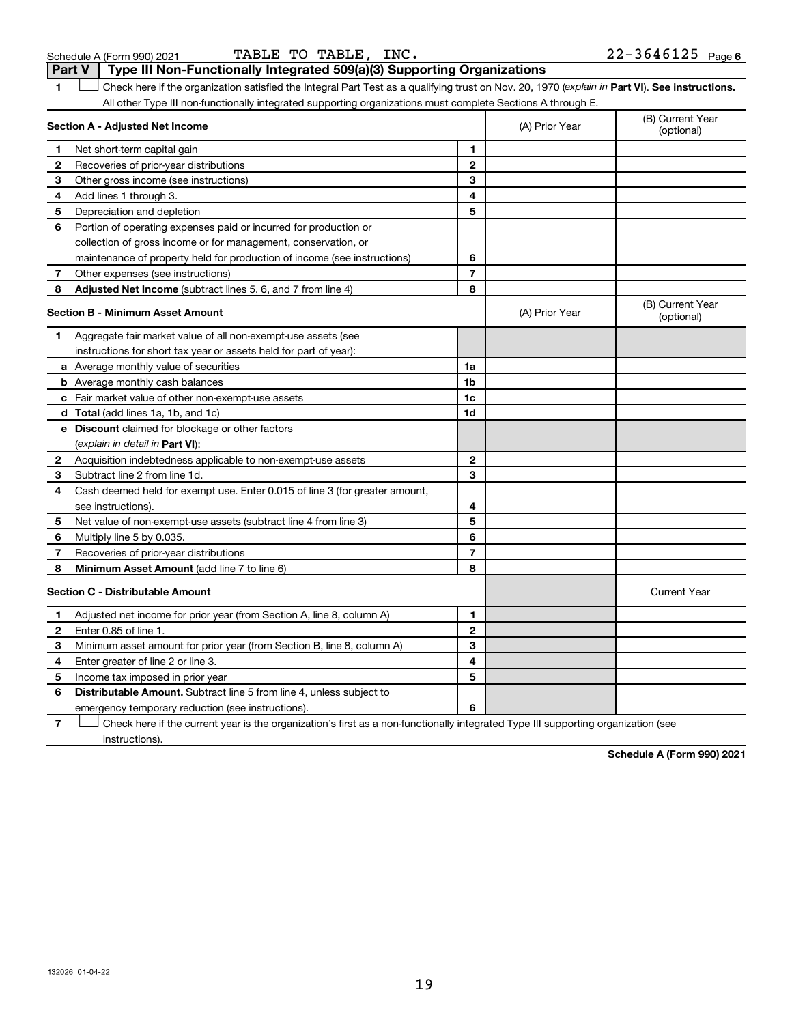$22 - 3646125$  Page 6

1 **Letter See instructions.** Check here if the organization satisfied the Integral Part Test as a qualifying trust on Nov. 20, 1970 (*explain in* Part **VI**). See instructions. **Section A - Adjusted Net Income 1 2 3 4 5 6 7 8 1 2 3 4 5 6 7 Adjusted Net Income** (subtract lines 5, 6, and 7 from line 4) **8 8 Section B - Minimum Asset Amount 1 2 3 4 5 6 7 8 a** Average monthly value of securities **b** Average monthly cash balances **c** Fair market value of other non-exempt-use assets **d Total**  (add lines 1a, 1b, and 1c) **e Discount** claimed for blockage or other factors **1a 1b 1c 1d 2 3 4 5 6 7 8** (explain in detail in Part VI): **Minimum Asset Amount**  (add line 7 to line 6) **Section C - Distributable Amount 1 2 3 4 5 6 1 2 3 4 5 6** Distributable Amount. Subtract line 5 from line 4, unless subject to All other Type III non-functionally integrated supporting organizations must complete Sections A through E. (B) Current Year (A) Prior Year Net short-term capital gain Recoveries of prior-year distributions Other gross income (see instructions) Add lines 1 through 3. Depreciation and depletion Portion of operating expenses paid or incurred for production or collection of gross income or for management, conservation, or maintenance of property held for production of income (see instructions) Other expenses (see instructions) (B) Current Year  $(A)$  Prior Year  $\left\{\n\begin{array}{ccc}\n\end{array}\n\right\}$  (optional) Aggregate fair market value of all non-exempt-use assets (see instructions for short tax year or assets held for part of year): Acquisition indebtedness applicable to non-exempt-use assets Subtract line 2 from line 1d. Cash deemed held for exempt use. Enter 0.015 of line 3 (for greater amount, see instructions). Net value of non-exempt-use assets (subtract line 4 from line 3) Multiply line 5 by 0.035. Recoveries of prior-year distributions Current Year Adjusted net income for prior year (from Section A, line 8, column A) Enter 0.85 of line 1. Minimum asset amount for prior year (from Section B, line 8, column A) Enter greater of line 2 or line 3. Income tax imposed in prior year emergency temporary reduction (see instructions).

**7** Check here if the current year is the organization's first as a non-functionally integrated Type III supporting organization (see † instructions).

**Schedule A (Form 990) 2021**

19

Schedule A (Form 990) 2021  $\qquad \qquad$  TABLE TO TABLE, INC.  $\qquad \qquad 22\text{--}3646125$   $_{\text{Page}}$ **Part V Type III Non-Functionally Integrated 509(a)(3) Supporting Organizations**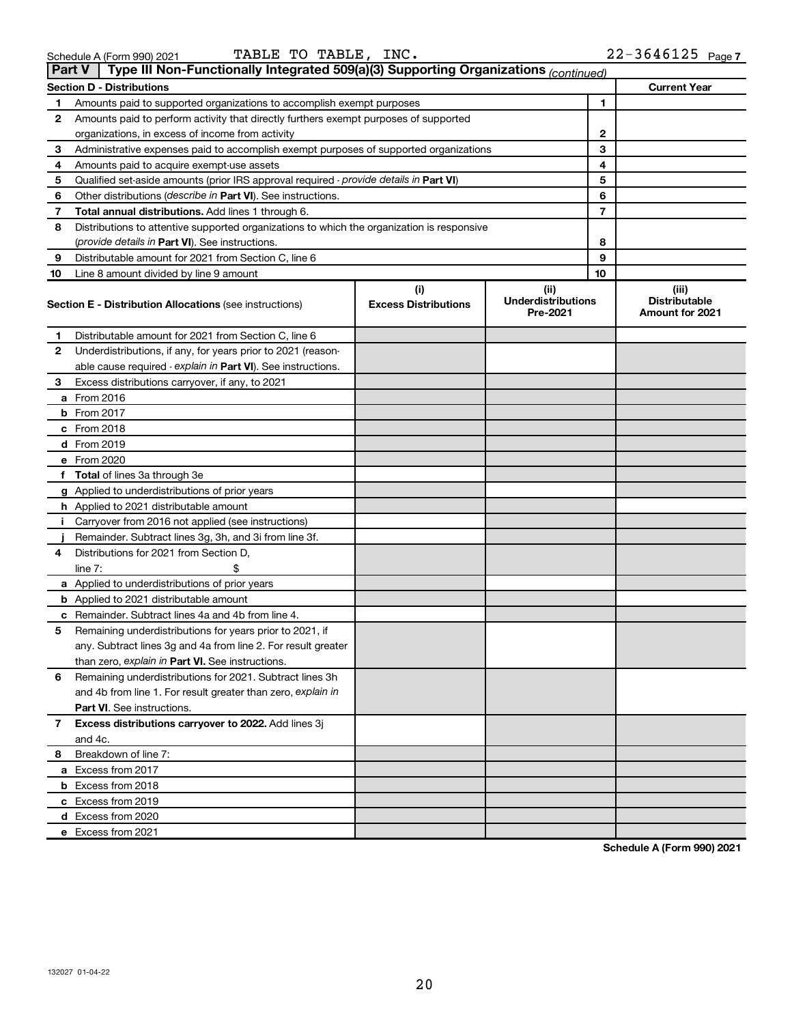|  | 3chedule A (Form 990) 2021 |  |
|--|----------------------------|--|
|  |                            |  |

|    | Type III Non-Functionally Integrated 509(a)(3) Supporting Organizations (continued)<br><b>Part V</b> |                                    |                                               |                                                  |  |  |  |  |
|----|------------------------------------------------------------------------------------------------------|------------------------------------|-----------------------------------------------|--------------------------------------------------|--|--|--|--|
|    | <b>Section D - Distributions</b>                                                                     |                                    |                                               | <b>Current Year</b>                              |  |  |  |  |
| 1  | Amounts paid to supported organizations to accomplish exempt purposes                                | 1                                  |                                               |                                                  |  |  |  |  |
| 2  | Amounts paid to perform activity that directly furthers exempt purposes of supported                 |                                    |                                               |                                                  |  |  |  |  |
|    | organizations, in excess of income from activity                                                     | 2                                  |                                               |                                                  |  |  |  |  |
| 3  | Administrative expenses paid to accomplish exempt purposes of supported organizations                | 3                                  |                                               |                                                  |  |  |  |  |
| 4  | Amounts paid to acquire exempt-use assets                                                            |                                    | 4                                             |                                                  |  |  |  |  |
| 5  | Qualified set-aside amounts (prior IRS approval required - provide details in Part VI)               |                                    | 5                                             |                                                  |  |  |  |  |
| 6  | Other distributions (describe in Part VI). See instructions.                                         |                                    | 6                                             |                                                  |  |  |  |  |
| 7  | Total annual distributions. Add lines 1 through 6.                                                   |                                    | 7                                             |                                                  |  |  |  |  |
| 8  | Distributions to attentive supported organizations to which the organization is responsive           |                                    |                                               |                                                  |  |  |  |  |
|    | (provide details in Part VI). See instructions.                                                      |                                    | 8                                             |                                                  |  |  |  |  |
| 9  | Distributable amount for 2021 from Section C, line 6                                                 |                                    | 9                                             |                                                  |  |  |  |  |
| 10 | Line 8 amount divided by line 9 amount                                                               |                                    | 10                                            |                                                  |  |  |  |  |
|    | <b>Section E - Distribution Allocations (see instructions)</b>                                       | (i)<br><b>Excess Distributions</b> | (ii)<br><b>Underdistributions</b><br>Pre-2021 | (iii)<br><b>Distributable</b><br>Amount for 2021 |  |  |  |  |
| 1  | Distributable amount for 2021 from Section C, line 6                                                 |                                    |                                               |                                                  |  |  |  |  |
| 2  | Underdistributions, if any, for years prior to 2021 (reason-                                         |                                    |                                               |                                                  |  |  |  |  |
|    | able cause required - explain in Part VI). See instructions.                                         |                                    |                                               |                                                  |  |  |  |  |
| 3  | Excess distributions carryover, if any, to 2021                                                      |                                    |                                               |                                                  |  |  |  |  |
|    | a From 2016                                                                                          |                                    |                                               |                                                  |  |  |  |  |
|    | <b>b</b> From 2017                                                                                   |                                    |                                               |                                                  |  |  |  |  |
|    | c From 2018                                                                                          |                                    |                                               |                                                  |  |  |  |  |
|    | d From 2019                                                                                          |                                    |                                               |                                                  |  |  |  |  |
|    | e From 2020                                                                                          |                                    |                                               |                                                  |  |  |  |  |
|    | f Total of lines 3a through 3e                                                                       |                                    |                                               |                                                  |  |  |  |  |
|    | g Applied to underdistributions of prior years                                                       |                                    |                                               |                                                  |  |  |  |  |
|    | <b>h</b> Applied to 2021 distributable amount                                                        |                                    |                                               |                                                  |  |  |  |  |
|    | Carryover from 2016 not applied (see instructions)                                                   |                                    |                                               |                                                  |  |  |  |  |
|    | Remainder. Subtract lines 3g, 3h, and 3i from line 3f.                                               |                                    |                                               |                                                  |  |  |  |  |
| 4  | Distributions for 2021 from Section D,                                                               |                                    |                                               |                                                  |  |  |  |  |
|    | line $7:$                                                                                            |                                    |                                               |                                                  |  |  |  |  |
|    | a Applied to underdistributions of prior years                                                       |                                    |                                               |                                                  |  |  |  |  |
|    | <b>b</b> Applied to 2021 distributable amount                                                        |                                    |                                               |                                                  |  |  |  |  |
|    | <b>c</b> Remainder. Subtract lines 4a and 4b from line 4.                                            |                                    |                                               |                                                  |  |  |  |  |
| 5  | Remaining underdistributions for years prior to 2021, if                                             |                                    |                                               |                                                  |  |  |  |  |
|    | any. Subtract lines 3g and 4a from line 2. For result greater                                        |                                    |                                               |                                                  |  |  |  |  |
|    | than zero, explain in Part VI. See instructions.                                                     |                                    |                                               |                                                  |  |  |  |  |
| 6  | Remaining underdistributions for 2021. Subtract lines 3h                                             |                                    |                                               |                                                  |  |  |  |  |
|    | and 4b from line 1. For result greater than zero, explain in                                         |                                    |                                               |                                                  |  |  |  |  |
|    | <b>Part VI.</b> See instructions.                                                                    |                                    |                                               |                                                  |  |  |  |  |
| 7  | Excess distributions carryover to 2022. Add lines 3j                                                 |                                    |                                               |                                                  |  |  |  |  |
|    | and 4c.                                                                                              |                                    |                                               |                                                  |  |  |  |  |
| 8  | Breakdown of line 7:                                                                                 |                                    |                                               |                                                  |  |  |  |  |
|    | a Excess from 2017                                                                                   |                                    |                                               |                                                  |  |  |  |  |
|    | <b>b</b> Excess from 2018                                                                            |                                    |                                               |                                                  |  |  |  |  |
|    | c Excess from 2019                                                                                   |                                    |                                               |                                                  |  |  |  |  |
|    | d Excess from 2020                                                                                   |                                    |                                               |                                                  |  |  |  |  |
|    | e Excess from 2021                                                                                   |                                    |                                               |                                                  |  |  |  |  |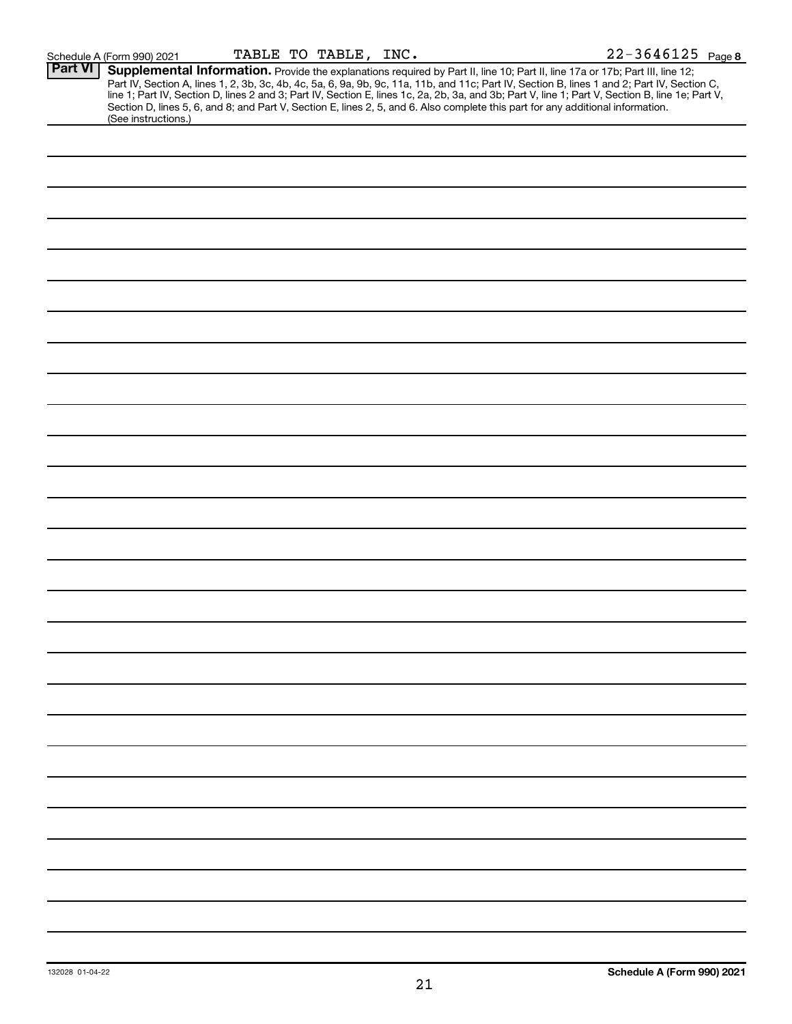|                | Schedule A (Form 990) 2021                                                                                                                                                                                                                                                                                                                                                                                                                                                                                                                                                                  |  | TABLE TO TABLE, INC. |  | 22-3646125 Page 8 |  |
|----------------|---------------------------------------------------------------------------------------------------------------------------------------------------------------------------------------------------------------------------------------------------------------------------------------------------------------------------------------------------------------------------------------------------------------------------------------------------------------------------------------------------------------------------------------------------------------------------------------------|--|----------------------|--|-------------------|--|
| <b>Part VI</b> | Supplemental Information. Provide the explanations required by Part II, line 10; Part II, line 17a or 17b; Part III, line 12;<br>Part IV, Section A, lines 1, 2, 3b, 3c, 4b, 4c, 5a, 6, 9a, 9b, 9c, 11a, 11b, and 11c; Part IV, Section B, lines 1 and 2; Part IV, Section C,<br>line 1; Part IV, Section D, lines 2 and 3; Part IV, Section E, lines 1c, 2a, 2b, 3a, and 3b; Part V, line 1; Part V, Section B, line 1e; Part V,<br>Section D, lines 5, 6, and 8; and Part V, Section E, lines 2, 5, and 6. Also complete this part for any additional information.<br>(See instructions.) |  |                      |  |                   |  |
|                |                                                                                                                                                                                                                                                                                                                                                                                                                                                                                                                                                                                             |  |                      |  |                   |  |
|                |                                                                                                                                                                                                                                                                                                                                                                                                                                                                                                                                                                                             |  |                      |  |                   |  |
|                |                                                                                                                                                                                                                                                                                                                                                                                                                                                                                                                                                                                             |  |                      |  |                   |  |
|                |                                                                                                                                                                                                                                                                                                                                                                                                                                                                                                                                                                                             |  |                      |  |                   |  |
|                |                                                                                                                                                                                                                                                                                                                                                                                                                                                                                                                                                                                             |  |                      |  |                   |  |
|                |                                                                                                                                                                                                                                                                                                                                                                                                                                                                                                                                                                                             |  |                      |  |                   |  |
|                |                                                                                                                                                                                                                                                                                                                                                                                                                                                                                                                                                                                             |  |                      |  |                   |  |
|                |                                                                                                                                                                                                                                                                                                                                                                                                                                                                                                                                                                                             |  |                      |  |                   |  |
|                |                                                                                                                                                                                                                                                                                                                                                                                                                                                                                                                                                                                             |  |                      |  |                   |  |
|                |                                                                                                                                                                                                                                                                                                                                                                                                                                                                                                                                                                                             |  |                      |  |                   |  |
|                |                                                                                                                                                                                                                                                                                                                                                                                                                                                                                                                                                                                             |  |                      |  |                   |  |
|                |                                                                                                                                                                                                                                                                                                                                                                                                                                                                                                                                                                                             |  |                      |  |                   |  |
|                |                                                                                                                                                                                                                                                                                                                                                                                                                                                                                                                                                                                             |  |                      |  |                   |  |
|                |                                                                                                                                                                                                                                                                                                                                                                                                                                                                                                                                                                                             |  |                      |  |                   |  |
|                |                                                                                                                                                                                                                                                                                                                                                                                                                                                                                                                                                                                             |  |                      |  |                   |  |
|                |                                                                                                                                                                                                                                                                                                                                                                                                                                                                                                                                                                                             |  |                      |  |                   |  |
|                |                                                                                                                                                                                                                                                                                                                                                                                                                                                                                                                                                                                             |  |                      |  |                   |  |
|                |                                                                                                                                                                                                                                                                                                                                                                                                                                                                                                                                                                                             |  |                      |  |                   |  |
|                |                                                                                                                                                                                                                                                                                                                                                                                                                                                                                                                                                                                             |  |                      |  |                   |  |
|                |                                                                                                                                                                                                                                                                                                                                                                                                                                                                                                                                                                                             |  |                      |  |                   |  |
|                |                                                                                                                                                                                                                                                                                                                                                                                                                                                                                                                                                                                             |  |                      |  |                   |  |
|                |                                                                                                                                                                                                                                                                                                                                                                                                                                                                                                                                                                                             |  |                      |  |                   |  |
|                |                                                                                                                                                                                                                                                                                                                                                                                                                                                                                                                                                                                             |  |                      |  |                   |  |
|                |                                                                                                                                                                                                                                                                                                                                                                                                                                                                                                                                                                                             |  |                      |  |                   |  |
|                |                                                                                                                                                                                                                                                                                                                                                                                                                                                                                                                                                                                             |  |                      |  |                   |  |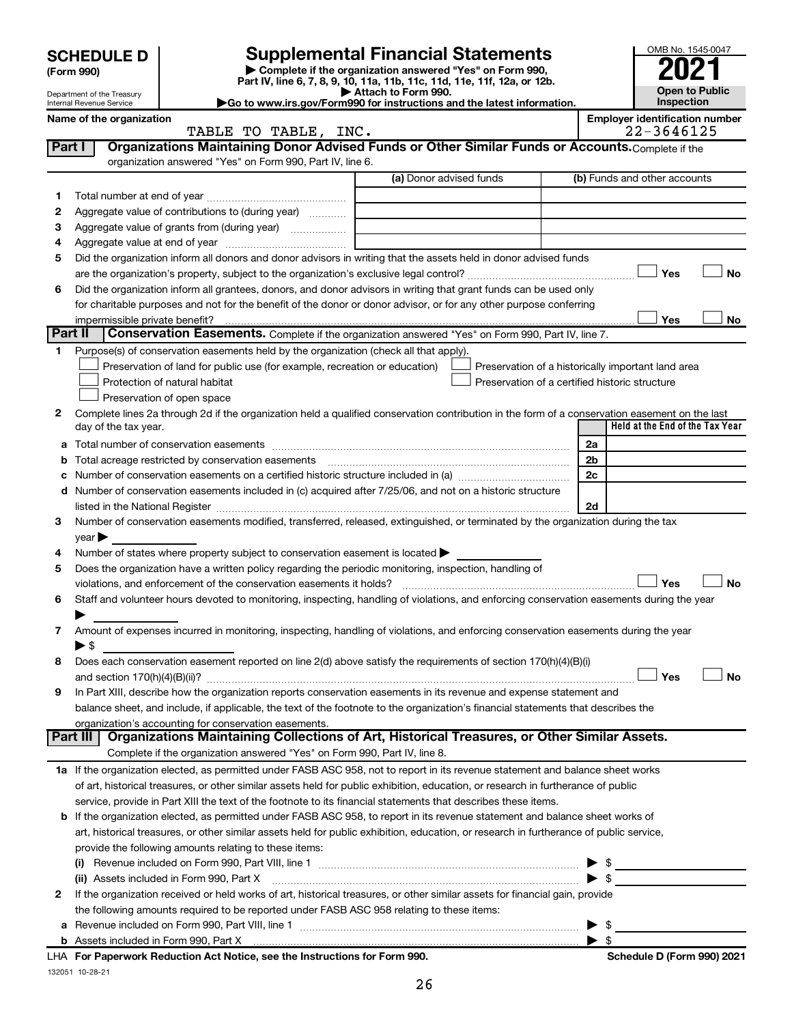|         | <b>SCHEDULE D</b>              |                                                                                                        | <b>Supplemental Financial Statements</b>                                                                                                                                                                                                                 |                | OMB No. 1545-0047                                   |
|---------|--------------------------------|--------------------------------------------------------------------------------------------------------|----------------------------------------------------------------------------------------------------------------------------------------------------------------------------------------------------------------------------------------------------------|----------------|-----------------------------------------------------|
|         | (Form 990)                     |                                                                                                        | Complete if the organization answered "Yes" on Form 990,<br>Part IV, line 6, 7, 8, 9, 10, 11a, 11b, 11c, 11d, 11e, 11f, 12a, or 12b.                                                                                                                     |                |                                                     |
|         | Department of the Treasury     |                                                                                                        | Attach to Form 990.                                                                                                                                                                                                                                      | Open to Public |                                                     |
|         | Internal Revenue Service       |                                                                                                        | Go to www.irs.gov/Form990 for instructions and the latest information.                                                                                                                                                                                   |                | Inspection                                          |
|         | Name of the organization       | TABLE TO TABLE, INC.                                                                                   |                                                                                                                                                                                                                                                          |                | <b>Employer identification number</b><br>22-3646125 |
| Part I  |                                |                                                                                                        | Organizations Maintaining Donor Advised Funds or Other Similar Funds or Accounts. Complete if the                                                                                                                                                        |                |                                                     |
|         |                                | organization answered "Yes" on Form 990, Part IV, line 6.                                              |                                                                                                                                                                                                                                                          |                |                                                     |
|         |                                |                                                                                                        | (a) Donor advised funds                                                                                                                                                                                                                                  |                | (b) Funds and other accounts                        |
| 1       |                                |                                                                                                        |                                                                                                                                                                                                                                                          |                |                                                     |
| 2       |                                | Aggregate value of contributions to (during year)                                                      |                                                                                                                                                                                                                                                          |                |                                                     |
| З       |                                |                                                                                                        | the control of the control of the control of the control of the control of                                                                                                                                                                               |                |                                                     |
| 4       |                                |                                                                                                        |                                                                                                                                                                                                                                                          |                |                                                     |
| 5       |                                |                                                                                                        | Did the organization inform all donors and donor advisors in writing that the assets held in donor advised funds                                                                                                                                         |                | <b>No</b><br>Yes                                    |
| 6       |                                |                                                                                                        | Did the organization inform all grantees, donors, and donor advisors in writing that grant funds can be used only                                                                                                                                        |                |                                                     |
|         |                                |                                                                                                        | for charitable purposes and not for the benefit of the donor or donor advisor, or for any other purpose conferring                                                                                                                                       |                |                                                     |
|         | impermissible private benefit? |                                                                                                        |                                                                                                                                                                                                                                                          |                | Yes<br>No                                           |
| Part II |                                |                                                                                                        | Conservation Easements. Complete if the organization answered "Yes" on Form 990, Part IV, line 7.                                                                                                                                                        |                |                                                     |
| 1       |                                | Purpose(s) of conservation easements held by the organization (check all that apply).                  |                                                                                                                                                                                                                                                          |                |                                                     |
|         |                                | Preservation of land for public use (for example, recreation or education)                             | Preservation of a historically important land area                                                                                                                                                                                                       |                |                                                     |
|         |                                | Protection of natural habitat                                                                          | Preservation of a certified historic structure                                                                                                                                                                                                           |                |                                                     |
|         |                                | Preservation of open space                                                                             |                                                                                                                                                                                                                                                          |                |                                                     |
| 2       |                                |                                                                                                        | Complete lines 2a through 2d if the organization held a qualified conservation contribution in the form of a conservation easement on the last                                                                                                           |                |                                                     |
|         | day of the tax year.           |                                                                                                        |                                                                                                                                                                                                                                                          |                | Held at the End of the Tax Year                     |
| а       |                                |                                                                                                        |                                                                                                                                                                                                                                                          | 2a             |                                                     |
| b       |                                | Total acreage restricted by conservation easements                                                     |                                                                                                                                                                                                                                                          | 2b             |                                                     |
| с       |                                |                                                                                                        |                                                                                                                                                                                                                                                          | 2c             |                                                     |
| d       |                                |                                                                                                        | Number of conservation easements included in (c) acquired after 7/25/06, and not on a historic structure                                                                                                                                                 |                |                                                     |
|         |                                |                                                                                                        | listed in the National Register [1,1,2000] [1,2000] [1,2000] [1,2000] [1,2000] [1,2000] [1,2000] [1,2000] [1,2000] [<br>Number of conservation easements modified, transferred, released, extinguished, or terminated by the organization during the tax | 2d             |                                                     |
| 3       | $year \triangleright$          |                                                                                                        |                                                                                                                                                                                                                                                          |                |                                                     |
| 4       |                                | Number of states where property subject to conservation easement is located $\blacktriangleright$      |                                                                                                                                                                                                                                                          |                |                                                     |
| 5       |                                | Does the organization have a written policy regarding the periodic monitoring, inspection, handling of |                                                                                                                                                                                                                                                          |                |                                                     |
|         |                                | violations, and enforcement of the conservation easements it holds?                                    |                                                                                                                                                                                                                                                          |                | Yes<br>No                                           |
| 6       |                                |                                                                                                        | Staff and volunteer hours devoted to monitoring, inspecting, handling of violations, and enforcing conservation easements during the year                                                                                                                |                |                                                     |
|         |                                |                                                                                                        |                                                                                                                                                                                                                                                          |                |                                                     |
| 7       |                                |                                                                                                        | Amount of expenses incurred in monitoring, inspecting, handling of violations, and enforcing conservation easements during the year                                                                                                                      |                |                                                     |
|         | $\blacktriangleright$ \$       |                                                                                                        |                                                                                                                                                                                                                                                          |                |                                                     |
| 8       |                                |                                                                                                        | Does each conservation easement reported on line $2(d)$ above satisfy the requirements of section 170(h)(4)(B)(i)                                                                                                                                        |                |                                                     |
|         |                                |                                                                                                        |                                                                                                                                                                                                                                                          |                | Yes<br>No                                           |
| 9       |                                |                                                                                                        | In Part XIII, describe how the organization reports conservation easements in its revenue and expense statement and                                                                                                                                      |                |                                                     |
|         |                                |                                                                                                        | balance sheet, and include, if applicable, the text of the footnote to the organization's financial statements that describes the                                                                                                                        |                |                                                     |
|         | Part III                       | organization's accounting for conservation easements.                                                  | Organizations Maintaining Collections of Art, Historical Treasures, or Other Similar Assets.                                                                                                                                                             |                |                                                     |
|         |                                | Complete if the organization answered "Yes" on Form 990, Part IV, line 8.                              |                                                                                                                                                                                                                                                          |                |                                                     |
|         |                                |                                                                                                        | 1a If the organization elected, as permitted under FASB ASC 958, not to report in its revenue statement and balance sheet works                                                                                                                          |                |                                                     |
|         |                                |                                                                                                        | of art, historical treasures, or other similar assets held for public exhibition, education, or research in furtherance of public                                                                                                                        |                |                                                     |
|         |                                |                                                                                                        | service, provide in Part XIII the text of the footnote to its financial statements that describes these items.                                                                                                                                           |                |                                                     |
|         |                                |                                                                                                        | <b>b</b> If the organization elected, as permitted under FASB ASC 958, to report in its revenue statement and balance sheet works of                                                                                                                     |                |                                                     |
|         |                                |                                                                                                        | art, historical treasures, or other similar assets held for public exhibition, education, or research in furtherance of public service,                                                                                                                  |                |                                                     |
|         |                                | provide the following amounts relating to these items:                                                 |                                                                                                                                                                                                                                                          |                |                                                     |
|         | $\left( 1\right)$              |                                                                                                        |                                                                                                                                                                                                                                                          |                | \$                                                  |
|         |                                | (ii) Assets included in Form 990, Part X                                                               |                                                                                                                                                                                                                                                          |                |                                                     |
| 2       |                                |                                                                                                        | If the organization received or held works of art, historical treasures, or other similar assets for financial gain, provide                                                                                                                             |                |                                                     |
|         |                                | the following amounts required to be reported under FASB ASC 958 relating to these items:              |                                                                                                                                                                                                                                                          |                |                                                     |
| a       |                                |                                                                                                        |                                                                                                                                                                                                                                                          |                | -\$                                                 |

| <b>b</b> Assets included in Form 990. Part X                               | $\blacktriangleright$ s |  |
|----------------------------------------------------------------------------|-------------------------|--|
| LHA For Paperwork Reduction Act Notice, see the Instructions for Form 990. |                         |  |
| 132051 10-28-21                                                            |                         |  |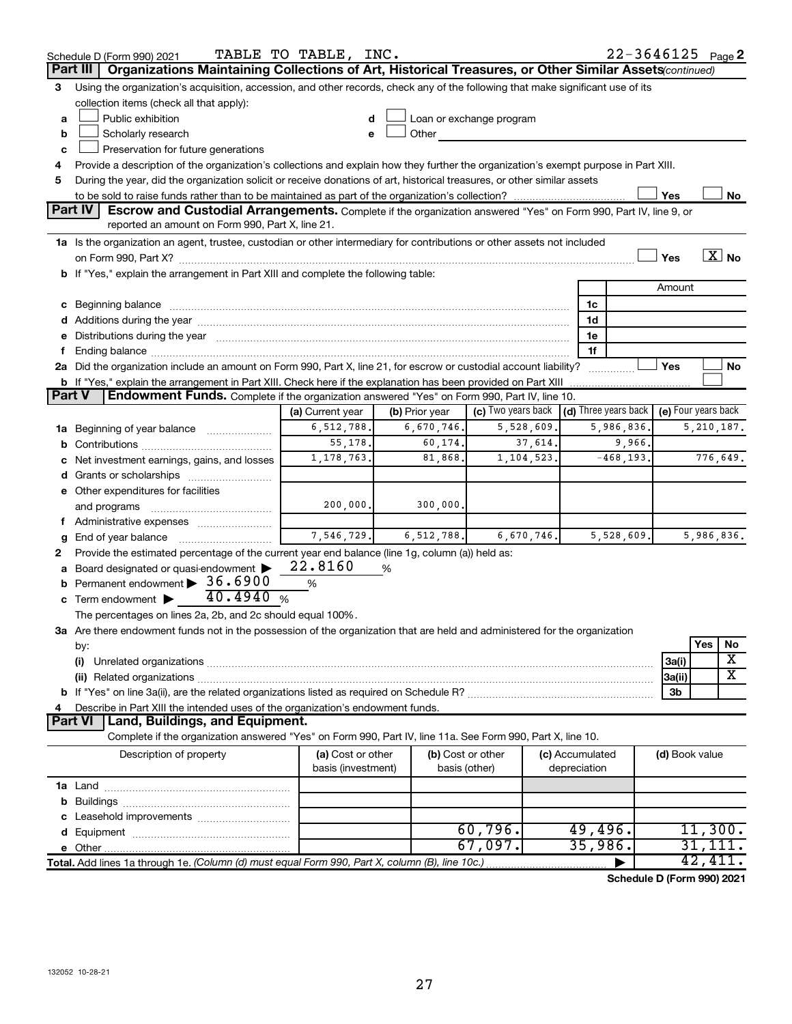|               | Schedule D (Form 990) 2021<br>Organizations Maintaining Collections of Art, Historical Treasures, or Other Similar Assets (continued)                                                                                          | TABLE TO TABLE, INC.                    |                |                                                                                                                                                                                                                                |              |                                 | $22 - 3646125$ Page 2 |                |              |                       |
|---------------|--------------------------------------------------------------------------------------------------------------------------------------------------------------------------------------------------------------------------------|-----------------------------------------|----------------|--------------------------------------------------------------------------------------------------------------------------------------------------------------------------------------------------------------------------------|--------------|---------------------------------|-----------------------|----------------|--------------|-----------------------|
|               | Part III                                                                                                                                                                                                                       |                                         |                |                                                                                                                                                                                                                                |              |                                 |                       |                |              |                       |
| 3             | Using the organization's acquisition, accession, and other records, check any of the following that make significant use of its<br>collection items (check all that apply):                                                    |                                         |                |                                                                                                                                                                                                                                |              |                                 |                       |                |              |                       |
| a             | Public exhibition                                                                                                                                                                                                              |                                         |                | Loan or exchange program                                                                                                                                                                                                       |              |                                 |                       |                |              |                       |
| b             | Scholarly research                                                                                                                                                                                                             |                                         |                | Other and the control of the control of the control of the control of the control of the control of the control of the control of the control of the control of the control of the control of the control of the control of th |              |                                 |                       |                |              |                       |
| c             | Preservation for future generations                                                                                                                                                                                            |                                         |                |                                                                                                                                                                                                                                |              |                                 |                       |                |              |                       |
| 4             | Provide a description of the organization's collections and explain how they further the organization's exempt purpose in Part XIII.                                                                                           |                                         |                |                                                                                                                                                                                                                                |              |                                 |                       |                |              |                       |
| 5             | During the year, did the organization solicit or receive donations of art, historical treasures, or other similar assets                                                                                                       |                                         |                |                                                                                                                                                                                                                                |              |                                 |                       |                |              |                       |
|               |                                                                                                                                                                                                                                |                                         |                |                                                                                                                                                                                                                                |              |                                 |                       | Yes            |              | No                    |
|               | <b>Part IV</b><br><b>Escrow and Custodial Arrangements.</b> Complete if the organization answered "Yes" on Form 990, Part IV, line 9, or                                                                                       |                                         |                |                                                                                                                                                                                                                                |              |                                 |                       |                |              |                       |
|               | reported an amount on Form 990, Part X, line 21.                                                                                                                                                                               |                                         |                |                                                                                                                                                                                                                                |              |                                 |                       |                |              |                       |
|               | 1a Is the organization an agent, trustee, custodian or other intermediary for contributions or other assets not included                                                                                                       |                                         |                |                                                                                                                                                                                                                                |              |                                 |                       |                |              |                       |
|               | on Form 990, Part X? [[[[[[[[[[[[[[[[[[[]]]]]]]]]]]] on Form 990, Part X?                                                                                                                                                      |                                         |                |                                                                                                                                                                                                                                |              |                                 |                       | Yes            |              | $\boxed{\text{X}}$ No |
|               | b If "Yes," explain the arrangement in Part XIII and complete the following table:                                                                                                                                             |                                         |                |                                                                                                                                                                                                                                |              |                                 |                       |                |              |                       |
|               |                                                                                                                                                                                                                                |                                         |                |                                                                                                                                                                                                                                |              |                                 |                       | Amount         |              |                       |
|               | c Beginning balance measurements and the contract of the contract of the contract of the contract of the contract of the contract of the contract of the contract of the contract of the contract of the contract of the contr |                                         |                |                                                                                                                                                                                                                                |              | 1c                              |                       |                |              |                       |
|               | d Additions during the year manufactured and an account of the year manufactured and account of the year manufactured and account of the year manufactured and account of the year manufactured and account of the year manufa |                                         |                |                                                                                                                                                                                                                                |              | 1d                              |                       |                |              |                       |
|               | e Distributions during the year manufactured and continuum and contract the year manufactured and contract the                                                                                                                 |                                         |                |                                                                                                                                                                                                                                |              | 1e                              |                       |                |              |                       |
|               | Ending balance manufactured and contract the contract of the contract of the contract of the contract of the contract of the contract of the contract of the contract of the contract of the contract of the contract of the c |                                         |                |                                                                                                                                                                                                                                |              | 1f                              |                       |                |              |                       |
|               | 2a Did the organization include an amount on Form 990, Part X, line 21, for escrow or custodial account liability?                                                                                                             |                                         |                |                                                                                                                                                                                                                                |              |                                 | .                     | Yes            |              | No                    |
|               |                                                                                                                                                                                                                                |                                         |                |                                                                                                                                                                                                                                |              |                                 |                       |                |              |                       |
| <b>Part V</b> | Endowment Funds. Complete if the organization answered "Yes" on Form 990, Part IV, line 10.                                                                                                                                    |                                         |                |                                                                                                                                                                                                                                |              |                                 |                       |                |              |                       |
|               |                                                                                                                                                                                                                                | (a) Current year $\vert$                | (b) Prior year | (c) Two years back $\vert$ (d) Three years back $\vert$ (e) Four years back                                                                                                                                                    |              |                                 |                       |                |              |                       |
|               | 1a Beginning of year balance                                                                                                                                                                                                   | 6, 512, 788.                            | 6,670,746.     |                                                                                                                                                                                                                                | 5,528,609.   |                                 | 5,986,836.            |                | 5, 210, 187. |                       |
|               |                                                                                                                                                                                                                                | 55,178.                                 | 60,174.        |                                                                                                                                                                                                                                | 37,614.      |                                 | 9,966.                |                |              |                       |
|               | c Net investment earnings, gains, and losses                                                                                                                                                                                   | 1, 178, 763.                            | 81,868.        |                                                                                                                                                                                                                                | 1, 104, 523. |                                 | $-468, 193.$          |                | 776,649.     |                       |
|               | d Grants or scholarships                                                                                                                                                                                                       |                                         |                |                                                                                                                                                                                                                                |              |                                 |                       |                |              |                       |
|               | e Other expenditures for facilities                                                                                                                                                                                            |                                         |                |                                                                                                                                                                                                                                |              |                                 |                       |                |              |                       |
|               | and programs                                                                                                                                                                                                                   | 200,000.                                | 300,000.       |                                                                                                                                                                                                                                |              |                                 |                       |                |              |                       |
|               | f Administrative expenses                                                                                                                                                                                                      |                                         |                |                                                                                                                                                                                                                                |              |                                 |                       |                |              |                       |
| g             |                                                                                                                                                                                                                                | 7,546,729.                              | 6, 512, 788.   |                                                                                                                                                                                                                                | 6,670,746.   |                                 | 5,528,609.            |                | 5,986,836.   |                       |
| 2             | Provide the estimated percentage of the current year end balance (line 1g, column (a)) held as:                                                                                                                                |                                         |                |                                                                                                                                                                                                                                |              |                                 |                       |                |              |                       |
|               | a Board designated or quasi-endowment >                                                                                                                                                                                        | 22.8160                                 | %              |                                                                                                                                                                                                                                |              |                                 |                       |                |              |                       |
|               | <b>b</b> Permanent endowment $\triangleright$ 36.6900                                                                                                                                                                          | %                                       |                |                                                                                                                                                                                                                                |              |                                 |                       |                |              |                       |
|               | 40.4940%<br>c Term endowment $\blacktriangleright$                                                                                                                                                                             |                                         |                |                                                                                                                                                                                                                                |              |                                 |                       |                |              |                       |
|               | The percentages on lines 2a, 2b, and 2c should equal 100%.                                                                                                                                                                     |                                         |                |                                                                                                                                                                                                                                |              |                                 |                       |                |              |                       |
|               | 3a Are there endowment funds not in the possession of the organization that are held and administered for the organization                                                                                                     |                                         |                |                                                                                                                                                                                                                                |              |                                 |                       |                |              |                       |
|               | by:                                                                                                                                                                                                                            |                                         |                |                                                                                                                                                                                                                                |              |                                 |                       |                | Yes          | No                    |
|               | (i)                                                                                                                                                                                                                            |                                         |                |                                                                                                                                                                                                                                |              |                                 |                       | 3a(i)          |              | X                     |
|               |                                                                                                                                                                                                                                |                                         |                |                                                                                                                                                                                                                                |              |                                 |                       | 3a(ii)         |              | х                     |
|               |                                                                                                                                                                                                                                |                                         |                |                                                                                                                                                                                                                                |              |                                 |                       | 3b             |              |                       |
| 4             | Describe in Part XIII the intended uses of the organization's endowment funds.                                                                                                                                                 |                                         |                |                                                                                                                                                                                                                                |              |                                 |                       |                |              |                       |
|               | Land, Buildings, and Equipment.<br><b>Part VI</b>                                                                                                                                                                              |                                         |                |                                                                                                                                                                                                                                |              |                                 |                       |                |              |                       |
|               | Complete if the organization answered "Yes" on Form 990, Part IV, line 11a. See Form 990, Part X, line 10.                                                                                                                     |                                         |                |                                                                                                                                                                                                                                |              |                                 |                       |                |              |                       |
|               | Description of property                                                                                                                                                                                                        | (a) Cost or other<br>basis (investment) |                | (b) Cost or other<br>basis (other)                                                                                                                                                                                             |              | (c) Accumulated<br>depreciation |                       | (d) Book value |              |                       |
|               |                                                                                                                                                                                                                                |                                         |                |                                                                                                                                                                                                                                |              |                                 |                       |                |              |                       |
|               |                                                                                                                                                                                                                                |                                         |                |                                                                                                                                                                                                                                |              |                                 |                       |                |              |                       |
|               |                                                                                                                                                                                                                                |                                         |                |                                                                                                                                                                                                                                |              |                                 |                       |                |              |                       |
|               |                                                                                                                                                                                                                                |                                         |                | 60,796.                                                                                                                                                                                                                        |              | 49,496.                         |                       |                | 11,300.      |                       |
|               |                                                                                                                                                                                                                                |                                         |                | 67,097.                                                                                                                                                                                                                        |              | 35,986.                         |                       |                | 31,1         | 11.                   |
|               | Total. Add lines 1a through 1e. (Column (d) must equal Form 990, Part X, column (B), line 10c.)                                                                                                                                |                                         |                |                                                                                                                                                                                                                                |              |                                 |                       |                | 42,411.      |                       |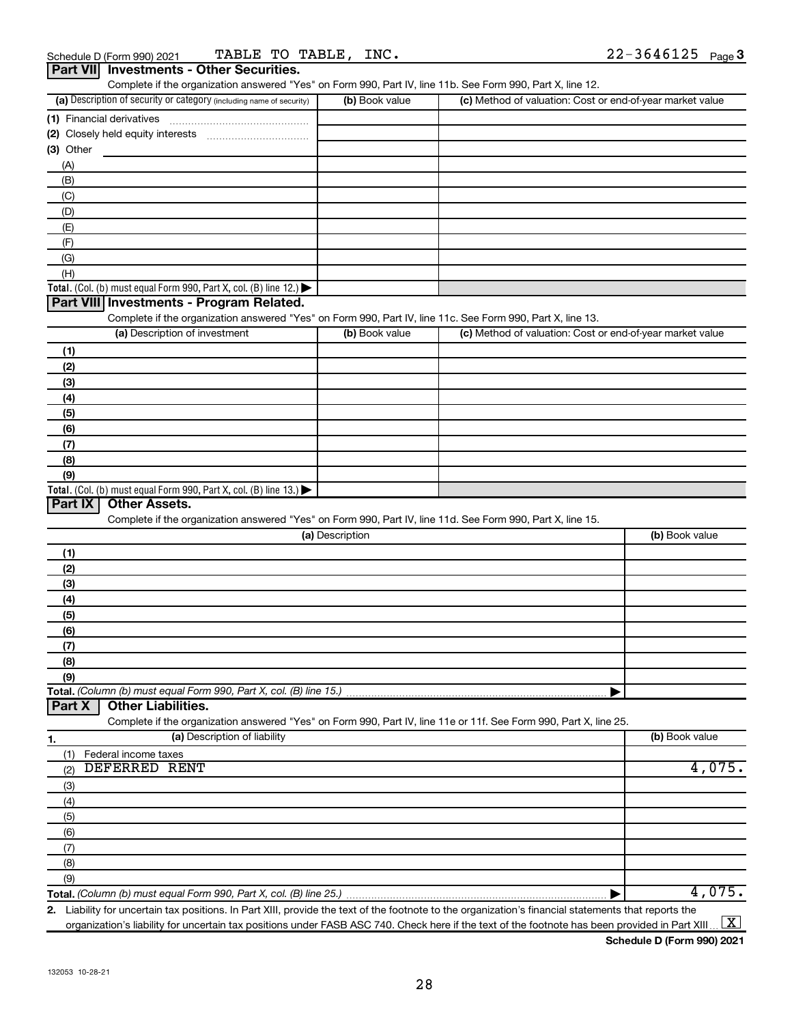|           | Part VIII Investments - Other Securities.<br>Complete if the organization answered "Yes" on Form 990, Part IV, line 11b. See Form 990, Part X, line 12. |                 |                                                           |                |
|-----------|---------------------------------------------------------------------------------------------------------------------------------------------------------|-----------------|-----------------------------------------------------------|----------------|
|           | (a) Description of security or category (including name of security)                                                                                    | (b) Book value  | (c) Method of valuation: Cost or end-of-year market value |                |
|           | (1) Financial derivatives                                                                                                                               |                 |                                                           |                |
|           | (2) Closely held equity interests                                                                                                                       |                 |                                                           |                |
| (3) Other |                                                                                                                                                         |                 |                                                           |                |
| (A)       |                                                                                                                                                         |                 |                                                           |                |
| (B)       |                                                                                                                                                         |                 |                                                           |                |
| (C)       |                                                                                                                                                         |                 |                                                           |                |
| (D)       |                                                                                                                                                         |                 |                                                           |                |
| (E)       |                                                                                                                                                         |                 |                                                           |                |
| (F)       |                                                                                                                                                         |                 |                                                           |                |
| (G)       |                                                                                                                                                         |                 |                                                           |                |
| (H)       |                                                                                                                                                         |                 |                                                           |                |
|           | Total. (Col. (b) must equal Form 990, Part X, col. (B) line 12.) $\blacktriangleright$                                                                  |                 |                                                           |                |
|           | Part VIII Investments - Program Related.                                                                                                                |                 |                                                           |                |
|           | Complete if the organization answered "Yes" on Form 990, Part IV, line 11c. See Form 990, Part X, line 13.                                              |                 |                                                           |                |
|           | (a) Description of investment                                                                                                                           | (b) Book value  | (c) Method of valuation: Cost or end-of-year market value |                |
| (1)       |                                                                                                                                                         |                 |                                                           |                |
| (2)       |                                                                                                                                                         |                 |                                                           |                |
| (3)       |                                                                                                                                                         |                 |                                                           |                |
| (4)       |                                                                                                                                                         |                 |                                                           |                |
| (5)       |                                                                                                                                                         |                 |                                                           |                |
| (6)       |                                                                                                                                                         |                 |                                                           |                |
| (7)       |                                                                                                                                                         |                 |                                                           |                |
| (8)       |                                                                                                                                                         |                 |                                                           |                |
| (9)       |                                                                                                                                                         |                 |                                                           |                |
|           | Total. (Col. (b) must equal Form 990, Part X, col. (B) line 13.)                                                                                        |                 |                                                           |                |
| Part IX   | <b>Other Assets.</b>                                                                                                                                    |                 |                                                           |                |
|           | Complete if the organization answered "Yes" on Form 990, Part IV, line 11d. See Form 990, Part X, line 15.                                              |                 |                                                           |                |
|           |                                                                                                                                                         | (a) Description |                                                           | (b) Book value |
| (1)       |                                                                                                                                                         |                 |                                                           |                |
| (2)       |                                                                                                                                                         |                 |                                                           |                |
| (3)       |                                                                                                                                                         |                 |                                                           |                |
| (4)       |                                                                                                                                                         |                 |                                                           |                |
| (5)       |                                                                                                                                                         |                 |                                                           |                |
| (6)       |                                                                                                                                                         |                 |                                                           |                |
| (7)       |                                                                                                                                                         |                 |                                                           |                |
| (8)       |                                                                                                                                                         |                 |                                                           |                |
| (9)       |                                                                                                                                                         |                 |                                                           |                |
|           | Total. (Column (b) must equal Form 990, Part X, col. (B) line 15.)                                                                                      |                 |                                                           |                |
| Part X    | <b>Other Liabilities.</b>                                                                                                                               |                 |                                                           |                |
|           | Complete if the organization answered "Yes" on Form 990, Part IV, line 11e or 11f. See Form 990, Part X, line 25.                                       |                 |                                                           |                |
| 1.        | (a) Description of liability                                                                                                                            |                 |                                                           | (b) Book value |
| (1)       | Federal income taxes<br><b>DEFERRED RENT</b>                                                                                                            |                 |                                                           |                |
| (2)       |                                                                                                                                                         |                 |                                                           | 4,075.         |
| (3)       |                                                                                                                                                         |                 |                                                           |                |
| (4)       |                                                                                                                                                         |                 |                                                           |                |
| (5)       |                                                                                                                                                         |                 |                                                           |                |
| (6)       |                                                                                                                                                         |                 |                                                           |                |
| (7)       |                                                                                                                                                         |                 |                                                           |                |
| (8)       |                                                                                                                                                         |                 |                                                           |                |
| (9)       |                                                                                                                                                         |                 |                                                           | 4,075.         |
|           | Total. (Column (b) must equal Form 990, Part X, col. (B) line 25.)                                                                                      |                 |                                                           |                |

**2.** Liability for uncertain tax positions. In Part XIII, provide the text of the footnote to the organization's financial statements that reports the organization's liability for uncertain tax positions under FASB ASC 740. Check here if the text of the footnote has been provided in Part XIII ...  $\fbox{\bf X}$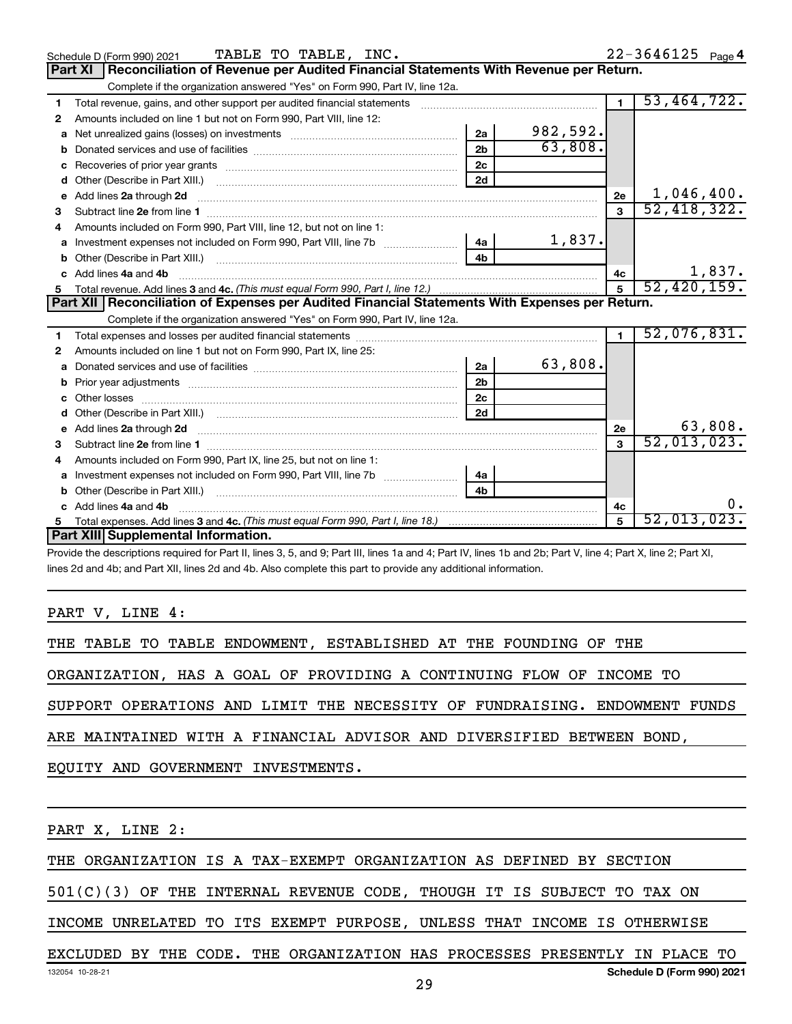|    | TABLE TO TABLE, INC.<br>Schedule D (Form 990) 2021                                                                                                                                                                            |                |          |                | $22 - 3646125$ Page 4 |
|----|-------------------------------------------------------------------------------------------------------------------------------------------------------------------------------------------------------------------------------|----------------|----------|----------------|-----------------------|
|    | Part XI<br>Reconciliation of Revenue per Audited Financial Statements With Revenue per Return.                                                                                                                                |                |          |                |                       |
|    | Complete if the organization answered "Yes" on Form 990, Part IV, line 12a.                                                                                                                                                   |                |          |                |                       |
| 1  | Total revenue, gains, and other support per audited financial statements                                                                                                                                                      |                |          | $\blacksquare$ | 53,464,722.           |
| 2  | Amounts included on line 1 but not on Form 990, Part VIII, line 12:                                                                                                                                                           |                |          |                |                       |
| a  | Net unrealized gains (losses) on investments [111] Met unrealized main states and investments [11] Metamas and the university of the unrealized main states and the unrealized main states and the unrealized main states and | 2a             | 982,592. |                |                       |
| b  |                                                                                                                                                                                                                               | 2 <sub>b</sub> | 63,808.  |                |                       |
|    |                                                                                                                                                                                                                               | 2c             |          |                |                       |
| d  |                                                                                                                                                                                                                               |                |          |                |                       |
| e  | Add lines 2a through 2d                                                                                                                                                                                                       |                |          | 2e             | 1,046,400.            |
| 3  |                                                                                                                                                                                                                               |                |          | $\mathbf{a}$   | 52,418,322.           |
| 4  | Amounts included on Form 990, Part VIII, line 12, but not on line 1:                                                                                                                                                          |                |          |                |                       |
| a  |                                                                                                                                                                                                                               |                | 1,837.   |                |                       |
| b  |                                                                                                                                                                                                                               | 4 <b>b</b>     |          |                |                       |
|    | Add lines 4a and 4b                                                                                                                                                                                                           |                |          | 4c             | 1,837.                |
| 5  |                                                                                                                                                                                                                               |                |          | 5              | 52,420,159.           |
|    | Part XII   Reconciliation of Expenses per Audited Financial Statements With Expenses per Return.                                                                                                                              |                |          |                |                       |
|    | Complete if the organization answered "Yes" on Form 990, Part IV, line 12a.                                                                                                                                                   |                |          |                |                       |
| 1  |                                                                                                                                                                                                                               |                |          |                | 52,076,831.           |
| 2  | Amounts included on line 1 but not on Form 990, Part IX, line 25:                                                                                                                                                             |                |          |                |                       |
|    |                                                                                                                                                                                                                               | 2a             | 63,808.  |                |                       |
|    |                                                                                                                                                                                                                               | 2 <sub>b</sub> |          |                |                       |
| C. |                                                                                                                                                                                                                               | 2c             |          |                |                       |
|    |                                                                                                                                                                                                                               | 2d             |          |                |                       |
| е  | Add lines 2a through 2d <b>must be a constructed as the constant of the constant of the constant of the construction</b>                                                                                                      |                |          | 2e             | 63,808.               |
| з  |                                                                                                                                                                                                                               |                |          | $\mathbf{a}$   | 52,013,023.           |
| 4  | Amounts included on Form 990, Part IX, line 25, but not on line 1:                                                                                                                                                            |                |          |                |                       |
|    |                                                                                                                                                                                                                               |                |          |                |                       |
|    |                                                                                                                                                                                                                               |                |          |                |                       |
|    |                                                                                                                                                                                                                               |                |          |                |                       |
|    | c Add lines 4a and 4b                                                                                                                                                                                                         |                |          | 4c             | о.                    |
| 5  |                                                                                                                                                                                                                               |                |          | 5              | 52,013,023.           |
|    | Part XIII Supplemental Information.                                                                                                                                                                                           |                |          |                |                       |

 $\bar{\bf s}$  3, 5, and 9; Part III, lines 1a and 4; Part IV, lines 1b and 2 $\bar{\bf s}$ lines 2d and 4b; and Part XII, lines 2d and 4b. Also complete this part to provide any additional information.

PART V, LINE 4:

THE TABLE TO TABLE ENDOWMENT, ESTABLISHED AT THE FOUNDING OF THE

ORGANIZATION, HAS A GOAL OF PROVIDING A CONTINUING FLOW OF INCOME TO

SUPPORT OPERATIONS AND LIMIT THE NECESSITY OF FUNDRAISING. ENDOWMENT FUNDS

ARE MAINTAINED WITH A FINANCIAL ADVISOR AND DIVERSIFIED BETWEEN BOND,

EQUITY AND GOVERNMENT INVESTMENTS.

PART X, LINE 2:

THE ORGANIZATION IS A TAX-EXEMPT ORGANIZATION AS DEFINED BY SECTION

501(C)(3) OF THE INTERNAL REVENUE CODE, THOUGH IT IS SUBJECT TO TAX ON

INCOME UNRELATED TO ITS EXEMPT PURPOSE, UNLESS THAT INCOME IS OTHERWISE

132054 10-28-21 **Schedule D (Form 990) 2021** EXCLUDED BY THE CODE. THE ORGANIZATION HAS PROCESSES PRESENTLY IN PLACE TO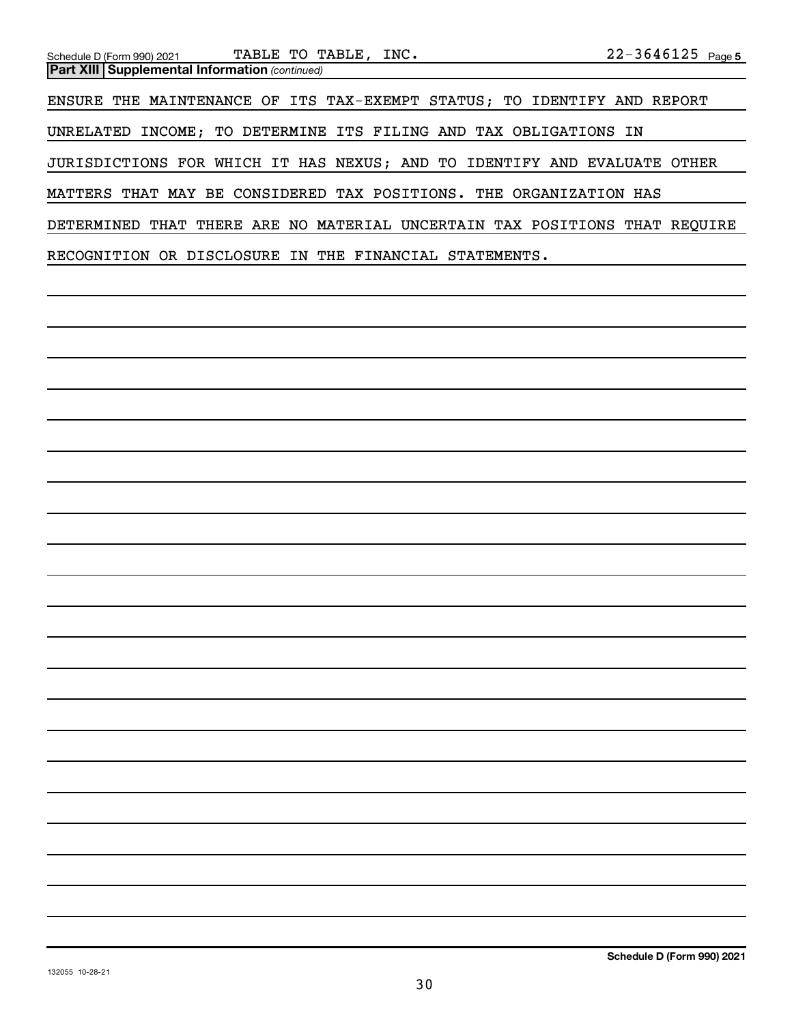| Schedule D (Form 990) 2021 TABLE TO TABLE, INC.                  |  | $22 - 3646125$ Page 5                                                      |
|------------------------------------------------------------------|--|----------------------------------------------------------------------------|
| <b>Part XIII Supplemental Information (continued)</b>            |  |                                                                            |
|                                                                  |  | ENSURE THE MAINTENANCE OF ITS TAX-EXEMPT STATUS; TO IDENTIFY AND REPORT    |
| UNRELATED INCOME; TO DETERMINE ITS FILING AND TAX OBLIGATIONS IN |  |                                                                            |
|                                                                  |  | JURISDICTIONS FOR WHICH IT HAS NEXUS; AND TO IDENTIFY AND EVALUATE OTHER   |
|                                                                  |  | MATTERS THAT MAY BE CONSIDERED TAX POSITIONS. THE ORGANIZATION HAS         |
|                                                                  |  | DETERMINED THAT THERE ARE NO MATERIAL UNCERTAIN TAX POSITIONS THAT REOUIRE |
| RECOGNITION OR DISCLOSURE IN THE FINANCIAL STATEMENTS.           |  |                                                                            |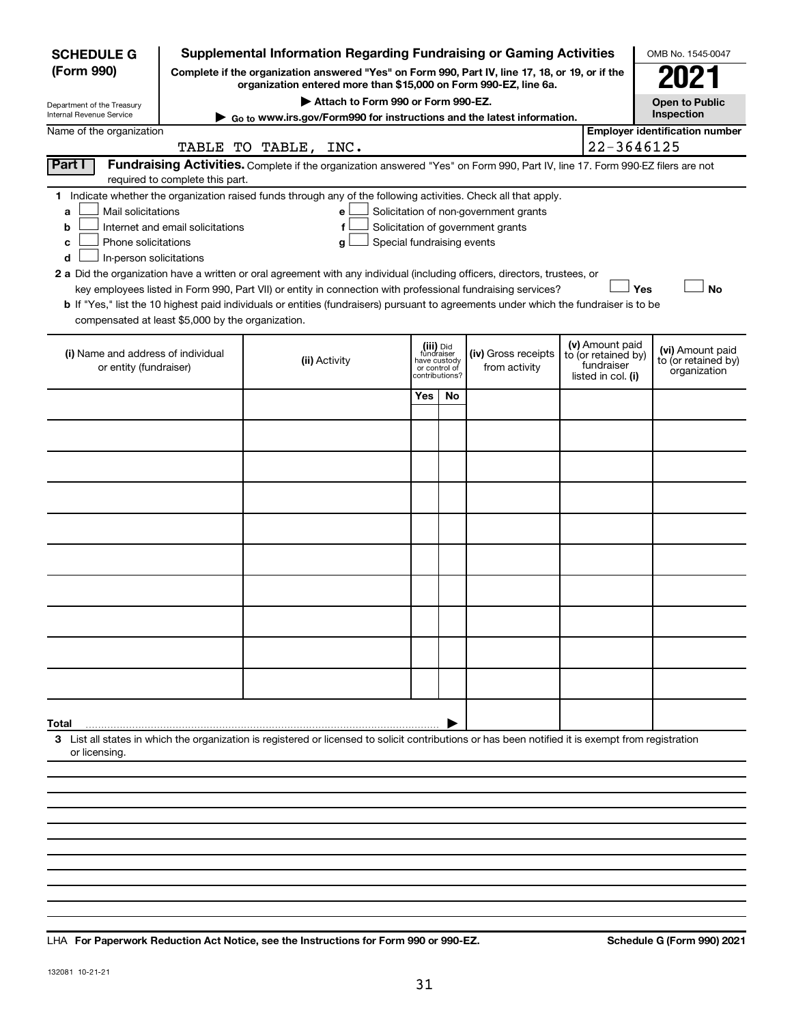| <b>SCHEDULE G</b>                                            |                                                                                                                                                                                                                                                                                                                                                                                                                                                                                                                                                                                                                                                                                                                                                                                                                       | <b>Supplemental Information Regarding Fundraising or Gaming Activities</b>                                                                                          |     |                                                                            |                                      |                                                                            | OMB No. 1545-0047                                       |  |  |  |  |  |
|--------------------------------------------------------------|-----------------------------------------------------------------------------------------------------------------------------------------------------------------------------------------------------------------------------------------------------------------------------------------------------------------------------------------------------------------------------------------------------------------------------------------------------------------------------------------------------------------------------------------------------------------------------------------------------------------------------------------------------------------------------------------------------------------------------------------------------------------------------------------------------------------------|---------------------------------------------------------------------------------------------------------------------------------------------------------------------|-----|----------------------------------------------------------------------------|--------------------------------------|----------------------------------------------------------------------------|---------------------------------------------------------|--|--|--|--|--|
| (Form 990)                                                   |                                                                                                                                                                                                                                                                                                                                                                                                                                                                                                                                                                                                                                                                                                                                                                                                                       | Complete if the organization answered "Yes" on Form 990, Part IV, line 17, 18, or 19, or if the<br>organization entered more than \$15,000 on Form 990-EZ, line 6a. |     |                                                                            |                                      |                                                                            | 2021                                                    |  |  |  |  |  |
| Department of the Treasury                                   |                                                                                                                                                                                                                                                                                                                                                                                                                                                                                                                                                                                                                                                                                                                                                                                                                       | Attach to Form 990 or Form 990-EZ.                                                                                                                                  |     |                                                                            |                                      |                                                                            | <b>Open to Public</b><br>Inspection                     |  |  |  |  |  |
| Internal Revenue Service<br>Name of the organization         |                                                                                                                                                                                                                                                                                                                                                                                                                                                                                                                                                                                                                                                                                                                                                                                                                       | Go to www.irs.gov/Form990 for instructions and the latest information.                                                                                              |     |                                                                            |                                      |                                                                            | <b>Employer identification number</b>                   |  |  |  |  |  |
|                                                              |                                                                                                                                                                                                                                                                                                                                                                                                                                                                                                                                                                                                                                                                                                                                                                                                                       | TABLE TO TABLE, INC.                                                                                                                                                |     |                                                                            |                                      |                                                                            | 22-3646125                                              |  |  |  |  |  |
| Part I                                                       | required to complete this part.                                                                                                                                                                                                                                                                                                                                                                                                                                                                                                                                                                                                                                                                                                                                                                                       | Fundraising Activities. Complete if the organization answered "Yes" on Form 990, Part IV, line 17. Form 990-EZ filers are not                                       |     |                                                                            |                                      |                                                                            |                                                         |  |  |  |  |  |
| a<br>b<br>с<br>d                                             | 1 Indicate whether the organization raised funds through any of the following activities. Check all that apply.<br>Mail solicitations<br>Solicitation of non-government grants<br>е<br>Internet and email solicitations<br>Solicitation of government grants<br>f<br>Phone solicitations<br>Special fundraising events<br>g<br>In-person solicitations<br>2 a Did the organization have a written or oral agreement with any individual (including officers, directors, trustees, or<br>Yes<br><b>No</b><br>key employees listed in Form 990, Part VII) or entity in connection with professional fundraising services?<br>b If "Yes," list the 10 highest paid individuals or entities (fundraisers) pursuant to agreements under which the fundraiser is to be<br>compensated at least \$5,000 by the organization. |                                                                                                                                                                     |     |                                                                            |                                      |                                                                            |                                                         |  |  |  |  |  |
| (i) Name and address of individual<br>or entity (fundraiser) |                                                                                                                                                                                                                                                                                                                                                                                                                                                                                                                                                                                                                                                                                                                                                                                                                       | (ii) Activity                                                                                                                                                       |     | (iii) Did<br>fundraiser<br>have custody<br>or control of<br>contributions? | (iv) Gross receipts<br>from activity | (v) Amount paid<br>to (or retained by)<br>fundraiser<br>listed in col. (i) | (vi) Amount paid<br>to (or retained by)<br>organization |  |  |  |  |  |
|                                                              |                                                                                                                                                                                                                                                                                                                                                                                                                                                                                                                                                                                                                                                                                                                                                                                                                       |                                                                                                                                                                     | Yes | No                                                                         |                                      |                                                                            |                                                         |  |  |  |  |  |
|                                                              |                                                                                                                                                                                                                                                                                                                                                                                                                                                                                                                                                                                                                                                                                                                                                                                                                       |                                                                                                                                                                     |     |                                                                            |                                      |                                                                            |                                                         |  |  |  |  |  |
|                                                              |                                                                                                                                                                                                                                                                                                                                                                                                                                                                                                                                                                                                                                                                                                                                                                                                                       |                                                                                                                                                                     |     |                                                                            |                                      |                                                                            |                                                         |  |  |  |  |  |
|                                                              |                                                                                                                                                                                                                                                                                                                                                                                                                                                                                                                                                                                                                                                                                                                                                                                                                       |                                                                                                                                                                     |     |                                                                            |                                      |                                                                            |                                                         |  |  |  |  |  |
|                                                              |                                                                                                                                                                                                                                                                                                                                                                                                                                                                                                                                                                                                                                                                                                                                                                                                                       |                                                                                                                                                                     |     |                                                                            |                                      |                                                                            |                                                         |  |  |  |  |  |
|                                                              |                                                                                                                                                                                                                                                                                                                                                                                                                                                                                                                                                                                                                                                                                                                                                                                                                       |                                                                                                                                                                     |     |                                                                            |                                      |                                                                            |                                                         |  |  |  |  |  |
|                                                              |                                                                                                                                                                                                                                                                                                                                                                                                                                                                                                                                                                                                                                                                                                                                                                                                                       |                                                                                                                                                                     |     |                                                                            |                                      |                                                                            |                                                         |  |  |  |  |  |
|                                                              |                                                                                                                                                                                                                                                                                                                                                                                                                                                                                                                                                                                                                                                                                                                                                                                                                       |                                                                                                                                                                     |     |                                                                            |                                      |                                                                            |                                                         |  |  |  |  |  |
|                                                              |                                                                                                                                                                                                                                                                                                                                                                                                                                                                                                                                                                                                                                                                                                                                                                                                                       |                                                                                                                                                                     |     |                                                                            |                                      |                                                                            |                                                         |  |  |  |  |  |
|                                                              |                                                                                                                                                                                                                                                                                                                                                                                                                                                                                                                                                                                                                                                                                                                                                                                                                       |                                                                                                                                                                     |     |                                                                            |                                      |                                                                            |                                                         |  |  |  |  |  |
| Total                                                        |                                                                                                                                                                                                                                                                                                                                                                                                                                                                                                                                                                                                                                                                                                                                                                                                                       |                                                                                                                                                                     |     |                                                                            |                                      |                                                                            |                                                         |  |  |  |  |  |
| or licensing.                                                |                                                                                                                                                                                                                                                                                                                                                                                                                                                                                                                                                                                                                                                                                                                                                                                                                       | 3 List all states in which the organization is registered or licensed to solicit contributions or has been notified it is exempt from registration                  |     |                                                                            |                                      |                                                                            |                                                         |  |  |  |  |  |
|                                                              |                                                                                                                                                                                                                                                                                                                                                                                                                                                                                                                                                                                                                                                                                                                                                                                                                       |                                                                                                                                                                     |     |                                                                            |                                      |                                                                            |                                                         |  |  |  |  |  |
|                                                              |                                                                                                                                                                                                                                                                                                                                                                                                                                                                                                                                                                                                                                                                                                                                                                                                                       |                                                                                                                                                                     |     |                                                                            |                                      |                                                                            |                                                         |  |  |  |  |  |

LHA For Paperwork Reduction Act Notice, see the Instructions for Form 990 or 990-EZ. Schedule G (Form 990) 2021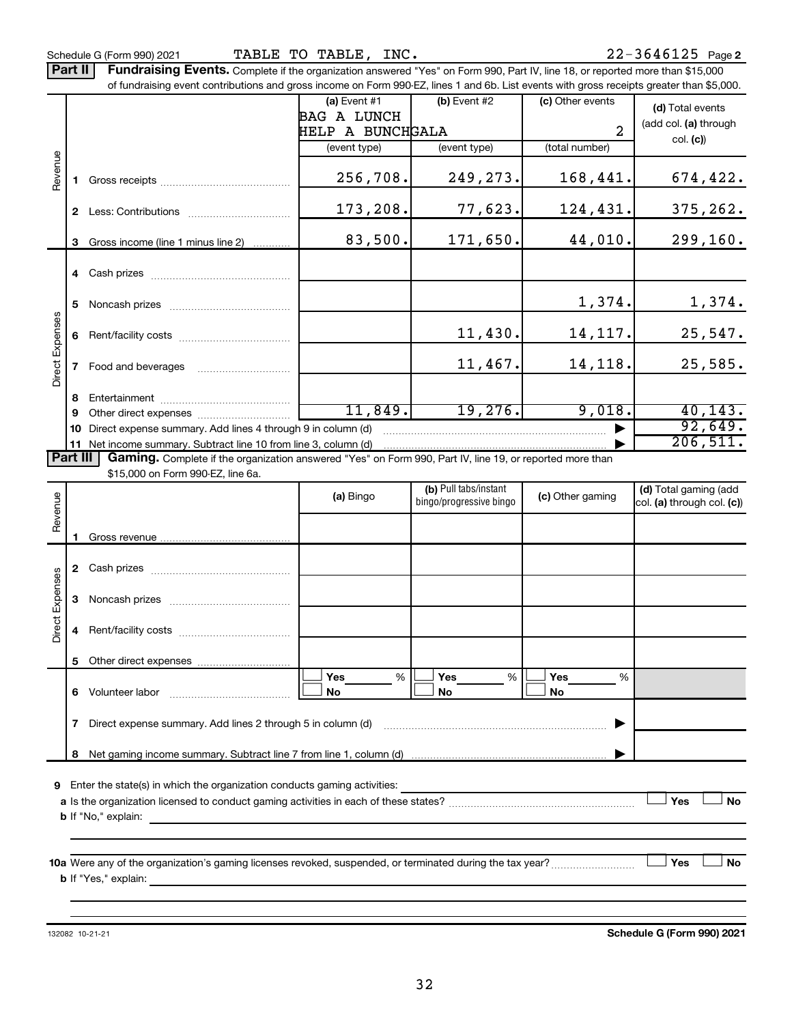Part II | Fundraising Events. Complete if the organization answered "Yes" on Form 990, Part IV, line 18, or reported more than \$15,000

|                 |              | of fundraising event contributions and gross income on Form 990-EZ, lines 1 and 6b. List events with gross receipts greater than \$5,000.           |                         |                         |                  |                            |
|-----------------|--------------|-----------------------------------------------------------------------------------------------------------------------------------------------------|-------------------------|-------------------------|------------------|----------------------------|
|                 |              |                                                                                                                                                     | (a) Event $#1$          | $(b)$ Event #2          | (c) Other events | (d) Total events           |
|                 |              |                                                                                                                                                     | <b>BAG A LUNCH</b>      |                         |                  | (add col. (a) through      |
|                 |              |                                                                                                                                                     | <b>HELP A BUNCHGALA</b> |                         | 2                | col. (c)                   |
|                 |              |                                                                                                                                                     | (event type)            | (event type)            | (total number)   |                            |
| Revenue         | 1.           |                                                                                                                                                     | 256,708.                | 249,273.                | 168,441.         | 674, 422.                  |
|                 |              |                                                                                                                                                     | 173,208.                | 77,623.                 | 124,431.         | 375, 262.                  |
|                 | 3            | Gross income (line 1 minus line 2)                                                                                                                  | 83,500.                 | 171,650.                | 44,010.          | 299, 160.                  |
|                 |              |                                                                                                                                                     |                         |                         |                  |                            |
|                 | 5            |                                                                                                                                                     |                         |                         | 1,374.           | 1,374.                     |
|                 | 6            |                                                                                                                                                     |                         | 11,430.                 | 14, 117.         | 25,547.                    |
| Direct Expenses | $\mathbf{7}$ | Food and beverages                                                                                                                                  |                         | 11,467.                 | 14,118.          | 25,585.                    |
|                 | 8            |                                                                                                                                                     |                         |                         |                  |                            |
|                 | 9            |                                                                                                                                                     | 11,849.                 | 19,276.                 | 9,018.           | 40, 143.                   |
|                 | 10           | Direct expense summary. Add lines 4 through 9 in column (d)                                                                                         |                         |                         |                  | 92,649.                    |
|                 |              | 11 Net income summary. Subtract line 10 from line 3, column (d)                                                                                     |                         |                         |                  | 206,511.                   |
| <b>Part III</b> |              | Gaming. Complete if the organization answered "Yes" on Form 990, Part IV, line 19, or reported more than                                            |                         |                         |                  |                            |
|                 |              | \$15,000 on Form 990-EZ, line 6a.                                                                                                                   |                         | (b) Pull tabs/instant   |                  | (d) Total gaming (add      |
|                 |              |                                                                                                                                                     | (a) Bingo               | bingo/progressive bingo | (c) Other gaming | col. (a) through col. (c)) |
| Revenue         |              |                                                                                                                                                     |                         |                         |                  |                            |
|                 | 1.           |                                                                                                                                                     |                         |                         |                  |                            |
|                 |              |                                                                                                                                                     |                         |                         |                  |                            |
|                 |              |                                                                                                                                                     |                         |                         |                  |                            |
| Direct Expenses | 3            |                                                                                                                                                     |                         |                         |                  |                            |
|                 | 4            |                                                                                                                                                     |                         |                         |                  |                            |
|                 |              |                                                                                                                                                     |                         |                         |                  |                            |
|                 |              | 6 Volunteer labor                                                                                                                                   | %<br><b>Yes</b><br>No   | Yes<br>%<br>No          | Yes<br>%<br>No   |                            |
|                 | 7            | Direct expense summary. Add lines 2 through 5 in column (d)                                                                                         |                         |                         |                  |                            |
|                 | 8            |                                                                                                                                                     |                         |                         |                  |                            |
|                 |              |                                                                                                                                                     |                         |                         |                  |                            |
| 9               |              | Enter the state(s) in which the organization conducts gaming activities:                                                                            |                         |                         |                  |                            |
|                 |              |                                                                                                                                                     |                         |                         |                  | Yes<br><b>No</b>           |
|                 |              | <b>b</b> If "No," explain:<br><u> 1989 - Johann Stoff, deutscher Stoff, der Stoff, der Stoff, der Stoff, der Stoff, der Stoff, der Stoff, der S</u> |                         |                         |                  |                            |
|                 |              |                                                                                                                                                     |                         |                         |                  |                            |
|                 |              | 10a Were any of the organization's gaming licenses revoked, suspended, or terminated during the tax year?                                           |                         |                         |                  | Yes<br>No                  |
|                 |              | <b>b</b> If "Yes," explain: $\frac{1}{2}$                                                                                                           |                         |                         |                  |                            |
|                 |              |                                                                                                                                                     |                         |                         |                  |                            |
|                 |              |                                                                                                                                                     |                         |                         |                  |                            |

132082 10-21-21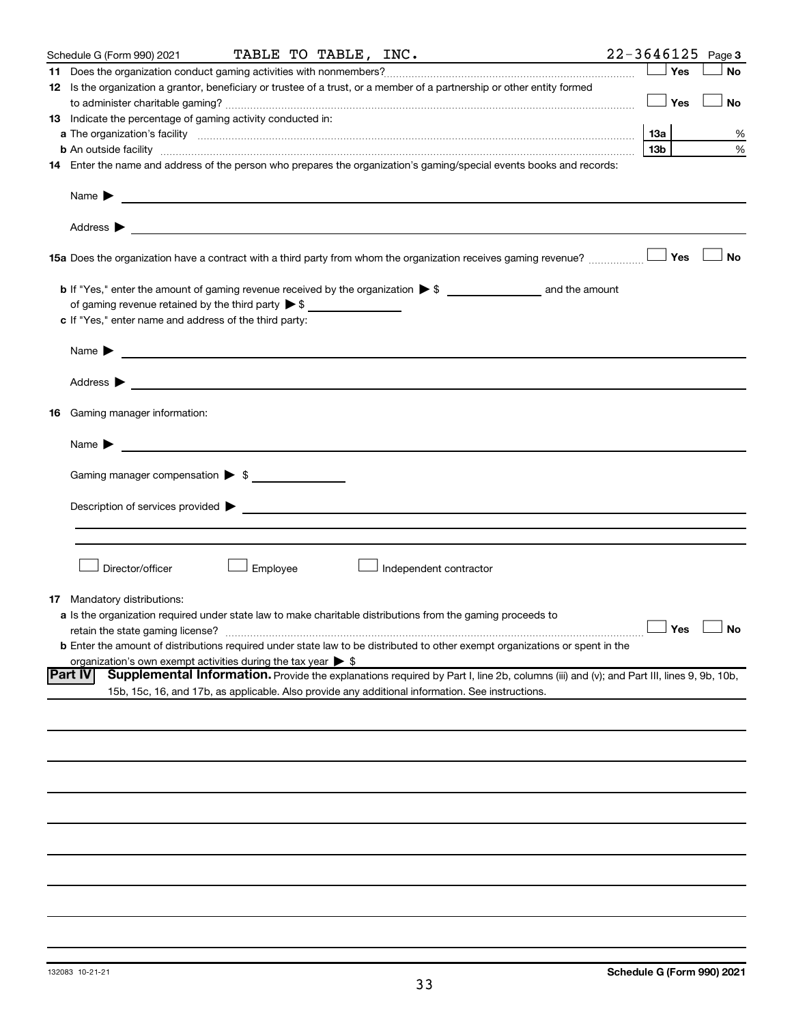| Schedule G (Form 990) 2021                                                   |          | TABLE TO TABLE, INC. |                                                                                                                                                                                                                                |                 |       | $22 - 3646125$ Page 3 |
|------------------------------------------------------------------------------|----------|----------------------|--------------------------------------------------------------------------------------------------------------------------------------------------------------------------------------------------------------------------------|-----------------|-------|-----------------------|
|                                                                              |          |                      |                                                                                                                                                                                                                                |                 | Yes   | <b>No</b>             |
|                                                                              |          |                      | 12 Is the organization a grantor, beneficiary or trustee of a trust, or a member of a partnership or other entity formed                                                                                                       |                 |       |                       |
|                                                                              |          |                      |                                                                                                                                                                                                                                |                 | Yes   | No                    |
| <b>13</b> Indicate the percentage of gaming activity conducted in:           |          |                      |                                                                                                                                                                                                                                |                 |       |                       |
|                                                                              |          |                      |                                                                                                                                                                                                                                | 13а             |       | %                     |
|                                                                              |          |                      |                                                                                                                                                                                                                                | 13 <sub>b</sub> |       | %                     |
|                                                                              |          |                      | 14 Enter the name and address of the person who prepares the organization's gaming/special events books and records:                                                                                                           |                 |       |                       |
|                                                                              |          |                      |                                                                                                                                                                                                                                |                 |       |                       |
|                                                                              |          |                      |                                                                                                                                                                                                                                |                 |       |                       |
|                                                                              |          |                      |                                                                                                                                                                                                                                |                 |       |                       |
|                                                                              |          |                      |                                                                                                                                                                                                                                |                 |       |                       |
|                                                                              |          |                      | 15a Does the organization have a contract with a third party from whom the organization receives gaming revenue?                                                                                                               |                 | ∣ Yes | No                    |
|                                                                              |          |                      |                                                                                                                                                                                                                                |                 |       |                       |
| of gaming revenue retained by the third party $\triangleright$ \$            |          |                      |                                                                                                                                                                                                                                |                 |       |                       |
| c If "Yes," enter name and address of the third party:                       |          |                      |                                                                                                                                                                                                                                |                 |       |                       |
|                                                                              |          |                      |                                                                                                                                                                                                                                |                 |       |                       |
| Name $\blacktriangleright$ $\lrcorner$                                       |          |                      |                                                                                                                                                                                                                                |                 |       |                       |
|                                                                              |          |                      |                                                                                                                                                                                                                                |                 |       |                       |
| 16 Gaming manager information:                                               |          |                      |                                                                                                                                                                                                                                |                 |       |                       |
| Name $\blacktriangleright$                                                   |          |                      |                                                                                                                                                                                                                                |                 |       |                       |
| Gaming manager compensation > \$                                             |          |                      |                                                                                                                                                                                                                                |                 |       |                       |
|                                                                              |          |                      | Description of services provided states and the contract of the contract of the contract of the contract of the contract of the contract of the contract of the contract of the contract of the contract of the contract of th |                 |       |                       |
|                                                                              |          |                      |                                                                                                                                                                                                                                |                 |       |                       |
|                                                                              |          |                      |                                                                                                                                                                                                                                |                 |       |                       |
|                                                                              |          |                      |                                                                                                                                                                                                                                |                 |       |                       |
| Director/officer                                                             | Employee |                      | $\perp$ Independent contractor                                                                                                                                                                                                 |                 |       |                       |
|                                                                              |          |                      |                                                                                                                                                                                                                                |                 |       |                       |
| <b>17</b> Mandatory distributions:                                           |          |                      | a Is the organization required under state law to make charitable distributions from the gaming proceeds to                                                                                                                    |                 |       |                       |
| retain the state gaming license?                                             |          |                      | $\Box$ Yes $\Box$ No                                                                                                                                                                                                           |                 |       |                       |
|                                                                              |          |                      | <b>b</b> Enter the amount of distributions required under state law to be distributed to other exempt organizations or spent in the                                                                                            |                 |       |                       |
| organization's own exempt activities during the tax year $\triangleright$ \$ |          |                      |                                                                                                                                                                                                                                |                 |       |                       |
| Part IV                                                                      |          |                      | Supplemental Information. Provide the explanations required by Part I, line 2b, columns (iii) and (v); and Part III, lines 9, 9b, 10b,                                                                                         |                 |       |                       |
|                                                                              |          |                      | 15b, 15c, 16, and 17b, as applicable. Also provide any additional information. See instructions.                                                                                                                               |                 |       |                       |
|                                                                              |          |                      |                                                                                                                                                                                                                                |                 |       |                       |
|                                                                              |          |                      |                                                                                                                                                                                                                                |                 |       |                       |
|                                                                              |          |                      |                                                                                                                                                                                                                                |                 |       |                       |
|                                                                              |          |                      |                                                                                                                                                                                                                                |                 |       |                       |
|                                                                              |          |                      |                                                                                                                                                                                                                                |                 |       |                       |
|                                                                              |          |                      |                                                                                                                                                                                                                                |                 |       |                       |
|                                                                              |          |                      |                                                                                                                                                                                                                                |                 |       |                       |
|                                                                              |          |                      |                                                                                                                                                                                                                                |                 |       |                       |
|                                                                              |          |                      |                                                                                                                                                                                                                                |                 |       |                       |
|                                                                              |          |                      |                                                                                                                                                                                                                                |                 |       |                       |
|                                                                              |          |                      |                                                                                                                                                                                                                                |                 |       |                       |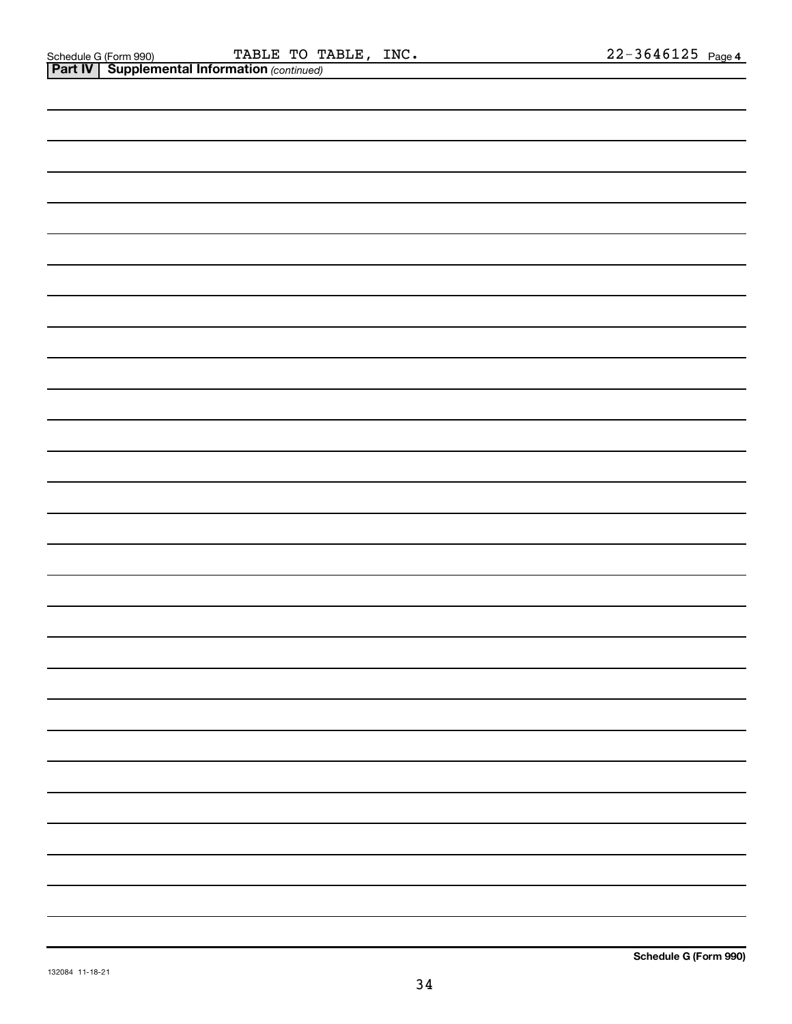*(continued)*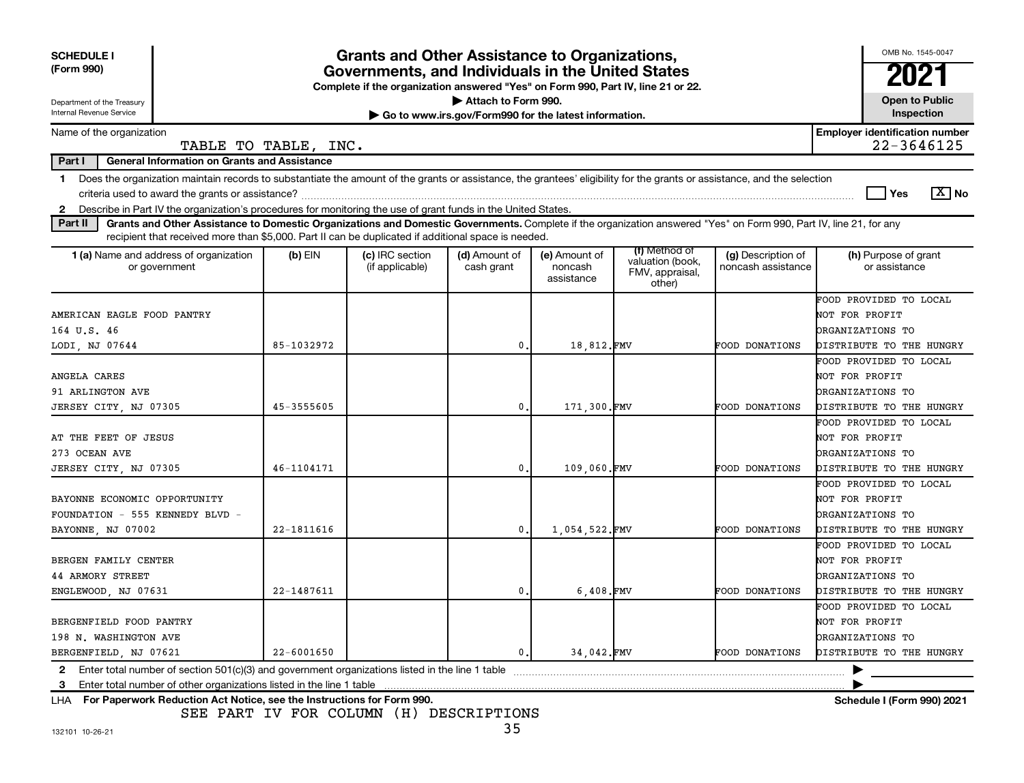| <b>SCHEDULE I</b><br>(Form 990)<br>Department of the Treasury                                                                                                                                                                                                                                                            |                | <b>Grants and Other Assistance to Organizations,</b><br>Governments, and Individuals in the United States<br>Complete if the organization answered "Yes" on Form 990, Part IV, line 21 or 22. | Attach to Form 990.                                   |                                        |                                                                |                                          | OMB No. 1545-0047<br><b>Open to Public</b>                                                      |
|--------------------------------------------------------------------------------------------------------------------------------------------------------------------------------------------------------------------------------------------------------------------------------------------------------------------------|----------------|-----------------------------------------------------------------------------------------------------------------------------------------------------------------------------------------------|-------------------------------------------------------|----------------------------------------|----------------------------------------------------------------|------------------------------------------|-------------------------------------------------------------------------------------------------|
| Internal Revenue Service                                                                                                                                                                                                                                                                                                 |                |                                                                                                                                                                                               | Go to www.irs.gov/Form990 for the latest information. |                                        |                                                                |                                          | Inspection                                                                                      |
| Name of the organization<br>TABLE TO TABLE, INC.                                                                                                                                                                                                                                                                         |                |                                                                                                                                                                                               |                                                       |                                        |                                                                |                                          | <b>Employer identification number</b><br>22-3646125                                             |
| Part I<br><b>General Information on Grants and Assistance</b>                                                                                                                                                                                                                                                            |                |                                                                                                                                                                                               |                                                       |                                        |                                                                |                                          |                                                                                                 |
| Does the organization maintain records to substantiate the amount of the grants or assistance, the grantees' eligibility for the grants or assistance, and the selection<br>$\mathbf 1$<br>Describe in Part IV the organization's procedures for monitoring the use of grant funds in the United States.<br>$\mathbf{2}$ |                |                                                                                                                                                                                               |                                                       |                                        |                                                                |                                          | $\boxed{X}$ No<br>Yes                                                                           |
| Grants and Other Assistance to Domestic Organizations and Domestic Governments. Complete if the organization answered "Yes" on Form 990, Part IV, line 21, for any<br>Part II                                                                                                                                            |                |                                                                                                                                                                                               |                                                       |                                        |                                                                |                                          |                                                                                                 |
| recipient that received more than \$5,000. Part II can be duplicated if additional space is needed.<br>1 (a) Name and address of organization<br>or government                                                                                                                                                           | $(b)$ EIN      | (c) IRC section<br>(if applicable)                                                                                                                                                            | (d) Amount of<br>cash grant                           | (e) Amount of<br>noncash<br>assistance | (f) Method of<br>valuation (book,<br>FMV, appraisal,<br>other) | (g) Description of<br>noncash assistance | (h) Purpose of grant<br>or assistance                                                           |
| AMERICAN EAGLE FOOD PANTRY<br>164 U.S. 46<br>LODI, NJ 07644                                                                                                                                                                                                                                                              | 85-1032972     |                                                                                                                                                                                               | $\mathbf{0}$ .                                        | 18,812.FMV                             |                                                                | FOOD DONATIONS                           | FOOD PROVIDED TO LOCAL<br>NOT FOR PROFIT<br><b>DRGANIZATIONS TO</b><br>DISTRIBUTE TO THE HUNGRY |
| ANGELA CARES<br>91 ARLINGTON AVE<br>JERSEY CITY, NJ 07305                                                                                                                                                                                                                                                                | 45-3555605     |                                                                                                                                                                                               | $\mathbf{0}$ .                                        | 171,300.FMV                            |                                                                | FOOD DONATIONS                           | FOOD PROVIDED TO LOCAL<br>NOT FOR PROFIT<br><b>DRGANIZATIONS TO</b><br>DISTRIBUTE TO THE HUNGRY |
| AT THE FEET OF JESUS<br>273 OCEAN AVE<br>JERSEY CITY, NJ 07305                                                                                                                                                                                                                                                           | 46-1104171     |                                                                                                                                                                                               | $\mathbf{0}$ .                                        | 109,060.FMV                            |                                                                | FOOD DONATIONS                           | FOOD PROVIDED TO LOCAL<br>NOT FOR PROFIT<br><b>DRGANIZATIONS TO</b><br>DISTRIBUTE TO THE HUNGRY |
| BAYONNE ECONOMIC OPPORTUNITY<br>FOUNDATION - 555 KENNEDY BLVD -<br>BAYONNE, NJ 07002                                                                                                                                                                                                                                     | 22-1811616     |                                                                                                                                                                                               | $\mathbf 0$ .                                         | 1,054,522.FMV                          |                                                                | FOOD DONATIONS                           | FOOD PROVIDED TO LOCAL<br>NOT FOR PROFIT<br>ORGANIZATIONS TO<br>DISTRIBUTE TO THE HUNGRY        |
| BERGEN FAMILY CENTER<br>44 ARMORY STREET<br>ENGLEWOOD, NJ 07631                                                                                                                                                                                                                                                          | 22-1487611     |                                                                                                                                                                                               | $\mathbf 0$                                           | $6,408$ . FMV                          |                                                                | FOOD DONATIONS                           | FOOD PROVIDED TO LOCAL<br>NOT FOR PROFIT<br>ORGANIZATIONS TO<br>DISTRIBUTE TO THE HUNGRY        |
| BERGENFIELD FOOD PANTRY<br>198 N. WASHINGTON AVE<br>BERGENFIELD, NJ 07621                                                                                                                                                                                                                                                | $22 - 6001650$ |                                                                                                                                                                                               | 0.                                                    | 34.042.FMV                             |                                                                | <b>FOOD DONATIONS</b>                    | FOOD PROVIDED TO LOCAL<br>NOT FOR PROFIT<br><b>DRGANIZATIONS TO</b><br>DISTRIBUTE TO THE HUNGRY |
| Enter total number of section $501(c)(3)$ and government organizations listed in the line 1 table<br>$\mathbf{2}$<br>3                                                                                                                                                                                                   |                |                                                                                                                                                                                               |                                                       |                                        |                                                                |                                          |                                                                                                 |

**For Paperwork Reduction Act Notice, see the Instructions for Form 990. Schedule I (Form 990) 2021** LHA

SEE PART IV FOR COLUMN (H) DESCRIPTIONS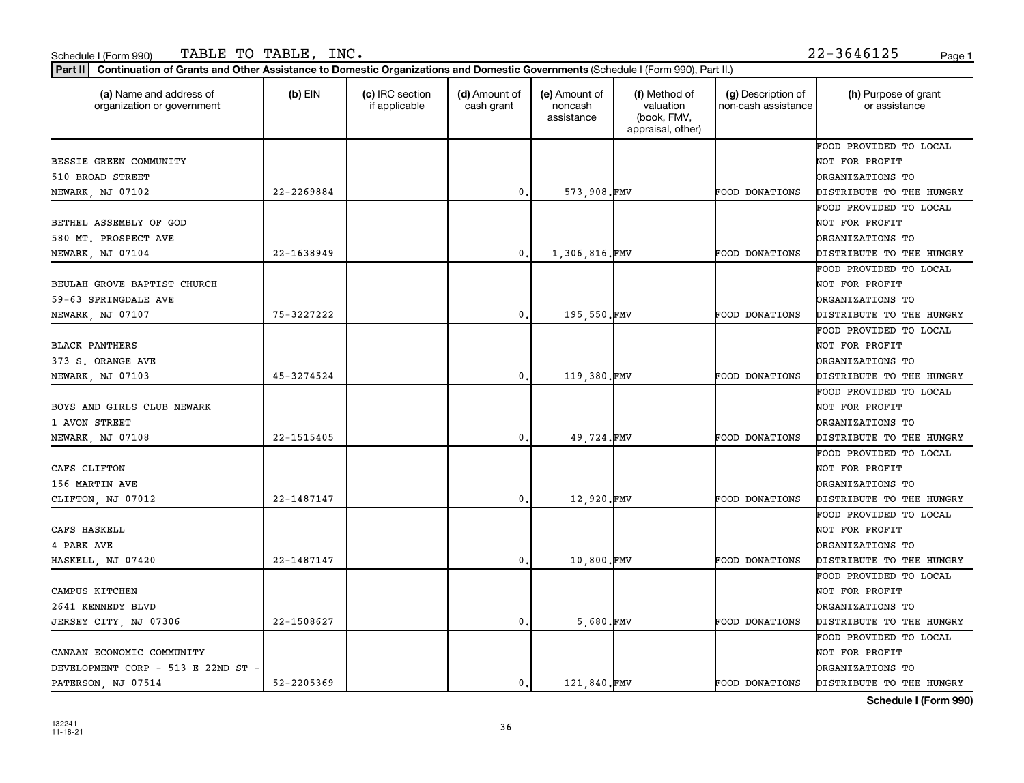| (a) Name and address of<br>organization or government | $(b)$ EIN      | (c) IRC section<br>if applicable | (d) Amount of<br>cash grant | (e) Amount of<br>noncash<br>assistance | (f) Method of<br>valuation<br>(book, FMV,<br>appraisal, other) | (g) Description of<br>non-cash assistance | (h) Purpose of grant<br>or assistance |
|-------------------------------------------------------|----------------|----------------------------------|-----------------------------|----------------------------------------|----------------------------------------------------------------|-------------------------------------------|---------------------------------------|
|                                                       |                |                                  |                             |                                        |                                                                |                                           | FOOD PROVIDED TO LOCAL                |
| BESSIE GREEN COMMUNITY                                |                |                                  |                             |                                        |                                                                |                                           | NOT FOR PROFIT                        |
| 510 BROAD STREET                                      |                |                                  |                             |                                        |                                                                |                                           | ORGANIZATIONS TO                      |
| NEWARK, NJ 07102                                      | $22 - 2269884$ |                                  | $\mathbf{0}$                | 573,908.FMV                            |                                                                | FOOD DONATIONS                            | DISTRIBUTE TO THE HUNGRY              |
|                                                       |                |                                  |                             |                                        |                                                                |                                           | FOOD PROVIDED TO LOCAL                |
| BETHEL ASSEMBLY OF GOD                                |                |                                  |                             |                                        |                                                                |                                           | NOT FOR PROFIT                        |
| 580 MT. PROSPECT AVE                                  |                |                                  |                             |                                        |                                                                |                                           | ORGANIZATIONS TO                      |
| NEWARK, NJ 07104                                      | 22-1638949     |                                  | $\mathbf{0}$ .              | 1,306,816.FMV                          |                                                                | FOOD DONATIONS                            | DISTRIBUTE TO THE HUNGRY              |
|                                                       |                |                                  |                             |                                        |                                                                |                                           | FOOD PROVIDED TO LOCAL                |
| BEULAH GROVE BAPTIST CHURCH                           |                |                                  |                             |                                        |                                                                |                                           | NOT FOR PROFIT                        |
| 59-63 SPRINGDALE AVE                                  |                |                                  |                             |                                        |                                                                |                                           | <b>DRGANIZATIONS TO</b>               |
| NEWARK, NJ 07107                                      | 75-3227222     |                                  | 0.                          | 195,550.FMV                            |                                                                | FOOD DONATIONS                            | DISTRIBUTE TO THE HUNGRY              |
|                                                       |                |                                  |                             |                                        |                                                                |                                           | FOOD PROVIDED TO LOCAL                |
| <b>BLACK PANTHERS</b>                                 |                |                                  |                             |                                        |                                                                |                                           | NOT FOR PROFIT                        |
| 373 S. ORANGE AVE                                     |                |                                  |                             |                                        |                                                                |                                           | <b>DRGANIZATIONS TO</b>               |
| NEWARK, NJ 07103                                      | 45-3274524     |                                  | $\mathbf 0$                 | 119,380.FMV                            |                                                                | FOOD DONATIONS                            | DISTRIBUTE TO THE HUNGRY              |
|                                                       |                |                                  |                             |                                        |                                                                |                                           | FOOD PROVIDED TO LOCAL                |
| BOYS AND GIRLS CLUB NEWARK                            |                |                                  |                             |                                        |                                                                |                                           | NOT FOR PROFIT                        |
| 1 AVON STREET                                         |                |                                  |                             |                                        |                                                                |                                           | <b>DRGANIZATIONS TO</b>               |
| NEWARK, NJ 07108                                      | 22-1515405     |                                  | $\mathbf{0}$ .              | 49,724.FMV                             |                                                                | FOOD DONATIONS                            | DISTRIBUTE TO THE HUNGRY              |
|                                                       |                |                                  |                             |                                        |                                                                |                                           | FOOD PROVIDED TO LOCAL                |
| CAFS CLIFTON                                          |                |                                  |                             |                                        |                                                                |                                           | NOT FOR PROFIT                        |
| 156 MARTIN AVE                                        |                |                                  |                             |                                        |                                                                |                                           | <b>DRGANIZATIONS TO</b>               |
| CLIFTON, NJ 07012                                     | 22-1487147     |                                  | 0                           | 12,920.FMV                             |                                                                | FOOD DONATIONS                            | DISTRIBUTE TO THE HUNGRY              |
|                                                       |                |                                  |                             |                                        |                                                                |                                           | FOOD PROVIDED TO LOCAL                |
| CAFS HASKELL                                          |                |                                  |                             |                                        |                                                                |                                           | NOT FOR PROFIT                        |
| 4 PARK AVE                                            |                |                                  |                             |                                        |                                                                |                                           | <b>DRGANIZATIONS TO</b>               |
| HASKELL, NJ 07420                                     | 22-1487147     |                                  | 0.                          | 10,800.FMV                             |                                                                | FOOD DONATIONS                            | DISTRIBUTE TO THE HUNGRY              |
|                                                       |                |                                  |                             |                                        |                                                                |                                           | FOOD PROVIDED TO LOCAL                |
| CAMPUS KITCHEN                                        |                |                                  |                             |                                        |                                                                |                                           | NOT FOR PROFIT                        |
| 2641 KENNEDY BLVD                                     |                |                                  |                             |                                        |                                                                |                                           | <b>DRGANIZATIONS TO</b>               |
| JERSEY CITY, NJ 07306                                 | 22-1508627     |                                  | $\mathbf{0}$ .              | 5,680.FMV                              |                                                                | FOOD DONATIONS                            | DISTRIBUTE TO THE HUNGRY              |
|                                                       |                |                                  |                             |                                        |                                                                |                                           | FOOD PROVIDED TO LOCAL                |
| CANAAN ECONOMIC COMMUNITY                             |                |                                  |                             |                                        |                                                                |                                           | NOT FOR PROFIT                        |
| DEVELOPMENT CORP - 513 E 22ND ST -                    |                |                                  |                             |                                        |                                                                |                                           | <b>DRGANIZATIONS TO</b>               |
| PATERSON, NJ 07514                                    | 52-2205369     |                                  | $\mathbf{0}$ .              | 121,840.FMV                            |                                                                | <b>FOOD DONATIONS</b>                     | DISTRIBUTE TO THE HUNGRY              |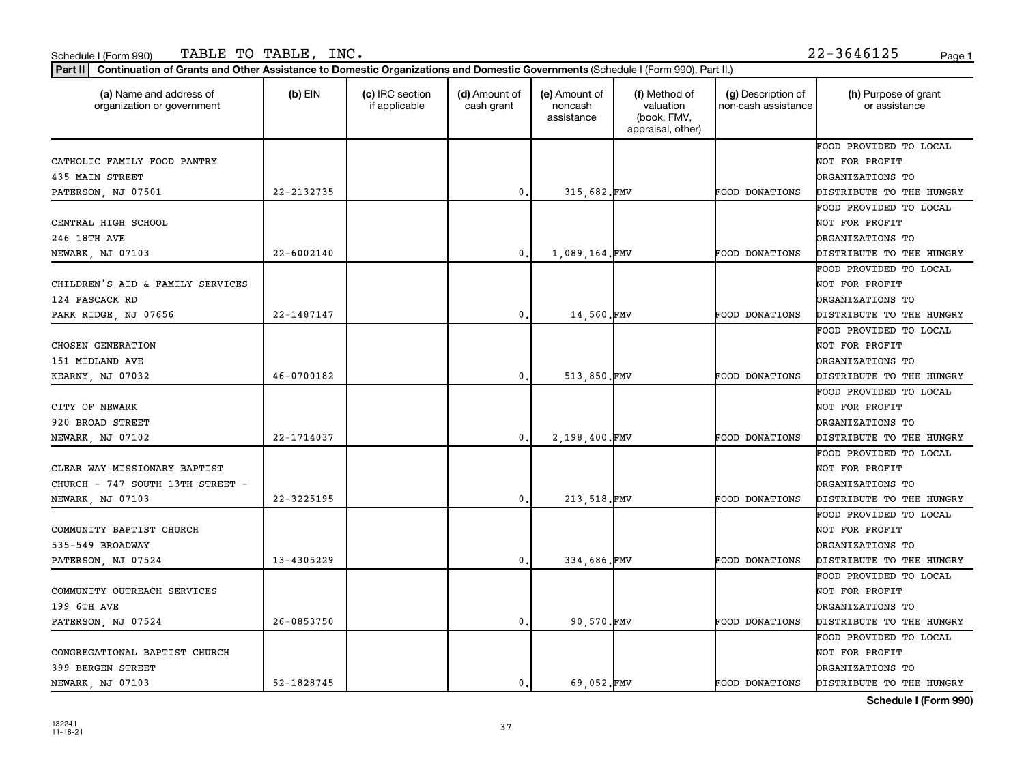| (a) Name and address of<br>organization or government | $(b)$ EIN  | (c) IRC section<br>if applicable | (d) Amount of<br>cash grant | (e) Amount of<br>noncash<br>assistance | (f) Method of<br>valuation<br>(book, FMV,<br>appraisal, other) | (g) Description of<br>non-cash assistance | (h) Purpose of grant<br>or assistance |
|-------------------------------------------------------|------------|----------------------------------|-----------------------------|----------------------------------------|----------------------------------------------------------------|-------------------------------------------|---------------------------------------|
|                                                       |            |                                  |                             |                                        |                                                                |                                           | FOOD PROVIDED TO LOCAL                |
| CATHOLIC FAMILY FOOD PANTRY                           |            |                                  |                             |                                        |                                                                |                                           | NOT FOR PROFIT                        |
| 435 MAIN STREET                                       |            |                                  |                             |                                        |                                                                |                                           | ORGANIZATIONS TO                      |
| PATERSON, NJ 07501                                    | 22-2132735 |                                  | 0                           | 315,682.FMV                            |                                                                | <b>FOOD DONATIONS</b>                     | DISTRIBUTE TO THE HUNGRY              |
|                                                       |            |                                  |                             |                                        |                                                                |                                           | FOOD PROVIDED TO LOCAL                |
| CENTRAL HIGH SCHOOL                                   |            |                                  |                             |                                        |                                                                |                                           | NOT FOR PROFIT                        |
| 246 18TH AVE                                          |            |                                  |                             |                                        |                                                                |                                           | ORGANIZATIONS TO                      |
| NEWARK, NJ 07103                                      | 22-6002140 |                                  | 0                           | 1,089,164.FMV                          |                                                                | FOOD DONATIONS                            | DISTRIBUTE TO THE HUNGRY              |
|                                                       |            |                                  |                             |                                        |                                                                |                                           | FOOD PROVIDED TO LOCAL                |
| CHILDREN'S AID & FAMILY SERVICES                      |            |                                  |                             |                                        |                                                                |                                           | NOT FOR PROFIT                        |
| 124 PASCACK RD                                        |            |                                  |                             |                                        |                                                                |                                           | <b>DRGANIZATIONS TO</b>               |
| PARK RIDGE, NJ 07656                                  | 22-1487147 |                                  | $\mathbf{0}$                | 14,560.FMV                             |                                                                | <b>FOOD DONATIONS</b>                     | DISTRIBUTE TO THE HUNGRY              |
|                                                       |            |                                  |                             |                                        |                                                                |                                           | FOOD PROVIDED TO LOCAL                |
| CHOSEN GENERATION                                     |            |                                  |                             |                                        |                                                                |                                           | NOT FOR PROFIT                        |
| 151 MIDLAND AVE                                       |            |                                  |                             |                                        |                                                                |                                           | <b>DRGANIZATIONS TO</b>               |
| KEARNY, NJ 07032                                      | 46-0700182 |                                  | 0                           | 513,850.FMV                            |                                                                | FOOD DONATIONS                            | DISTRIBUTE TO THE HUNGRY              |
|                                                       |            |                                  |                             |                                        |                                                                |                                           | FOOD PROVIDED TO LOCAL                |
| CITY OF NEWARK                                        |            |                                  |                             |                                        |                                                                |                                           | NOT FOR PROFIT                        |
| 920 BROAD STREET                                      |            |                                  |                             |                                        |                                                                |                                           | <b>DRGANIZATIONS TO</b>               |
| NEWARK, NJ 07102                                      | 22-1714037 |                                  | 0                           | 2,198,400.FMV                          |                                                                | FOOD DONATIONS                            | DISTRIBUTE TO THE HUNGRY              |
|                                                       |            |                                  |                             |                                        |                                                                |                                           | FOOD PROVIDED TO LOCAL                |
| CLEAR WAY MISSIONARY BAPTIST                          |            |                                  |                             |                                        |                                                                |                                           | NOT FOR PROFIT                        |
| CHURCH - 747 SOUTH 13TH STREET -                      |            |                                  |                             |                                        |                                                                |                                           | ORGANIZATIONS TO                      |
| NEWARK, NJ 07103                                      | 22-3225195 |                                  | 0                           | 213,518.FMV                            |                                                                | FOOD DONATIONS                            | DISTRIBUTE TO THE HUNGRY              |
|                                                       |            |                                  |                             |                                        |                                                                |                                           | FOOD PROVIDED TO LOCAL                |
| COMMUNITY BAPTIST CHURCH                              |            |                                  |                             |                                        |                                                                |                                           | NOT FOR PROFIT                        |
| 535-549 BROADWAY                                      |            |                                  |                             |                                        |                                                                |                                           | <b>DRGANIZATIONS TO</b>               |
| PATERSON, NJ 07524                                    | 13-4305229 |                                  | 0                           | 334.686.FMV                            |                                                                | FOOD DONATIONS                            | DISTRIBUTE TO THE HUNGRY              |
|                                                       |            |                                  |                             |                                        |                                                                |                                           | FOOD PROVIDED TO LOCAL                |
| COMMUNITY OUTREACH SERVICES                           |            |                                  |                             |                                        |                                                                |                                           | NOT FOR PROFIT                        |
| 199 6TH AVE                                           |            |                                  |                             |                                        |                                                                |                                           | DRGANIZATIONS TO                      |
| PATERSON, NJ 07524                                    | 26-0853750 |                                  | $\mathbf{0}$                | 90,570.FMV                             |                                                                | FOOD DONATIONS                            | DISTRIBUTE TO THE HUNGRY              |
|                                                       |            |                                  |                             |                                        |                                                                |                                           | FOOD PROVIDED TO LOCAL                |
| CONGREGATIONAL BAPTIST CHURCH                         |            |                                  |                             |                                        |                                                                |                                           | NOT FOR PROFIT                        |
| 399 BERGEN STREET                                     |            |                                  |                             |                                        |                                                                |                                           | <b>DRGANIZATIONS TO</b>               |
| NEWARK, NJ 07103                                      | 52-1828745 |                                  | 0.                          | 69.052.FMV                             |                                                                | FOOD DONATIONS                            | DISTRIBUTE TO THE HUNGRY              |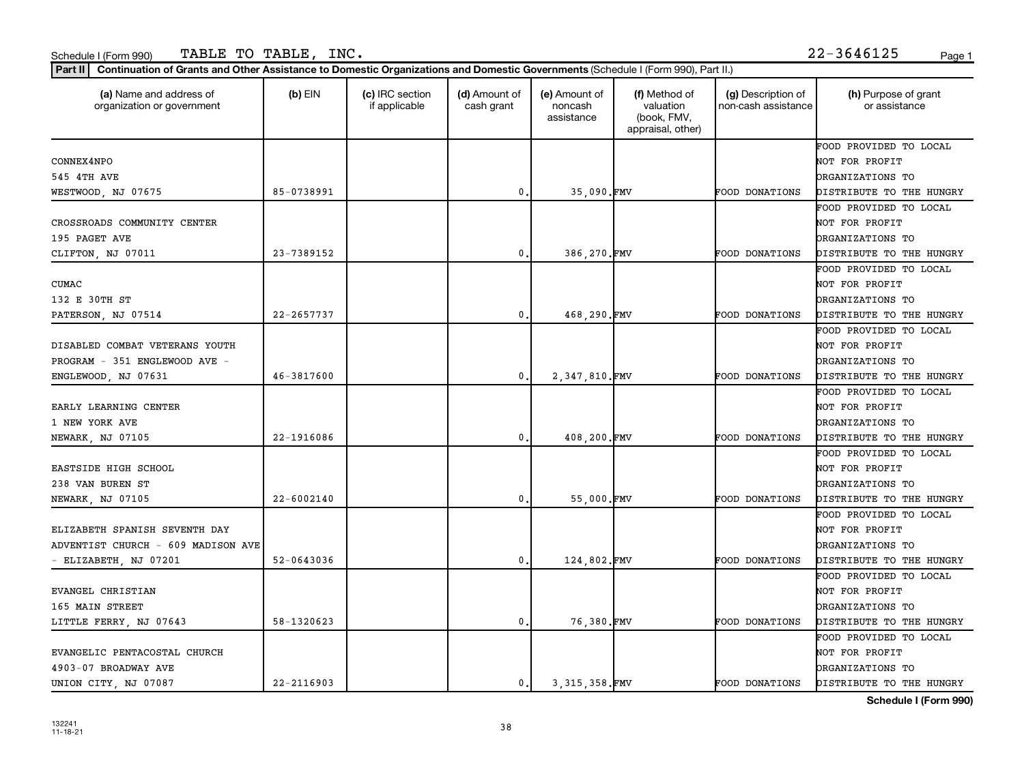| (a) Name and address of<br>organization or government | $(b)$ EIN      | (c) IRC section<br>if applicable | (d) Amount of<br>cash grant | (e) Amount of<br>noncash<br>assistance | (f) Method of<br>valuation<br>(book, FMV,<br>appraisal, other) | (g) Description of<br>non-cash assistance | (h) Purpose of grant<br>or assistance |
|-------------------------------------------------------|----------------|----------------------------------|-----------------------------|----------------------------------------|----------------------------------------------------------------|-------------------------------------------|---------------------------------------|
|                                                       |                |                                  |                             |                                        |                                                                |                                           | FOOD PROVIDED TO LOCAL                |
| CONNEX4NPO                                            |                |                                  |                             |                                        |                                                                |                                           | NOT FOR PROFIT                        |
| 545 4TH AVE                                           |                |                                  |                             |                                        |                                                                |                                           | ORGANIZATIONS TO                      |
| WESTWOOD, NJ 07675                                    | 85-0738991     |                                  | 0                           | 35,090.FMV                             |                                                                | <b>FOOD DONATIONS</b>                     | DISTRIBUTE TO THE HUNGRY              |
|                                                       |                |                                  |                             |                                        |                                                                |                                           | FOOD PROVIDED TO LOCAL                |
| CROSSROADS COMMUNITY CENTER                           |                |                                  |                             |                                        |                                                                |                                           | NOT FOR PROFIT                        |
| 195 PAGET AVE                                         |                |                                  |                             |                                        |                                                                |                                           | ORGANIZATIONS TO                      |
| CLIFTON, NJ 07011                                     | 23-7389152     |                                  | 0                           | 386,270.FMV                            |                                                                | FOOD DONATIONS                            | DISTRIBUTE TO THE HUNGRY              |
|                                                       |                |                                  |                             |                                        |                                                                |                                           | FOOD PROVIDED TO LOCAL                |
| CUMAC                                                 |                |                                  |                             |                                        |                                                                |                                           | NOT FOR PROFIT                        |
| 132 E 30TH ST                                         |                |                                  |                             |                                        |                                                                |                                           | ORGANIZATIONS TO                      |
| PATERSON, NJ 07514                                    | 22-2657737     |                                  | $\mathbf{0}$                | 468,290.FMV                            |                                                                | <b>FOOD DONATIONS</b>                     | DISTRIBUTE TO THE HUNGRY              |
|                                                       |                |                                  |                             |                                        |                                                                |                                           | FOOD PROVIDED TO LOCAL                |
| DISABLED COMBAT VETERANS YOUTH                        |                |                                  |                             |                                        |                                                                |                                           | NOT FOR PROFIT                        |
| PROGRAM - 351 ENGLEWOOD AVE -                         |                |                                  |                             |                                        |                                                                |                                           | ORGANIZATIONS TO                      |
| ENGLEWOOD, NJ 07631                                   | 46-3817600     |                                  | 0                           | 2,347,810.FMV                          |                                                                | FOOD DONATIONS                            | DISTRIBUTE TO THE HUNGRY              |
|                                                       |                |                                  |                             |                                        |                                                                |                                           | FOOD PROVIDED TO LOCAL                |
| EARLY LEARNING CENTER                                 |                |                                  |                             |                                        |                                                                |                                           | NOT FOR PROFIT                        |
| 1 NEW YORK AVE                                        |                |                                  |                             |                                        |                                                                |                                           | ORGANIZATIONS TO                      |
| NEWARK, NJ 07105                                      | 22-1916086     |                                  | 0                           | 408,200.FMV                            |                                                                | FOOD DONATIONS                            | DISTRIBUTE TO THE HUNGRY              |
|                                                       |                |                                  |                             |                                        |                                                                |                                           | FOOD PROVIDED TO LOCAL                |
| EASTSIDE HIGH SCHOOL                                  |                |                                  |                             |                                        |                                                                |                                           | NOT FOR PROFIT                        |
| 238 VAN BUREN ST                                      |                |                                  |                             |                                        |                                                                |                                           | <b>DRGANIZATIONS TO</b>               |
| NEWARK, NJ 07105                                      | 22-6002140     |                                  | 0                           | 55,000.FMV                             |                                                                | FOOD DONATIONS                            | DISTRIBUTE TO THE HUNGRY              |
|                                                       |                |                                  |                             |                                        |                                                                |                                           | FOOD PROVIDED TO LOCAL                |
| ELIZABETH SPANISH SEVENTH DAY                         |                |                                  |                             |                                        |                                                                |                                           | NOT FOR PROFIT                        |
| ADVENTIST CHURCH - 609 MADISON AVE                    |                |                                  |                             |                                        |                                                                |                                           | ORGANIZATIONS TO                      |
| - ELIZABETH, NJ 07201                                 | 52-0643036     |                                  | 0                           | 124,802.FMV                            |                                                                | <b>FOOD DONATIONS</b>                     | DISTRIBUTE TO THE HUNGRY              |
|                                                       |                |                                  |                             |                                        |                                                                |                                           | FOOD PROVIDED TO LOCAL                |
| EVANGEL CHRISTIAN                                     |                |                                  |                             |                                        |                                                                |                                           | NOT FOR PROFIT                        |
| 165 MAIN STREET                                       |                |                                  |                             |                                        |                                                                |                                           | ORGANIZATIONS TO                      |
| LITTLE FERRY, NJ 07643                                | 58-1320623     |                                  | 0.                          | 76,380.FMV                             |                                                                | FOOD DONATIONS                            | DISTRIBUTE TO THE HUNGRY              |
|                                                       |                |                                  |                             |                                        |                                                                |                                           | FOOD PROVIDED TO LOCAL                |
| EVANGELIC PENTACOSTAL CHURCH                          |                |                                  |                             |                                        |                                                                |                                           | NOT FOR PROFIT                        |
| 4903-07 BROADWAY AVE                                  |                |                                  |                             |                                        |                                                                |                                           | ORGANIZATIONS TO                      |
| UNION CITY, NJ 07087                                  | $22 - 2116903$ |                                  | 0.                          | 3.315.358.FMV                          |                                                                | <b>FOOD DONATIONS</b>                     | DISTRIBUTE TO THE HUNGRY              |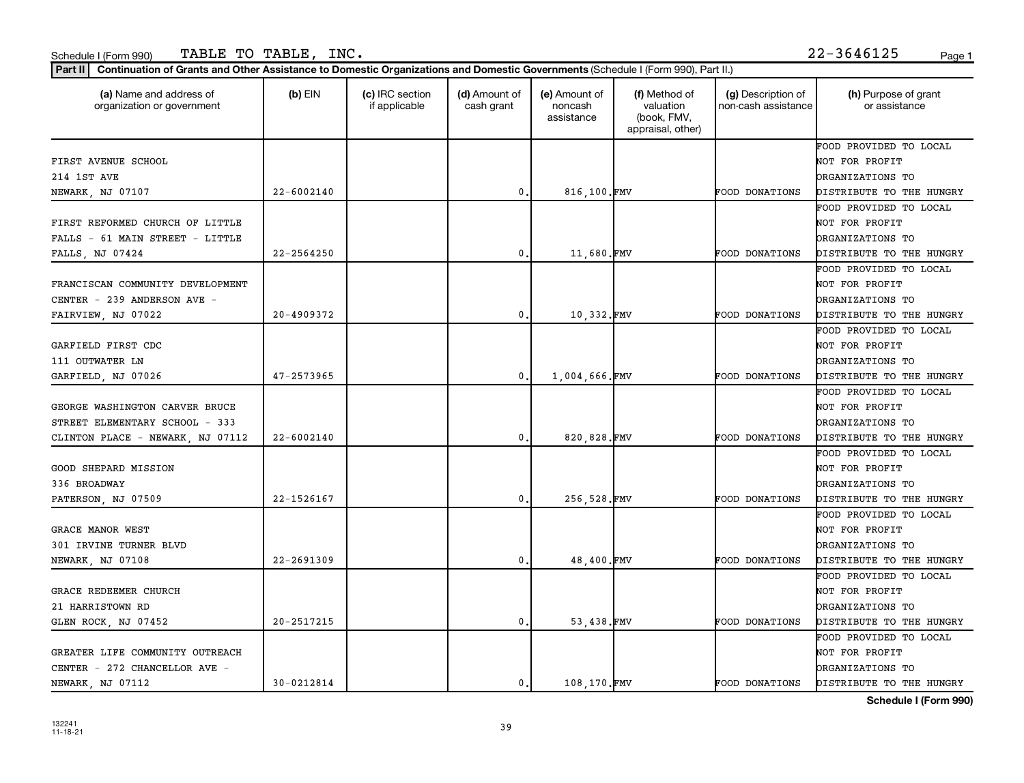| FIRST AVENUE SCHOOL              | 22-6002140     |              |               | appraisal, other) |                       |                          |
|----------------------------------|----------------|--------------|---------------|-------------------|-----------------------|--------------------------|
|                                  |                |              |               |                   |                       | FOOD PROVIDED TO LOCAL   |
|                                  |                |              |               |                   |                       | NOT FOR PROFIT           |
| 214 1ST AVE                      |                |              |               |                   |                       | ORGANIZATIONS TO         |
| NEWARK, NJ 07107                 |                | 0            | 816,100.FMV   |                   | FOOD DONATIONS        | DISTRIBUTE TO THE HUNGRY |
|                                  |                |              |               |                   |                       | FOOD PROVIDED TO LOCAL   |
| FIRST REFORMED CHURCH OF LITTLE  |                |              |               |                   |                       | NOT FOR PROFIT           |
| FALLS - 61 MAIN STREET - LITTLE  |                |              |               |                   |                       | ORGANIZATIONS TO         |
| FALLS, NJ 07424                  | 22-2564250     | $\mathbf 0$  | 11,680.FMV    |                   | FOOD DONATIONS        | DISTRIBUTE TO THE HUNGRY |
|                                  |                |              |               |                   |                       | FOOD PROVIDED TO LOCAL   |
| FRANCISCAN COMMUNITY DEVELOPMENT |                |              |               |                   |                       | NOT FOR PROFIT           |
| CENTER - 239 ANDERSON AVE -      |                |              |               |                   |                       | <b>DRGANIZATIONS TO</b>  |
| FAIRVIEW, NJ 07022               | 20-4909372     | 0.           | 10,332.FMV    |                   | FOOD DONATIONS        | DISTRIBUTE TO THE HUNGRY |
|                                  |                |              |               |                   |                       | FOOD PROVIDED TO LOCAL   |
| GARFIELD FIRST CDC               |                |              |               |                   |                       | NOT FOR PROFIT           |
| 111 OUTWATER LN                  |                |              |               |                   |                       | ORGANIZATIONS TO         |
| GARFIELD, NJ 07026               | 47-2573965     | 0.           | 1,004,666.FMV |                   | FOOD DONATIONS        | DISTRIBUTE TO THE HUNGRY |
|                                  |                |              |               |                   |                       | FOOD PROVIDED TO LOCAL   |
| GEORGE WASHINGTON CARVER BRUCE   |                |              |               |                   |                       | NOT FOR PROFIT           |
| STREET ELEMENTARY SCHOOL - 333   |                |              |               |                   |                       | ORGANIZATIONS TO         |
| CLINTON PLACE - NEWARK, NJ 07112 | $22 - 6002140$ | $\mathbf{0}$ | 820,828.FMV   |                   | FOOD DONATIONS        | DISTRIBUTE TO THE HUNGRY |
|                                  |                |              |               |                   |                       | FOOD PROVIDED TO LOCAL   |
| <b>GOOD SHEPARD MISSION</b>      |                |              |               |                   |                       | NOT FOR PROFIT           |
| 336 BROADWAY                     |                |              |               |                   |                       | <b>DRGANIZATIONS TO</b>  |
| PATERSON, NJ 07509               | 22-1526167     | 0.           | 256,528.FMV   |                   | FOOD DONATIONS        | DISTRIBUTE TO THE HUNGRY |
|                                  |                |              |               |                   |                       | FOOD PROVIDED TO LOCAL   |
| GRACE MANOR WEST                 |                |              |               |                   |                       | NOT FOR PROFIT           |
| 301 IRVINE TURNER BLVD           |                |              |               |                   |                       | ORGANIZATIONS TO         |
| NEWARK, NJ 07108                 | 22-2691309     | 0.           | 48,400.FMV    |                   | FOOD DONATIONS        | DISTRIBUTE TO THE HUNGRY |
|                                  |                |              |               |                   |                       | FOOD PROVIDED TO LOCAL   |
| GRACE REDEEMER CHURCH            |                |              |               |                   |                       | NOT FOR PROFIT           |
| 21 HARRISTOWN RD                 |                |              |               |                   |                       | <b>DRGANIZATIONS TO</b>  |
| GLEN ROCK, NJ 07452              | 20-2517215     | 0.           | 53,438.FMV    |                   | FOOD DONATIONS        | DISTRIBUTE TO THE HUNGRY |
|                                  |                |              |               |                   |                       | FOOD PROVIDED TO LOCAL   |
| GREATER LIFE COMMUNITY OUTREACH  |                |              |               |                   |                       | NOT FOR PROFIT           |
| CENTER - 272 CHANCELLOR AVE -    |                |              |               |                   |                       | ORGANIZATIONS TO         |
| NEWARK, NJ 07112                 | 30-0212814     | 0.1          | 108.170.FMV   |                   | <b>FOOD DONATIONS</b> | DISTRIBUTE TO THE HUNGRY |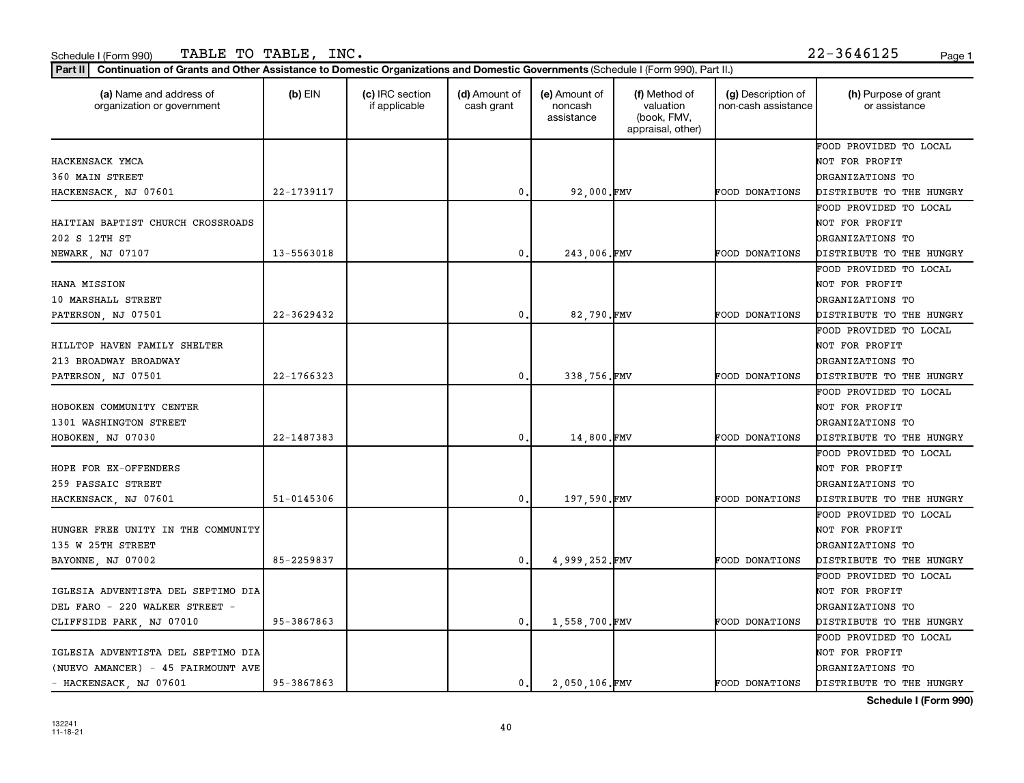| (a) Name and address of<br>organization or government | $(b)$ EIN  | (c) IRC section<br>if applicable | (d) Amount of<br>cash grant | (e) Amount of<br>noncash<br>assistance | (f) Method of<br>valuation<br>(book, FMV,<br>appraisal, other) | (g) Description of<br>non-cash assistance | (h) Purpose of grant<br>or assistance |
|-------------------------------------------------------|------------|----------------------------------|-----------------------------|----------------------------------------|----------------------------------------------------------------|-------------------------------------------|---------------------------------------|
|                                                       |            |                                  |                             |                                        |                                                                |                                           | FOOD PROVIDED TO LOCAL                |
| HACKENSACK YMCA                                       |            |                                  |                             |                                        |                                                                |                                           | NOT FOR PROFIT                        |
| 360 MAIN STREET                                       |            |                                  |                             |                                        |                                                                |                                           | ORGANIZATIONS TO                      |
| HACKENSACK, NJ 07601                                  | 22-1739117 |                                  | 0                           | 92,000.FMV                             |                                                                | <b>FOOD DONATIONS</b>                     | DISTRIBUTE TO THE HUNGRY              |
|                                                       |            |                                  |                             |                                        |                                                                |                                           | FOOD PROVIDED TO LOCAL                |
| HAITIAN BAPTIST CHURCH CROSSROADS                     |            |                                  |                             |                                        |                                                                |                                           | NOT FOR PROFIT                        |
| 202 S 12TH ST                                         |            |                                  |                             |                                        |                                                                |                                           | <b>DRGANIZATIONS TO</b>               |
| NEWARK, NJ 07107                                      | 13-5563018 |                                  | 0                           | 243,006.FMV                            |                                                                | FOOD DONATIONS                            | DISTRIBUTE TO THE HUNGRY              |
|                                                       |            |                                  |                             |                                        |                                                                |                                           | FOOD PROVIDED TO LOCAL                |
| HANA MISSION                                          |            |                                  |                             |                                        |                                                                |                                           | NOT FOR PROFIT                        |
| 10 MARSHALL STREET                                    |            |                                  |                             |                                        |                                                                |                                           | <b>DRGANIZATIONS TO</b>               |
| PATERSON, NJ 07501                                    | 22-3629432 |                                  | 0                           | 82.790.FMV                             |                                                                | <b>FOOD DONATIONS</b>                     | DISTRIBUTE TO THE HUNGRY              |
|                                                       |            |                                  |                             |                                        |                                                                |                                           | FOOD PROVIDED TO LOCAL                |
| HILLTOP HAVEN FAMILY SHELTER                          |            |                                  |                             |                                        |                                                                |                                           | NOT FOR PROFIT                        |
| 213 BROADWAY BROADWAY                                 |            |                                  |                             |                                        |                                                                |                                           | <b>DRGANIZATIONS TO</b>               |
| PATERSON, NJ 07501                                    | 22-1766323 |                                  | 0                           | 338,756.FMV                            |                                                                | FOOD DONATIONS                            | DISTRIBUTE TO THE HUNGRY              |
|                                                       |            |                                  |                             |                                        |                                                                |                                           | FOOD PROVIDED TO LOCAL                |
| HOBOKEN COMMUNITY CENTER                              |            |                                  |                             |                                        |                                                                |                                           | NOT FOR PROFIT                        |
| 1301 WASHINGTON STREET                                |            |                                  |                             |                                        |                                                                |                                           | <b>DRGANIZATIONS TO</b>               |
| HOBOKEN, NJ 07030                                     | 22-1487383 |                                  | 0                           | 14,800.FMV                             |                                                                | FOOD DONATIONS                            | DISTRIBUTE TO THE HUNGRY              |
|                                                       |            |                                  |                             |                                        |                                                                |                                           | FOOD PROVIDED TO LOCAL                |
| HOPE FOR EX-OFFENDERS                                 |            |                                  |                             |                                        |                                                                |                                           | NOT FOR PROFIT                        |
| 259 PASSAIC STREET                                    |            |                                  |                             |                                        |                                                                |                                           | ORGANIZATIONS TO                      |
| HACKENSACK, NJ 07601                                  | 51-0145306 |                                  | 0                           | 197,590.FMV                            |                                                                | <b>FOOD DONATIONS</b>                     | DISTRIBUTE TO THE HUNGRY              |
|                                                       |            |                                  |                             |                                        |                                                                |                                           | FOOD PROVIDED TO LOCAL                |
| HUNGER FREE UNITY IN THE COMMUNITY                    |            |                                  |                             |                                        |                                                                |                                           | NOT FOR PROFIT                        |
| 135 W 25TH STREET                                     |            |                                  |                             |                                        |                                                                |                                           | <b>DRGANIZATIONS TO</b>               |
| BAYONNE, NJ 07002                                     | 85-2259837 |                                  | 0                           | 4.999.252.FMV                          |                                                                | FOOD DONATIONS                            | DISTRIBUTE TO THE HUNGRY              |
|                                                       |            |                                  |                             |                                        |                                                                |                                           | FOOD PROVIDED TO LOCAL                |
| IGLESIA ADVENTISTA DEL SEPTIMO DIA                    |            |                                  |                             |                                        |                                                                |                                           | NOT FOR PROFIT                        |
| DEL FARO - 220 WALKER STREET -                        |            |                                  |                             |                                        |                                                                |                                           | DRGANIZATIONS TO                      |
| CLIFFSIDE PARK, NJ 07010                              | 95-3867863 |                                  | 0.                          | 1,558,700.FMV                          |                                                                | FOOD DONATIONS                            | DISTRIBUTE TO THE HUNGRY              |
|                                                       |            |                                  |                             |                                        |                                                                |                                           | FOOD PROVIDED TO LOCAL                |
| IGLESIA ADVENTISTA DEL SEPTIMO DIA                    |            |                                  |                             |                                        |                                                                |                                           | NOT FOR PROFIT                        |
| (NUEVO AMANCER) - 45 FAIRMOUNT AVE                    |            |                                  |                             |                                        |                                                                |                                           | <b>DRGANIZATIONS TO</b>               |
| - HACKENSACK, NJ 07601                                | 95-3867863 |                                  | 0.                          | 2.050.106.FMV                          |                                                                | FOOD DONATIONS                            | DISTRIBUTE TO THE HUNGRY              |
|                                                       |            |                                  |                             |                                        |                                                                |                                           |                                       |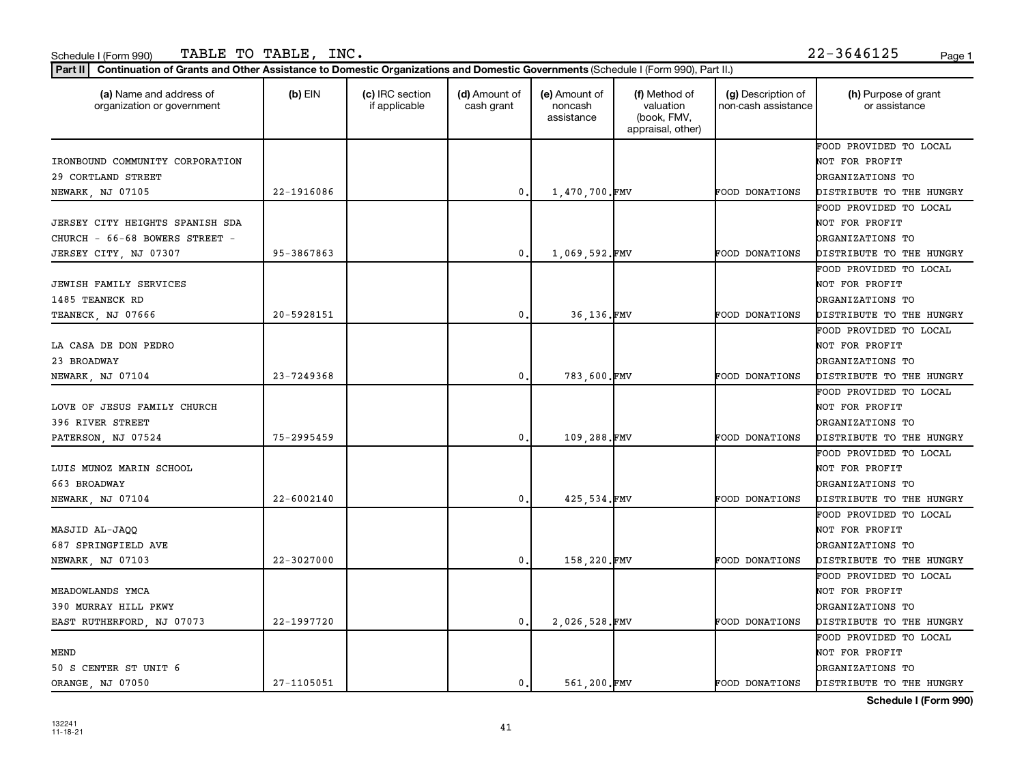| Part II   Continuation of Grants and Other Assistance to Domestic Organizations and Domestic Governments (Schedule I (Form 990), Part II.) |                |                                  |                             |                                        |                                                                |                                           |                                       |
|--------------------------------------------------------------------------------------------------------------------------------------------|----------------|----------------------------------|-----------------------------|----------------------------------------|----------------------------------------------------------------|-------------------------------------------|---------------------------------------|
| (a) Name and address of<br>organization or government                                                                                      | $(b)$ EIN      | (c) IRC section<br>if applicable | (d) Amount of<br>cash grant | (e) Amount of<br>noncash<br>assistance | (f) Method of<br>valuation<br>(book, FMV,<br>appraisal, other) | (g) Description of<br>non-cash assistance | (h) Purpose of grant<br>or assistance |
|                                                                                                                                            |                |                                  |                             |                                        |                                                                |                                           | FOOD PROVIDED TO LOCAL                |
| IRONBOUND COMMUNITY CORPORATION                                                                                                            |                |                                  |                             |                                        |                                                                |                                           | NOT FOR PROFIT                        |
| 29 CORTLAND STREET                                                                                                                         |                |                                  |                             |                                        |                                                                |                                           | ORGANIZATIONS TO                      |
| NEWARK, NJ 07105                                                                                                                           | 22-1916086     |                                  | $\mathbf 0$                 | 1,470,700.FMV                          |                                                                | FOOD DONATIONS                            | DISTRIBUTE TO THE HUNGRY              |
|                                                                                                                                            |                |                                  |                             |                                        |                                                                |                                           | FOOD PROVIDED TO LOCAL                |
| JERSEY CITY HEIGHTS SPANISH SDA                                                                                                            |                |                                  |                             |                                        |                                                                |                                           | NOT FOR PROFIT                        |
| CHURCH - 66-68 BOWERS STREET -                                                                                                             |                |                                  |                             |                                        |                                                                |                                           | ORGANIZATIONS TO                      |
| JERSEY CITY, NJ 07307                                                                                                                      | 95-3867863     |                                  | 0.                          | 1,069,592.FMV                          |                                                                | FOOD DONATIONS                            | DISTRIBUTE TO THE HUNGRY              |
|                                                                                                                                            |                |                                  |                             |                                        |                                                                |                                           | FOOD PROVIDED TO LOCAL                |
| <b>JEWISH FAMILY SERVICES</b>                                                                                                              |                |                                  |                             |                                        |                                                                |                                           | NOT FOR PROFIT                        |
| 1485 TEANECK RD                                                                                                                            |                |                                  |                             |                                        |                                                                |                                           | ORGANIZATIONS TO                      |
| TEANECK, NJ 07666                                                                                                                          | 20-5928151     |                                  | 0.                          | 36,136.FMV                             |                                                                | <b>FOOD DONATIONS</b>                     | DISTRIBUTE TO THE HUNGRY              |
|                                                                                                                                            |                |                                  |                             |                                        |                                                                |                                           | FOOD PROVIDED TO LOCAL                |
| LA CASA DE DON PEDRO                                                                                                                       |                |                                  |                             |                                        |                                                                |                                           | NOT FOR PROFIT                        |
| 23 BROADWAY                                                                                                                                |                |                                  |                             |                                        |                                                                |                                           | ORGANIZATIONS TO                      |
| NEWARK, NJ 07104                                                                                                                           | 23-7249368     |                                  | 0                           | 783,600.FMV                            |                                                                | FOOD DONATIONS                            | DISTRIBUTE TO THE HUNGRY              |
|                                                                                                                                            |                |                                  |                             |                                        |                                                                |                                           | FOOD PROVIDED TO LOCAL                |
| LOVE OF JESUS FAMILY CHURCH                                                                                                                |                |                                  |                             |                                        |                                                                |                                           | NOT FOR PROFIT                        |
| 396 RIVER STREET                                                                                                                           |                |                                  |                             |                                        |                                                                |                                           | ORGANIZATIONS TO                      |
| PATERSON, NJ 07524                                                                                                                         | 75-2995459     |                                  | $\mathbf{0}$                | 109,288.FMV                            |                                                                | FOOD DONATIONS                            | DISTRIBUTE TO THE HUNGRY              |
|                                                                                                                                            |                |                                  |                             |                                        |                                                                |                                           | FOOD PROVIDED TO LOCAL                |
| LUIS MUNOZ MARIN SCHOOL                                                                                                                    |                |                                  |                             |                                        |                                                                |                                           | NOT FOR PROFIT                        |
| 663 BROADWAY                                                                                                                               |                |                                  |                             |                                        |                                                                |                                           | <b>DRGANIZATIONS TO</b>               |
| NEWARK, NJ 07104                                                                                                                           | 22-6002140     |                                  | 0.                          | 425,534.FMV                            |                                                                | FOOD DONATIONS                            | DISTRIBUTE TO THE HUNGRY              |
|                                                                                                                                            |                |                                  |                             |                                        |                                                                |                                           | FOOD PROVIDED TO LOCAL                |
| MASJID AL-JAQQ                                                                                                                             |                |                                  |                             |                                        |                                                                |                                           | NOT FOR PROFIT                        |
| 687 SPRINGFIELD AVE                                                                                                                        |                |                                  |                             |                                        |                                                                |                                           | ORGANIZATIONS TO                      |
| NEWARK, NJ 07103                                                                                                                           | $22 - 3027000$ |                                  | 0.                          | 158,220.FMV                            |                                                                | FOOD DONATIONS                            | DISTRIBUTE TO THE HUNGRY              |
|                                                                                                                                            |                |                                  |                             |                                        |                                                                |                                           | FOOD PROVIDED TO LOCAL                |
| MEADOWLANDS YMCA                                                                                                                           |                |                                  |                             |                                        |                                                                |                                           | NOT FOR PROFIT                        |
| 390 MURRAY HILL PKWY                                                                                                                       |                |                                  |                             |                                        |                                                                |                                           | ORGANIZATIONS TO                      |
| EAST RUTHERFORD, NJ 07073                                                                                                                  | 22-1997720     |                                  | 0.                          | 2,026,528.FMV                          |                                                                | FOOD DONATIONS                            | DISTRIBUTE TO THE HUNGRY              |
|                                                                                                                                            |                |                                  |                             |                                        |                                                                |                                           | FOOD PROVIDED TO LOCAL                |
| MEND                                                                                                                                       |                |                                  |                             |                                        |                                                                |                                           | NOT FOR PROFIT                        |
| 50 S CENTER ST UNIT 6                                                                                                                      |                |                                  |                             |                                        |                                                                |                                           | ORGANIZATIONS TO                      |
| ORANGE, NJ 07050                                                                                                                           | 27-1105051     |                                  | 0.1                         | 561,200.FMV                            |                                                                | <b>FOOD DONATIONS</b>                     | DISTRIBUTE TO THE HUNGRY              |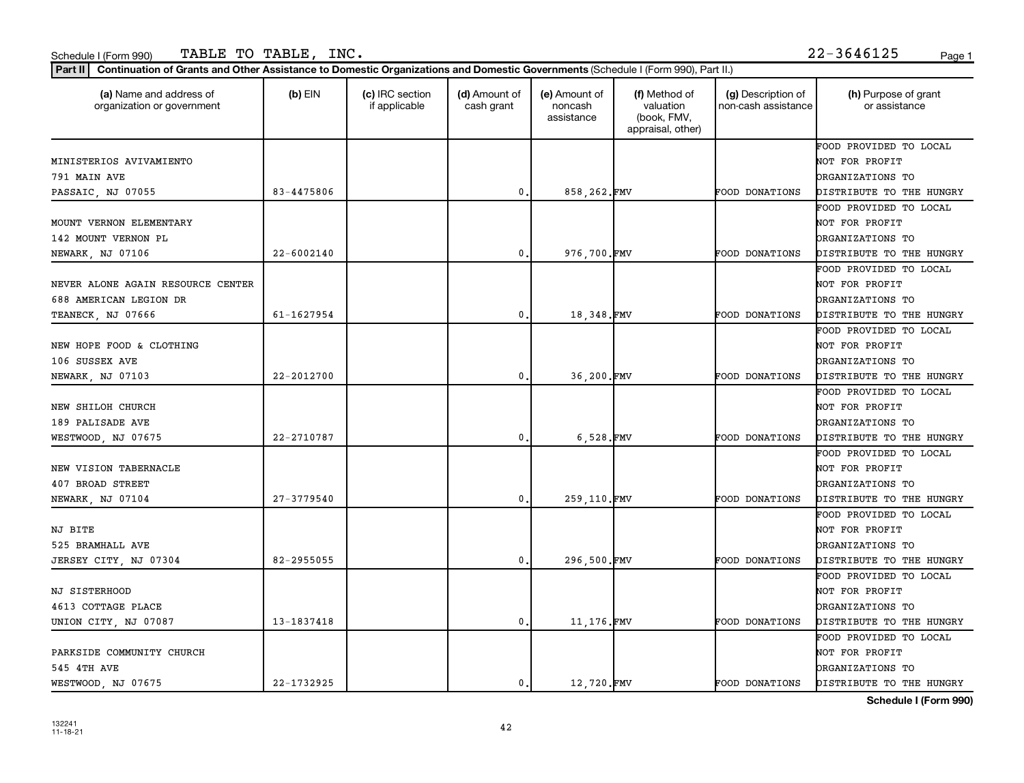| (a) Name and address of<br>organization or government | $(b)$ EIN  | (c) IRC section<br>if applicable | (d) Amount of<br>cash grant | (e) Amount of<br>noncash<br>assistance | (f) Method of<br>valuation<br>(book, FMV,<br>appraisal, other) | (g) Description of<br>non-cash assistance | (h) Purpose of grant<br>or assistance |
|-------------------------------------------------------|------------|----------------------------------|-----------------------------|----------------------------------------|----------------------------------------------------------------|-------------------------------------------|---------------------------------------|
|                                                       |            |                                  |                             |                                        |                                                                |                                           | FOOD PROVIDED TO LOCAL                |
| MINISTERIOS AVIVAMIENTO                               |            |                                  |                             |                                        |                                                                |                                           | NOT FOR PROFIT                        |
| 791 MAIN AVE                                          |            |                                  |                             |                                        |                                                                |                                           | ORGANIZATIONS TO                      |
| PASSAIC, NJ 07055                                     | 83-4475806 |                                  | $\mathbf{0}$ .              | 858,262.FMV                            |                                                                | FOOD DONATIONS                            | DISTRIBUTE TO THE HUNGRY              |
|                                                       |            |                                  |                             |                                        |                                                                |                                           | FOOD PROVIDED TO LOCAL                |
| MOUNT VERNON ELEMENTARY                               |            |                                  |                             |                                        |                                                                |                                           | NOT FOR PROFIT                        |
| 142 MOUNT VERNON PL                                   |            |                                  |                             |                                        |                                                                |                                           | ORGANIZATIONS TO                      |
| NEWARK, NJ 07106                                      | 22-6002140 |                                  | $^{\rm 0}$ .                | 976,700.FMV                            |                                                                | FOOD DONATIONS                            | DISTRIBUTE TO THE HUNGRY              |
|                                                       |            |                                  |                             |                                        |                                                                |                                           | FOOD PROVIDED TO LOCAL                |
| NEVER ALONE AGAIN RESOURCE CENTER                     |            |                                  |                             |                                        |                                                                |                                           | NOT FOR PROFIT                        |
| 688 AMERICAN LEGION DR                                |            |                                  |                             |                                        |                                                                |                                           | <b>DRGANIZATIONS TO</b>               |
| TEANECK, NJ 07666                                     | 61-1627954 |                                  | 0.                          | 18,348.FMV                             |                                                                | FOOD DONATIONS                            | DISTRIBUTE TO THE HUNGRY              |
|                                                       |            |                                  |                             |                                        |                                                                |                                           | FOOD PROVIDED TO LOCAL                |
| NEW HOPE FOOD & CLOTHING                              |            |                                  |                             |                                        |                                                                |                                           | NOT FOR PROFIT                        |
| 106 SUSSEX AVE                                        |            |                                  |                             |                                        |                                                                |                                           | <b>DRGANIZATIONS TO</b>               |
| NEWARK, NJ 07103                                      | 22-2012700 |                                  | $\mathfrak o$ .             | 36,200.FMV                             |                                                                | FOOD DONATIONS                            | DISTRIBUTE TO THE HUNGRY              |
|                                                       |            |                                  |                             |                                        |                                                                |                                           | FOOD PROVIDED TO LOCAL                |
| NEW SHILOH CHURCH                                     |            |                                  |                             |                                        |                                                                |                                           | NOT FOR PROFIT                        |
| 189 PALISADE AVE                                      |            |                                  |                             |                                        |                                                                |                                           | <b>DRGANIZATIONS TO</b>               |
| WESTWOOD, NJ 07675                                    | 22-2710787 |                                  | $\mathbf{0}$ .              | 6,528.FMV                              |                                                                | FOOD DONATIONS                            | DISTRIBUTE TO THE HUNGRY              |
|                                                       |            |                                  |                             |                                        |                                                                |                                           | FOOD PROVIDED TO LOCAL                |
| NEW VISION TABERNACLE                                 |            |                                  |                             |                                        |                                                                |                                           | NOT FOR PROFIT                        |
| 407 BROAD STREET                                      |            |                                  |                             |                                        |                                                                |                                           | <b>DRGANIZATIONS TO</b>               |
| NEWARK, NJ 07104                                      | 27-3779540 |                                  | $^{\rm 0}$ .                | 259,110.FMV                            |                                                                | FOOD DONATIONS                            | DISTRIBUTE TO THE HUNGRY              |
|                                                       |            |                                  |                             |                                        |                                                                |                                           | FOOD PROVIDED TO LOCAL                |
| NJ BITE                                               |            |                                  |                             |                                        |                                                                |                                           | NOT FOR PROFIT                        |
| 525 BRAMHALL AVE                                      |            |                                  |                             |                                        |                                                                |                                           | <b>DRGANIZATIONS TO</b>               |
| JERSEY CITY, NJ 07304                                 | 82-2955055 |                                  | 0.                          | 296,500.FMV                            |                                                                | FOOD DONATIONS                            | DISTRIBUTE TO THE HUNGRY              |
|                                                       |            |                                  |                             |                                        |                                                                |                                           | FOOD PROVIDED TO LOCAL                |
| NJ SISTERHOOD                                         |            |                                  |                             |                                        |                                                                |                                           | NOT FOR PROFIT                        |
| 4613 COTTAGE PLACE                                    |            |                                  |                             |                                        |                                                                |                                           | <b>DRGANIZATIONS TO</b>               |
| UNION CITY, NJ 07087                                  | 13-1837418 |                                  | $\mathbf{0}$ .              | 11,176.FMV                             |                                                                | FOOD DONATIONS                            | DISTRIBUTE TO THE HUNGRY              |
|                                                       |            |                                  |                             |                                        |                                                                |                                           | FOOD PROVIDED TO LOCAL                |
| PARKSIDE COMMUNITY CHURCH                             |            |                                  |                             |                                        |                                                                |                                           | NOT FOR PROFIT                        |
| 545 4TH AVE                                           |            |                                  |                             |                                        |                                                                |                                           | <b>DRGANIZATIONS TO</b>               |
| WESTWOOD, NJ 07675                                    | 22-1732925 |                                  | 0.                          | 12,720.FMV                             |                                                                | <b>FOOD DONATIONS</b>                     | DISTRIBUTE TO THE HUNGRY              |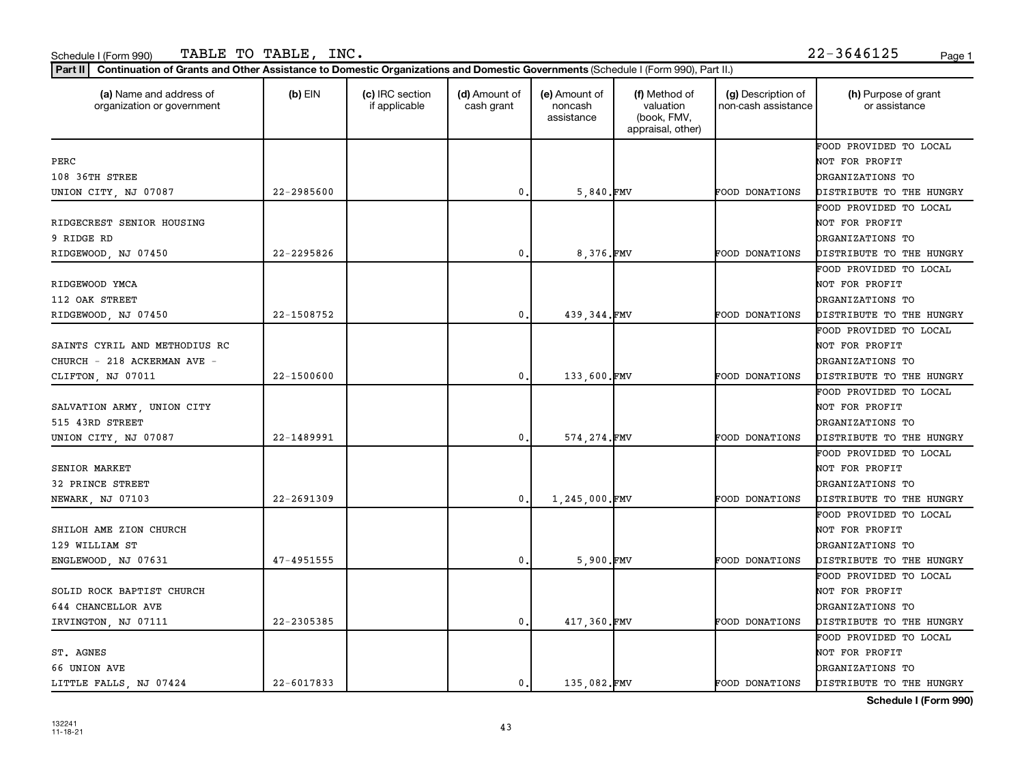| (a) Name and address of<br>organization or government | $(b)$ EIN      | (c) IRC section<br>if applicable | (d) Amount of<br>cash grant | (e) Amount of<br>noncash<br>assistance | (f) Method of<br>valuation<br>(book, FMV,<br>appraisal, other) | (g) Description of<br>non-cash assistance | (h) Purpose of grant<br>or assistance |
|-------------------------------------------------------|----------------|----------------------------------|-----------------------------|----------------------------------------|----------------------------------------------------------------|-------------------------------------------|---------------------------------------|
|                                                       |                |                                  |                             |                                        |                                                                |                                           | FOOD PROVIDED TO LOCAL                |
| PERC                                                  |                |                                  |                             |                                        |                                                                |                                           | NOT FOR PROFIT                        |
| 108 36TH STREE                                        |                |                                  |                             |                                        |                                                                |                                           | ORGANIZATIONS TO                      |
| UNION CITY, NJ 07087                                  | $22 - 2985600$ |                                  | 0                           | $5,840.$ FMV                           |                                                                | <b>FOOD DONATIONS</b>                     | DISTRIBUTE TO THE HUNGRY              |
|                                                       |                |                                  |                             |                                        |                                                                |                                           | FOOD PROVIDED TO LOCAL                |
| RIDGECREST SENIOR HOUSING                             |                |                                  |                             |                                        |                                                                |                                           | NOT FOR PROFIT                        |
| 9 RIDGE RD                                            |                |                                  |                             |                                        |                                                                |                                           | ORGANIZATIONS TO                      |
| RIDGEWOOD, NJ 07450                                   | 22-2295826     |                                  | 0                           | 8,376.FMV                              |                                                                | FOOD DONATIONS                            | DISTRIBUTE TO THE HUNGRY              |
|                                                       |                |                                  |                             |                                        |                                                                |                                           | FOOD PROVIDED TO LOCAL                |
| RIDGEWOOD YMCA                                        |                |                                  |                             |                                        |                                                                |                                           | NOT FOR PROFIT                        |
| 112 OAK STREET                                        |                |                                  |                             |                                        |                                                                |                                           | <b>DRGANIZATIONS TO</b>               |
| RIDGEWOOD, NJ 07450                                   | 22-1508752     |                                  | $\mathbf{0}$                | 439, 344.FMV                           |                                                                | <b>FOOD DONATIONS</b>                     | DISTRIBUTE TO THE HUNGRY              |
|                                                       |                |                                  |                             |                                        |                                                                |                                           | FOOD PROVIDED TO LOCAL                |
| SAINTS CYRIL AND METHODIUS RC                         |                |                                  |                             |                                        |                                                                |                                           | NOT FOR PROFIT                        |
| CHURCH - 218 ACKERMAN AVE -                           |                |                                  |                             |                                        |                                                                |                                           | <b>DRGANIZATIONS TO</b>               |
| CLIFTON, NJ 07011                                     | 22-1500600     |                                  | 0                           | 133,600.FMV                            |                                                                | FOOD DONATIONS                            | DISTRIBUTE TO THE HUNGRY              |
|                                                       |                |                                  |                             |                                        |                                                                |                                           | FOOD PROVIDED TO LOCAL                |
| SALVATION ARMY, UNION CITY                            |                |                                  |                             |                                        |                                                                |                                           | NOT FOR PROFIT                        |
| 515 43RD STREET                                       |                |                                  |                             |                                        |                                                                |                                           | <b>DRGANIZATIONS TO</b>               |
| UNION CITY, NJ 07087                                  | 22-1489991     |                                  | 0                           | 574, 274.FMV                           |                                                                | FOOD DONATIONS                            | DISTRIBUTE TO THE HUNGRY              |
|                                                       |                |                                  |                             |                                        |                                                                |                                           | FOOD PROVIDED TO LOCAL                |
| SENIOR MARKET                                         |                |                                  |                             |                                        |                                                                |                                           | NOT FOR PROFIT                        |
| 32 PRINCE STREET                                      |                |                                  |                             |                                        |                                                                |                                           | <b>DRGANIZATIONS TO</b>               |
| NEWARK, NJ 07103                                      | 22-2691309     |                                  | 0                           | 1,245,000.FMV                          |                                                                | FOOD DONATIONS                            | DISTRIBUTE TO THE HUNGRY              |
|                                                       |                |                                  |                             |                                        |                                                                |                                           | FOOD PROVIDED TO LOCAL                |
| SHILOH AME ZION CHURCH                                |                |                                  |                             |                                        |                                                                |                                           | NOT FOR PROFIT                        |
| 129 WILLIAM ST                                        |                |                                  |                             |                                        |                                                                |                                           | <b>DRGANIZATIONS TO</b>               |
| ENGLEWOOD, NJ 07631                                   | $47 - 4951555$ |                                  | 0                           | 5.900.FMV                              |                                                                | FOOD DONATIONS                            | DISTRIBUTE TO THE HUNGRY              |
|                                                       |                |                                  |                             |                                        |                                                                |                                           | FOOD PROVIDED TO LOCAL                |
| SOLID ROCK BAPTIST CHURCH                             |                |                                  |                             |                                        |                                                                |                                           | NOT FOR PROFIT                        |
| 644 CHANCELLOR AVE                                    |                |                                  |                             |                                        |                                                                |                                           | <b>DRGANIZATIONS TO</b>               |
| IRVINGTON, NJ 07111                                   | 22-2305385     |                                  | 0.                          | 417,360.FMV                            |                                                                | FOOD DONATIONS                            | DISTRIBUTE TO THE HUNGRY              |
|                                                       |                |                                  |                             |                                        |                                                                |                                           | FOOD PROVIDED TO LOCAL                |
| ST. AGNES                                             |                |                                  |                             |                                        |                                                                |                                           | NOT FOR PROFIT                        |
| 66 UNION AVE                                          |                |                                  |                             |                                        |                                                                |                                           | <b>DRGANIZATIONS TO</b>               |
| LITTLE FALLS, NJ 07424                                | $22 - 6017833$ |                                  | 0.                          | 135,082.FMV                            |                                                                | FOOD DONATIONS                            | DISTRIBUTE TO THE HUNGRY              |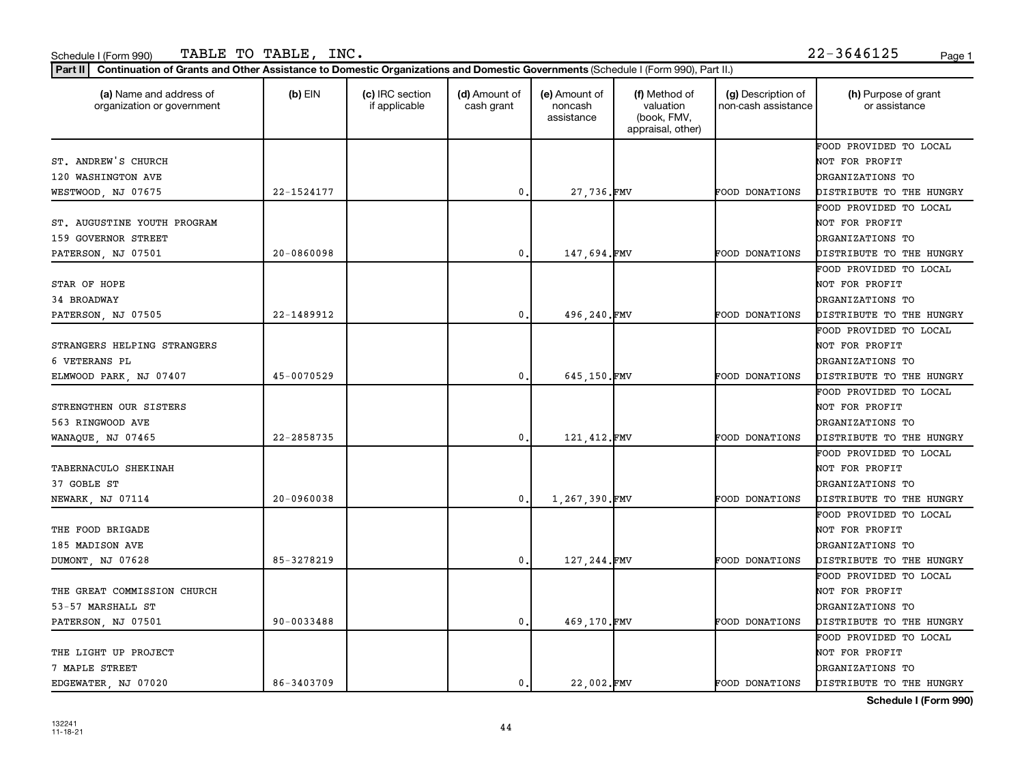| (a) Name and address of<br>organization or government | $(b)$ EIN      | (c) IRC section<br>if applicable | (d) Amount of<br>cash grant | (e) Amount of<br>noncash<br>assistance | (f) Method of<br>valuation<br>(book, FMV,<br>appraisal, other) | (g) Description of<br>non-cash assistance | (h) Purpose of grant<br>or assistance |
|-------------------------------------------------------|----------------|----------------------------------|-----------------------------|----------------------------------------|----------------------------------------------------------------|-------------------------------------------|---------------------------------------|
|                                                       |                |                                  |                             |                                        |                                                                |                                           | FOOD PROVIDED TO LOCAL                |
| ST. ANDREW'S CHURCH                                   |                |                                  |                             |                                        |                                                                |                                           | NOT FOR PROFIT                        |
| 120 WASHINGTON AVE                                    |                |                                  |                             |                                        |                                                                |                                           | ORGANIZATIONS TO                      |
| WESTWOOD, NJ 07675                                    | 22-1524177     |                                  | 0                           | 27,736.FMV                             |                                                                | FOOD DONATIONS                            | DISTRIBUTE TO THE HUNGRY              |
|                                                       |                |                                  |                             |                                        |                                                                |                                           | FOOD PROVIDED TO LOCAL                |
| ST. AUGUSTINE YOUTH PROGRAM                           |                |                                  |                             |                                        |                                                                |                                           | NOT FOR PROFIT                        |
| 159 GOVERNOR STREET                                   |                |                                  |                             |                                        |                                                                |                                           | ORGANIZATIONS TO                      |
| PATERSON, NJ 07501                                    | $20 - 0860098$ |                                  | 0.                          | 147,694.FMV                            |                                                                | FOOD DONATIONS                            | DISTRIBUTE TO THE HUNGRY              |
|                                                       |                |                                  |                             |                                        |                                                                |                                           | FOOD PROVIDED TO LOCAL                |
| STAR OF HOPE                                          |                |                                  |                             |                                        |                                                                |                                           | NOT FOR PROFIT                        |
| 34 BROADWAY                                           |                |                                  |                             |                                        |                                                                |                                           | ORGANIZATIONS TO                      |
| PATERSON, NJ 07505                                    | 22-1489912     |                                  | 0.                          | 496,240.FMV                            |                                                                | FOOD DONATIONS                            | DISTRIBUTE TO THE HUNGRY              |
|                                                       |                |                                  |                             |                                        |                                                                |                                           | FOOD PROVIDED TO LOCAL                |
| STRANGERS HELPING STRANGERS                           |                |                                  |                             |                                        |                                                                |                                           | NOT FOR PROFIT                        |
| 6 VETERANS PL                                         |                |                                  |                             |                                        |                                                                |                                           | ORGANIZATIONS TO                      |
| ELMWOOD PARK, NJ 07407                                | 45-0070529     |                                  | $\mathbf 0$                 | 645,150.FMV                            |                                                                | FOOD DONATIONS                            | DISTRIBUTE TO THE HUNGRY              |
|                                                       |                |                                  |                             |                                        |                                                                |                                           | FOOD PROVIDED TO LOCAL                |
| STRENGTHEN OUR SISTERS                                |                |                                  |                             |                                        |                                                                |                                           | NOT FOR PROFIT                        |
| 563 RINGWOOD AVE                                      |                |                                  |                             |                                        |                                                                |                                           | ORGANIZATIONS TO                      |
| WANAQUE, NJ 07465                                     | 22-2858735     |                                  | 0.                          | 121, 412. FMV                          |                                                                | FOOD DONATIONS                            | DISTRIBUTE TO THE HUNGRY              |
|                                                       |                |                                  |                             |                                        |                                                                |                                           | FOOD PROVIDED TO LOCAL                |
| <b>TABERNACULO SHEKINAH</b>                           |                |                                  |                             |                                        |                                                                |                                           | NOT FOR PROFIT                        |
| 37 GOBLE ST                                           |                |                                  |                             |                                        |                                                                |                                           | <b>DRGANIZATIONS TO</b>               |
| NEWARK, NJ 07114                                      | $20 - 0960038$ |                                  | 0.                          | 1,267,390.FMV                          |                                                                | FOOD DONATIONS                            | DISTRIBUTE TO THE HUNGRY              |
|                                                       |                |                                  |                             |                                        |                                                                |                                           | FOOD PROVIDED TO LOCAL                |
| THE FOOD BRIGADE                                      |                |                                  |                             |                                        |                                                                |                                           | NOT FOR PROFIT                        |
| 185 MADISON AVE                                       |                |                                  |                             |                                        |                                                                |                                           | ORGANIZATIONS TO                      |
| DUMONT, NJ 07628                                      | 85-3278219     |                                  | 0.                          | 127, 244.FMV                           |                                                                | FOOD DONATIONS                            | DISTRIBUTE TO THE HUNGRY              |
|                                                       |                |                                  |                             |                                        |                                                                |                                           | FOOD PROVIDED TO LOCAL                |
| THE GREAT COMMISSION CHURCH                           |                |                                  |                             |                                        |                                                                |                                           | NOT FOR PROFIT                        |
| 53-57 MARSHALL ST                                     |                |                                  |                             |                                        |                                                                |                                           | ORGANIZATIONS TO                      |
| PATERSON, NJ 07501                                    | 90-0033488     |                                  | 0.                          | 469,170.FMV                            |                                                                | FOOD DONATIONS                            | DISTRIBUTE TO THE HUNGRY              |
|                                                       |                |                                  |                             |                                        |                                                                |                                           | FOOD PROVIDED TO LOCAL                |
| THE LIGHT UP PROJECT                                  |                |                                  |                             |                                        |                                                                |                                           | NOT FOR PROFIT                        |
| 7 MAPLE STREET                                        |                |                                  |                             |                                        |                                                                |                                           | ORGANIZATIONS TO                      |
| EDGEWATER, NJ 07020                                   | 86-3403709     |                                  | 0.                          | 22.002.FMV                             |                                                                | <b>FOOD DONATIONS</b>                     | DISTRIBUTE TO THE HUNGRY              |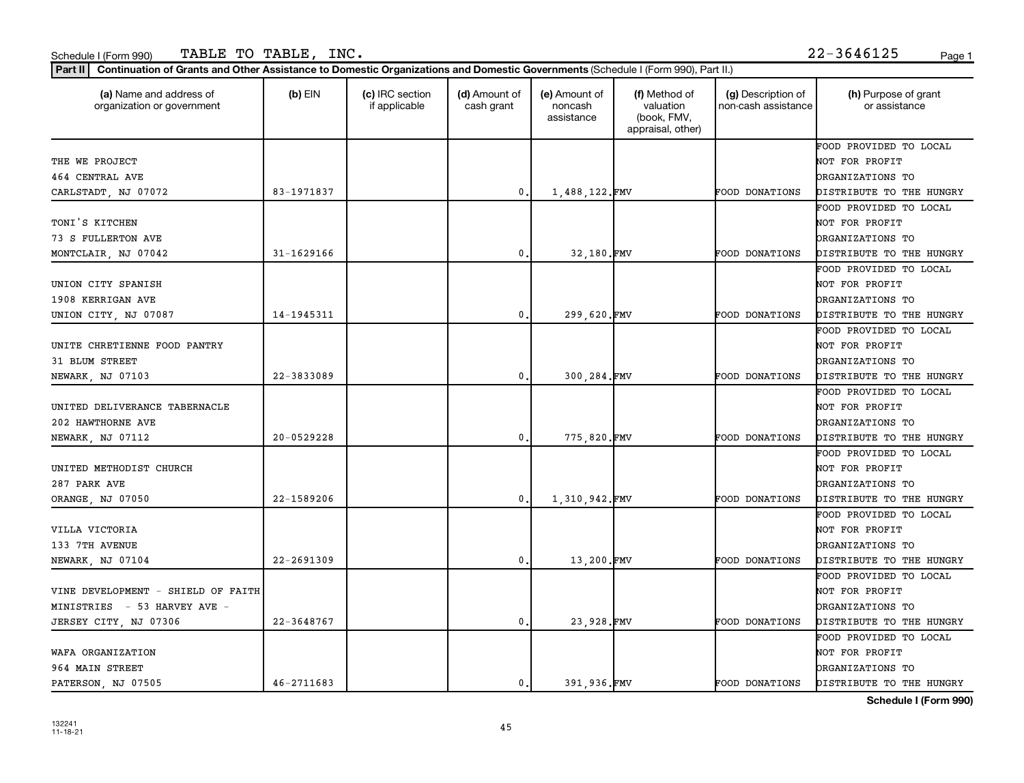| (a) Name and address of<br>organization or government | $(b)$ EIN      | (c) IRC section<br>if applicable | (d) Amount of<br>cash grant | (e) Amount of<br>noncash<br>assistance | (f) Method of<br>valuation<br>(book, FMV,<br>appraisal, other) | (g) Description of<br>non-cash assistance | (h) Purpose of grant<br>or assistance |
|-------------------------------------------------------|----------------|----------------------------------|-----------------------------|----------------------------------------|----------------------------------------------------------------|-------------------------------------------|---------------------------------------|
|                                                       |                |                                  |                             |                                        |                                                                |                                           | FOOD PROVIDED TO LOCAL                |
| THE WE PROJECT                                        |                |                                  |                             |                                        |                                                                |                                           | NOT FOR PROFIT                        |
| 464 CENTRAL AVE                                       |                |                                  |                             |                                        |                                                                |                                           | ORGANIZATIONS TO                      |
| CARLSTADT, NJ 07072                                   | 83-1971837     |                                  | $\mathbf 0$                 | 1,488,122.FMV                          |                                                                | FOOD DONATIONS                            | DISTRIBUTE TO THE HUNGRY              |
|                                                       |                |                                  |                             |                                        |                                                                |                                           | FOOD PROVIDED TO LOCAL                |
| TONI'S KITCHEN                                        |                |                                  |                             |                                        |                                                                |                                           | NOT FOR PROFIT                        |
| 73 S FULLERTON AVE                                    |                |                                  |                             |                                        |                                                                |                                           | ORGANIZATIONS TO                      |
| MONTCLAIR, NJ 07042                                   | 31-1629166     |                                  | 0.                          | 32,180.FMV                             |                                                                | FOOD DONATIONS                            | DISTRIBUTE TO THE HUNGRY              |
|                                                       |                |                                  |                             |                                        |                                                                |                                           | FOOD PROVIDED TO LOCAL                |
| UNION CITY SPANISH                                    |                |                                  |                             |                                        |                                                                |                                           | NOT FOR PROFIT                        |
| 1908 KERRIGAN AVE                                     |                |                                  |                             |                                        |                                                                |                                           | ORGANIZATIONS TO                      |
| UNION CITY, NJ 07087                                  | 14-1945311     |                                  | 0.                          | 299,620.FMV                            |                                                                | <b>FOOD DONATIONS</b>                     | DISTRIBUTE TO THE HUNGRY              |
|                                                       |                |                                  |                             |                                        |                                                                |                                           | FOOD PROVIDED TO LOCAL                |
| UNITE CHRETIENNE FOOD PANTRY                          |                |                                  |                             |                                        |                                                                |                                           | NOT FOR PROFIT                        |
| 31 BLUM STREET                                        |                |                                  |                             |                                        |                                                                |                                           | ORGANIZATIONS TO                      |
| NEWARK, NJ 07103                                      | 22-3833089     |                                  | 0                           | 300,284.FMV                            |                                                                | FOOD DONATIONS                            | DISTRIBUTE TO THE HUNGRY              |
|                                                       |                |                                  |                             |                                        |                                                                |                                           | FOOD PROVIDED TO LOCAL                |
| UNITED DELIVERANCE TABERNACLE                         |                |                                  |                             |                                        |                                                                |                                           | NOT FOR PROFIT                        |
| 202 HAWTHORNE AVE                                     |                |                                  |                             |                                        |                                                                |                                           | ORGANIZATIONS TO                      |
| NEWARK, NJ 07112                                      | 20-0529228     |                                  | 0.                          | 775,820.FMV                            |                                                                | FOOD DONATIONS                            | DISTRIBUTE TO THE HUNGRY              |
|                                                       |                |                                  |                             |                                        |                                                                |                                           | FOOD PROVIDED TO LOCAL                |
| UNITED METHODIST CHURCH                               |                |                                  |                             |                                        |                                                                |                                           | NOT FOR PROFIT                        |
| 287 PARK AVE                                          |                |                                  |                             |                                        |                                                                |                                           | <b>DRGANIZATIONS TO</b>               |
| ORANGE, NJ 07050                                      | 22-1589206     |                                  | $\mathbf 0$                 | 1,310,942.FMV                          |                                                                | FOOD DONATIONS                            | DISTRIBUTE TO THE HUNGRY              |
|                                                       |                |                                  |                             |                                        |                                                                |                                           | FOOD PROVIDED TO LOCAL                |
| VILLA VICTORIA                                        |                |                                  |                             |                                        |                                                                |                                           | NOT FOR PROFIT                        |
| 133 7TH AVENUE                                        |                |                                  |                             |                                        |                                                                |                                           | ORGANIZATIONS TO                      |
| NEWARK, NJ 07104                                      | $22 - 2691309$ |                                  | 0.                          | 13,200.FMV                             |                                                                | FOOD DONATIONS                            | DISTRIBUTE TO THE HUNGRY              |
|                                                       |                |                                  |                             |                                        |                                                                |                                           | FOOD PROVIDED TO LOCAL                |
| VINE DEVELOPMENT - SHIELD OF FAITH                    |                |                                  |                             |                                        |                                                                |                                           | NOT FOR PROFIT                        |
| MINISTRIES - 53 HARVEY AVE -                          |                |                                  |                             |                                        |                                                                |                                           | ORGANIZATIONS TO                      |
| JERSEY CITY, NJ 07306                                 | 22-3648767     |                                  | 0.                          | 23,928.FMV                             |                                                                | FOOD DONATIONS                            | DISTRIBUTE TO THE HUNGRY              |
|                                                       |                |                                  |                             |                                        |                                                                |                                           | FOOD PROVIDED TO LOCAL                |
| WAFA ORGANIZATION                                     |                |                                  |                             |                                        |                                                                |                                           | NOT FOR PROFIT                        |
| 964 MAIN STREET                                       |                |                                  |                             |                                        |                                                                |                                           | ORGANIZATIONS TO                      |
| PATERSON, NJ 07505                                    | $46 - 2711683$ |                                  | 0.1                         | 391.936.FMV                            |                                                                | <b>FOOD DONATIONS</b>                     | DISTRIBUTE TO THE HUNGRY              |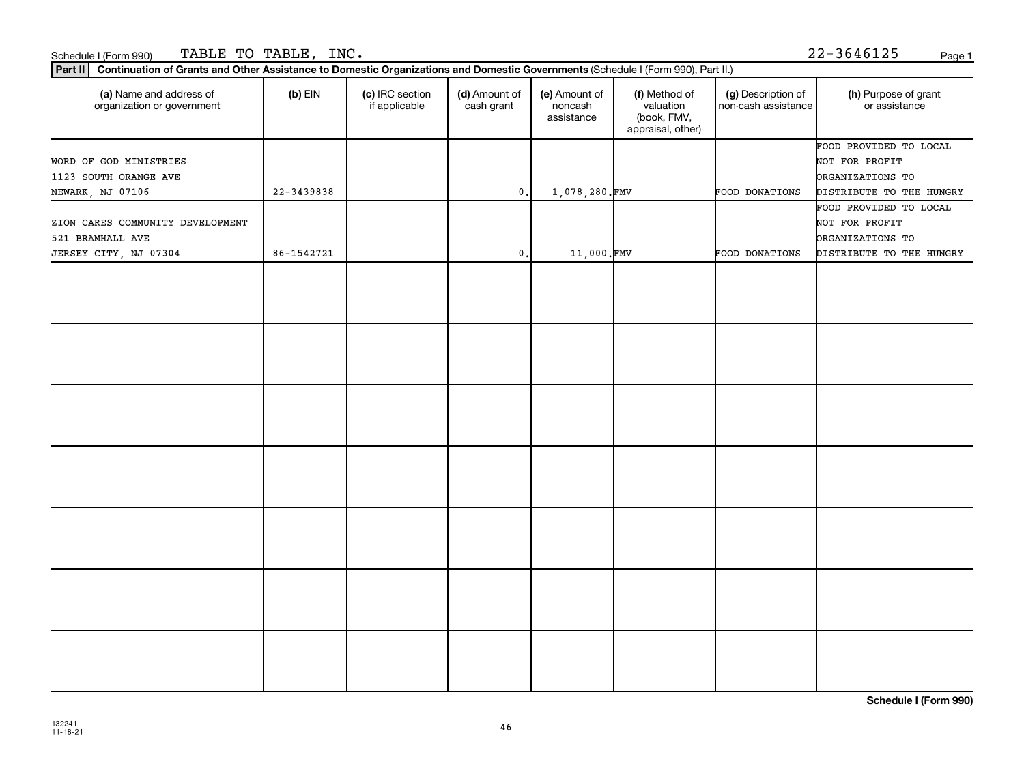## Schedule I (Form 990) TABLE TO TABLE, INC .  $22-3646125$  Page 1

|  |  | 22-3646125 | Page |
|--|--|------------|------|
|  |  |            |      |

| Continuation of Grants and Other Assistance to Domestic Organizations and Domestic Governments (Schedule I (Form 990), Part II.)<br>Part II |            |                                  |                             |                                        |                                                                |                                           |                                                                                                 |  |  |  |
|---------------------------------------------------------------------------------------------------------------------------------------------|------------|----------------------------------|-----------------------------|----------------------------------------|----------------------------------------------------------------|-------------------------------------------|-------------------------------------------------------------------------------------------------|--|--|--|
| (a) Name and address of<br>organization or government                                                                                       | $(b)$ EIN  | (c) IRC section<br>if applicable | (d) Amount of<br>cash grant | (e) Amount of<br>noncash<br>assistance | (f) Method of<br>valuation<br>(book, FMV,<br>appraisal, other) | (g) Description of<br>non-cash assistance | (h) Purpose of grant<br>or assistance                                                           |  |  |  |
| WORD OF GOD MINISTRIES<br>1123 SOUTH ORANGE AVE<br>NEWARK, NJ 07106                                                                         | 22-3439838 |                                  | $\mathbf{0}$ .              | 1,078,280.FMV                          |                                                                | FOOD DONATIONS                            | FOOD PROVIDED TO LOCAL<br>NOT FOR PROFIT<br><b>DRGANIZATIONS TO</b><br>DISTRIBUTE TO THE HUNGRY |  |  |  |
| ZION CARES COMMUNITY DEVELOPMENT<br>521 BRAMHALL AVE<br>JERSEY CITY, NJ 07304                                                               | 86-1542721 |                                  | $\mathsf{0}$ .              | 11,000.FMV                             |                                                                | FOOD DONATIONS                            | FOOD PROVIDED TO LOCAL<br>NOT FOR PROFIT<br><b>DRGANIZATIONS TO</b><br>DISTRIBUTE TO THE HUNGRY |  |  |  |
|                                                                                                                                             |            |                                  |                             |                                        |                                                                |                                           |                                                                                                 |  |  |  |
|                                                                                                                                             |            |                                  |                             |                                        |                                                                |                                           |                                                                                                 |  |  |  |
|                                                                                                                                             |            |                                  |                             |                                        |                                                                |                                           |                                                                                                 |  |  |  |
|                                                                                                                                             |            |                                  |                             |                                        |                                                                |                                           |                                                                                                 |  |  |  |
|                                                                                                                                             |            |                                  |                             |                                        |                                                                |                                           |                                                                                                 |  |  |  |
|                                                                                                                                             |            |                                  |                             |                                        |                                                                |                                           |                                                                                                 |  |  |  |
|                                                                                                                                             |            |                                  |                             |                                        |                                                                |                                           |                                                                                                 |  |  |  |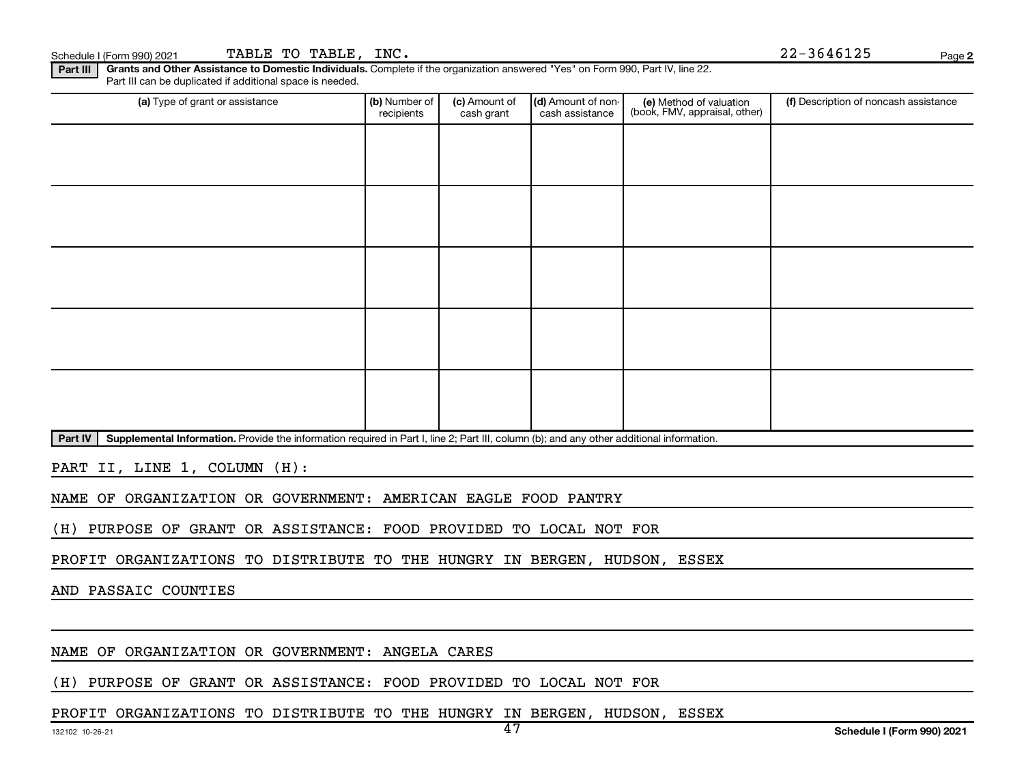Schedule I (Form 990) 2021 TABLE TO TABLE, INC.  $22-3646125$  Page

**2**

**Part III | Grants and Other Assistance to Domestic Individuals.** Complete if the organization answered "Yes" on Form 990, Part IV, line 22. Part III can be duplicated if additional space is needed.

| (a) Type of grant or assistance | (b) Number of<br>recipients | (c) Amount of<br>cash grant | (d) Amount of non-<br>cash assistance | (e) Method of valuation<br>(book, FMV, appraisal, other) | (f) Description of noncash assistance |
|---------------------------------|-----------------------------|-----------------------------|---------------------------------------|----------------------------------------------------------|---------------------------------------|
|                                 |                             |                             |                                       |                                                          |                                       |
|                                 |                             |                             |                                       |                                                          |                                       |
|                                 |                             |                             |                                       |                                                          |                                       |
|                                 |                             |                             |                                       |                                                          |                                       |
|                                 |                             |                             |                                       |                                                          |                                       |
|                                 |                             |                             |                                       |                                                          |                                       |
|                                 |                             |                             |                                       |                                                          |                                       |
|                                 |                             |                             |                                       |                                                          |                                       |
|                                 |                             |                             |                                       |                                                          |                                       |
|                                 |                             |                             |                                       |                                                          |                                       |

Part IV | Supplemental Information. Provide the information required in Part I, line 2; Part III, column (b); and any other additional information.

PART II, LINE 1, COLUMN (H):

NAME OF ORGANIZATION OR GOVERNMENT: AMERICAN EAGLE FOOD PANTRY

(H) PURPOSE OF GRANT OR ASSISTANCE: FOOD PROVIDED TO LOCAL NOT FOR

PROFIT ORGANIZATIONS TO DISTRIBUTE TO THE HUNGRY IN BERGEN, HUDSON, ESSEX

AND PASSAIC COUNTIES

NAME OF ORGANIZATION OR GOVERNMENT: ANGELA CARES

(H) PURPOSE OF GRANT OR ASSISTANCE: FOOD PROVIDED TO LOCAL NOT FOR

PROFIT ORGANIZATIONS TO DISTRIBUTE TO THE HUNGRY IN BERGEN, HUDSON, ESSEX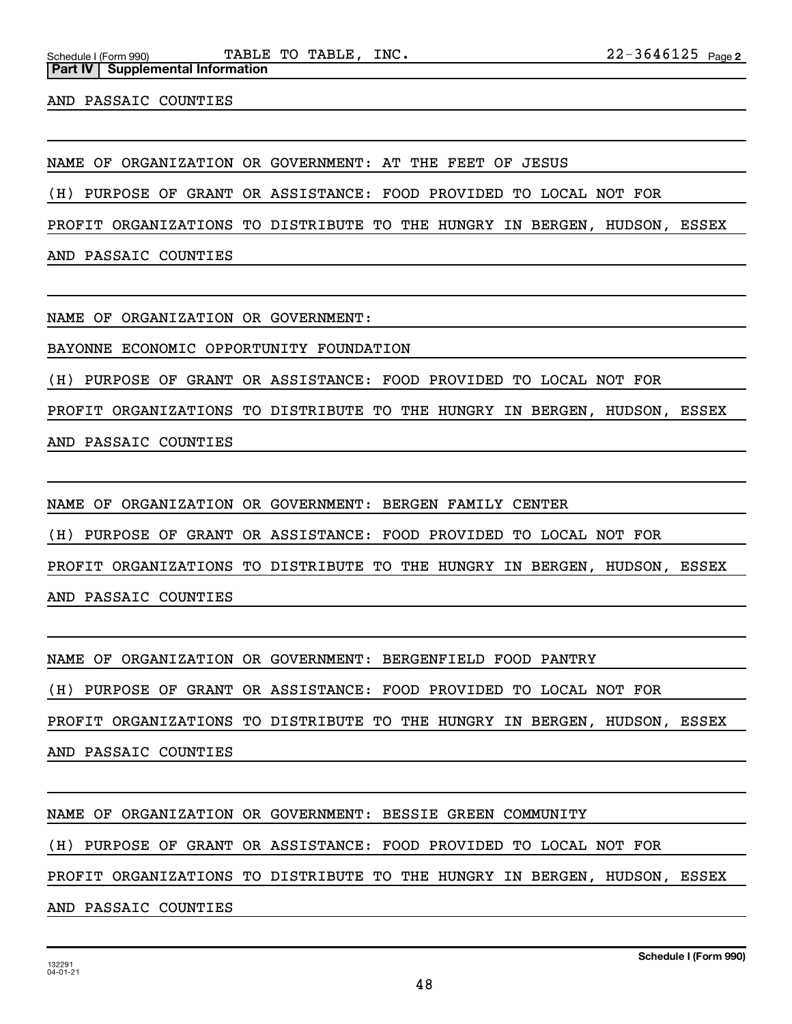**Part IV** | Supplemental Information

AND PASSAIC COUNTIES

NAME OF ORGANIZATION OR GOVERNMENT: AT THE FEET OF JESUS

(H) PURPOSE OF GRANT OR ASSISTANCE: FOOD PROVIDED TO LOCAL NOT FOR

PROFIT ORGANIZATIONS TO DISTRIBUTE TO THE HUNGRY IN BERGEN, HUDSON, ESSEX

AND PASSAIC COUNTIES

NAME OF ORGANIZATION OR GOVERNMENT:

BAYONNE ECONOMIC OPPORTUNITY FOUNDATION

(H) PURPOSE OF GRANT OR ASSISTANCE: FOOD PROVIDED TO LOCAL NOT FOR

PROFIT ORGANIZATIONS TO DISTRIBUTE TO THE HUNGRY IN BERGEN, HUDSON, ESSEX

AND PASSAIC COUNTIES

NAME OF ORGANIZATION OR GOVERNMENT: BERGEN FAMILY CENTER

(H) PURPOSE OF GRANT OR ASSISTANCE: FOOD PROVIDED TO LOCAL NOT FOR

PROFIT ORGANIZATIONS TO DISTRIBUTE TO THE HUNGRY IN BERGEN, HUDSON, ESSEX

AND PASSAIC COUNTIES

NAME OF ORGANIZATION OR GOVERNMENT: BERGENFIELD FOOD PANTRY

(H) PURPOSE OF GRANT OR ASSISTANCE: FOOD PROVIDED TO LOCAL NOT FOR

PROFIT ORGANIZATIONS TO DISTRIBUTE TO THE HUNGRY IN BERGEN, HUDSON, ESSEX

AND PASSAIC COUNTIES

NAME OF ORGANIZATION OR GOVERNMENT: BESSIE GREEN COMMUNITY

(H) PURPOSE OF GRANT OR ASSISTANCE: FOOD PROVIDED TO LOCAL NOT FOR

PROFIT ORGANIZATIONS TO DISTRIBUTE TO THE HUNGRY IN BERGEN, HUDSON, ESSEX

AND PASSAIC COUNTIES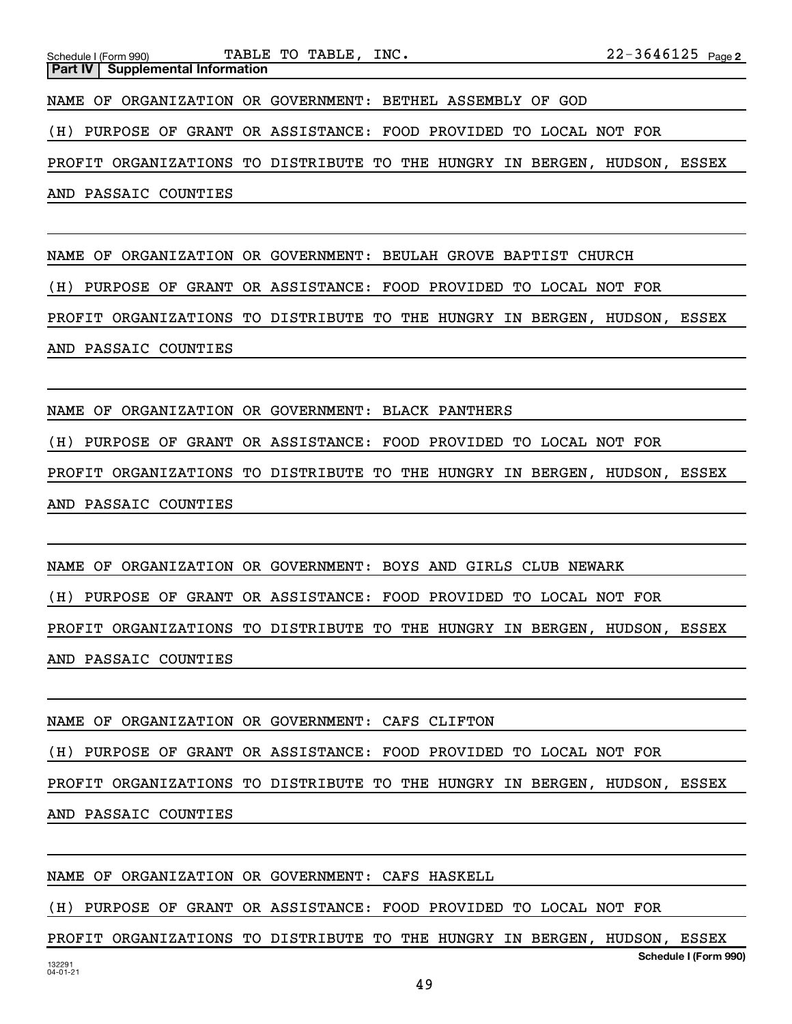NAME OF ORGANIZATION OR GOVERNMENT: BEULAH GROVE BAPTIST CHURCH

(H) PURPOSE OF GRANT OR ASSISTANCE: FOOD PROVIDED TO LOCAL NOT FOR

PROFIT ORGANIZATIONS TO DISTRIBUTE TO THE HUNGRY IN BERGEN, HUDSON, ESSEX AND PASSAIC COUNTIES

NAME OF ORGANIZATION OR GOVERNMENT: BLACK PANTHERS

(H) PURPOSE OF GRANT OR ASSISTANCE: FOOD PROVIDED TO LOCAL NOT FOR

PROFIT ORGANIZATIONS TO DISTRIBUTE TO THE HUNGRY IN BERGEN, HUDSON, ESSEX AND PASSAIC COUNTIES

NAME OF ORGANIZATION OR GOVERNMENT: BOYS AND GIRLS CLUB NEWARK (H) PURPOSE OF GRANT OR ASSISTANCE: FOOD PROVIDED TO LOCAL NOT FOR PROFIT ORGANIZATIONS TO DISTRIBUTE TO THE HUNGRY IN BERGEN, HUDSON, ESSEX AND PASSAIC COUNTIES

NAME OF ORGANIZATION OR GOVERNMENT: CAFS CLIFTON (H) PURPOSE OF GRANT OR ASSISTANCE: FOOD PROVIDED TO LOCAL NOT FOR PROFIT ORGANIZATIONS TO DISTRIBUTE TO THE HUNGRY IN BERGEN, HUDSON, ESSEX AND PASSAIC COUNTIES

NAME OF ORGANIZATION OR GOVERNMENT: CAFS HASKELL

(H) PURPOSE OF GRANT OR ASSISTANCE: FOOD PROVIDED TO LOCAL NOT FOR

**Schedule I (Form 990)** PROFIT ORGANIZATIONS TO DISTRIBUTE TO THE HUNGRY IN BERGEN, HUDSON, ESSEX

49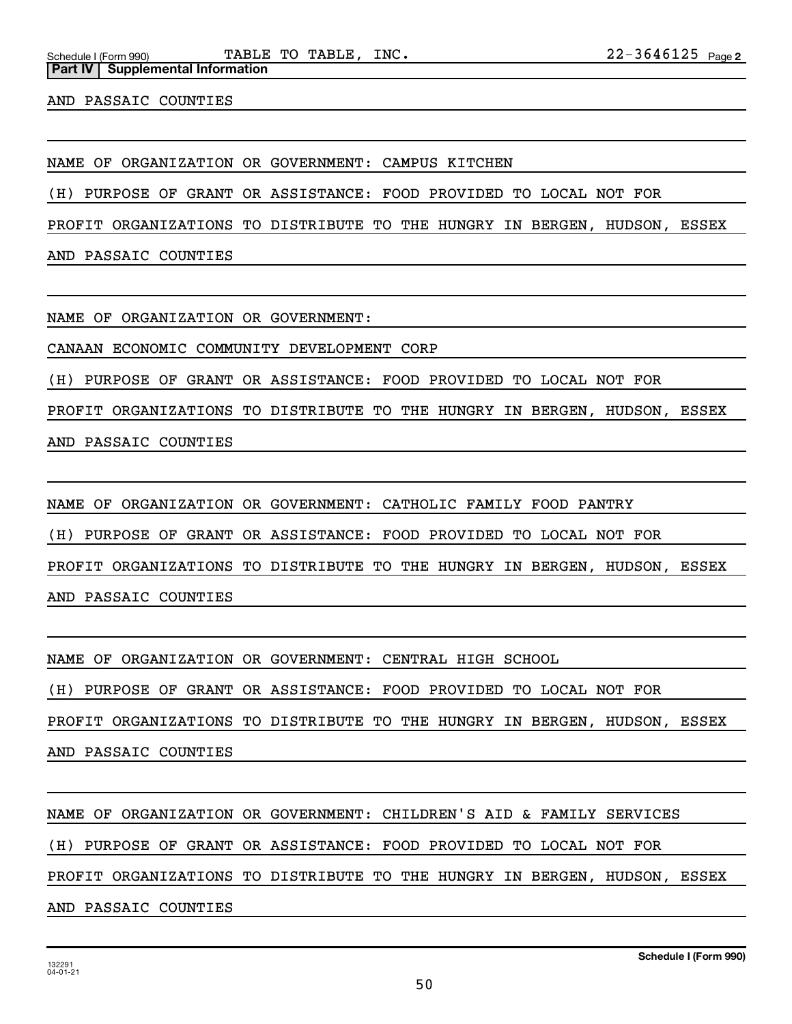**Part IV Supplemental Information**

AND PASSAIC COUNTIES

NAME OF ORGANIZATION OR GOVERNMENT: CAMPUS KITCHEN

(H) PURPOSE OF GRANT OR ASSISTANCE: FOOD PROVIDED TO LOCAL NOT FOR

PROFIT ORGANIZATIONS TO DISTRIBUTE TO THE HUNGRY IN BERGEN, HUDSON, ESSEX

AND PASSAIC COUNTIES

NAME OF ORGANIZATION OR GOVERNMENT:

CANAAN ECONOMIC COMMUNITY DEVELOPMENT CORP

(H) PURPOSE OF GRANT OR ASSISTANCE: FOOD PROVIDED TO LOCAL NOT FOR

PROFIT ORGANIZATIONS TO DISTRIBUTE TO THE HUNGRY IN BERGEN, HUDSON, ESSEX

AND PASSAIC COUNTIES

NAME OF ORGANIZATION OR GOVERNMENT: CATHOLIC FAMILY FOOD PANTRY

(H) PURPOSE OF GRANT OR ASSISTANCE: FOOD PROVIDED TO LOCAL NOT FOR

PROFIT ORGANIZATIONS TO DISTRIBUTE TO THE HUNGRY IN BERGEN, HUDSON, ESSEX

AND PASSAIC COUNTIES

NAME OF ORGANIZATION OR GOVERNMENT: CENTRAL HIGH SCHOOL

(H) PURPOSE OF GRANT OR ASSISTANCE: FOOD PROVIDED TO LOCAL NOT FOR

PROFIT ORGANIZATIONS TO DISTRIBUTE TO THE HUNGRY IN BERGEN, HUDSON, ESSEX

AND PASSAIC COUNTIES

NAME OF ORGANIZATION OR GOVERNMENT: CHILDREN'S AID & FAMILY SERVICES

(H) PURPOSE OF GRANT OR ASSISTANCE: FOOD PROVIDED TO LOCAL NOT FOR

PROFIT ORGANIZATIONS TO DISTRIBUTE TO THE HUNGRY IN BERGEN, HUDSON, ESSEX

AND PASSAIC COUNTIES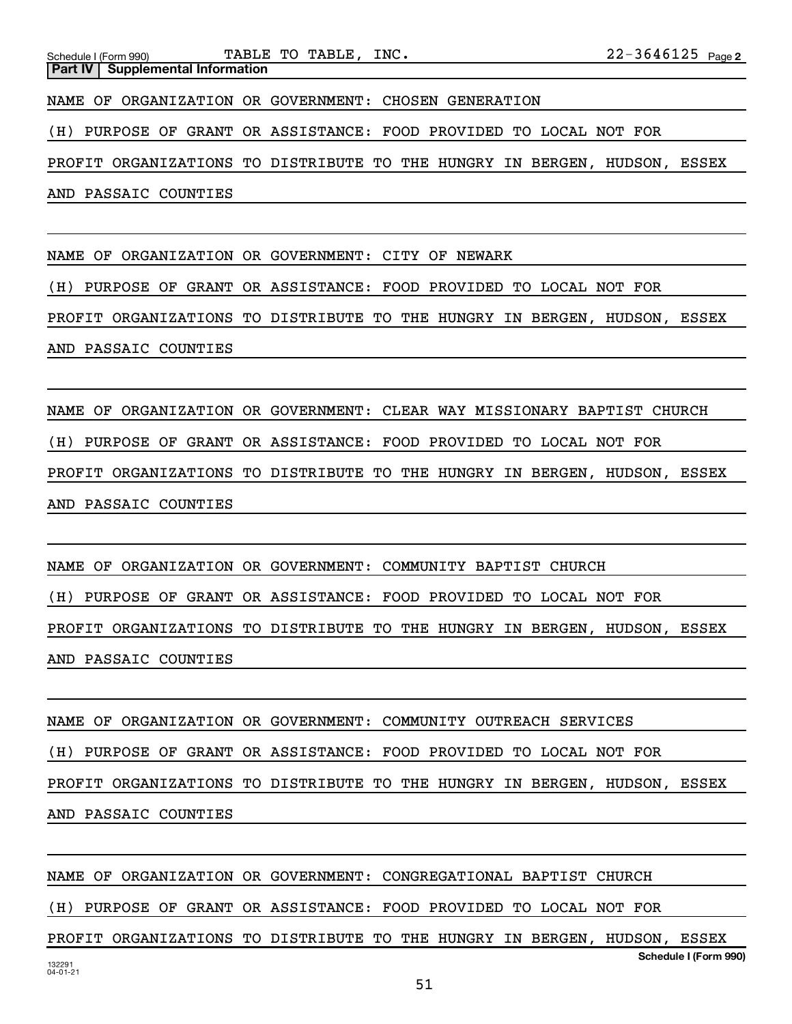**Part IV** | Supplemental Information

NAME OF ORGANIZATION OR GOVERNMENT: CHOSEN GENERATION

(H) PURPOSE OF GRANT OR ASSISTANCE: FOOD PROVIDED TO LOCAL NOT FOR

PROFIT ORGANIZATIONS TO DISTRIBUTE TO THE HUNGRY IN BERGEN, HUDSON, ESSEX

AND PASSAIC COUNTIES

NAME OF ORGANIZATION OR GOVERNMENT: CITY OF NEWARK

(H) PURPOSE OF GRANT OR ASSISTANCE: FOOD PROVIDED TO LOCAL NOT FOR

PROFIT ORGANIZATIONS TO DISTRIBUTE TO THE HUNGRY IN BERGEN, HUDSON, ESSEX AND PASSAIC COUNTIES

NAME OF ORGANIZATION OR GOVERNMENT: CLEAR WAY MISSIONARY BAPTIST CHURCH (H) PURPOSE OF GRANT OR ASSISTANCE: FOOD PROVIDED TO LOCAL NOT FOR PROFIT ORGANIZATIONS TO DISTRIBUTE TO THE HUNGRY IN BERGEN, HUDSON, ESSEX AND PASSAIC COUNTIES

NAME OF ORGANIZATION OR GOVERNMENT: COMMUNITY BAPTIST CHURCH (H) PURPOSE OF GRANT OR ASSISTANCE: FOOD PROVIDED TO LOCAL NOT FOR PROFIT ORGANIZATIONS TO DISTRIBUTE TO THE HUNGRY IN BERGEN, HUDSON, ESSEX AND PASSAIC COUNTIES

NAME OF ORGANIZATION OR GOVERNMENT: COMMUNITY OUTREACH SERVICES (H) PURPOSE OF GRANT OR ASSISTANCE: FOOD PROVIDED TO LOCAL NOT FOR PROFIT ORGANIZATIONS TO DISTRIBUTE TO THE HUNGRY IN BERGEN, HUDSON, ESSEX AND PASSAIC COUNTIES

132291 04-01-21 **Schedule I (Form 990)** NAME OF ORGANIZATION OR GOVERNMENT: CONGREGATIONAL BAPTIST CHURCH (H) PURPOSE OF GRANT OR ASSISTANCE: FOOD PROVIDED TO LOCAL NOT FOR PROFIT ORGANIZATIONS TO DISTRIBUTE TO THE HUNGRY IN BERGEN, HUDSON, ESSEX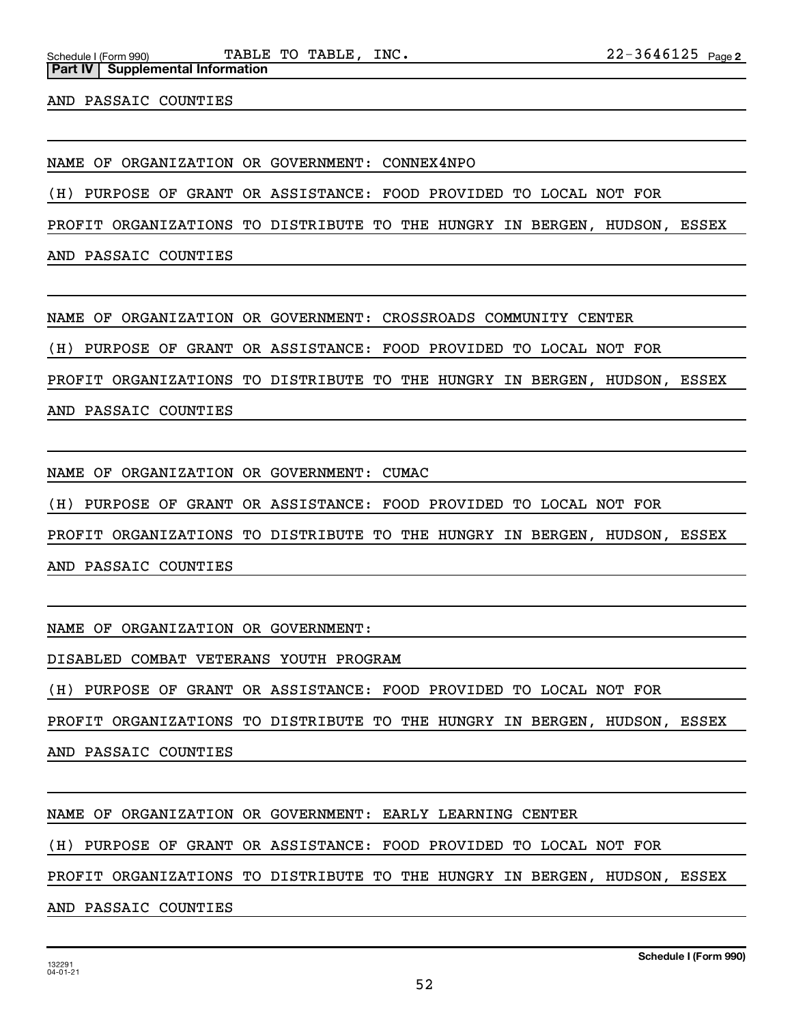AND PASSAIC COUNTIES

**Part IV** | Supplemental Information

NAME OF ORGANIZATION OR GOVERNMENT: CONNEX4NPO

(H) PURPOSE OF GRANT OR ASSISTANCE: FOOD PROVIDED TO LOCAL NOT FOR

PROFIT ORGANIZATIONS TO DISTRIBUTE TO THE HUNGRY IN BERGEN, HUDSON, ESSEX

AND PASSAIC COUNTIES

NAME OF ORGANIZATION OR GOVERNMENT: CROSSROADS COMMUNITY CENTER

(H) PURPOSE OF GRANT OR ASSISTANCE: FOOD PROVIDED TO LOCAL NOT FOR

PROFIT ORGANIZATIONS TO DISTRIBUTE TO THE HUNGRY IN BERGEN, HUDSON, ESSEX

AND PASSAIC COUNTIES

NAME OF ORGANIZATION OR GOVERNMENT: CUMAC

(H) PURPOSE OF GRANT OR ASSISTANCE: FOOD PROVIDED TO LOCAL NOT FOR

PROFIT ORGANIZATIONS TO DISTRIBUTE TO THE HUNGRY IN BERGEN, HUDSON, ESSEX

AND PASSAIC COUNTIES

NAME OF ORGANIZATION OR GOVERNMENT:

DISABLED COMBAT VETERANS YOUTH PROGRAM

(H) PURPOSE OF GRANT OR ASSISTANCE: FOOD PROVIDED TO LOCAL NOT FOR

PROFIT ORGANIZATIONS TO DISTRIBUTE TO THE HUNGRY IN BERGEN, HUDSON, ESSEX

AND PASSAIC COUNTIES

NAME OF ORGANIZATION OR GOVERNMENT: EARLY LEARNING CENTER

(H) PURPOSE OF GRANT OR ASSISTANCE: FOOD PROVIDED TO LOCAL NOT FOR

PROFIT ORGANIZATIONS TO DISTRIBUTE TO THE HUNGRY IN BERGEN, HUDSON, ESSEX

AND PASSAIC COUNTIES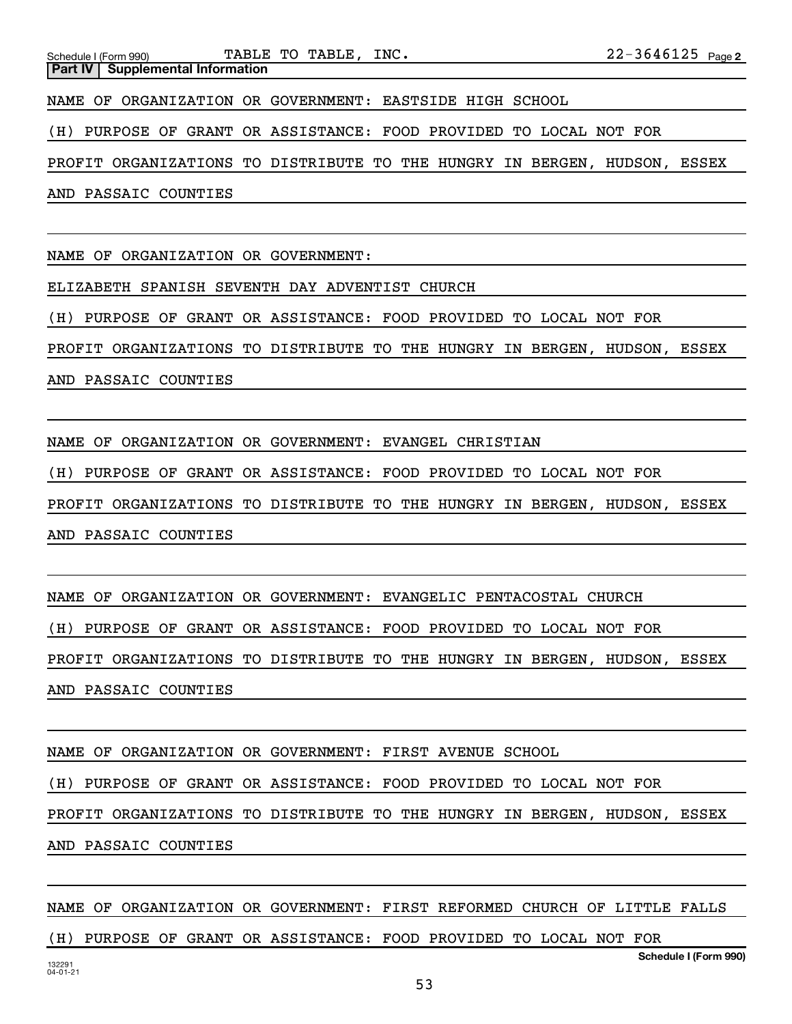NAME OF ORGANIZATION OR GOVERNMENT: EASTSIDE HIGH SCHOOL

(H) PURPOSE OF GRANT OR ASSISTANCE: FOOD PROVIDED TO LOCAL NOT FOR

PROFIT ORGANIZATIONS TO DISTRIBUTE TO THE HUNGRY IN BERGEN, HUDSON, ESSEX

AND PASSAIC COUNTIES

NAME OF ORGANIZATION OR GOVERNMENT:

ELIZABETH SPANISH SEVENTH DAY ADVENTIST CHURCH

(H) PURPOSE OF GRANT OR ASSISTANCE: FOOD PROVIDED TO LOCAL NOT FOR

PROFIT ORGANIZATIONS TO DISTRIBUTE TO THE HUNGRY IN BERGEN, HUDSON, ESSEX

AND PASSAIC COUNTIES

NAME OF ORGANIZATION OR GOVERNMENT: EVANGEL CHRISTIAN

(H) PURPOSE OF GRANT OR ASSISTANCE: FOOD PROVIDED TO LOCAL NOT FOR

PROFIT ORGANIZATIONS TO DISTRIBUTE TO THE HUNGRY IN BERGEN, HUDSON, ESSEX AND PASSAIC COUNTIES

NAME OF ORGANIZATION OR GOVERNMENT: EVANGELIC PENTACOSTAL CHURCH

(H) PURPOSE OF GRANT OR ASSISTANCE: FOOD PROVIDED TO LOCAL NOT FOR

PROFIT ORGANIZATIONS TO DISTRIBUTE TO THE HUNGRY IN BERGEN, HUDSON, ESSEX AND PASSAIC COUNTIES

NAME OF ORGANIZATION OR GOVERNMENT: FIRST AVENUE SCHOOL

(H) PURPOSE OF GRANT OR ASSISTANCE: FOOD PROVIDED TO LOCAL NOT FOR

PROFIT ORGANIZATIONS TO DISTRIBUTE TO THE HUNGRY IN BERGEN, HUDSON, ESSEX AND PASSAIC COUNTIES

**Schedule I (Form 990)** NAME OF ORGANIZATION OR GOVERNMENT: FIRST REFORMED CHURCH OF LITTLE FALLS (H) PURPOSE OF GRANT OR ASSISTANCE: FOOD PROVIDED TO LOCAL NOT FOR

53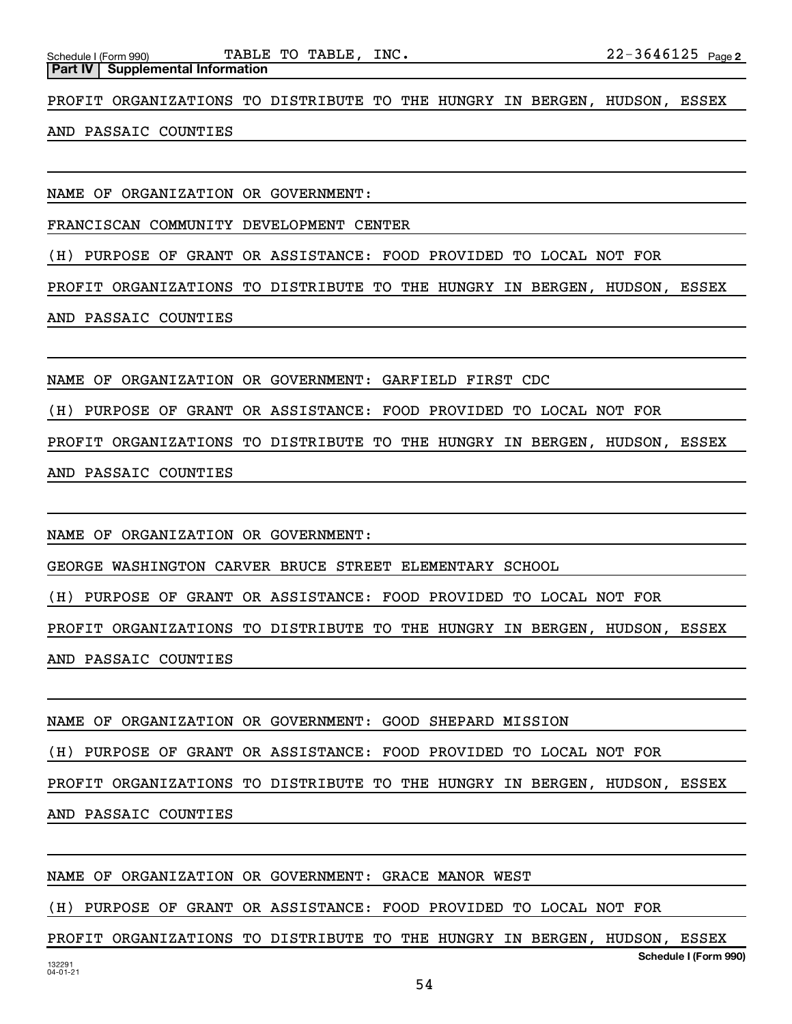**Part IV Supplemental Information**

PROFIT ORGANIZATIONS TO DISTRIBUTE TO THE HUNGRY IN BERGEN, HUDSON, ESSEX

## AND PASSAIC COUNTIES

NAME OF ORGANIZATION OR GOVERNMENT:

FRANCISCAN COMMUNITY DEVELOPMENT CENTER

(H) PURPOSE OF GRANT OR ASSISTANCE: FOOD PROVIDED TO LOCAL NOT FOR

PROFIT ORGANIZATIONS TO DISTRIBUTE TO THE HUNGRY IN BERGEN, HUDSON, ESSEX

AND PASSAIC COUNTIES

NAME OF ORGANIZATION OR GOVERNMENT: GARFIELD FIRST CDC

(H) PURPOSE OF GRANT OR ASSISTANCE: FOOD PROVIDED TO LOCAL NOT FOR

PROFIT ORGANIZATIONS TO DISTRIBUTE TO THE HUNGRY IN BERGEN, HUDSON, ESSEX

AND PASSAIC COUNTIES

NAME OF ORGANIZATION OR GOVERNMENT:

GEORGE WASHINGTON CARVER BRUCE STREET ELEMENTARY SCHOOL

(H) PURPOSE OF GRANT OR ASSISTANCE: FOOD PROVIDED TO LOCAL NOT FOR

PROFIT ORGANIZATIONS TO DISTRIBUTE TO THE HUNGRY IN BERGEN, HUDSON, ESSEX AND PASSAIC COUNTIES

NAME OF ORGANIZATION OR GOVERNMENT: GOOD SHEPARD MISSION

(H) PURPOSE OF GRANT OR ASSISTANCE: FOOD PROVIDED TO LOCAL NOT FOR

PROFIT ORGANIZATIONS TO DISTRIBUTE TO THE HUNGRY IN BERGEN, HUDSON, ESSEX

AND PASSAIC COUNTIES

NAME OF ORGANIZATION OR GOVERNMENT: GRACE MANOR WEST

(H) PURPOSE OF GRANT OR ASSISTANCE: FOOD PROVIDED TO LOCAL NOT FOR

**Schedule I (Form 990)** PROFIT ORGANIZATIONS TO DISTRIBUTE TO THE HUNGRY IN BERGEN, HUDSON, ESSEX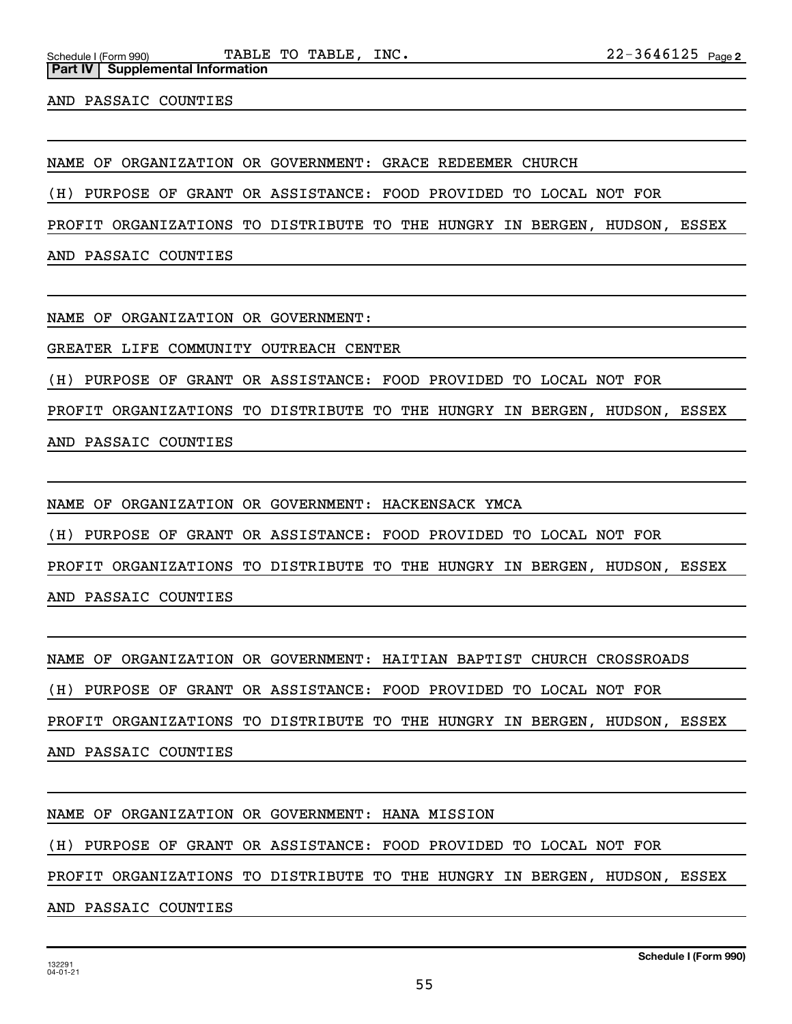AND PASSAIC COUNTIES

NAME OF ORGANIZATION OR GOVERNMENT: GRACE REDEEMER CHURCH

(H) PURPOSE OF GRANT OR ASSISTANCE: FOOD PROVIDED TO LOCAL NOT FOR

PROFIT ORGANIZATIONS TO DISTRIBUTE TO THE HUNGRY IN BERGEN, HUDSON, ESSEX

AND PASSAIC COUNTIES

NAME OF ORGANIZATION OR GOVERNMENT:

GREATER LIFE COMMUNITY OUTREACH CENTER

(H) PURPOSE OF GRANT OR ASSISTANCE: FOOD PROVIDED TO LOCAL NOT FOR

PROFIT ORGANIZATIONS TO DISTRIBUTE TO THE HUNGRY IN BERGEN, HUDSON, ESSEX

AND PASSAIC COUNTIES

NAME OF ORGANIZATION OR GOVERNMENT: HACKENSACK YMCA

(H) PURPOSE OF GRANT OR ASSISTANCE: FOOD PROVIDED TO LOCAL NOT FOR

PROFIT ORGANIZATIONS TO DISTRIBUTE TO THE HUNGRY IN BERGEN, HUDSON, ESSEX

AND PASSAIC COUNTIES

NAME OF ORGANIZATION OR GOVERNMENT: HAITIAN BAPTIST CHURCH CROSSROADS

(H) PURPOSE OF GRANT OR ASSISTANCE: FOOD PROVIDED TO LOCAL NOT FOR

PROFIT ORGANIZATIONS TO DISTRIBUTE TO THE HUNGRY IN BERGEN, HUDSON, ESSEX

AND PASSAIC COUNTIES

NAME OF ORGANIZATION OR GOVERNMENT: HANA MISSION

(H) PURPOSE OF GRANT OR ASSISTANCE: FOOD PROVIDED TO LOCAL NOT FOR

PROFIT ORGANIZATIONS TO DISTRIBUTE TO THE HUNGRY IN BERGEN, HUDSON, ESSEX

AND PASSAIC COUNTIES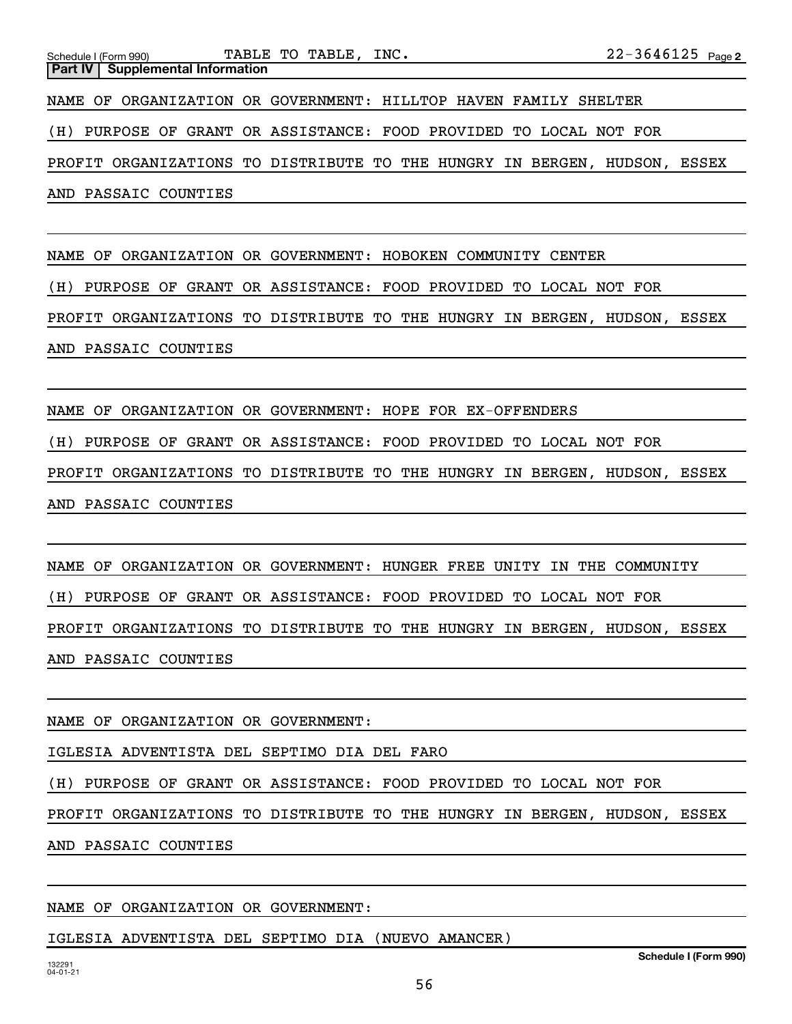|  | Schedule I (Form 990) |                                           | TABLE TO TABLE, INC.                                               |  |  | $22 - 3646125$ Page 2 |       |
|--|-----------------------|-------------------------------------------|--------------------------------------------------------------------|--|--|-----------------------|-------|
|  |                       | <b>Part IV   Supplemental Information</b> |                                                                    |  |  |                       |       |
|  |                       |                                           | NAME OF ORGANIZATION OR GOVERNMENT: HILLTOP HAVEN FAMILY SHELTER   |  |  |                       |       |
|  |                       |                                           | (H) PURPOSE OF GRANT OR ASSISTANCE: FOOD PROVIDED TO LOCAL NOT FOR |  |  |                       |       |
|  |                       |                                           | PROFIT ORGANIZATIONS TO DISTRIBUTE TO THE HUNGRY IN BERGEN,        |  |  | HUDSON,               | ESSEX |
|  |                       | AND PASSAIC COUNTIES                      |                                                                    |  |  |                       |       |

NAME OF ORGANIZATION OR GOVERNMENT: HOBOKEN COMMUNITY CENTER

(H) PURPOSE OF GRANT OR ASSISTANCE: FOOD PROVIDED TO LOCAL NOT FOR

PROFIT ORGANIZATIONS TO DISTRIBUTE TO THE HUNGRY IN BERGEN, HUDSON, ESSEX AND PASSAIC COUNTIES

NAME OF ORGANIZATION OR GOVERNMENT: HOPE FOR EX-OFFENDERS

(H) PURPOSE OF GRANT OR ASSISTANCE: FOOD PROVIDED TO LOCAL NOT FOR

PROFIT ORGANIZATIONS TO DISTRIBUTE TO THE HUNGRY IN BERGEN, HUDSON, ESSEX AND PASSAIC COUNTIES

NAME OF ORGANIZATION OR GOVERNMENT: HUNGER FREE UNITY IN THE COMMUNITY (H) PURPOSE OF GRANT OR ASSISTANCE: FOOD PROVIDED TO LOCAL NOT FOR PROFIT ORGANIZATIONS TO DISTRIBUTE TO THE HUNGRY IN BERGEN, HUDSON, ESSEX AND PASSAIC COUNTIES

NAME OF ORGANIZATION OR GOVERNMENT:

IGLESIA ADVENTISTA DEL SEPTIMO DIA DEL FARO

(H) PURPOSE OF GRANT OR ASSISTANCE: FOOD PROVIDED TO LOCAL NOT FOR

PROFIT ORGANIZATIONS TO DISTRIBUTE TO THE HUNGRY IN BERGEN, HUDSON, ESSEX

AND PASSAIC COUNTIES

NAME OF ORGANIZATION OR GOVERNMENT:

IGLESIA ADVENTISTA DEL SEPTIMO DIA (NUEVO AMANCER)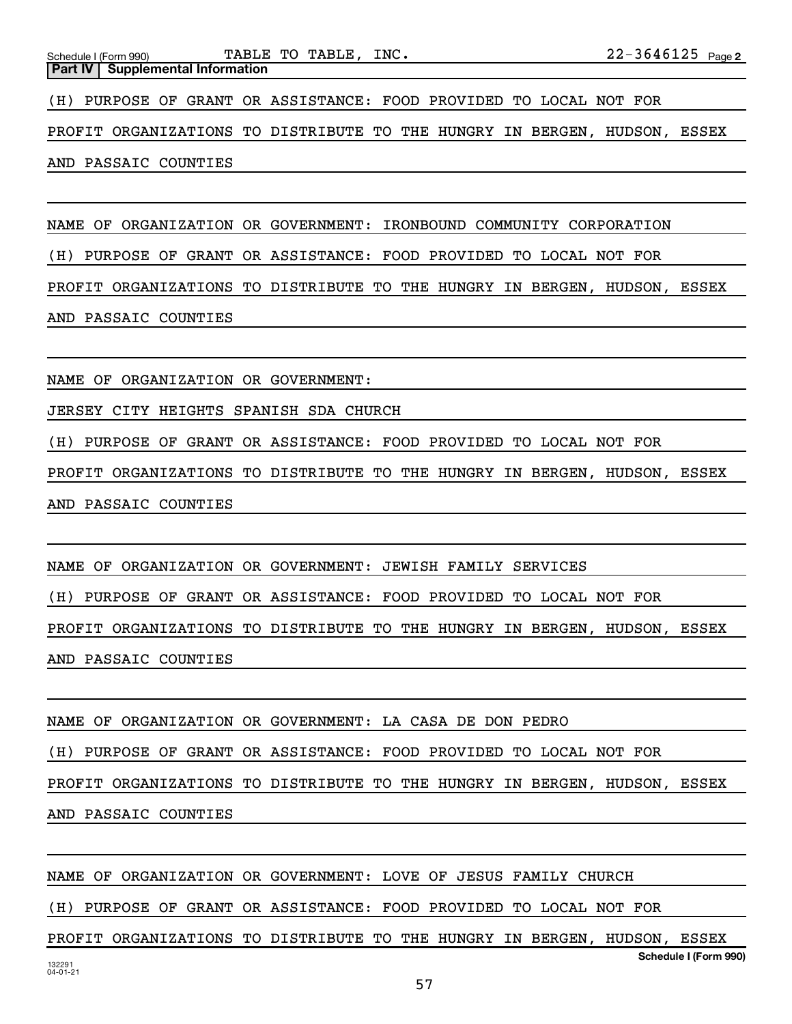AND PASSAIC COUNTIES

NAME OF ORGANIZATION OR GOVERNMENT: IRONBOUND COMMUNITY CORPORATION

(H) PURPOSE OF GRANT OR ASSISTANCE: FOOD PROVIDED TO LOCAL NOT FOR

PROFIT ORGANIZATIONS TO DISTRIBUTE TO THE HUNGRY IN BERGEN, HUDSON, ESSEX

AND PASSAIC COUNTIES

NAME OF ORGANIZATION OR GOVERNMENT:

JERSEY CITY HEIGHTS SPANISH SDA CHURCH

(H) PURPOSE OF GRANT OR ASSISTANCE: FOOD PROVIDED TO LOCAL NOT FOR

PROFIT ORGANIZATIONS TO DISTRIBUTE TO THE HUNGRY IN BERGEN, HUDSON, ESSEX AND PASSAIC COUNTIES

NAME OF ORGANIZATION OR GOVERNMENT: JEWISH FAMILY SERVICES

(H) PURPOSE OF GRANT OR ASSISTANCE: FOOD PROVIDED TO LOCAL NOT FOR

PROFIT ORGANIZATIONS TO DISTRIBUTE TO THE HUNGRY IN BERGEN, HUDSON, ESSEX AND PASSAIC COUNTIES

NAME OF ORGANIZATION OR GOVERNMENT: LA CASA DE DON PEDRO

(H) PURPOSE OF GRANT OR ASSISTANCE: FOOD PROVIDED TO LOCAL NOT FOR

PROFIT ORGANIZATIONS TO DISTRIBUTE TO THE HUNGRY IN BERGEN, HUDSON, ESSEX

AND PASSAIC COUNTIES

NAME OF ORGANIZATION OR GOVERNMENT: LOVE OF JESUS FAMILY CHURCH

(H) PURPOSE OF GRANT OR ASSISTANCE: FOOD PROVIDED TO LOCAL NOT FOR

**Schedule I (Form 990)** PROFIT ORGANIZATIONS TO DISTRIBUTE TO THE HUNGRY IN BERGEN, HUDSON, ESSEX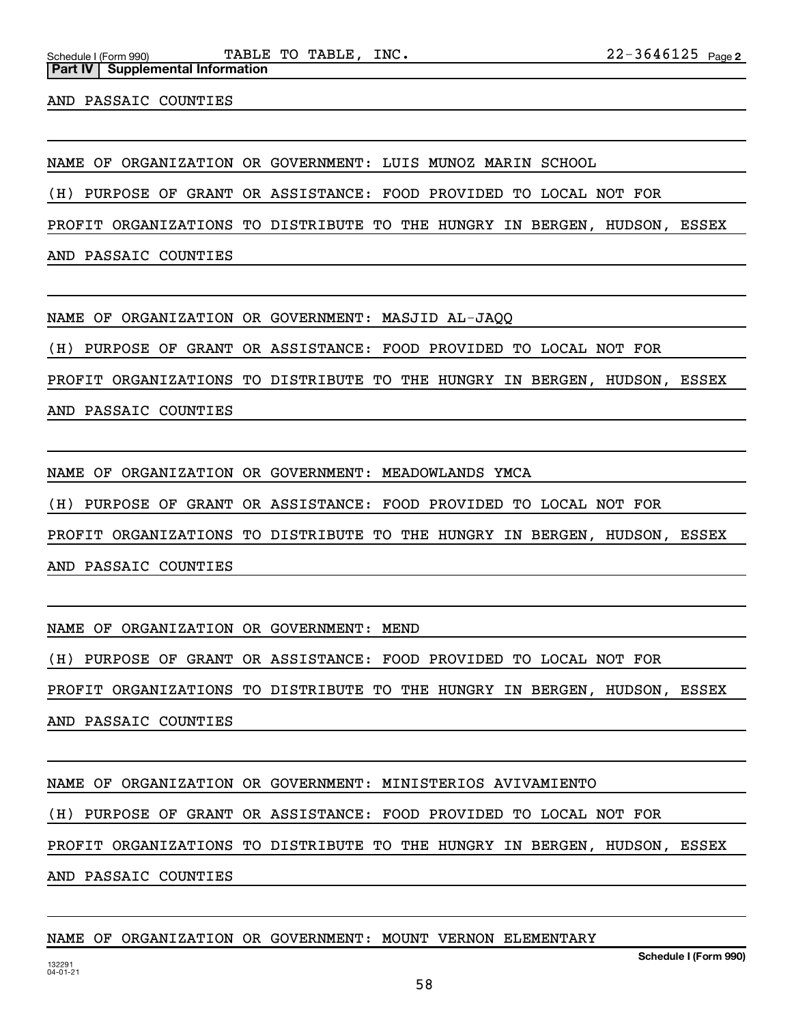AND PASSAIC COUNTIES

**Part IV** | Supplemental Information

NAME OF ORGANIZATION OR GOVERNMENT: LUIS MUNOZ MARIN SCHOOL

(H) PURPOSE OF GRANT OR ASSISTANCE: FOOD PROVIDED TO LOCAL NOT FOR

PROFIT ORGANIZATIONS TO DISTRIBUTE TO THE HUNGRY IN BERGEN, HUDSON, ESSEX

AND PASSAIC COUNTIES

NAME OF ORGANIZATION OR GOVERNMENT: MASJID AL-JAQQ

(H) PURPOSE OF GRANT OR ASSISTANCE: FOOD PROVIDED TO LOCAL NOT FOR

PROFIT ORGANIZATIONS TO DISTRIBUTE TO THE HUNGRY IN BERGEN, HUDSON, ESSEX

AND PASSAIC COUNTIES

NAME OF ORGANIZATION OR GOVERNMENT: MEADOWLANDS YMCA

(H) PURPOSE OF GRANT OR ASSISTANCE: FOOD PROVIDED TO LOCAL NOT FOR

PROFIT ORGANIZATIONS TO DISTRIBUTE TO THE HUNGRY IN BERGEN, HUDSON, ESSEX

AND PASSAIC COUNTIES

NAME OF ORGANIZATION OR GOVERNMENT: MEND

(H) PURPOSE OF GRANT OR ASSISTANCE: FOOD PROVIDED TO LOCAL NOT FOR

PROFIT ORGANIZATIONS TO DISTRIBUTE TO THE HUNGRY IN BERGEN, HUDSON, ESSEX

AND PASSAIC COUNTIES

NAME OF ORGANIZATION OR GOVERNMENT: MINISTERIOS AVIVAMIENTO

(H) PURPOSE OF GRANT OR ASSISTANCE: FOOD PROVIDED TO LOCAL NOT FOR

PROFIT ORGANIZATIONS TO DISTRIBUTE TO THE HUNGRY IN BERGEN, HUDSON, ESSEX

AND PASSAIC COUNTIES

## NAME OF ORGANIZATION OR GOVERNMENT: MOUNT VERNON ELEMENTARY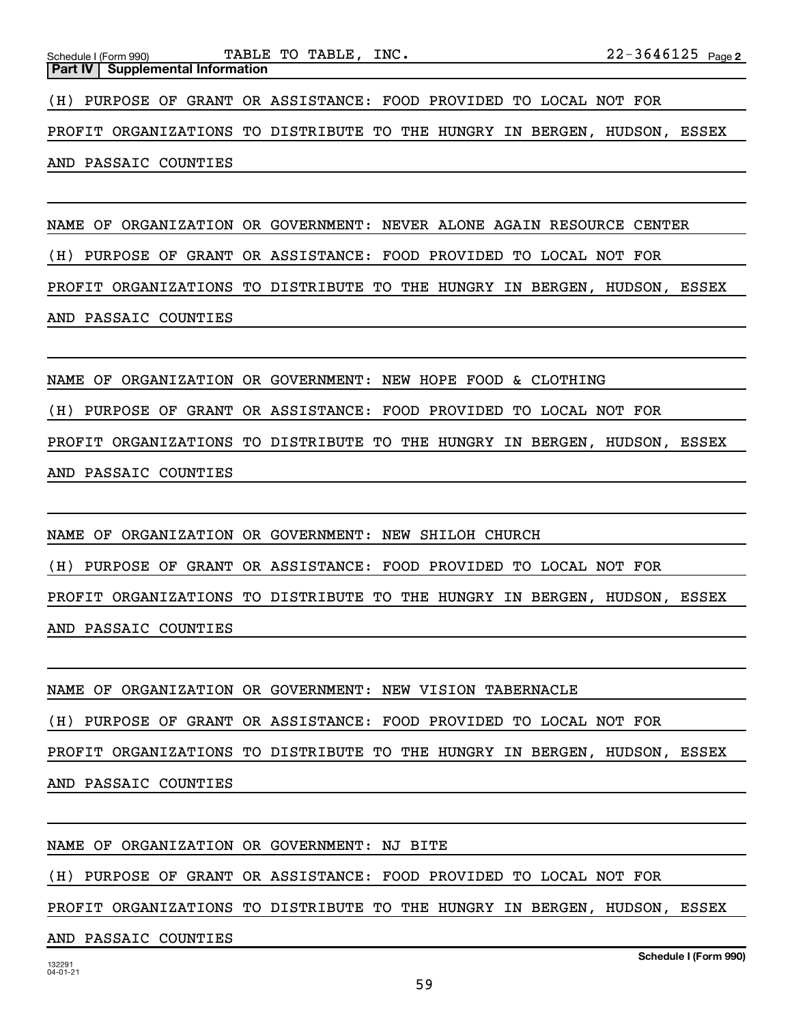| Schedule I (Form 990)                     | TABLE TO TABLE, INC.                                                | $22 - 3646125$ Page 2 |
|-------------------------------------------|---------------------------------------------------------------------|-----------------------|
| <b>Part IV   Supplemental Information</b> |                                                                     |                       |
|                                           | (H) PURPOSE OF GRANT OR ASSISTANCE: FOOD PROVIDED TO LOCAL NOT FOR  |                       |
|                                           | PROFIT ORGANIZATIONS TO DISTRIBUTE TO THE HUNGRY IN BERGEN, HUDSON, | ESSEX                 |
| AND PASSAIC COUNTIES                      |                                                                     |                       |
|                                           |                                                                     |                       |

NAME OF ORGANIZATION OR GOVERNMENT: NEVER ALONE AGAIN RESOURCE CENTER (H) PURPOSE OF GRANT OR ASSISTANCE: FOOD PROVIDED TO LOCAL NOT FOR PROFIT ORGANIZATIONS TO DISTRIBUTE TO THE HUNGRY IN BERGEN, HUDSON, ESSEX AND PASSAIC COUNTIES

NAME OF ORGANIZATION OR GOVERNMENT: NEW HOPE FOOD & CLOTHING (H) PURPOSE OF GRANT OR ASSISTANCE: FOOD PROVIDED TO LOCAL NOT FOR PROFIT ORGANIZATIONS TO DISTRIBUTE TO THE HUNGRY IN BERGEN, HUDSON, ESSEX AND PASSAIC COUNTIES

NAME OF ORGANIZATION OR GOVERNMENT: NEW SHILOH CHURCH (H) PURPOSE OF GRANT OR ASSISTANCE: FOOD PROVIDED TO LOCAL NOT FOR PROFIT ORGANIZATIONS TO DISTRIBUTE TO THE HUNGRY IN BERGEN, HUDSON, ESSEX AND PASSAIC COUNTIES

NAME OF ORGANIZATION OR GOVERNMENT: NEW VISION TABERNACLE (H) PURPOSE OF GRANT OR ASSISTANCE: FOOD PROVIDED TO LOCAL NOT FOR

PROFIT ORGANIZATIONS TO DISTRIBUTE TO THE HUNGRY IN BERGEN, HUDSON, ESSEX

AND PASSAIC COUNTIES

NAME OF ORGANIZATION OR GOVERNMENT: NJ BITE

(H) PURPOSE OF GRANT OR ASSISTANCE: FOOD PROVIDED TO LOCAL NOT FOR

PROFIT ORGANIZATIONS TO DISTRIBUTE TO THE HUNGRY IN BERGEN, HUDSON, ESSEX

AND PASSAIC COUNTIES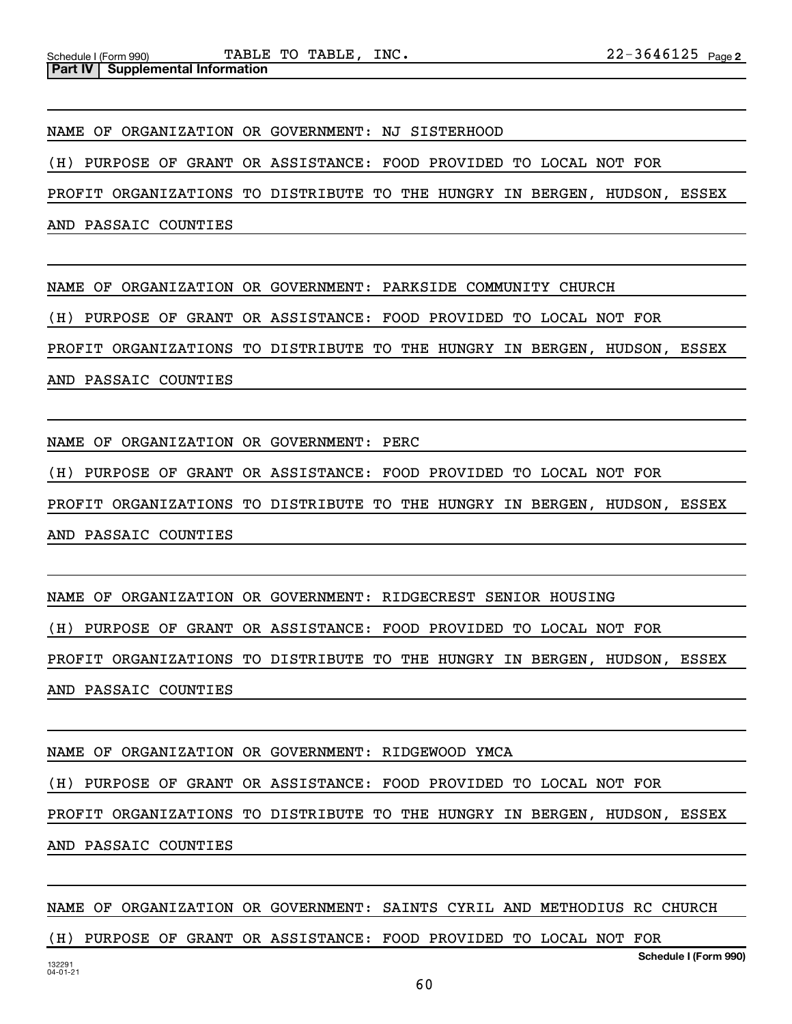NAME OF ORGANIZATION OR GOVERNMENT: NJ SISTERHOOD

(H) PURPOSE OF GRANT OR ASSISTANCE: FOOD PROVIDED TO LOCAL NOT FOR

PROFIT ORGANIZATIONS TO DISTRIBUTE TO THE HUNGRY IN BERGEN, HUDSON, ESSEX

AND PASSAIC COUNTIES

NAME OF ORGANIZATION OR GOVERNMENT: PARKSIDE COMMUNITY CHURCH

(H) PURPOSE OF GRANT OR ASSISTANCE: FOOD PROVIDED TO LOCAL NOT FOR

PROFIT ORGANIZATIONS TO DISTRIBUTE TO THE HUNGRY IN BERGEN, HUDSON, ESSEX

AND PASSAIC COUNTIES

NAME OF ORGANIZATION OR GOVERNMENT: PERC

(H) PURPOSE OF GRANT OR ASSISTANCE: FOOD PROVIDED TO LOCAL NOT FOR

PROFIT ORGANIZATIONS TO DISTRIBUTE TO THE HUNGRY IN BERGEN, HUDSON, ESSEX

AND PASSAIC COUNTIES

NAME OF ORGANIZATION OR GOVERNMENT: RIDGECREST SENIOR HOUSING

(H) PURPOSE OF GRANT OR ASSISTANCE: FOOD PROVIDED TO LOCAL NOT FOR

PROFIT ORGANIZATIONS TO DISTRIBUTE TO THE HUNGRY IN BERGEN, HUDSON, ESSEX AND PASSAIC COUNTIES

NAME OF ORGANIZATION OR GOVERNMENT: RIDGEWOOD YMCA

(H) PURPOSE OF GRANT OR ASSISTANCE: FOOD PROVIDED TO LOCAL NOT FOR

PROFIT ORGANIZATIONS TO DISTRIBUTE TO THE HUNGRY IN BERGEN, HUDSON, ESSEX AND PASSAIC COUNTIES

**Schedule I (Form 990)** NAME OF ORGANIZATION OR GOVERNMENT: SAINTS CYRIL AND METHODIUS RC CHURCH (H) PURPOSE OF GRANT OR ASSISTANCE: FOOD PROVIDED TO LOCAL NOT FOR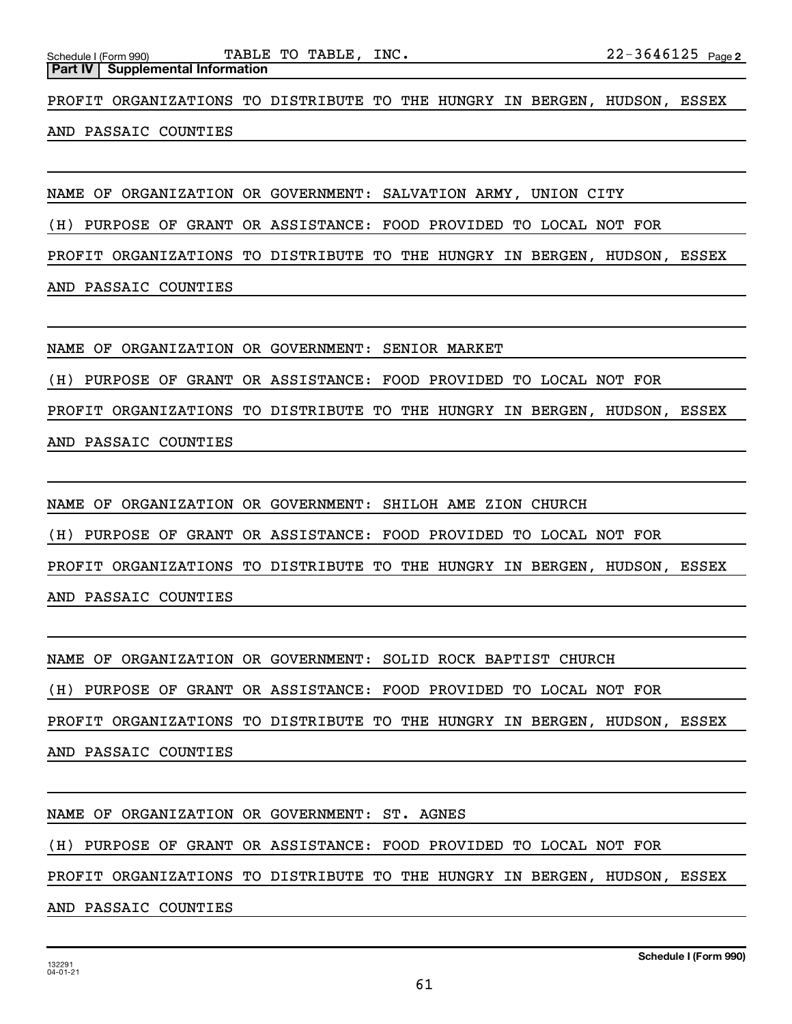**Part IV Supplemental Information**

PROFIT ORGANIZATIONS TO DISTRIBUTE TO THE HUNGRY IN BERGEN, HUDSON, ESSEX

AND PASSAIC COUNTIES

NAME OF ORGANIZATION OR GOVERNMENT: SALVATION ARMY, UNION CITY

(H) PURPOSE OF GRANT OR ASSISTANCE: FOOD PROVIDED TO LOCAL NOT FOR

PROFIT ORGANIZATIONS TO DISTRIBUTE TO THE HUNGRY IN BERGEN, HUDSON, ESSEX

AND PASSAIC COUNTIES

NAME OF ORGANIZATION OR GOVERNMENT: SENIOR MARKET

(H) PURPOSE OF GRANT OR ASSISTANCE: FOOD PROVIDED TO LOCAL NOT FOR

PROFIT ORGANIZATIONS TO DISTRIBUTE TO THE HUNGRY IN BERGEN, HUDSON, ESSEX

AND PASSAIC COUNTIES

NAME OF ORGANIZATION OR GOVERNMENT: SHILOH AME ZION CHURCH

(H) PURPOSE OF GRANT OR ASSISTANCE: FOOD PROVIDED TO LOCAL NOT FOR

PROFIT ORGANIZATIONS TO DISTRIBUTE TO THE HUNGRY IN BERGEN, HUDSON, ESSEX

AND PASSAIC COUNTIES

NAME OF ORGANIZATION OR GOVERNMENT: SOLID ROCK BAPTIST CHURCH

(H) PURPOSE OF GRANT OR ASSISTANCE: FOOD PROVIDED TO LOCAL NOT FOR

PROFIT ORGANIZATIONS TO DISTRIBUTE TO THE HUNGRY IN BERGEN, HUDSON, ESSEX

AND PASSAIC COUNTIES

NAME OF ORGANIZATION OR GOVERNMENT: ST. AGNES

(H) PURPOSE OF GRANT OR ASSISTANCE: FOOD PROVIDED TO LOCAL NOT FOR

PROFIT ORGANIZATIONS TO DISTRIBUTE TO THE HUNGRY IN BERGEN, HUDSON, ESSEX

AND PASSAIC COUNTIES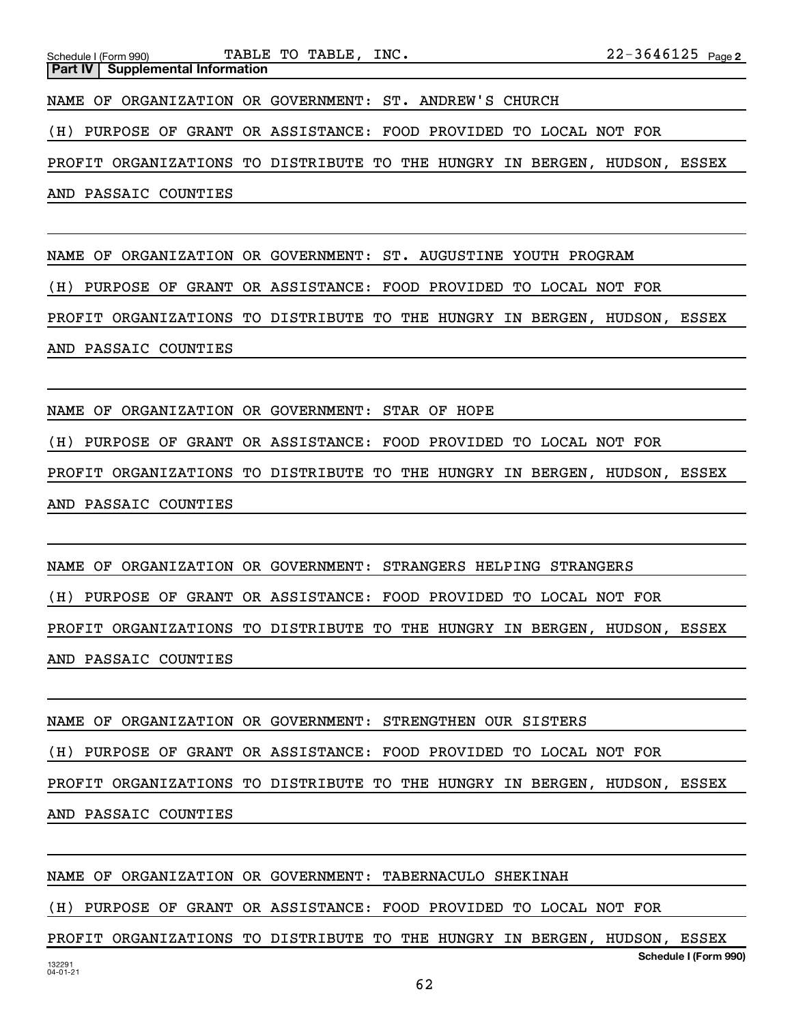AND PASSAIC COUNTIES

NAME OF ORGANIZATION OR GOVERNMENT: ST. AUGUSTINE YOUTH PROGRAM

(H) PURPOSE OF GRANT OR ASSISTANCE: FOOD PROVIDED TO LOCAL NOT FOR

PROFIT ORGANIZATIONS TO DISTRIBUTE TO THE HUNGRY IN BERGEN, HUDSON, ESSEX AND PASSAIC COUNTIES

NAME OF ORGANIZATION OR GOVERNMENT: STAR OF HOPE

(H) PURPOSE OF GRANT OR ASSISTANCE: FOOD PROVIDED TO LOCAL NOT FOR

PROFIT ORGANIZATIONS TO DISTRIBUTE TO THE HUNGRY IN BERGEN, HUDSON, ESSEX AND PASSAIC COUNTIES

NAME OF ORGANIZATION OR GOVERNMENT: STRANGERS HELPING STRANGERS (H) PURPOSE OF GRANT OR ASSISTANCE: FOOD PROVIDED TO LOCAL NOT FOR PROFIT ORGANIZATIONS TO DISTRIBUTE TO THE HUNGRY IN BERGEN, HUDSON, ESSEX AND PASSAIC COUNTIES

NAME OF ORGANIZATION OR GOVERNMENT: STRENGTHEN OUR SISTERS (H) PURPOSE OF GRANT OR ASSISTANCE: FOOD PROVIDED TO LOCAL NOT FOR PROFIT ORGANIZATIONS TO DISTRIBUTE TO THE HUNGRY IN BERGEN, HUDSON, ESSEX AND PASSAIC COUNTIES

132291 04-01-21 **Schedule I (Form 990)** NAME OF ORGANIZATION OR GOVERNMENT: TABERNACULO SHEKINAH (H) PURPOSE OF GRANT OR ASSISTANCE: FOOD PROVIDED TO LOCAL NOT FOR PROFIT ORGANIZATIONS TO DISTRIBUTE TO THE HUNGRY IN BERGEN, HUDSON, ESSEX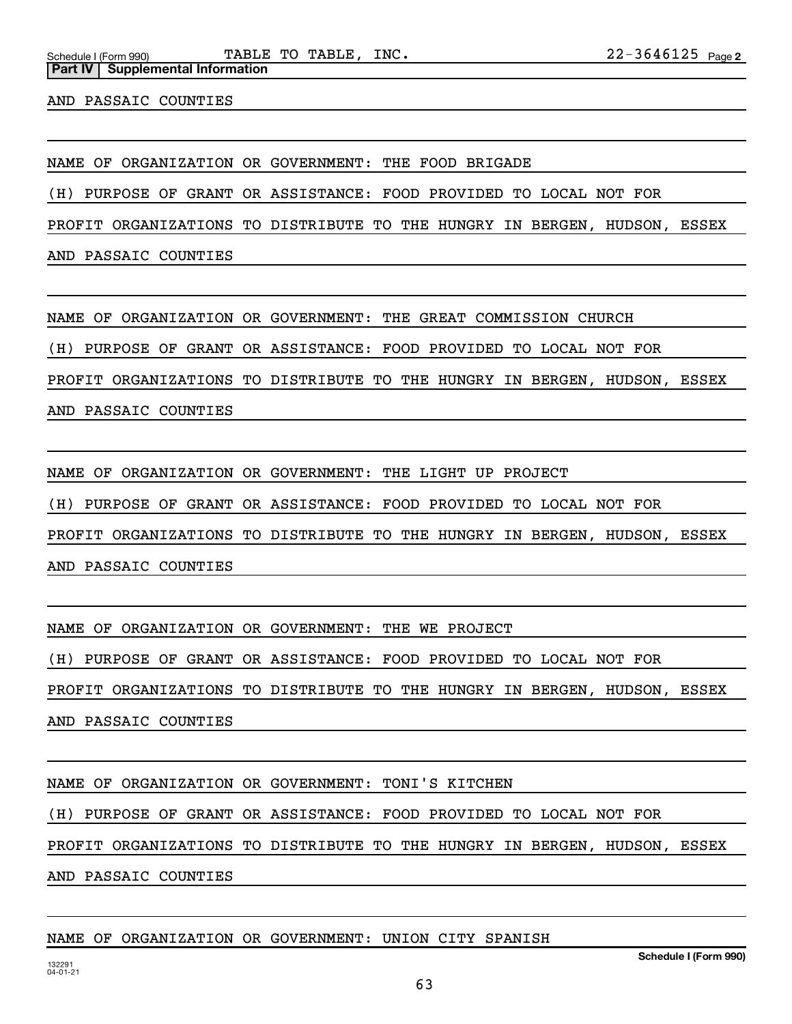Schedule I (Form 990) **PABLE TO TABLE, INC.**  $22-3646125$   $_{\text{Page}}$ 

AND PASSAIC COUNTIES

**Part IV** | Supplemental Information

NAME OF ORGANIZATION OR GOVERNMENT: THE FOOD BRIGADE

(H) PURPOSE OF GRANT OR ASSISTANCE: FOOD PROVIDED TO LOCAL NOT FOR

PROFIT ORGANIZATIONS TO DISTRIBUTE TO THE HUNGRY IN BERGEN, HUDSON, ESSEX

AND PASSAIC COUNTIES

NAME OF ORGANIZATION OR GOVERNMENT: THE GREAT COMMISSION CHURCH

(H) PURPOSE OF GRANT OR ASSISTANCE: FOOD PROVIDED TO LOCAL NOT FOR

PROFIT ORGANIZATIONS TO DISTRIBUTE TO THE HUNGRY IN BERGEN, HUDSON, ESSEX

AND PASSAIC COUNTIES

NAME OF ORGANIZATION OR GOVERNMENT: THE LIGHT UP PROJECT

(H) PURPOSE OF GRANT OR ASSISTANCE: FOOD PROVIDED TO LOCAL NOT FOR

PROFIT ORGANIZATIONS TO DISTRIBUTE TO THE HUNGRY IN BERGEN, HUDSON, ESSEX

AND PASSAIC COUNTIES

NAME OF ORGANIZATION OR GOVERNMENT: THE WE PROJECT

(H) PURPOSE OF GRANT OR ASSISTANCE: FOOD PROVIDED TO LOCAL NOT FOR

PROFIT ORGANIZATIONS TO DISTRIBUTE TO THE HUNGRY IN BERGEN, HUDSON, ESSEX

AND PASSAIC COUNTIES

NAME OF ORGANIZATION OR GOVERNMENT: TONI'S KITCHEN

(H) PURPOSE OF GRANT OR ASSISTANCE: FOOD PROVIDED TO LOCAL NOT FOR

PROFIT ORGANIZATIONS TO DISTRIBUTE TO THE HUNGRY IN BERGEN, HUDSON, ESSEX

AND PASSAIC COUNTIES

## NAME OF ORGANIZATION OR GOVERNMENT: UNION CITY SPANISH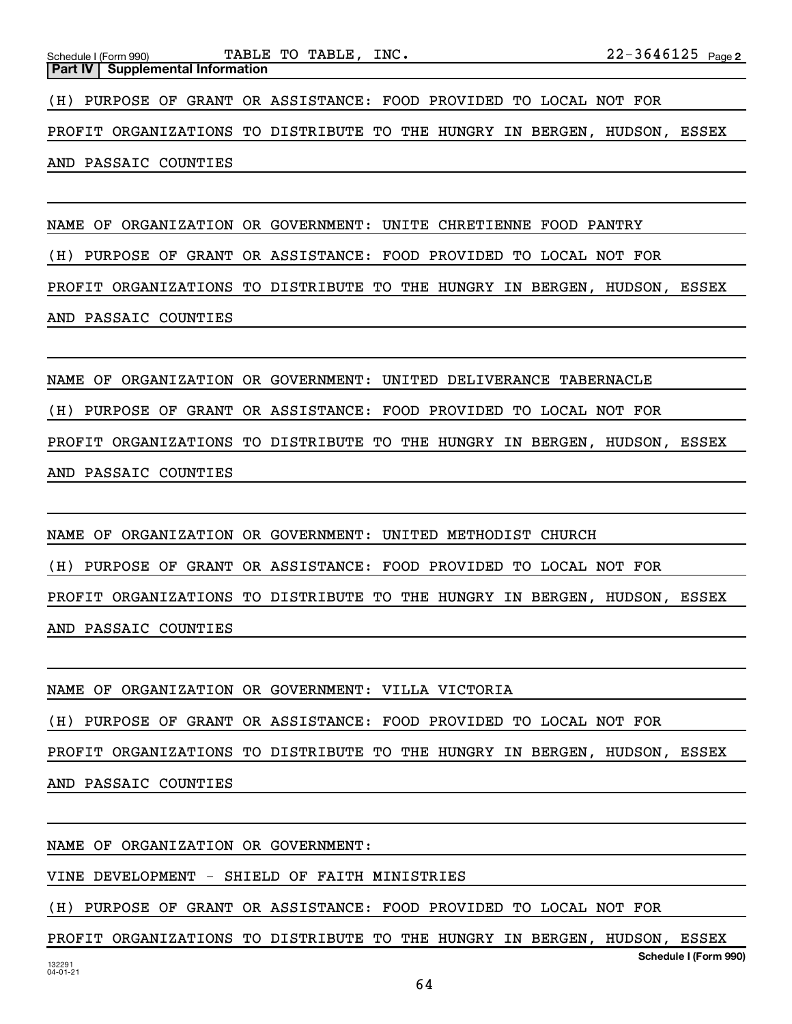NAME OF ORGANIZATION OR GOVERNMENT: UNITE CHRETIENNE FOOD PANTRY (H) PURPOSE OF GRANT OR ASSISTANCE: FOOD PROVIDED TO LOCAL NOT FOR PROFIT ORGANIZATIONS TO DISTRIBUTE TO THE HUNGRY IN BERGEN, HUDSON, ESSEX AND PASSAIC COUNTIES

NAME OF ORGANIZATION OR GOVERNMENT: UNITED DELIVERANCE TABERNACLE (H) PURPOSE OF GRANT OR ASSISTANCE: FOOD PROVIDED TO LOCAL NOT FOR PROFIT ORGANIZATIONS TO DISTRIBUTE TO THE HUNGRY IN BERGEN, HUDSON, ESSEX AND PASSAIC COUNTIES

NAME OF ORGANIZATION OR GOVERNMENT: UNITED METHODIST CHURCH (H) PURPOSE OF GRANT OR ASSISTANCE: FOOD PROVIDED TO LOCAL NOT FOR PROFIT ORGANIZATIONS TO DISTRIBUTE TO THE HUNGRY IN BERGEN, HUDSON, ESSEX AND PASSAIC COUNTIES

NAME OF ORGANIZATION OR GOVERNMENT: VILLA VICTORIA (H) PURPOSE OF GRANT OR ASSISTANCE: FOOD PROVIDED TO LOCAL NOT FOR PROFIT ORGANIZATIONS TO DISTRIBUTE TO THE HUNGRY IN BERGEN, HUDSON, ESSEX AND PASSAIC COUNTIES

NAME OF ORGANIZATION OR GOVERNMENT:

VINE DEVELOPMENT - SHIELD OF FAITH MINISTRIES

(H) PURPOSE OF GRANT OR ASSISTANCE: FOOD PROVIDED TO LOCAL NOT FOR

**Schedule I (Form 990)** PROFIT ORGANIZATIONS TO DISTRIBUTE TO THE HUNGRY IN BERGEN, HUDSON, ESSEX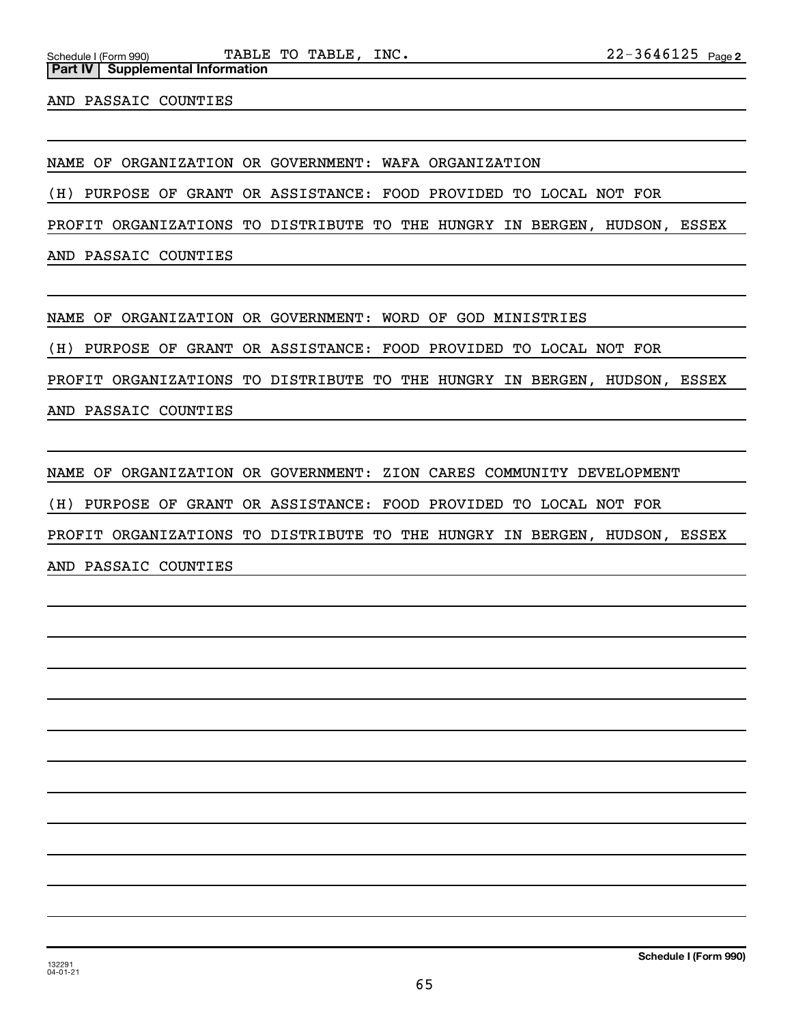AND PASSAIC COUNTIES

**Part IV Supplemental Information**

NAME OF ORGANIZATION OR GOVERNMENT: WAFA ORGANIZATION

(H) PURPOSE OF GRANT OR ASSISTANCE: FOOD PROVIDED TO LOCAL NOT FOR

PROFIT ORGANIZATIONS TO DISTRIBUTE TO THE HUNGRY IN BERGEN, HUDSON, ESSEX

AND PASSAIC COUNTIES

NAME OF ORGANIZATION OR GOVERNMENT: WORD OF GOD MINISTRIES

(H) PURPOSE OF GRANT OR ASSISTANCE: FOOD PROVIDED TO LOCAL NOT FOR

PROFIT ORGANIZATIONS TO DISTRIBUTE TO THE HUNGRY IN BERGEN, HUDSON, ESSEX

AND PASSAIC COUNTIES

NAME OF ORGANIZATION OR GOVERNMENT: ZION CARES COMMUNITY DEVELOPMENT

(H) PURPOSE OF GRANT OR ASSISTANCE: FOOD PROVIDED TO LOCAL NOT FOR

PROFIT ORGANIZATIONS TO DISTRIBUTE TO THE HUNGRY IN BERGEN, HUDSON, ESSEX

AND PASSAIC COUNTIES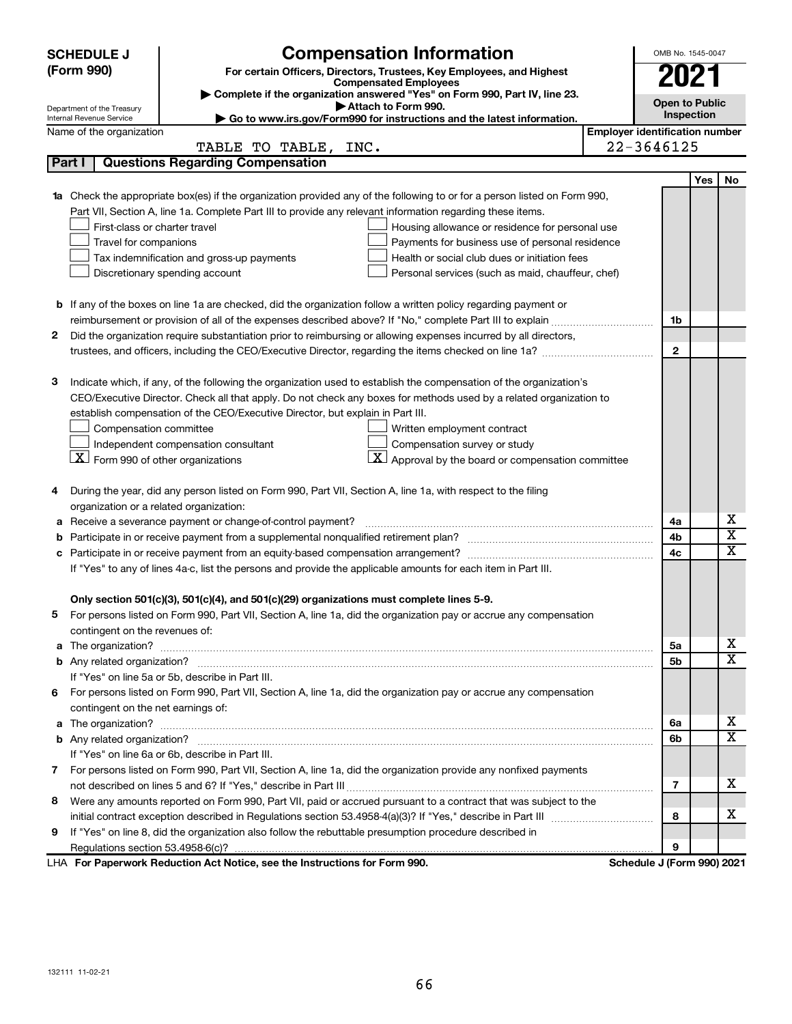|   | <b>SCHEDULE J</b>                                                                     | <b>Compensation Information</b>                                                                                           | OMB No. 1545-0047                     |            |                         |
|---|---------------------------------------------------------------------------------------|---------------------------------------------------------------------------------------------------------------------------|---------------------------------------|------------|-------------------------|
|   | (Form 990)                                                                            | For certain Officers, Directors, Trustees, Key Employees, and Highest                                                     |                                       |            |                         |
|   |                                                                                       | <b>Compensated Employees</b>                                                                                              | 2021                                  |            |                         |
|   | Department of the Treasury                                                            | Complete if the organization answered "Yes" on Form 990, Part IV, line 23.<br>Attach to Form 990.                         | <b>Open to Public</b>                 |            |                         |
|   | Internal Revenue Service                                                              | Go to www.irs.gov/Form990 for instructions and the latest information.                                                    |                                       | Inspection |                         |
|   | Name of the organization                                                              |                                                                                                                           | <b>Employer identification number</b> |            |                         |
|   |                                                                                       | TABLE TO TABLE, INC.                                                                                                      | 22-3646125                            |            |                         |
|   | Part I                                                                                | <b>Questions Regarding Compensation</b>                                                                                   |                                       |            |                         |
|   |                                                                                       |                                                                                                                           |                                       | Yes        | No                      |
|   |                                                                                       | 1a Check the appropriate box(es) if the organization provided any of the following to or for a person listed on Form 990, |                                       |            |                         |
|   |                                                                                       | Part VII, Section A, line 1a. Complete Part III to provide any relevant information regarding these items.                |                                       |            |                         |
|   | First-class or charter travel                                                         | Housing allowance or residence for personal use                                                                           |                                       |            |                         |
|   | Travel for companions                                                                 | Payments for business use of personal residence                                                                           |                                       |            |                         |
|   |                                                                                       | Tax indemnification and gross-up payments<br>Health or social club dues or initiation fees                                |                                       |            |                         |
|   | Discretionary spending account                                                        | Personal services (such as maid, chauffeur, chef)                                                                         |                                       |            |                         |
|   |                                                                                       |                                                                                                                           |                                       |            |                         |
|   |                                                                                       | <b>b</b> If any of the boxes on line 1a are checked, did the organization follow a written policy regarding payment or    |                                       |            |                         |
|   |                                                                                       |                                                                                                                           | 1b                                    |            |                         |
| 2 |                                                                                       | Did the organization require substantiation prior to reimbursing or allowing expenses incurred by all directors,          |                                       |            |                         |
|   |                                                                                       |                                                                                                                           | $\mathbf{2}$                          |            |                         |
|   |                                                                                       |                                                                                                                           |                                       |            |                         |
| З |                                                                                       | Indicate which, if any, of the following the organization used to establish the compensation of the organization's        |                                       |            |                         |
|   |                                                                                       | CEO/Executive Director. Check all that apply. Do not check any boxes for methods used by a related organization to        |                                       |            |                         |
|   |                                                                                       | establish compensation of the CEO/Executive Director, but explain in Part III.                                            |                                       |            |                         |
|   | Compensation committee                                                                | Written employment contract                                                                                               |                                       |            |                         |
|   | Independent compensation consultant<br>$ \mathbf{X} $ Form 990 of other organizations | Compensation survey or study                                                                                              |                                       |            |                         |
|   |                                                                                       | Approval by the board or compensation committee                                                                           |                                       |            |                         |
| 4 |                                                                                       | During the year, did any person listed on Form 990, Part VII, Section A, line 1a, with respect to the filing              |                                       |            |                         |
|   | organization or a related organization:                                               |                                                                                                                           |                                       |            |                         |
| а |                                                                                       | Receive a severance payment or change-of-control payment?                                                                 | 4a                                    |            | х                       |
| b |                                                                                       |                                                                                                                           | 4b                                    |            | $\overline{\textbf{x}}$ |
| c |                                                                                       |                                                                                                                           | 4с                                    |            | $\overline{\textbf{x}}$ |
|   |                                                                                       | If "Yes" to any of lines 4a-c, list the persons and provide the applicable amounts for each item in Part III.             |                                       |            |                         |
|   |                                                                                       |                                                                                                                           |                                       |            |                         |
|   |                                                                                       | Only section 501(c)(3), 501(c)(4), and 501(c)(29) organizations must complete lines 5-9.                                  |                                       |            |                         |
|   |                                                                                       | For persons listed on Form 990, Part VII, Section A, line 1a, did the organization pay or accrue any compensation         |                                       |            |                         |
|   | contingent on the revenues of:                                                        |                                                                                                                           |                                       |            |                         |
|   |                                                                                       |                                                                                                                           | 5a                                    |            | X.                      |
|   |                                                                                       |                                                                                                                           | 5b                                    |            | $\overline{\mathbf{X}}$ |
|   | If "Yes" on line 5a or 5b, describe in Part III.                                      |                                                                                                                           |                                       |            |                         |
| 6 |                                                                                       | For persons listed on Form 990, Part VII, Section A, line 1a, did the organization pay or accrue any compensation         |                                       |            |                         |
|   | contingent on the net earnings of:                                                    |                                                                                                                           |                                       |            |                         |
|   |                                                                                       |                                                                                                                           | 6a                                    |            | X.                      |
|   |                                                                                       |                                                                                                                           | 6b                                    |            | $\overline{\text{X}}$   |
|   | If "Yes" on line 6a or 6b, describe in Part III.                                      |                                                                                                                           |                                       |            |                         |
|   |                                                                                       | 7 For persons listed on Form 990, Part VII, Section A, line 1a, did the organization provide any nonfixed payments        |                                       |            |                         |
|   |                                                                                       |                                                                                                                           | 7                                     |            | х                       |
| 8 |                                                                                       | Were any amounts reported on Form 990, Part VII, paid or accrued pursuant to a contract that was subject to the           |                                       |            |                         |
|   |                                                                                       |                                                                                                                           | 8                                     |            | x                       |
| 9 |                                                                                       | If "Yes" on line 8, did the organization also follow the rebuttable presumption procedure described in                    |                                       |            |                         |
|   |                                                                                       |                                                                                                                           | 9                                     |            |                         |
|   |                                                                                       | LHA For Paperwork Reduction Act Notice, see the Instructions for Form 990.                                                | Schedule J (Form 990) 2021            |            |                         |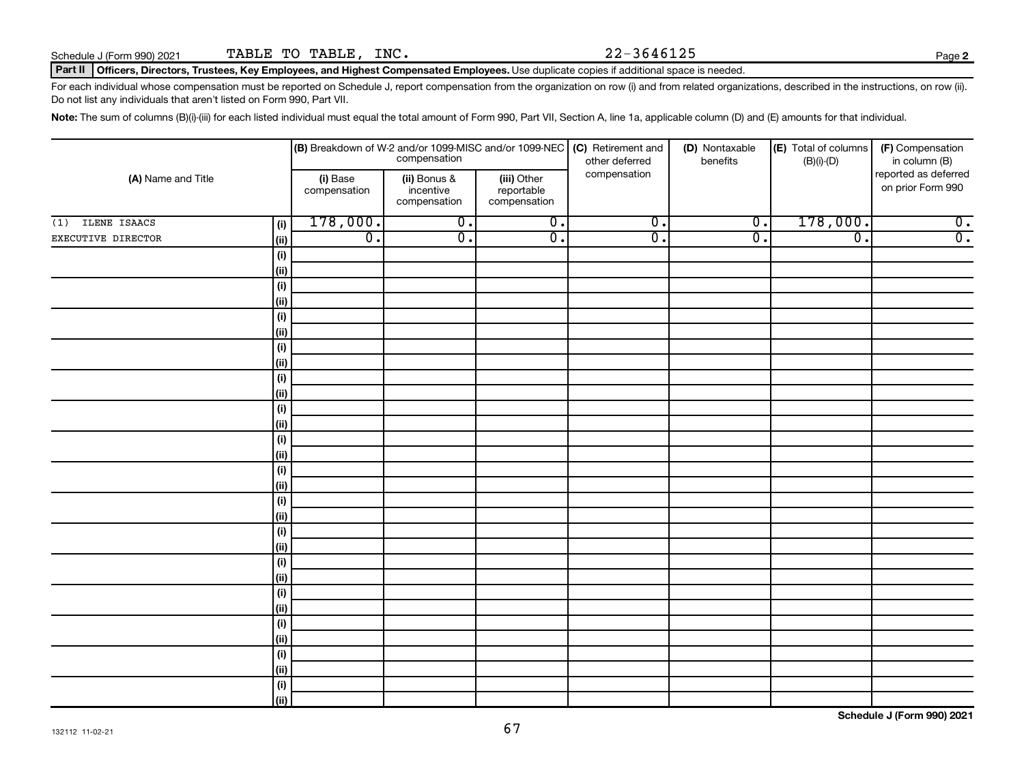## Part II | Officers, Directors, Trustees, Key Employees, and Highest Compensated Employees. Use duplicate copies if additional space is needed.

For each individual whose compensation must be reported on Schedule J, report compensation from the organization on row (i) and from related organizations, described in the instructions, on row (ii). Do not list any individuals that aren't listed on Form 990, Part VII.

Note: The sum of columns (B)(i)-(iii) for each listed individual must equal the total amount of Form 990, Part VII, Section A, line 1a, applicable column (D) and (E) amounts for that individual.

|                     |              |                          |                                           | <b>(B)</b> Breakdown of W-2 and/or 1099-MISC and/or 1099-NEC <b>(C)</b> Retirement and<br>compensation of the deferred<br>other deferred | (D) Nontaxable<br>benefits | (E) Total of columns<br>$(B)(i)$ - $(D)$ | (F) Compensation<br>in column (B)<br>reported as deferred<br>on prior Form 990 |                  |
|---------------------|--------------|--------------------------|-------------------------------------------|------------------------------------------------------------------------------------------------------------------------------------------|----------------------------|------------------------------------------|--------------------------------------------------------------------------------|------------------|
| (A) Name and Title  |              | (i) Base<br>compensation | (ii) Bonus &<br>incentive<br>compensation | (iii) Other<br>reportable<br>compensation                                                                                                | compensation               |                                          |                                                                                |                  |
| ILENE ISAACS<br>(1) | (i)          | 178,000.                 | $\overline{0}$ .                          | $\overline{0}$ .                                                                                                                         | $\overline{0}$ .           | $\overline{0}$ .                         | 178,000.                                                                       | $\overline{0}$ . |
| EXECUTIVE DIRECTOR  | $\vert$ (ii) | $\overline{0}$ .         | $\overline{0}$ .                          | $\overline{0}$ .                                                                                                                         | $\overline{0}$ .           | $\overline{\mathfrak{o}}$ .              | $\overline{\mathfrak{o}}$ .                                                    | $\overline{0}$ . |
|                     | (i)          |                          |                                           |                                                                                                                                          |                            |                                          |                                                                                |                  |
|                     | $\vert$ (ii) |                          |                                           |                                                                                                                                          |                            |                                          |                                                                                |                  |
|                     | (i)          |                          |                                           |                                                                                                                                          |                            |                                          |                                                                                |                  |
|                     | (ii)         |                          |                                           |                                                                                                                                          |                            |                                          |                                                                                |                  |
|                     | (i)          |                          |                                           |                                                                                                                                          |                            |                                          |                                                                                |                  |
|                     | (ii)         |                          |                                           |                                                                                                                                          |                            |                                          |                                                                                |                  |
|                     | $(\sf{i})$   |                          |                                           |                                                                                                                                          |                            |                                          |                                                                                |                  |
|                     | (ii)         |                          |                                           |                                                                                                                                          |                            |                                          |                                                                                |                  |
|                     | $(\sf{i})$   |                          |                                           |                                                                                                                                          |                            |                                          |                                                                                |                  |
|                     | (ii)         |                          |                                           |                                                                                                                                          |                            |                                          |                                                                                |                  |
|                     | $(\sf{i})$   |                          |                                           |                                                                                                                                          |                            |                                          |                                                                                |                  |
|                     | (ii)         |                          |                                           |                                                                                                                                          |                            |                                          |                                                                                |                  |
|                     | (i)          |                          |                                           |                                                                                                                                          |                            |                                          |                                                                                |                  |
|                     | (ii)         |                          |                                           |                                                                                                                                          |                            |                                          |                                                                                |                  |
|                     | (i)<br>(ii)  |                          |                                           |                                                                                                                                          |                            |                                          |                                                                                |                  |
|                     | $(\sf{i})$   |                          |                                           |                                                                                                                                          |                            |                                          |                                                                                |                  |
|                     | (ii)         |                          |                                           |                                                                                                                                          |                            |                                          |                                                                                |                  |
|                     | $(\sf{i})$   |                          |                                           |                                                                                                                                          |                            |                                          |                                                                                |                  |
|                     | (ii)         |                          |                                           |                                                                                                                                          |                            |                                          |                                                                                |                  |
|                     | (i)          |                          |                                           |                                                                                                                                          |                            |                                          |                                                                                |                  |
|                     | (ii)         |                          |                                           |                                                                                                                                          |                            |                                          |                                                                                |                  |
|                     | (i)          |                          |                                           |                                                                                                                                          |                            |                                          |                                                                                |                  |
|                     | (ii)         |                          |                                           |                                                                                                                                          |                            |                                          |                                                                                |                  |
|                     | (i)          |                          |                                           |                                                                                                                                          |                            |                                          |                                                                                |                  |
|                     | (ii)         |                          |                                           |                                                                                                                                          |                            |                                          |                                                                                |                  |
|                     | (i)          |                          |                                           |                                                                                                                                          |                            |                                          |                                                                                |                  |
|                     | (ii)         |                          |                                           |                                                                                                                                          |                            |                                          |                                                                                |                  |
|                     | $(\sf{i})$   |                          |                                           |                                                                                                                                          |                            |                                          |                                                                                |                  |
|                     | l (ii)       |                          |                                           |                                                                                                                                          |                            |                                          |                                                                                |                  |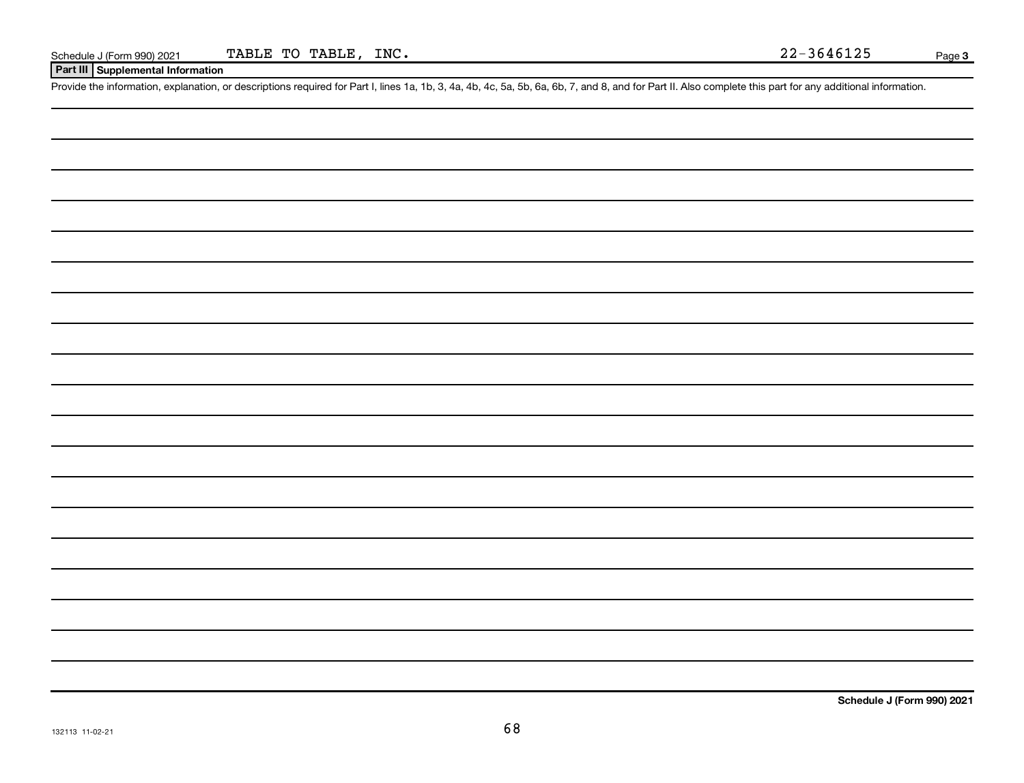## **Part III Supplemental Information**

Provide the information, explanation, or descriptions required for Part I, lines 1a, 1b, 3, 4a, 4b, 4c, 5a, 5b, 6a, 6b, 7, and 8, and for Part II. Also complete this part for any additional information.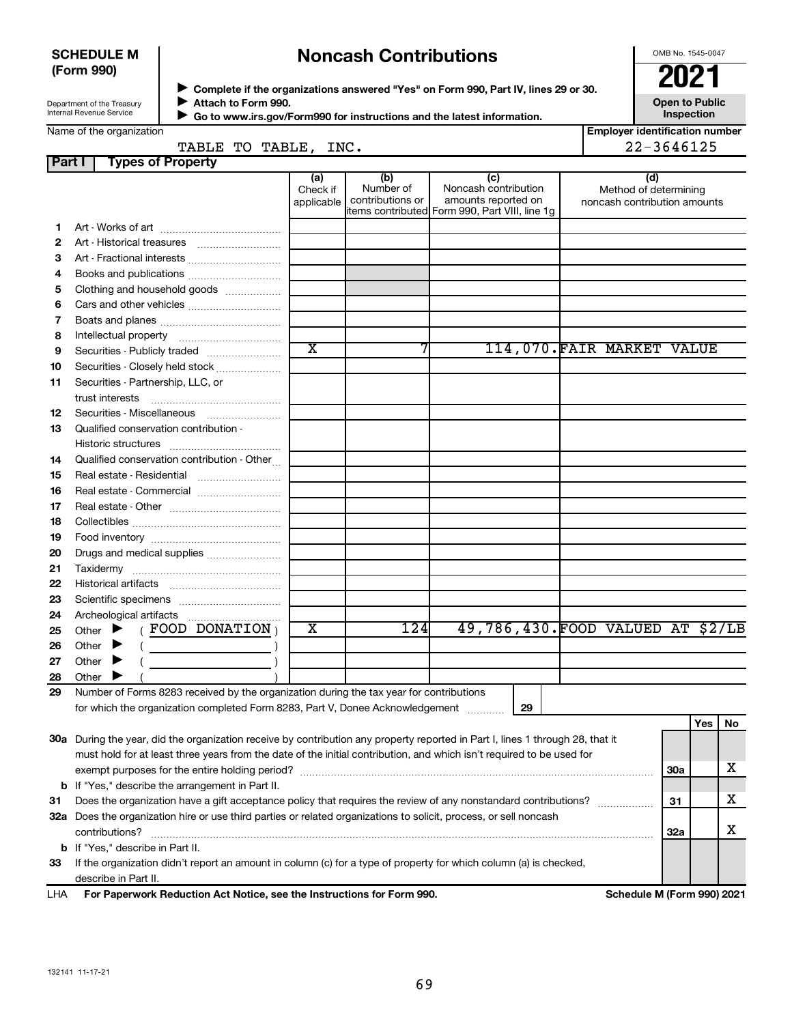## **SCHEDULE M (Form 990)**

## **Noncash Contributions**

OMB No. 1545-0047

**Employer identification number**

| Department of the Treasury |  |
|----------------------------|--|
| Internal Revenue Service   |  |

◆ Complete if the organizations answered "Yes" on Form 990, Part IV, lines 29 or 30.<br>▶ Complete if the organizations answered "Yes" on Form 990, Part IV, lines 29 or 30. **Attach to Form 990.**  $\blacktriangleright$ 

**Open to Public Inspection**

|  | Name of the organization |
|--|--------------------------|
|  |                          |

| Go to www.irs.gov/Form990 for instructions and the latest information. |
|------------------------------------------------------------------------|
|                                                                        |

|        | TABLE TO TABLE, INC.                                                                                                           |                               |                                      |                                                                                                      |                                                              | 22-3646125 |     |    |
|--------|--------------------------------------------------------------------------------------------------------------------------------|-------------------------------|--------------------------------------|------------------------------------------------------------------------------------------------------|--------------------------------------------------------------|------------|-----|----|
| Part I | <b>Types of Property</b>                                                                                                       |                               |                                      |                                                                                                      |                                                              |            |     |    |
|        |                                                                                                                                | (a)<br>Check if<br>applicable | (b)<br>Number of<br>contributions or | (c)<br>Noncash contribution<br>amounts reported on<br>items contributed Form 990, Part VIII, line 1g | (d)<br>Method of determining<br>noncash contribution amounts |            |     |    |
| 1.     |                                                                                                                                |                               |                                      |                                                                                                      |                                                              |            |     |    |
| 2      |                                                                                                                                |                               |                                      |                                                                                                      |                                                              |            |     |    |
| З      | Art - Fractional interests                                                                                                     |                               |                                      |                                                                                                      |                                                              |            |     |    |
| 4      | Books and publications                                                                                                         |                               |                                      |                                                                                                      |                                                              |            |     |    |
| 5      | Clothing and household goods                                                                                                   |                               |                                      |                                                                                                      |                                                              |            |     |    |
| 6      |                                                                                                                                |                               |                                      |                                                                                                      |                                                              |            |     |    |
| 7      |                                                                                                                                |                               |                                      |                                                                                                      |                                                              |            |     |    |
| 8      |                                                                                                                                |                               |                                      |                                                                                                      |                                                              |            |     |    |
| 9      | Securities - Publicly traded                                                                                                   | $\overline{\text{x}}$         |                                      |                                                                                                      | 114,070.FAIR MARKET VALUE                                    |            |     |    |
| 10     | Securities - Closely held stock                                                                                                |                               |                                      |                                                                                                      |                                                              |            |     |    |
| 11     | Securities - Partnership, LLC, or                                                                                              |                               |                                      |                                                                                                      |                                                              |            |     |    |
|        | trust interests                                                                                                                |                               |                                      |                                                                                                      |                                                              |            |     |    |
| 12     | Securities - Miscellaneous                                                                                                     |                               |                                      |                                                                                                      |                                                              |            |     |    |
| 13     | Qualified conservation contribution -                                                                                          |                               |                                      |                                                                                                      |                                                              |            |     |    |
|        |                                                                                                                                |                               |                                      |                                                                                                      |                                                              |            |     |    |
| 14     | Qualified conservation contribution - Other                                                                                    |                               |                                      |                                                                                                      |                                                              |            |     |    |
| 15     | Real estate - Residential [11] [11] Real estate - Residential                                                                  |                               |                                      |                                                                                                      |                                                              |            |     |    |
| 16     | Real estate - Commercial                                                                                                       |                               |                                      |                                                                                                      |                                                              |            |     |    |
| 17     |                                                                                                                                |                               |                                      |                                                                                                      |                                                              |            |     |    |
| 18     |                                                                                                                                |                               |                                      |                                                                                                      |                                                              |            |     |    |
| 19     |                                                                                                                                |                               |                                      |                                                                                                      |                                                              |            |     |    |
| 20     | Drugs and medical supplies                                                                                                     |                               |                                      |                                                                                                      |                                                              |            |     |    |
| 21     |                                                                                                                                |                               |                                      |                                                                                                      |                                                              |            |     |    |
| 22     |                                                                                                                                |                               |                                      |                                                                                                      |                                                              |            |     |    |
| 23     |                                                                                                                                |                               |                                      |                                                                                                      |                                                              |            |     |    |
| 24     |                                                                                                                                |                               |                                      |                                                                                                      |                                                              |            |     |    |
| 25     | $($ FOOD DONATION $)$<br>Other $\blacktriangleright$                                                                           | X                             | 124                                  | 49,786,430. FOOD VALUED AT \$2/LB                                                                    |                                                              |            |     |    |
| 26     | Other $\blacktriangleright$<br>$\left(\begin{array}{ccc}\n&\n&\n\end{array}\right)$                                            |                               |                                      |                                                                                                      |                                                              |            |     |    |
| 27     | Other $\blacktriangleright$                                                                                                    |                               |                                      |                                                                                                      |                                                              |            |     |    |
| 28     | Other $\blacktriangleright$                                                                                                    |                               |                                      |                                                                                                      |                                                              |            |     |    |
| 29     | Number of Forms 8283 received by the organization during the tax year for contributions                                        |                               |                                      |                                                                                                      |                                                              |            |     |    |
|        | for which the organization completed Form 8283, Part V, Donee Acknowledgement [111111111111111111111111111111                  |                               |                                      | 29                                                                                                   |                                                              |            |     |    |
|        |                                                                                                                                |                               |                                      |                                                                                                      |                                                              |            | Yes | No |
|        | 30a During the year, did the organization receive by contribution any property reported in Part I, lines 1 through 28, that it |                               |                                      |                                                                                                      |                                                              |            |     |    |
|        | must hold for at least three years from the date of the initial contribution, and which isn't required to be used for          |                               |                                      |                                                                                                      |                                                              |            |     |    |
|        |                                                                                                                                |                               |                                      |                                                                                                      |                                                              | <b>30a</b> |     | х  |
|        | <b>b</b> If "Yes," describe the arrangement in Part II.                                                                        |                               |                                      |                                                                                                      |                                                              |            |     |    |
| 31     | Does the organization have a gift acceptance policy that requires the review of any nonstandard contributions?                 |                               |                                      |                                                                                                      |                                                              | 31         |     | х  |
|        | 32a Does the organization hire or use third parties or related organizations to solicit, process, or sell noncash              |                               |                                      |                                                                                                      |                                                              |            |     |    |
|        | contributions?                                                                                                                 |                               |                                      |                                                                                                      |                                                              | 32a        |     | х  |
|        | <b>b</b> If "Yes," describe in Part II.                                                                                        |                               |                                      |                                                                                                      |                                                              |            |     |    |
|        |                                                                                                                                |                               |                                      |                                                                                                      |                                                              |            |     |    |

**33** If the organization didn't report an amount in column (c) for a type of property for which column (a) is checked, describe in Part II.

**For Paperwork Reduction Act Notice, see the Instructions for Form 990. Schedule M (Form 990) 2021** LHA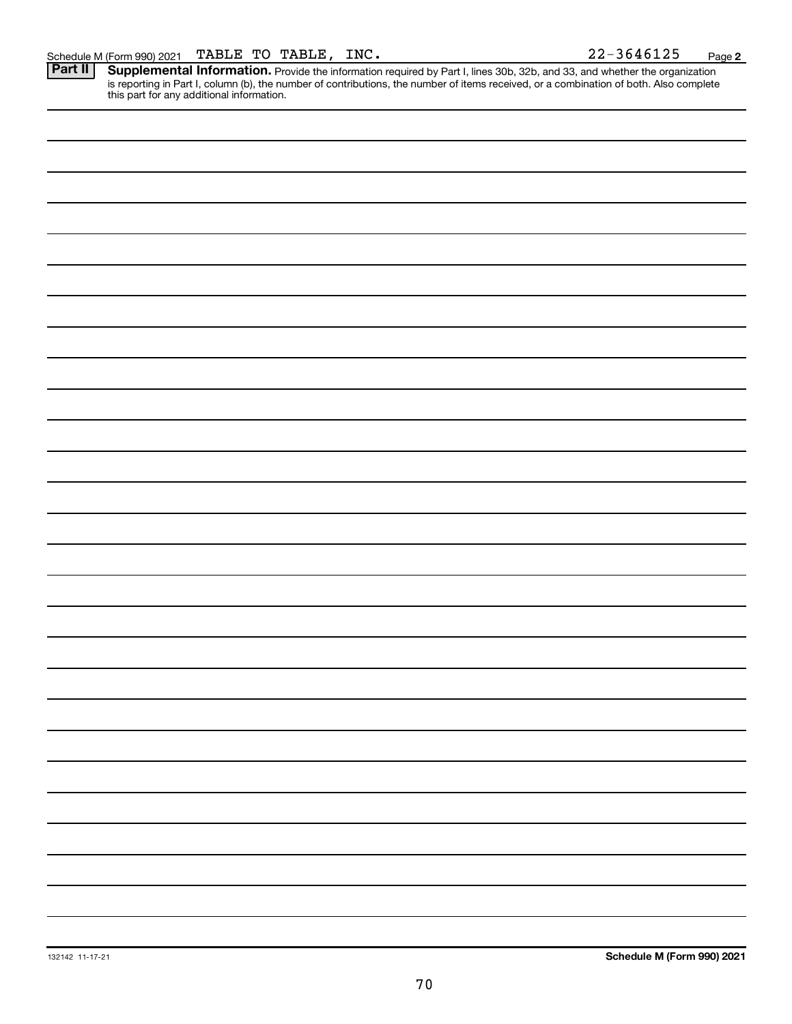Provide the information required by Part I, lines 30b, 32b, and 33, and whether the organization is reporting in Part I, column (b), the number of contributions, the number of items received, or a combination of both. Also complete this part for any additional information. **Part II Supplemental Information.**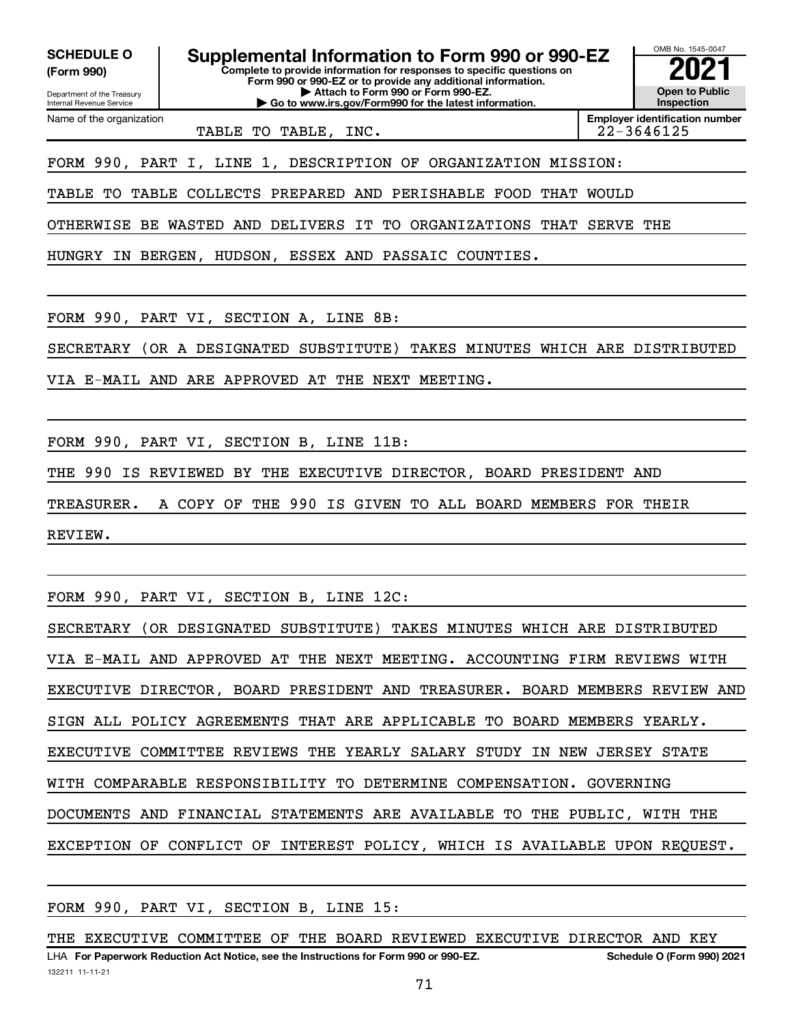**(Form 990)**

Department of the Treasury Internal Revenue Service Name of the organization

**Complete to provide information for responses to specific questions on Form 990 or 990-EZ or to provide any additional information. | Attach to Form 990 or Form 990-EZ. | Go to www.irs.gov/Form990 for the latest information. SCHEDULE O Supplemental Information to Form 990 or 990-EZ**  $\frac{100000}{2}$ 

**Open to Public Inspection Employer identification number**

OMB No. 1545-0047

TABLE TO TABLE, INC. 22-3646125

FORM 990, PART I, LINE 1, DESCRIPTION OF ORGANIZATION MISSION:

TABLE TO TABLE COLLECTS PREPARED AND PERISHABLE FOOD THAT WOULD

OTHERWISE BE WASTED AND DELIVERS IT TO ORGANIZATIONS THAT SERVE THE

HUNGRY IN BERGEN, HUDSON, ESSEX AND PASSAIC COUNTIES.

FORM 990, PART VI, SECTION A, LINE 8B:

SECRETARY (OR A DESIGNATED SUBSTITUTE) TAKES MINUTES WHICH ARE DISTRIBUTED

VIA E-MAIL AND ARE APPROVED AT THE NEXT MEETING.

FORM 990, PART VI, SECTION B, LINE 11B:

THE 990 IS REVIEWED BY THE EXECUTIVE DIRECTOR, BOARD PRESIDENT AND

TREASURER. A COPY OF THE 990 IS GIVEN TO ALL BOARD MEMBERS FOR THEIR

REVIEW.

FORM 990, PART VI, SECTION B, LINE 12C:

SECRETARY (OR DESIGNATED SUBSTITUTE) TAKES MINUTES WHICH ARE DISTRIBUTED VIA E-MAIL AND APPROVED AT THE NEXT MEETING. ACCOUNTING FIRM REVIEWS WITH EXECUTIVE DIRECTOR, BOARD PRESIDENT AND TREASURER. BOARD MEMBERS REVIEW AND SIGN ALL POLICY AGREEMENTS THAT ARE APPLICABLE TO BOARD MEMBERS YEARLY. EXECUTIVE COMMITTEE REVIEWS THE YEARLY SALARY STUDY IN NEW JERSEY STATE WITH COMPARABLE RESPONSIBILITY TO DETERMINE COMPENSATION. GOVERNING DOCUMENTS AND FINANCIAL STATEMENTS ARE AVAILABLE TO THE PUBLIC, WITH THE EXCEPTION OF CONFLICT OF INTEREST POLICY, WHICH IS AVAILABLE UPON REQUEST.

FORM 990, PART VI, SECTION B, LINE 15:

132211 11-11-21 LHA For Paperwork Reduction Act Notice, see the Instructions for Form 990 or 990-EZ. Schedule O (Form 990) 2021 THE EXECUTIVE COMMITTEE OF THE BOARD REVIEWED EXECUTIVE DIRECTOR AND KEY